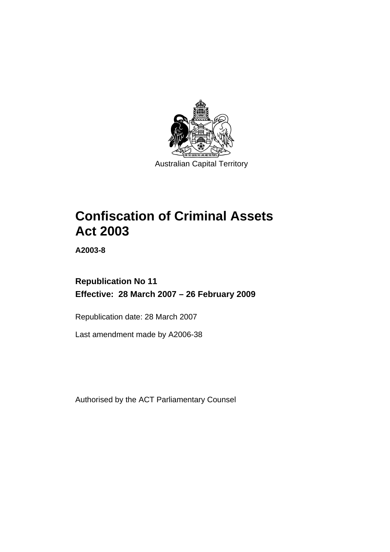

Australian Capital Territory

# **[Confiscation of Criminal Assets](#page-14-0)  [Act 2003](#page-14-0)**

**A2003-8** 

**Republication No 11 Effective: 28 March 2007 – 26 February 2009** 

Republication date: 28 March 2007

Last amendment made by A2006-38

Authorised by the ACT Parliamentary Counsel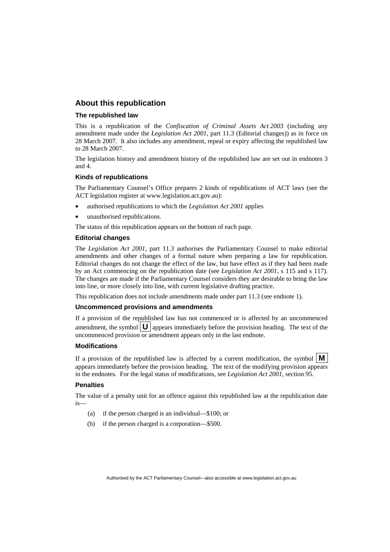## **About this republication**

#### **The republished law**

This is a republication of the *Confiscation of Criminal Assets Act 2003* (including any amendment made under the *Legislation Act 2001*, part 11.3 (Editorial changes)) as in force on 28 March 2007*.* It also includes any amendment, repeal or expiry affecting the republished law to 28 March 2007.

The legislation history and amendment history of the republished law are set out in endnotes 3 and 4.

#### **Kinds of republications**

The Parliamentary Counsel's Office prepares 2 kinds of republications of ACT laws (see the ACT legislation register at www.legislation.act.gov.au):

- authorised republications to which the *Legislation Act 2001* applies
- unauthorised republications.

The status of this republication appears on the bottom of each page.

#### **Editorial changes**

The *Legislation Act 2001*, part 11.3 authorises the Parliamentary Counsel to make editorial amendments and other changes of a formal nature when preparing a law for republication. Editorial changes do not change the effect of the law, but have effect as if they had been made by an Act commencing on the republication date (see *Legislation Act 2001*, s 115 and s 117). The changes are made if the Parliamentary Counsel considers they are desirable to bring the law into line, or more closely into line, with current legislative drafting practice.

This republication does not include amendments made under part 11.3 (see endnote 1).

#### **Uncommenced provisions and amendments**

If a provision of the republished law has not commenced or is affected by an uncommenced amendment, the symbol  $\mathbf{U}$  appears immediately before the provision heading. The text of the uncommenced provision  $\overline{or}$  amendment appears only in the last endnote.

#### **Modifications**

If a provision of the republished law is affected by a current modification, the symbol  $\mathbf{M}$ appears immediately before the provision heading. The text of the modifying provision appears in the endnotes. For the legal status of modifications, see *Legislation Act 2001*, section 95.

#### **Penalties**

The value of a penalty unit for an offence against this republished law at the republication date is—

- (a) if the person charged is an individual—\$100; or
- (b) if the person charged is a corporation—\$500.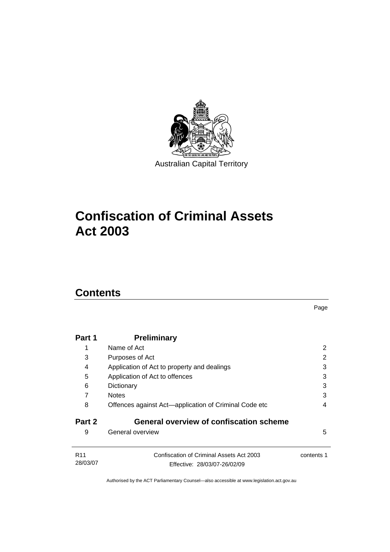

# **[Confiscation of Criminal Assets](#page-14-0)  [Act 2003](#page-14-0)**

## **Contents**

| Part 1                      | <b>Preliminary</b>                                                       |            |
|-----------------------------|--------------------------------------------------------------------------|------------|
| 1                           | Name of Act                                                              | 2          |
| 3                           | Purposes of Act                                                          | 2          |
| 4                           | Application of Act to property and dealings                              | 3          |
| 5                           | Application of Act to offences                                           | 3          |
| 6                           | Dictionary                                                               | 3          |
| 7                           | <b>Notes</b>                                                             | 3          |
| 8                           | Offences against Act—application of Criminal Code etc                    | 4          |
| Part 2                      | <b>General overview of confiscation scheme</b>                           |            |
| 9                           | General overview                                                         | 5          |
| R <sub>11</sub><br>28/03/07 | Confiscation of Criminal Assets Act 2003<br>Effective: 28/03/07-26/02/09 | contents 1 |

Page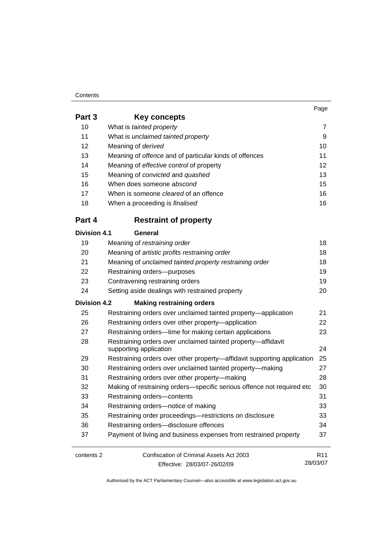#### **Contents**

|                     |                                                               | Page |
|---------------------|---------------------------------------------------------------|------|
| Part 3              | Key concepts                                                  |      |
| 10                  | What is tainted property                                      |      |
| 11                  | What is unclaimed tainted property                            | 9    |
| 12                  | Meaning of derived                                            | 10   |
| 13                  | Meaning of <i>offence</i> and of particular kinds of offences | 11   |
| 14                  | Meaning of <i>effective control</i> of property               | 12   |
| 15                  | Meaning of convicted and quashed                              | 13   |
| 16                  | When does someone abscond                                     | 15   |
| 17                  | When is someone <i>cleared</i> of an offence                  | 16   |
| 18                  | When a proceeding is <i>finalised</i>                         | 16   |
| Part 4              | <b>Restraint of property</b>                                  |      |
| <b>Division 4.1</b> | General                                                       |      |

| 19                  | Meaning of restraining order                                                           | 18 |
|---------------------|----------------------------------------------------------------------------------------|----|
| 20                  | Meaning of artistic profits restraining order                                          | 18 |
| 21                  | Meaning of unclaimed tainted property restraining order                                | 18 |
| 22                  | Restraining orders-purposes                                                            | 19 |
| 23                  | Contravening restraining orders                                                        | 19 |
| 24                  | Setting aside dealings with restrained property                                        | 20 |
| <b>Division 4.2</b> | <b>Making restraining orders</b>                                                       |    |
| 25                  | Restraining orders over unclaimed tainted property—application                         | 21 |
| 26                  | Restraining orders over other property-application                                     | 22 |
| 27                  | Restraining orders—time for making certain applications                                | 23 |
| 28                  | Restraining orders over unclaimed tainted property-affidavit<br>supporting application | 24 |
| 29                  | Restraining orders over other property—affidavit supporting application                | 25 |
| 30                  | Restraining orders over unclaimed tainted property-making                              | 27 |
| 31                  | Restraining orders over other property-making                                          | 28 |
| 32                  | Making of restraining orders—specific serious offence not required etc                 | 30 |
| 33                  | Restraining orders-contents                                                            | 31 |
| 34                  | Restraining orders-notice of making                                                    | 33 |
| 35                  | Restraining order proceedings—restrictions on disclosure                               | 33 |
| 36                  | Restraining orders-disclosure offences                                                 | 34 |
| 37                  | Payment of living and business expenses from restrained property                       | 37 |
|                     |                                                                                        |    |

contents 2 Confiscation of Criminal Assets Act 2003 Effective: 28/03/07-26/02/09 R11 28/03/07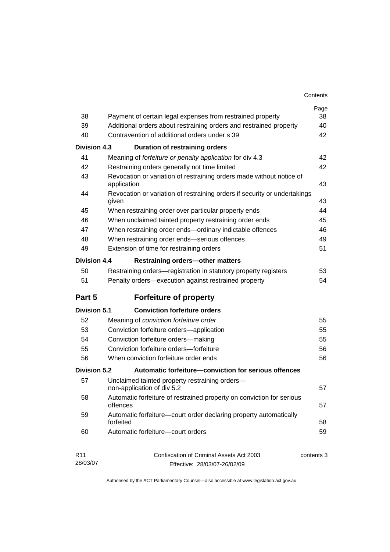| Contents |
|----------|
|----------|

|                     |                                                                                                                                  | Page       |
|---------------------|----------------------------------------------------------------------------------------------------------------------------------|------------|
| 38<br>39            | Payment of certain legal expenses from restrained property<br>Additional orders about restraining orders and restrained property | 38<br>40   |
| 40                  | Contravention of additional orders under s 39                                                                                    | 42         |
|                     |                                                                                                                                  |            |
| <b>Division 4.3</b> | Duration of restraining orders                                                                                                   |            |
| 41                  | Meaning of forfeiture or penalty application for div 4.3                                                                         | 42         |
| 42                  | Restraining orders generally not time limited                                                                                    | 42         |
| 43                  | Revocation or variation of restraining orders made without notice of<br>application                                              | 43         |
| 44                  | Revocation or variation of restraining orders if security or undertakings<br>given                                               | 43         |
| 45                  | When restraining order over particular property ends                                                                             | 44         |
| 46                  | When unclaimed tainted property restraining order ends                                                                           | 45         |
| 47                  | When restraining order ends-ordinary indictable offences                                                                         | 46         |
| 48                  | When restraining order ends-serious offences                                                                                     | 49         |
| 49                  | Extension of time for restraining orders                                                                                         | 51         |
| Division 4.4        | <b>Restraining orders-other matters</b>                                                                                          |            |
| 50                  | Restraining orders-registration in statutory property registers                                                                  | 53         |
| 51                  | Penalty orders-execution against restrained property                                                                             | 54         |
| Part 5              | <b>Forfeiture of property</b>                                                                                                    |            |
| <b>Division 5.1</b> | <b>Conviction forfeiture orders</b>                                                                                              |            |
| 52                  | Meaning of conviction forfeiture order                                                                                           | 55         |
| 53                  | Conviction forfeiture orders-application                                                                                         | 55         |
| 54                  | Conviction forfeiture orders-making                                                                                              | 55         |
| 55                  | Conviction forfeiture orders-forfeiture                                                                                          | 56         |
| 56                  | When conviction forfeiture order ends                                                                                            | 56         |
| <b>Division 5.2</b> | Automatic forfeiture-conviction for serious offences                                                                             |            |
| 57                  | Unclaimed tainted property restraining orders-<br>non-application of div 5.2                                                     | 57         |
| 58                  | Automatic forfeiture of restrained property on conviction for serious<br>offences                                                | 57         |
| 59                  | Automatic forfeiture-court order declaring property automatically<br>forfeited                                                   | 58         |
| 60                  | Automatic forfeiture-court orders                                                                                                | 59         |
| R11<br>28/03/07     | Confiscation of Criminal Assets Act 2003<br>Effective: 28/03/07-26/02/09                                                         | contents 3 |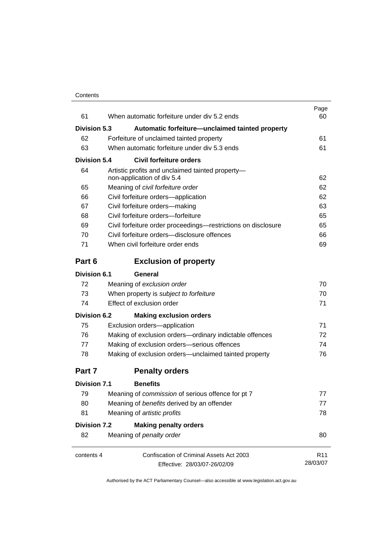| 61                  | When automatic forfeiture under div 5.2 ends                                   | Page<br>60      |
|---------------------|--------------------------------------------------------------------------------|-----------------|
| <b>Division 5.3</b> | Automatic forfeiture—unclaimed tainted property                                |                 |
| 62                  | Forfeiture of unclaimed tainted property                                       | 61              |
| 63                  | When automatic forfeiture under div 5.3 ends                                   | 61              |
| Division 5.4        | <b>Civil forfeiture orders</b>                                                 |                 |
| 64                  | Artistic profits and unclaimed tainted property-<br>non-application of div 5.4 | 62              |
| 65                  | Meaning of civil forfeiture order                                              | 62              |
| 66                  | Civil forfeiture orders-application                                            | 62              |
| 67                  | Civil forfeiture orders-making                                                 | 63              |
| 68                  | Civil forfeiture orders-forfeiture                                             | 65              |
| 69                  | Civil forfeiture order proceedings-restrictions on disclosure                  | 65              |
| 70                  | Civil forfeiture orders-disclosure offences                                    | 66              |
| 71                  | When civil forfeiture order ends                                               | 69              |
| Part 6              | <b>Exclusion of property</b>                                                   |                 |
| Division 6.1        | General                                                                        |                 |
| 72                  | Meaning of exclusion order                                                     | 70              |
| 73                  | When property is subject to forfeiture                                         | 70              |
| 74                  | Effect of exclusion order                                                      | 71              |
| <b>Division 6.2</b> | <b>Making exclusion orders</b>                                                 |                 |
| 75                  | Exclusion orders-application                                                   | 71              |
| 76                  | Making of exclusion orders-ordinary indictable offences                        | 72              |
| 77                  | Making of exclusion orders-serious offences                                    | 74              |
| 78                  | Making of exclusion orders—unclaimed tainted property                          | 76              |
| Part 7              | <b>Penalty orders</b>                                                          |                 |
| <b>Division 7.1</b> | <b>Benefits</b>                                                                |                 |
| 79                  | Meaning of commission of serious offence for pt 7                              | 77              |
| 80                  | Meaning of benefits derived by an offender                                     | 77              |
| 81                  | Meaning of artistic profits                                                    | 78              |
| <b>Division 7.2</b> | <b>Making penalty orders</b>                                                   |                 |
| 82                  | Meaning of penalty order                                                       | 80              |
| contents 4          | Confiscation of Criminal Assets Act 2003                                       | R <sub>11</sub> |
|                     | Effective: 28/03/07-26/02/09                                                   | 28/03/07        |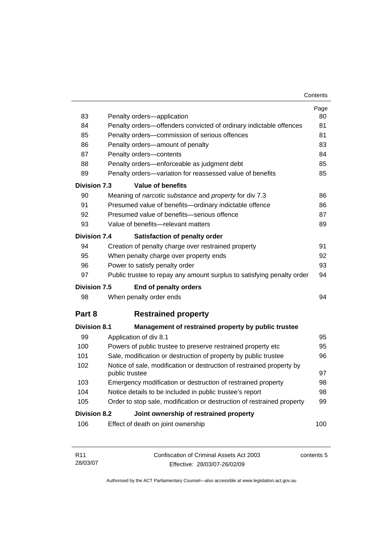| 83                  | Penalty orders-application                                                                    | Page<br>80 |
|---------------------|-----------------------------------------------------------------------------------------------|------------|
| 84                  | Penalty orders-offenders convicted of ordinary indictable offences                            | 81         |
| 85                  | Penalty orders-commission of serious offences                                                 | 81         |
| 86                  | Penalty orders—amount of penalty                                                              | 83         |
| 87                  | Penalty orders-contents                                                                       | 84         |
| 88                  | Penalty orders-enforceable as judgment debt                                                   | 85         |
| 89                  | Penalty orders-variation for reassessed value of benefits                                     | 85         |
| Division 7.3        | Value of benefits                                                                             |            |
| 90                  | Meaning of narcotic substance and property for div 7.3                                        | 86         |
| 91                  | Presumed value of benefits-ordinary indictable offence                                        | 86         |
| 92                  | Presumed value of benefits-serious offence                                                    | 87         |
| 93                  | Value of benefits-relevant matters                                                            | 89         |
| <b>Division 7.4</b> | Satisfaction of penalty order                                                                 |            |
| 94                  | Creation of penalty charge over restrained property                                           | 91         |
| 95                  | When penalty charge over property ends                                                        | 92         |
| 96                  | Power to satisfy penalty order<br>93                                                          |            |
| 97                  | Public trustee to repay any amount surplus to satisfying penalty order                        | 94         |
| Division 7.5        | End of penalty orders                                                                         |            |
| 98                  | When penalty order ends                                                                       | 94         |
| Part 8              | <b>Restrained property</b>                                                                    |            |
| <b>Division 8.1</b> | Management of restrained property by public trustee                                           |            |
| 99                  | Application of div 8.1                                                                        | 95         |
| 100                 | Powers of public trustee to preserve restrained property etc                                  | 95         |
| 101                 | Sale, modification or destruction of property by public trustee                               | 96         |
| 102                 | Notice of sale, modification or destruction of restrained property by<br>97<br>public trustee |            |
| 103                 | Emergency modification or destruction of restrained property                                  | 98         |
| 104                 | Notice details to be included in public trustee's report                                      | 98         |
| 105                 | Order to stop sale, modification or destruction of restrained property                        | 99         |
| <b>Division 8.2</b> | Joint ownership of restrained property                                                        |            |
| 106                 | Effect of death on joint ownership                                                            | 100        |
|                     |                                                                                               |            |

| R11      | Confiscation of Criminal Assets Act 2003 | contents 5 |
|----------|------------------------------------------|------------|
| 28/03/07 | Effective: 28/03/07-26/02/09             |            |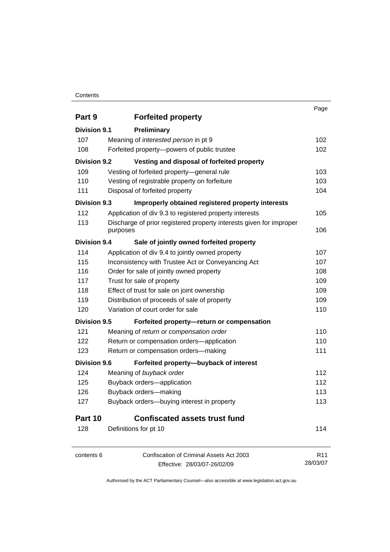#### **Contents**

| Part 9              | <b>Forfeited property</b>                                                       |                 |
|---------------------|---------------------------------------------------------------------------------|-----------------|
| <b>Division 9.1</b> | <b>Preliminary</b>                                                              |                 |
| 107                 | Meaning of interested person in pt 9                                            | 102             |
| 108                 | Forfeited property-powers of public trustee                                     | 102             |
| <b>Division 9.2</b> | Vesting and disposal of forfeited property                                      |                 |
| 109                 | Vesting of forfeited property-general rule                                      | 103             |
| 110                 | Vesting of registrable property on forfeiture                                   | 103             |
| 111                 | Disposal of forfeited property                                                  | 104             |
| <b>Division 9.3</b> | Improperly obtained registered property interests                               |                 |
| 112                 | Application of div 9.3 to registered property interests                         | 105             |
| 113                 | Discharge of prior registered property interests given for improper<br>purposes | 106             |
| <b>Division 9.4</b> | Sale of jointly owned forfeited property                                        |                 |
| 114                 | Application of div 9.4 to jointly owned property                                | 107             |
| 115                 | Inconsistency with Trustee Act or Conveyancing Act                              | 107             |
| 116                 | Order for sale of jointly owned property                                        | 108             |
| 117                 | Trust for sale of property                                                      | 109             |
| 118                 | Effect of trust for sale on joint ownership                                     | 109             |
| 119                 | Distribution of proceeds of sale of property                                    | 109             |
| 120                 | Variation of court order for sale                                               | 110             |
| <b>Division 9.5</b> | Forfeited property-return or compensation                                       |                 |
| 121                 | Meaning of return or compensation order                                         | 110             |
| 122                 | Return or compensation orders-application                                       | 110             |
| 123                 | Return or compensation orders-making                                            | 111             |
| <b>Division 9.6</b> | Forfeited property-buyback of interest                                          |                 |
| 124                 | Meaning of buyback order                                                        | 112             |
| 125                 | Buyback orders-application                                                      | 112             |
| 126                 | Buyback orders-making                                                           | 113             |
| 127                 | Buyback orders-buying interest in property                                      | 113             |
| Part 10             | <b>Confiscated assets trust fund</b>                                            |                 |
| 128                 | Definitions for pt 10                                                           | 114             |
| contents 6          | Confiscation of Criminal Assets Act 2003                                        | R <sub>11</sub> |
|                     | Effective: 28/03/07-26/02/09                                                    | 28/03/07        |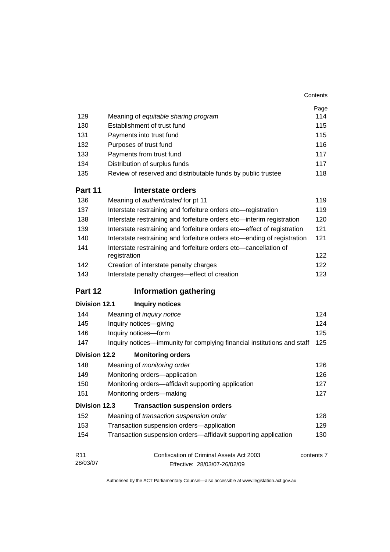| Contents |
|----------|
|----------|

|                      |                                                                                  | Page       |
|----------------------|----------------------------------------------------------------------------------|------------|
| 129                  | Meaning of equitable sharing program                                             | 114        |
| 130                  | Establishment of trust fund                                                      | 115        |
| 131                  | Payments into trust fund                                                         | 115        |
| 132                  | Purposes of trust fund                                                           | 116        |
| 133                  | Payments from trust fund                                                         | 117        |
| 134                  | Distribution of surplus funds                                                    | 117        |
| 135                  | Review of reserved and distributable funds by public trustee                     | 118        |
| Part 11              | Interstate orders                                                                |            |
| 136                  | Meaning of authenticated for pt 11                                               | 119        |
| 137                  | Interstate restraining and forfeiture orders etc-registration                    | 119        |
| 138                  | Interstate restraining and forfeiture orders etc-interim registration            | 120        |
| 139                  | Interstate restraining and forfeiture orders etc-effect of registration          | 121        |
| 140                  | Interstate restraining and forfeiture orders etc-ending of registration          | 121        |
| 141                  | Interstate restraining and forfeiture orders etc-cancellation of<br>registration | 122        |
| 142                  | Creation of interstate penalty charges                                           | 122        |
| 143                  | Interstate penalty charges-effect of creation                                    | 123        |
| Part 12              | <b>Information gathering</b>                                                     |            |
| <b>Division 12.1</b> | <b>Inquiry notices</b>                                                           |            |
| 144                  | Meaning of <i>inquiry notice</i>                                                 | 124        |
| 145                  | Inquiry notices-giving                                                           | 124        |
| 146                  | Inquiry notices-form                                                             | 125        |
| 147                  | Inquiry notices—immunity for complying financial institutions and staff          | 125        |
| <b>Division 12.2</b> | <b>Monitoring orders</b>                                                         |            |
| 148                  | Meaning of monitoring order                                                      | 126        |
| 149                  | Monitoring orders-application                                                    | 126        |
| 150                  | Monitoring orders-affidavit supporting application                               | 127        |
| 151                  | Monitoring orders-making                                                         | 127        |
| <b>Division 12.3</b> | <b>Transaction suspension orders</b>                                             |            |
| 152                  | Meaning of transaction suspension order                                          | 128        |
| 153                  | Transaction suspension orders-application                                        | 129        |
| 154                  | Transaction suspension orders-affidavit supporting application                   | 130        |
| R <sub>11</sub>      | Confiscation of Criminal Assets Act 2003                                         | contents 7 |
| 28/03/07             | Effective: 28/03/07-26/02/09                                                     |            |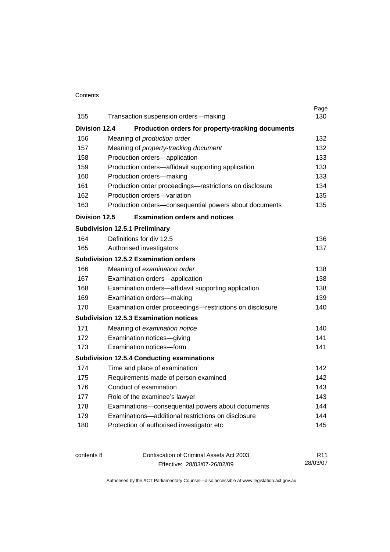## **Contents**

|                      |                                                          | Page |
|----------------------|----------------------------------------------------------|------|
| 155                  | Transaction suspension orders-making                     | 130  |
| <b>Division 12.4</b> | Production orders for property-tracking documents        |      |
| 156                  | Meaning of production order                              | 132  |
| 157                  | Meaning of property-tracking document                    | 132  |
| 158                  | Production orders-application                            | 133  |
| 159                  | Production orders-affidavit supporting application       | 133  |
| 160                  | Production orders-making                                 | 133  |
| 161                  | Production order proceedings—restrictions on disclosure  | 134  |
| 162                  | Production orders-variation                              | 135  |
| 163                  | Production orders-consequential powers about documents   | 135  |
| Division 12.5        | <b>Examination orders and notices</b>                    |      |
|                      | <b>Subdivision 12.5.1 Preliminary</b>                    |      |
| 164                  | Definitions for div 12.5                                 | 136  |
| 165                  | Authorised investigators                                 | 137  |
|                      | <b>Subdivision 12.5.2 Examination orders</b>             |      |
| 166                  | Meaning of examination order                             | 138  |
| 167                  | Examination orders-application                           | 138  |
| 168                  | Examination orders-affidavit supporting application      | 138  |
| 169                  | Examination orders-making                                | 139  |
| 170                  | Examination order proceedings-restrictions on disclosure | 140  |
|                      | <b>Subdivision 12.5.3 Examination notices</b>            |      |
| 171                  | Meaning of examination notice                            | 140  |
| 172                  | Examination notices-giving                               | 141  |
| 173                  | Examination notices-form                                 | 141  |
|                      | <b>Subdivision 12.5.4 Conducting examinations</b>        |      |
| 174                  | Time and place of examination                            | 142  |
| 175                  | Requirements made of person examined                     | 142  |
| 176                  | Conduct of examination                                   | 143  |
| 177                  | Role of the examinee's lawyer                            | 143  |
| 178                  | Examinations-consequential powers about documents        | 144  |
| 179                  | Examinations-additional restrictions on disclosure       | 144  |
| 180                  | Protection of authorised investigator etc                | 145  |
|                      |                                                          |      |

contents 8 Confiscation of Criminal Assets Act 2003 Effective: 28/03/07-26/02/09 28/03/07

Authorised by the ACT Parliamentary Counsel—also accessible at www.legislation.act.gov.au

R11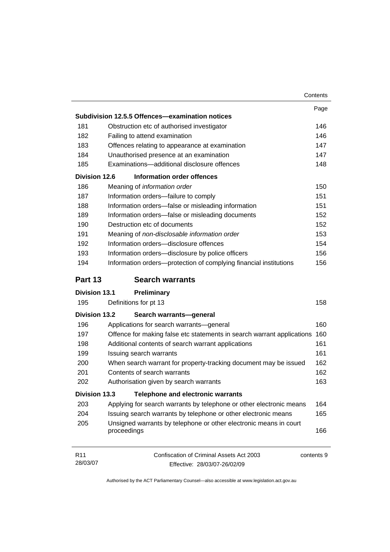|                             |                                                                                        | Contents |
|-----------------------------|----------------------------------------------------------------------------------------|----------|
|                             |                                                                                        | Page     |
|                             | Subdivision 12.5.5 Offences—examination notices                                        |          |
| 181                         | Obstruction etc of authorised investigator                                             | 146      |
| 182                         | Failing to attend examination                                                          | 146      |
| 183                         | Offences relating to appearance at examination                                         | 147      |
| 184                         | Unauthorised presence at an examination                                                | 147      |
| 185                         | Examinations-additional disclosure offences                                            | 148      |
| <b>Division 12.6</b>        | Information order offences                                                             |          |
| 186                         | Meaning of information order                                                           | 150      |
| 187                         | Information orders-failure to comply                                                   | 151      |
| 188                         | Information orders-false or misleading information                                     | 151      |
| 189                         | Information orders-false or misleading documents                                       | 152      |
| 190                         | Destruction etc of documents                                                           | 152      |
| 191                         | Meaning of non-disclosable information order                                           | 153      |
| 192                         | Information orders-disclosure offences                                                 | 154      |
| 193                         | Information orders-disclosure by police officers                                       | 156      |
| 194                         | Information orders-protection of complying financial institutions                      | 156      |
| Part 13                     | <b>Search warrants</b>                                                                 |          |
| <b>Division 13.1</b>        | Preliminary                                                                            |          |
| 195                         | Definitions for pt 13                                                                  | 158      |
| <b>Division 13.2</b>        | Search warrants-general                                                                |          |
| 196                         | Applications for search warrants-general                                               | 160      |
| 197                         | Offence for making false etc statements in search warrant applications                 | 160      |
| 198                         | Additional contents of search warrant applications                                     | 161      |
| 199                         | Issuing search warrants                                                                | 161      |
| 200                         | When search warrant for property-tracking document may be issued                       | 162      |
| 201                         | Contents of search warrants                                                            | 162      |
| 202                         | Authorisation given by search warrants                                                 | 163      |
| <b>Division 13.3</b>        | <b>Telephone and electronic warrants</b>                                               |          |
| 203                         | Applying for search warrants by telephone or other electronic means                    | 164      |
| 204                         | Issuing search warrants by telephone or other electronic means                         | 165      |
| 205                         | Unsigned warrants by telephone or other electronic means in court<br>proceedings       | 166      |
| R <sub>11</sub><br>28/03/07 | Confiscation of Criminal Assets Act 2003<br>contents 9<br>Effective: 28/03/07-26/02/09 |          |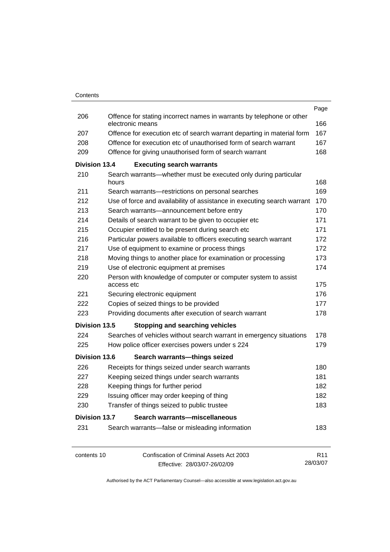|                      |            |                                                                                           | Page            |
|----------------------|------------|-------------------------------------------------------------------------------------------|-----------------|
| 206                  |            | Offence for stating incorrect names in warrants by telephone or other<br>electronic means | 166             |
| 207                  |            | Offence for execution etc of search warrant departing in material form                    | 167             |
| 208                  |            | Offence for execution etc of unauthorised form of search warrant                          | 167             |
| 209                  |            | Offence for giving unauthorised form of search warrant                                    | 168             |
| <b>Division 13.4</b> |            | <b>Executing search warrants</b>                                                          |                 |
| 210                  | hours      | Search warrants—whether must be executed only during particular                           | 168             |
| 211                  |            | Search warrants-restrictions on personal searches                                         | 169             |
| 212                  |            | Use of force and availability of assistance in executing search warrant                   | 170             |
| 213                  |            | Search warrants-announcement before entry                                                 | 170             |
| 214                  |            | Details of search warrant to be given to occupier etc                                     | 171             |
| 215                  |            | Occupier entitled to be present during search etc                                         | 171             |
| 216                  |            | Particular powers available to officers executing search warrant                          | 172             |
| 217                  |            | Use of equipment to examine or process things                                             | 172             |
| 218                  |            | Moving things to another place for examination or processing                              | 173             |
| 219                  |            | Use of electronic equipment at premises                                                   | 174             |
| 220                  |            | Person with knowledge of computer or computer system to assist                            |                 |
|                      | access etc |                                                                                           | 175             |
| 221                  |            | Securing electronic equipment                                                             | 176             |
| 222                  |            | Copies of seized things to be provided                                                    | 177             |
| 223                  |            | Providing documents after execution of search warrant                                     | 178             |
| <b>Division 13.5</b> |            | <b>Stopping and searching vehicles</b>                                                    |                 |
| 224                  |            | Searches of vehicles without search warrant in emergency situations                       | 178             |
| 225                  |            | How police officer exercises powers under s 224                                           | 179             |
| <b>Division 13.6</b> |            | Search warrants-things seized                                                             |                 |
| 226                  |            | Receipts for things seized under search warrants                                          | 180             |
| 227                  |            | Keeping seized things under search warrants                                               | 181             |
| 228                  |            | Keeping things for further period                                                         | 182             |
| 229                  |            | Issuing officer may order keeping of thing                                                | 182             |
| 230                  |            | Transfer of things seized to public trustee                                               | 183             |
| <b>Division 13.7</b> |            | Search warrants-miscellaneous                                                             |                 |
| 231                  |            | Search warrants-false or misleading information                                           | 183             |
| contents 10          |            | Confiscation of Criminal Assets Act 2003                                                  | R <sub>11</sub> |
|                      |            | Effective: 28/03/07-26/02/09                                                              | 28/03/07        |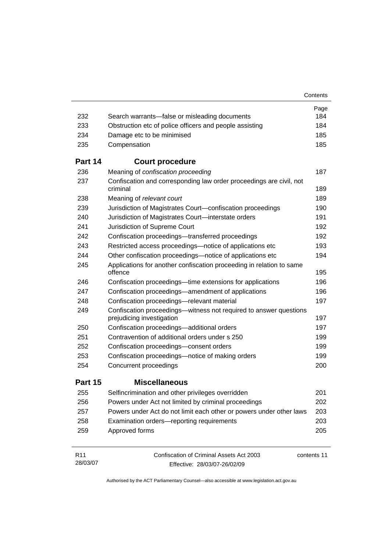|                             |                                                                                                | Contents    |
|-----------------------------|------------------------------------------------------------------------------------------------|-------------|
|                             |                                                                                                | Page        |
| 232                         | Search warrants—false or misleading documents                                                  | 184         |
| 233                         | Obstruction etc of police officers and people assisting                                        | 184         |
| 234                         | Damage etc to be minimised                                                                     | 185         |
| 235                         | Compensation                                                                                   | 185         |
| Part 14                     | <b>Court procedure</b>                                                                         |             |
| 236                         | Meaning of confiscation proceeding                                                             | 187         |
| 237                         | Confiscation and corresponding law order proceedings are civil, not<br>criminal                | 189         |
| 238                         | Meaning of relevant court                                                                      | 189         |
| 239                         | Jurisdiction of Magistrates Court-confiscation proceedings                                     | 190         |
| 240                         | Jurisdiction of Magistrates Court-interstate orders                                            | 191         |
| 241                         | Jurisdiction of Supreme Court                                                                  | 192         |
| 242                         | Confiscation proceedings—transferred proceedings                                               | 192         |
| 243                         | Restricted access proceedings—notice of applications etc                                       | 193         |
| 244                         | Other confiscation proceedings—notice of applications etc                                      | 194         |
| 245                         | Applications for another confiscation proceeding in relation to same<br>offence                | 195         |
| 246                         | Confiscation proceedings—time extensions for applications                                      | 196         |
| 247                         | Confiscation proceedings—amendment of applications                                             | 196         |
| 248                         | Confiscation proceedings-relevant material                                                     | 197         |
| 249                         | Confiscation proceedings—witness not required to answer questions<br>prejudicing investigation | 197         |
| 250                         | Confiscation proceedings-additional orders                                                     | 197         |
| 251                         | Contravention of additional orders under s 250                                                 | 199         |
| 252                         | Confiscation proceedings-consent orders                                                        | 199         |
| 253                         | Confiscation proceedings—notice of making orders                                               | 199         |
| 254                         | Concurrent proceedings                                                                         | 200         |
| Part 15                     | <b>Miscellaneous</b>                                                                           |             |
| 255                         | Selfincrimination and other privileges overridden                                              | 201         |
| 256                         | Powers under Act not limited by criminal proceedings                                           | 202         |
| 257                         | Powers under Act do not limit each other or powers under other laws                            | 203         |
| 258                         | Examination orders-reporting requirements                                                      | 203         |
| 259                         | Approved forms                                                                                 | 205         |
| R <sub>11</sub><br>28/03/07 | Confiscation of Criminal Assets Act 2003<br>Effective: 28/03/07-26/02/09                       | contents 11 |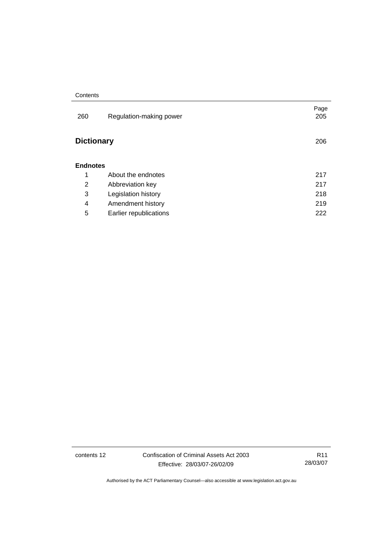#### **Contents**

| 260               | Regulation-making power | Page<br>205 |
|-------------------|-------------------------|-------------|
| <b>Dictionary</b> |                         | 206         |
| <b>Endnotes</b>   |                         |             |
| 1                 | About the endnotes      | 217         |
| 2                 | Abbreviation key        | 217         |
| 3                 | Legislation history     | 218         |
| 4                 | Amendment history       | 219         |
| 5                 | Earlier republications  | 222         |

contents 12 Confiscation of Criminal Assets Act 2003 Effective: 28/03/07-26/02/09

R11 28/03/07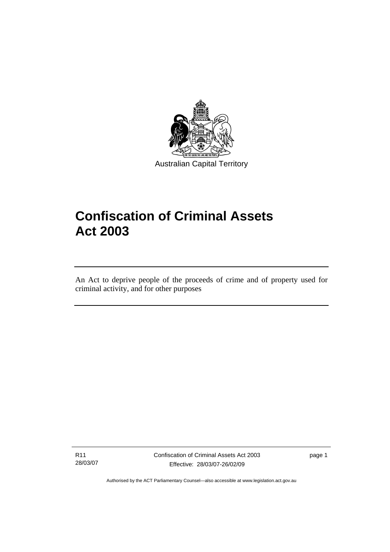<span id="page-14-0"></span>

# **Confiscation of Criminal Assets Act 2003**

An Act to deprive people of the proceeds of crime and of property used for criminal activity, and for other purposes

R11 28/03/07

l

Confiscation of Criminal Assets Act 2003 Effective: 28/03/07-26/02/09

page 1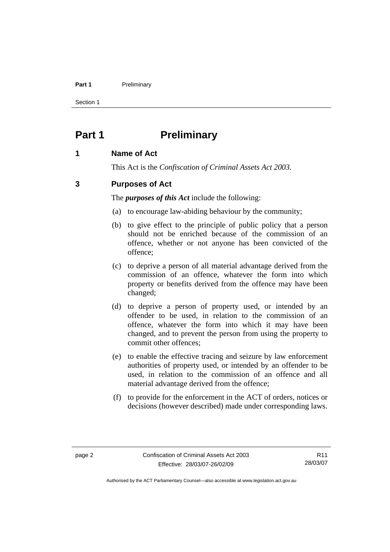#### <span id="page-15-0"></span>**Part 1** Preliminary

Section 1

## **Part 1** Preliminary

## **1 Name of Act**

This Act is the *Confiscation of Criminal Assets Act 2003.*

## **3 Purposes of Act**

The *purposes of this Act* include the following:

- (a) to encourage law-abiding behaviour by the community;
- (b) to give effect to the principle of public policy that a person should not be enriched because of the commission of an offence, whether or not anyone has been convicted of the offence;
- (c) to deprive a person of all material advantage derived from the commission of an offence, whatever the form into which property or benefits derived from the offence may have been changed;
- (d) to deprive a person of property used, or intended by an offender to be used, in relation to the commission of an offence, whatever the form into which it may have been changed, and to prevent the person from using the property to commit other offences;
- (e) to enable the effective tracing and seizure by law enforcement authorities of property used, or intended by an offender to be used, in relation to the commission of an offence and all material advantage derived from the offence;
- (f) to provide for the enforcement in the ACT of orders, notices or decisions (however described) made under corresponding laws.

R11 28/03/07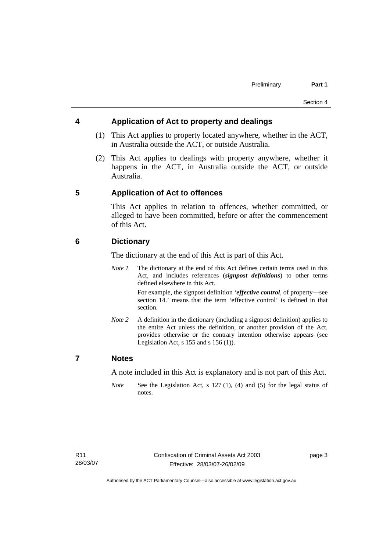## <span id="page-16-0"></span>**4 Application of Act to property and dealings**

- (1) This Act applies to property located anywhere, whether in the ACT, in Australia outside the ACT, or outside Australia.
- (2) This Act applies to dealings with property anywhere, whether it happens in the ACT, in Australia outside the ACT, or outside Australia.

## **5 Application of Act to offences**

This Act applies in relation to offences, whether committed, or alleged to have been committed, before or after the commencement of this Act.

## **6 Dictionary**

The dictionary at the end of this Act is part of this Act.

*Note 1* The dictionary at the end of this Act defines certain terms used in this Act, and includes references (*signpost definitions*) to other terms defined elsewhere in this Act.

> For example, the signpost definition '*effective control*, of property—see section 14.' means that the term 'effective control' is defined in that section.

*Note 2* A definition in the dictionary (including a signpost definition) applies to the entire Act unless the definition, or another provision of the Act, provides otherwise or the contrary intention otherwise appears (see Legislation Act, s  $155$  and s  $156$  (1)).

## **7 Notes**

A note included in this Act is explanatory and is not part of this Act.

*Note* See the Legislation Act, s 127 (1), (4) and (5) for the legal status of notes.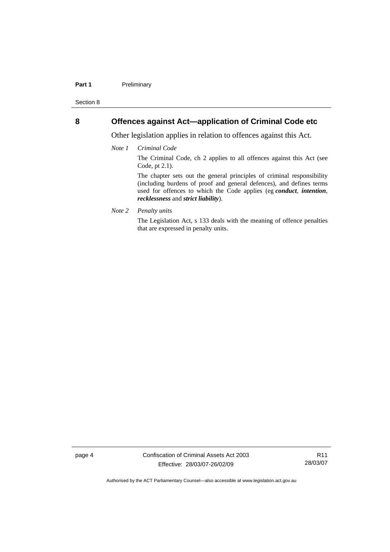#### <span id="page-17-0"></span>Part 1 **Preliminary**

Section 8

## **8 Offences against Act—application of Criminal Code etc**

Other legislation applies in relation to offences against this Act.

*Note 1 Criminal Code*

The Criminal Code, ch 2 applies to all offences against this Act (see Code, pt 2.1).

The chapter sets out the general principles of criminal responsibility (including burdens of proof and general defences), and defines terms used for offences to which the Code applies (eg *conduct*, *intention*, *recklessness* and *strict liability*).

*Note 2 Penalty units* 

The Legislation Act, s 133 deals with the meaning of offence penalties that are expressed in penalty units.

page 4 Confiscation of Criminal Assets Act 2003 Effective: 28/03/07-26/02/09

R11 28/03/07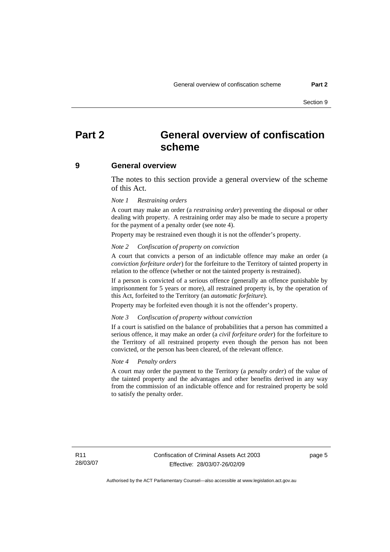## <span id="page-18-0"></span>**Part 2 General overview of confiscation scheme**

#### **9 General overview**

The notes to this section provide a general overview of the scheme of this Act.

#### *Note 1 Restraining orders*

A court may make an order (a *restraining order*) preventing the disposal or other dealing with property. A restraining order may also be made to secure a property for the payment of a penalty order (see note 4).

Property may be restrained even though it is not the offender's property.

#### *Note 2 Confiscation of property on conviction*

A court that convicts a person of an indictable offence may make an order (a *conviction forfeiture order*) for the forfeiture to the Territory of tainted property in relation to the offence (whether or not the tainted property is restrained).

If a person is convicted of a serious offence (generally an offence punishable by imprisonment for 5 years or more), all restrained property is, by the operation of this Act, forfeited to the Territory (an *automatic forfeiture*).

Property may be forfeited even though it is not the offender's property.

#### *Note 3 Confiscation of property without conviction*

If a court is satisfied on the balance of probabilities that a person has committed a serious offence, it may make an order (a *civil forfeiture order*) for the forfeiture to the Territory of all restrained property even though the person has not been convicted, or the person has been cleared, of the relevant offence.

#### *Note 4 Penalty orders*

A court may order the payment to the Territory (a *penalty order*) of the value of the tainted property and the advantages and other benefits derived in any way from the commission of an indictable offence and for restrained property be sold to satisfy the penalty order.

page 5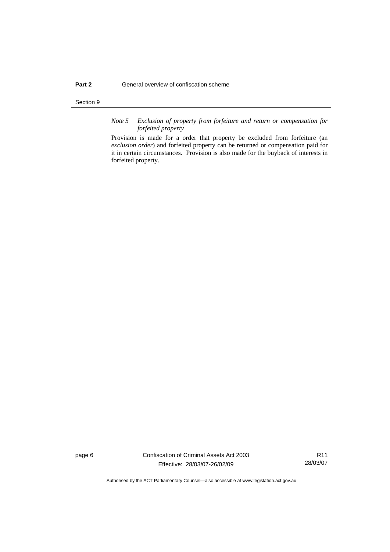#### Section 9

*Note 5 Exclusion of property from forfeiture and return or compensation for forfeited property*

Provision is made for a order that property be excluded from forfeiture (an *exclusion order*) and forfeited property can be returned or compensation paid for it in certain circumstances. Provision is also made for the buyback of interests in forfeited property.

page 6 Confiscation of Criminal Assets Act 2003 Effective: 28/03/07-26/02/09

R11 28/03/07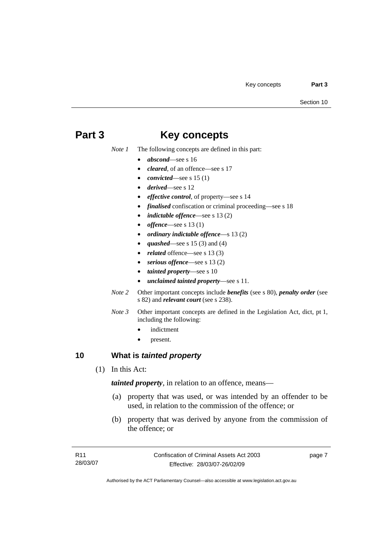## <span id="page-20-0"></span>**Part 3 Key concepts**

*Note 1* The following concepts are defined in this part:

- *abscond*—see s 16
- *cleared*, of an offence—see s 17
- *convicted*—see s 15 (1)
- *derived*—see s 12
- *effective control*, of property—see s 14
- *finalised* confiscation or criminal proceeding—see s 18
- *indictable offence*—see s 13 (2)
- *offence*—see s 13 (1)
- *ordinary indictable offence*—s 13 (2)
- *quashed*—see s 15 (3) and (4)
- *related* offence—see s 13 (3)
- *serious offence*—see s 13 (2)
- *tainted property*—see s 10
- *unclaimed tainted property*—see s 11.
- *Note 2* Other important concepts include *benefits* (see s 80), *penalty order* (see s 82) and *relevant court* (see s 238).
- *Note 3* Other important concepts are defined in the Legislation Act, dict, pt 1, including the following:
	- *indictment*
	- present.

## **10 What is** *tainted property*

(1) In this Act:

*tainted property*, in relation to an offence, means—

- (a) property that was used, or was intended by an offender to be used, in relation to the commission of the offence; or
- (b) property that was derived by anyone from the commission of the offence; or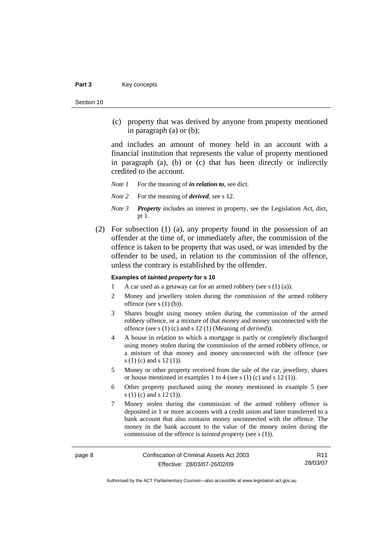#### Part 3 **Key concepts**

Section 10

 (c) property that was derived by anyone from property mentioned in paragraph (a) or (b);

and includes an amount of money held in an account with a financial institution that represents the value of property mentioned in paragraph (a), (b) or (c) that has been directly or indirectly credited to the account.

*Note 1* For the meaning of *in relation to*, see dict.

- *Note 2* For the meaning of *derived*, see s 12.
- *Note 3 Property* includes an interest in property, see the Legislation Act, dict, pt 1.
- (2) For subsection (1) (a), any property found in the possession of an offender at the time of, or immediately after, the commission of the offence is taken to be property that was used, or was intended by the offender to be used, in relation to the commission of the offence, unless the contrary is established by the offender.

#### **Examples of** *tainted property* **for s 10**

- A car used as a getaway car for an armed robbery (see s  $(1)$   $(a)$ ).
- 2 Money and jewellery stolen during the commission of the armed robbery offence (see s (1) (b)).
- 3 Shares bought using money stolen during the commission of the armed robbery offence, or a mixture of that money and money unconnected with the offence (see s (1) (c) and s 12 (1) (Meaning of *derived*)).
- 4 A house in relation to which a mortgage is partly or completely discharged using money stolen during the commission of the armed robbery offence, or a mixture of that money and money unconnected with the offence (see s (1) (c) and s 12 (1)).
- 5 Money or other property received from the sale of the car, jewellery, shares or house mentioned in examples 1 to 4 (see s (1) (c) and s 12 (1)).
- 6 Other property purchased using the money mentioned in example 5 (see s (1) (c) and s 12 (1)).
- 7 Money stolen during the commission of the armed robbery offence is deposited in 1 or more accounts with a credit union and later transferred to a bank account that also contains money unconnected with the offence. The money in the bank account to the value of the money stolen during the commission of the offence is *tainted property* (see s (1)).

R11 28/03/07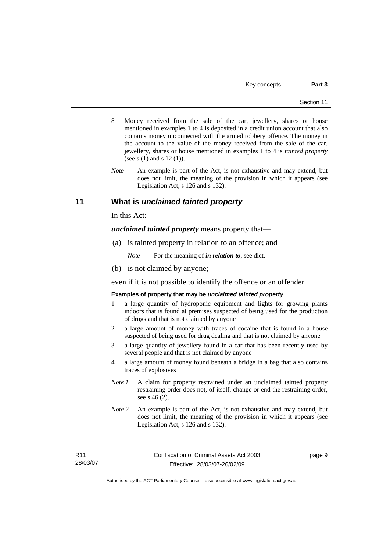- <span id="page-22-0"></span>8 Money received from the sale of the car, jewellery, shares or house mentioned in examples 1 to 4 is deposited in a credit union account that also contains money unconnected with the armed robbery offence. The money in the account to the value of the money received from the sale of the car, jewellery, shares or house mentioned in examples 1 to 4 is *tainted property* (see s (1) and s 12 (1)).
- *Note* An example is part of the Act, is not exhaustive and may extend, but does not limit, the meaning of the provision in which it appears (see Legislation Act, s 126 and s 132).

## **11 What is** *unclaimed tainted property*

In this Act:

*unclaimed tainted property* means property that—

(a) is tainted property in relation to an offence; and

*Note* For the meaning of *in relation to*, see dict.

(b) is not claimed by anyone;

even if it is not possible to identify the offence or an offender.

#### **Examples of property that may be** *unclaimed tainted property*

- 1 a large quantity of hydroponic equipment and lights for growing plants indoors that is found at premises suspected of being used for the production of drugs and that is not claimed by anyone
- 2 a large amount of money with traces of cocaine that is found in a house suspected of being used for drug dealing and that is not claimed by anyone
- 3 a large quantity of jewellery found in a car that has been recently used by several people and that is not claimed by anyone
- 4 a large amount of money found beneath a bridge in a bag that also contains traces of explosives
- *Note 1* A claim for property restrained under an unclaimed tainted property restraining order does not, of itself, change or end the restraining order, see s 46 (2).
- *Note 2* An example is part of the Act, is not exhaustive and may extend, but does not limit, the meaning of the provision in which it appears (see Legislation Act, s 126 and s 132).

page 9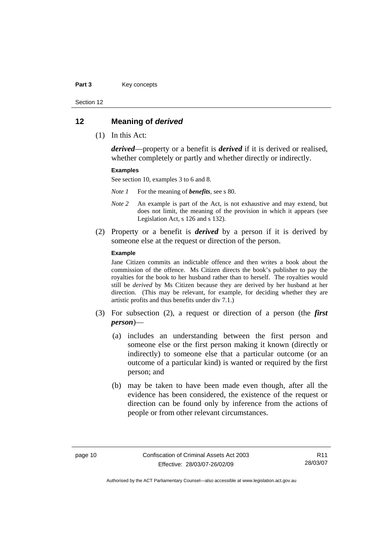#### <span id="page-23-0"></span>Part 3 **Key concepts**

Section 12

### **12 Meaning of** *derived*

(1) In this Act:

*derived*—property or a benefit is *derived* if it is derived or realised, whether completely or partly and whether directly or indirectly.

#### **Examples**

See section 10, examples 3 to 6 and 8.

*Note 1* For the meaning of *benefits*, see s 80.

- *Note 2* An example is part of the Act, is not exhaustive and may extend, but does not limit, the meaning of the provision in which it appears (see Legislation Act, s 126 and s 132).
- (2) Property or a benefit is *derived* by a person if it is derived by someone else at the request or direction of the person.

#### **Example**

Jane Citizen commits an indictable offence and then writes a book about the commission of the offence. Ms Citizen directs the book's publisher to pay the royalties for the book to her husband rather than to herself. The royalties would still be *derived* by Ms Citizen because they are derived by her husband at her direction. (This may be relevant, for example, for deciding whether they are artistic profits and thus benefits under div 7.1.)

- (3) For subsection (2), a request or direction of a person (the *first person*)—
	- (a) includes an understanding between the first person and someone else or the first person making it known (directly or indirectly) to someone else that a particular outcome (or an outcome of a particular kind) is wanted or required by the first person; and
	- (b) may be taken to have been made even though, after all the evidence has been considered, the existence of the request or direction can be found only by inference from the actions of people or from other relevant circumstances.

R11 28/03/07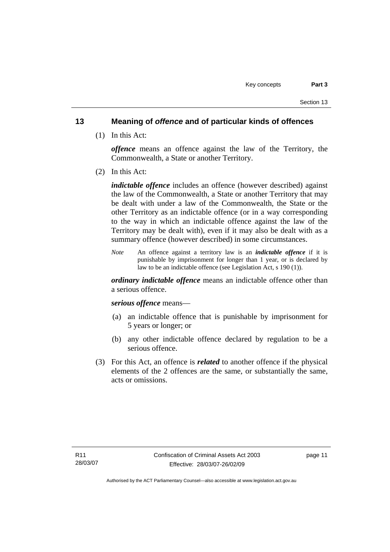## <span id="page-24-0"></span>**13 Meaning of** *offence* **and of particular kinds of offences**

(1) In this Act:

*offence* means an offence against the law of the Territory, the Commonwealth, a State or another Territory.

(2) In this Act:

*indictable offence* includes an offence (however described) against the law of the Commonwealth, a State or another Territory that may be dealt with under a law of the Commonwealth, the State or the other Territory as an indictable offence (or in a way corresponding to the way in which an indictable offence against the law of the Territory may be dealt with), even if it may also be dealt with as a summary offence (however described) in some circumstances.

*Note* An offence against a territory law is an *indictable offence* if it is punishable by imprisonment for longer than 1 year, or is declared by law to be an indictable offence (see Legislation Act, s 190 (1)).

*ordinary indictable offence* means an indictable offence other than a serious offence.

*serious offence* means—

- (a) an indictable offence that is punishable by imprisonment for 5 years or longer; or
- (b) any other indictable offence declared by regulation to be a serious offence.
- (3) For this Act, an offence is *related* to another offence if the physical elements of the 2 offences are the same, or substantially the same, acts or omissions.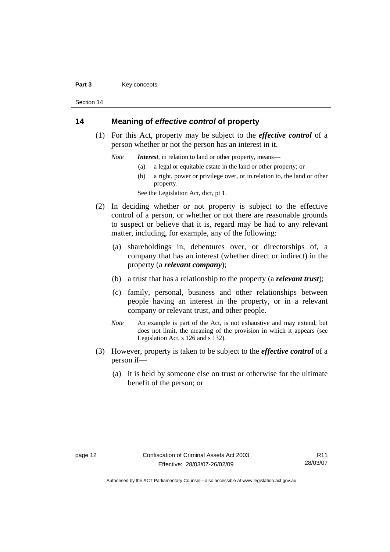#### <span id="page-25-0"></span>Part 3 **Key concepts**

Section 14

## **14 Meaning of** *effective control* **of property**

 (1) For this Act, property may be subject to the *effective control* of a person whether or not the person has an interest in it.

*Note Interest*, in relation to land or other property, means—

- (a) a legal or equitable estate in the land or other property; or
- (b) a right, power or privilege over, or in relation to, the land or other property.

See the Legislation Act, dict, pt 1.

- (2) In deciding whether or not property is subject to the effective control of a person, or whether or not there are reasonable grounds to suspect or believe that it is, regard may be had to any relevant matter, including, for example, any of the following:
	- (a) shareholdings in, debentures over, or directorships of, a company that has an interest (whether direct or indirect) in the property (a *relevant company*);
	- (b) a trust that has a relationship to the property (a *relevant trust*);
	- (c) family, personal, business and other relationships between people having an interest in the property, or in a relevant company or relevant trust, and other people.
	- *Note* An example is part of the Act, is not exhaustive and may extend, but does not limit, the meaning of the provision in which it appears (see Legislation Act, s 126 and s 132).
- (3) However, property is taken to be subject to the *effective control* of a person if—
	- (a) it is held by someone else on trust or otherwise for the ultimate benefit of the person; or

R11 28/03/07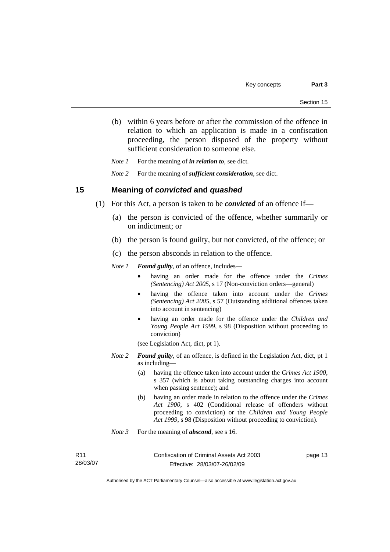<span id="page-26-0"></span> (b) within 6 years before or after the commission of the offence in relation to which an application is made in a confiscation proceeding, the person disposed of the property without sufficient consideration to someone else.

*Note 1* For the meaning of *in relation to*, see dict.

*Note 2* For the meaning of *sufficient consideration*, see dict.

### **15 Meaning of** *convicted* **and** *quashed*

- (1) For this Act, a person is taken to be *convicted* of an offence if—
	- (a) the person is convicted of the offence, whether summarily or on indictment; or
	- (b) the person is found guilty, but not convicted, of the offence; or
	- (c) the person absconds in relation to the offence.

*Note 1 Found guilty*, of an offence, includes—

- having an order made for the offence under the *Crimes (Sentencing) Act 2005*, s 17 (Non-conviction orders—general)
- having the offence taken into account under the *Crimes (Sentencing) Act 2005*, s 57 (Outstanding additional offences taken into account in sentencing)
- having an order made for the offence under the *Children and Young People Act 1999*, s 98 (Disposition without proceeding to conviction)
- (see Legislation Act, dict, pt 1).
- *Note 2 Found guilty*, of an offence, is defined in the Legislation Act, dict, pt 1 as including—
	- (a) having the offence taken into account under the *Crimes Act 1900*, s 357 (which is about taking outstanding charges into account when passing sentence); and
	- (b) having an order made in relation to the offence under the *Crimes Act 1900*, s 402 (Conditional release of offenders without proceeding to conviction) or the *Children and Young People Act 1999*, s 98 (Disposition without proceeding to conviction).
- *Note* 3 For the meaning of *abscond*, see s 16.

| R <sub>11</sub> |  |
|-----------------|--|
| 28/03/07        |  |

Confiscation of Criminal Assets Act 2003 Effective: 28/03/07-26/02/09

page 13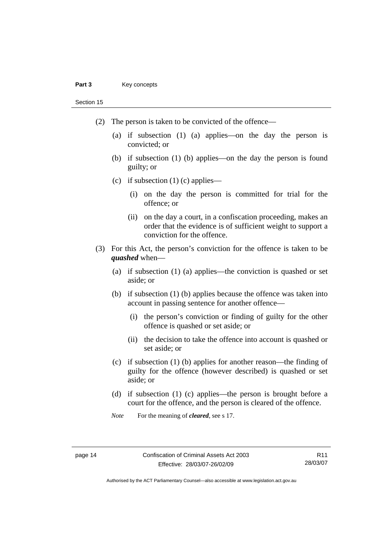#### Part 3 **Key concepts**

Section 15

- (2) The person is taken to be convicted of the offence—
	- (a) if subsection (1) (a) applies—on the day the person is convicted; or
	- (b) if subsection (1) (b) applies—on the day the person is found guilty; or
	- (c) if subsection  $(1)$  (c) applies—
		- (i) on the day the person is committed for trial for the offence; or
		- (ii) on the day a court, in a confiscation proceeding, makes an order that the evidence is of sufficient weight to support a conviction for the offence.
- (3) For this Act, the person's conviction for the offence is taken to be *quashed* when—
	- (a) if subsection (1) (a) applies—the conviction is quashed or set aside; or
	- (b) if subsection (1) (b) applies because the offence was taken into account in passing sentence for another offence—
		- (i) the person's conviction or finding of guilty for the other offence is quashed or set aside; or
		- (ii) the decision to take the offence into account is quashed or set aside; or
	- (c) if subsection (1) (b) applies for another reason—the finding of guilty for the offence (however described) is quashed or set aside; or
	- (d) if subsection (1) (c) applies—the person is brought before a court for the offence, and the person is cleared of the offence.
	- *Note* For the meaning of *cleared*, see s 17.

R11 28/03/07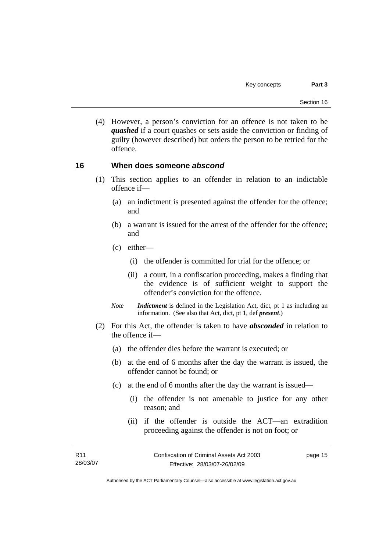<span id="page-28-0"></span> (4) However, a person's conviction for an offence is not taken to be *quashed* if a court quashes or sets aside the conviction or finding of guilty (however described) but orders the person to be retried for the offence.

## **16 When does someone** *abscond*

- (1) This section applies to an offender in relation to an indictable offence if—
	- (a) an indictment is presented against the offender for the offence; and
	- (b) a warrant is issued for the arrest of the offender for the offence; and
	- (c) either—
		- (i) the offender is committed for trial for the offence; or
		- (ii) a court, in a confiscation proceeding, makes a finding that the evidence is of sufficient weight to support the offender's conviction for the offence.
	- *Note Indictment* is defined in the Legislation Act, dict, pt 1 as including an information. (See also that Act, dict, pt 1, def *present*.)
- (2) For this Act, the offender is taken to have *absconded* in relation to the offence if—
	- (a) the offender dies before the warrant is executed; or
	- (b) at the end of 6 months after the day the warrant is issued, the offender cannot be found; or
	- (c) at the end of 6 months after the day the warrant is issued—
		- (i) the offender is not amenable to justice for any other reason; and
		- (ii) if the offender is outside the ACT—an extradition proceeding against the offender is not on foot; or

| R11      | Confiscation of Criminal Assets Act 2003 | page 15 |
|----------|------------------------------------------|---------|
| 28/03/07 | Effective: 28/03/07-26/02/09             |         |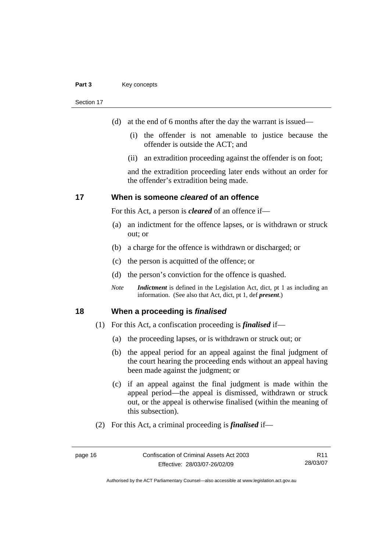#### <span id="page-29-0"></span>Part 3 **Key concepts**

Section 17

- (d) at the end of 6 months after the day the warrant is issued—
	- (i) the offender is not amenable to justice because the offender is outside the ACT; and
	- (ii) an extradition proceeding against the offender is on foot;

and the extradition proceeding later ends without an order for the offender's extradition being made.

## **17 When is someone** *cleared* **of an offence**

For this Act, a person is *cleared* of an offence if—

- (a) an indictment for the offence lapses, or is withdrawn or struck out; or
- (b) a charge for the offence is withdrawn or discharged; or
- (c) the person is acquitted of the offence; or
- (d) the person's conviction for the offence is quashed.
- *Note Indictment* is defined in the Legislation Act, dict, pt 1 as including an information. (See also that Act, dict, pt 1, def *present*.)

### **18 When a proceeding is** *finalised*

- (1) For this Act, a confiscation proceeding is *finalised* if—
	- (a) the proceeding lapses, or is withdrawn or struck out; or
	- (b) the appeal period for an appeal against the final judgment of the court hearing the proceeding ends without an appeal having been made against the judgment; or
	- (c) if an appeal against the final judgment is made within the appeal period—the appeal is dismissed, withdrawn or struck out, or the appeal is otherwise finalised (within the meaning of this subsection).
- (2) For this Act, a criminal proceeding is *finalised* if—

R11 28/03/07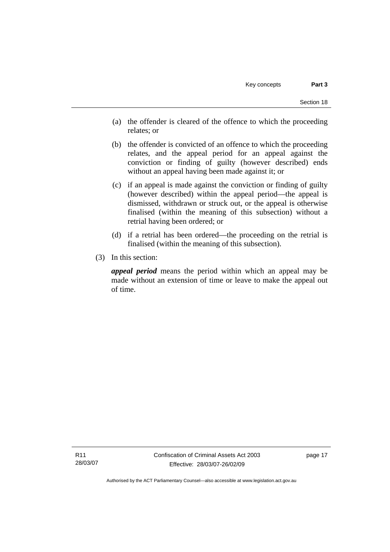- (a) the offender is cleared of the offence to which the proceeding relates; or
- (b) the offender is convicted of an offence to which the proceeding relates, and the appeal period for an appeal against the conviction or finding of guilty (however described) ends without an appeal having been made against it; or
- (c) if an appeal is made against the conviction or finding of guilty (however described) within the appeal period—the appeal is dismissed, withdrawn or struck out, or the appeal is otherwise finalised (within the meaning of this subsection) without a retrial having been ordered; or
- (d) if a retrial has been ordered—the proceeding on the retrial is finalised (within the meaning of this subsection).
- (3) In this section:

*appeal period* means the period within which an appeal may be made without an extension of time or leave to make the appeal out of time.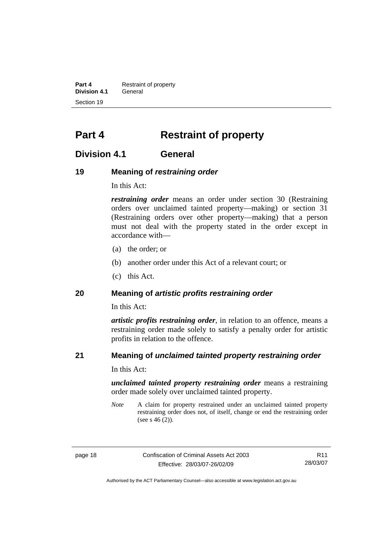<span id="page-31-0"></span>**Part 4 Restraint of property Division 4.1** General Section 19

## **Part 4 Restraint of property**

## **Division 4.1 General**

## **19 Meaning of** *restraining order*

In this Act:

*restraining order* means an order under section 30 (Restraining orders over unclaimed tainted property—making) or section 31 (Restraining orders over other property—making) that a person must not deal with the property stated in the order except in accordance with—

- (a) the order; or
- (b) another order under this Act of a relevant court; or
- (c) this Act.

## **20 Meaning of** *artistic profits restraining order*

In this Act:

*artistic profits restraining order*, in relation to an offence, means a restraining order made solely to satisfy a penalty order for artistic profits in relation to the offence.

## **21 Meaning of** *unclaimed tainted property restraining order*

In this Act:

*unclaimed tainted property restraining order* means a restraining order made solely over unclaimed tainted property.

*Note* A claim for property restrained under an unclaimed tainted property restraining order does not, of itself, change or end the restraining order (see s  $46(2)$ ).

page 18 Confiscation of Criminal Assets Act 2003 Effective: 28/03/07-26/02/09

R11 28/03/07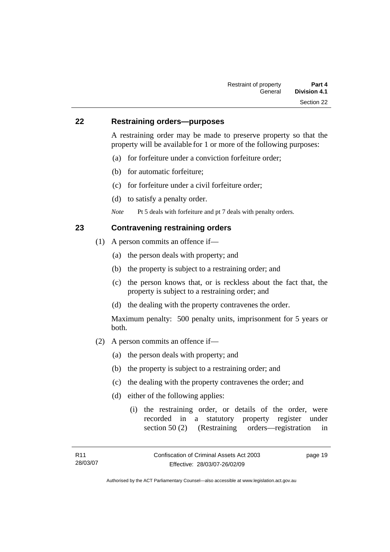### <span id="page-32-0"></span>**22 Restraining orders—purposes**

A restraining order may be made to preserve property so that the property will be available for 1 or more of the following purposes:

- (a) for forfeiture under a conviction forfeiture order;
- (b) for automatic forfeiture;
- (c) for forfeiture under a civil forfeiture order;
- (d) to satisfy a penalty order.
- *Note* Pt 5 deals with forfeiture and pt 7 deals with penalty orders.

## **23 Contravening restraining orders**

- (1) A person commits an offence if—
	- (a) the person deals with property; and
	- (b) the property is subject to a restraining order; and
	- (c) the person knows that, or is reckless about the fact that, the property is subject to a restraining order; and
	- (d) the dealing with the property contravenes the order.

Maximum penalty: 500 penalty units, imprisonment for 5 years or both.

- (2) A person commits an offence if—
	- (a) the person deals with property; and
	- (b) the property is subject to a restraining order; and
	- (c) the dealing with the property contravenes the order; and
	- (d) either of the following applies:
		- (i) the restraining order, or details of the order, were recorded in a statutory property register under section 50 (2) (Restraining orders—registration in

page 19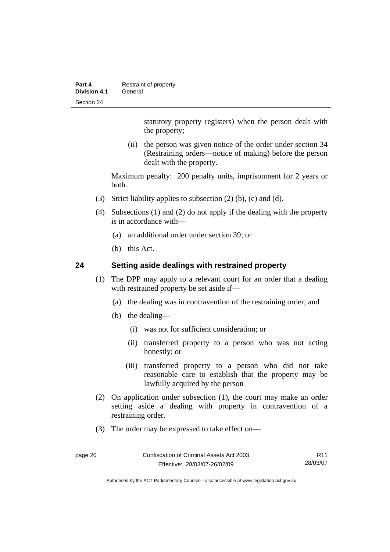<span id="page-33-0"></span>

| Part 4       | Restraint of property |
|--------------|-----------------------|
| Division 4.1 | General               |
| Section 24   |                       |

statutory property registers) when the person dealt with the property;

 (ii) the person was given notice of the order under section 34 (Restraining orders—notice of making) before the person dealt with the property.

Maximum penalty: 200 penalty units, imprisonment for 2 years or both.

- (3) Strict liability applies to subsection (2) (b), (c) and (d).
- (4) Subsections (1) and (2) do not apply if the dealing with the property is in accordance with—
	- (a) an additional order under section 39; or
	- (b) this Act.

## **24 Setting aside dealings with restrained property**

- (1) The DPP may apply to a relevant court for an order that a dealing with restrained property be set aside if—
	- (a) the dealing was in contravention of the restraining order; and
	- (b) the dealing—
		- (i) was not for sufficient consideration; or
		- (ii) transferred property to a person who was not acting honestly; or
		- (iii) transferred property to a person who did not take reasonable care to establish that the property may be lawfully acquired by the person
- (2) On application under subsection (1), the court may make an order setting aside a dealing with property in contravention of a restraining order.
- (3) The order may be expressed to take effect on—

R11 28/03/07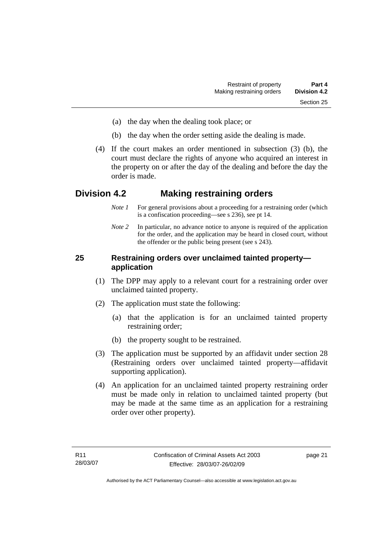- <span id="page-34-0"></span>(a) the day when the dealing took place; or
- (b) the day when the order setting aside the dealing is made.
- (4) If the court makes an order mentioned in subsection (3) (b), the court must declare the rights of anyone who acquired an interest in the property on or after the day of the dealing and before the day the order is made.

## **Division 4.2 Making restraining orders**

- *Note 1* For general provisions about a proceeding for a restraining order (which is a confiscation proceeding—see s 236), see pt 14.
- *Note 2* In particular, no advance notice to anyone is required of the application for the order, and the application may be heard in closed court, without the offender or the public being present (see s 243).

## **25 Restraining orders over unclaimed tainted property application**

- (1) The DPP may apply to a relevant court for a restraining order over unclaimed tainted property.
- (2) The application must state the following:
	- (a) that the application is for an unclaimed tainted property restraining order;
	- (b) the property sought to be restrained.
- (3) The application must be supported by an affidavit under section 28 (Restraining orders over unclaimed tainted property—affidavit supporting application).
- (4) An application for an unclaimed tainted property restraining order must be made only in relation to unclaimed tainted property (but may be made at the same time as an application for a restraining order over other property).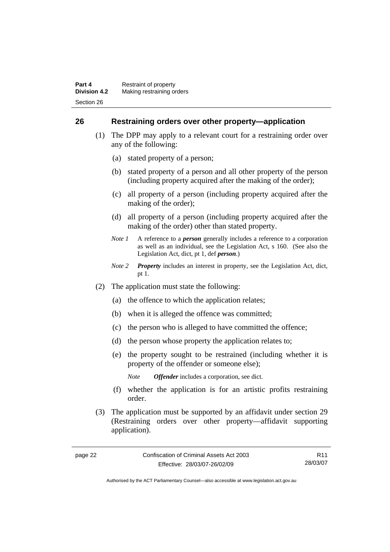## <span id="page-35-0"></span>**26 Restraining orders over other property—application**

- (1) The DPP may apply to a relevant court for a restraining order over any of the following:
	- (a) stated property of a person;
	- (b) stated property of a person and all other property of the person (including property acquired after the making of the order);
	- (c) all property of a person (including property acquired after the making of the order);
	- (d) all property of a person (including property acquired after the making of the order) other than stated property.
	- *Note 1* A reference to a *person* generally includes a reference to a corporation as well as an individual, see the Legislation Act, s 160. (See also the Legislation Act, dict, pt 1, def *person*.)
	- *Note 2 Property* includes an interest in property, see the Legislation Act, dict, pt 1.
- (2) The application must state the following:
	- (a) the offence to which the application relates;
	- (b) when it is alleged the offence was committed;
	- (c) the person who is alleged to have committed the offence;
	- (d) the person whose property the application relates to;
	- (e) the property sought to be restrained (including whether it is property of the offender or someone else);
		- *Note Offender* includes a corporation, see dict.
	- (f) whether the application is for an artistic profits restraining order.
- (3) The application must be supported by an affidavit under section 29 (Restraining orders over other property—affidavit supporting application).

R11 28/03/07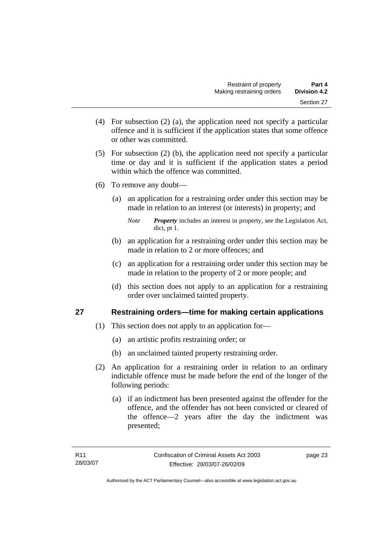- (4) For subsection (2) (a), the application need not specify a particular offence and it is sufficient if the application states that some offence or other was committed.
- (5) For subsection (2) (b), the application need not specify a particular time or day and it is sufficient if the application states a period within which the offence was committed.
- (6) To remove any doubt—
	- (a) an application for a restraining order under this section may be made in relation to an interest (or interests) in property; and

- (b) an application for a restraining order under this section may be made in relation to 2 or more offences; and
- (c) an application for a restraining order under this section may be made in relation to the property of 2 or more people; and
- (d) this section does not apply to an application for a restraining order over unclaimed tainted property.

# **27 Restraining orders—time for making certain applications**

- (1) This section does not apply to an application for—
	- (a) an artistic profits restraining order; or
	- (b) an unclaimed tainted property restraining order.
- (2) An application for a restraining order in relation to an ordinary indictable offence must be made before the end of the longer of the following periods:
	- (a) if an indictment has been presented against the offender for the offence, and the offender has not been convicted or cleared of the offence—2 years after the day the indictment was presented;

*Note Property* includes an interest in property, see the Legislation Act, dict, pt 1.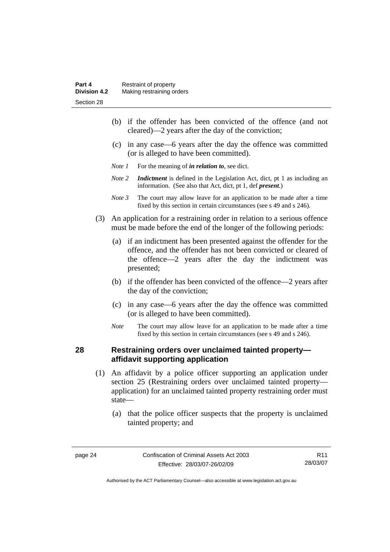- (b) if the offender has been convicted of the offence (and not cleared)—2 years after the day of the conviction;
- (c) in any case—6 years after the day the offence was committed (or is alleged to have been committed).
- *Note 1* For the meaning of *in relation to*, see dict.
- *Note 2 Indictment* is defined in the Legislation Act, dict, pt 1 as including an information. (See also that Act, dict, pt 1, def *present*.)
- *Note 3* The court may allow leave for an application to be made after a time fixed by this section in certain circumstances (see s 49 and s 246).
- (3) An application for a restraining order in relation to a serious offence must be made before the end of the longer of the following periods:
	- (a) if an indictment has been presented against the offender for the offence, and the offender has not been convicted or cleared of the offence—2 years after the day the indictment was presented;
	- (b) if the offender has been convicted of the offence—2 years after the day of the conviction;
	- (c) in any case—6 years after the day the offence was committed (or is alleged to have been committed).
	- *Note* The court may allow leave for an application to be made after a time fixed by this section in certain circumstances (see s 49 and s 246).

#### **28 Restraining orders over unclaimed tainted property affidavit supporting application**

- (1) An affidavit by a police officer supporting an application under section 25 (Restraining orders over unclaimed tainted property application) for an unclaimed tainted property restraining order must state—
	- (a) that the police officer suspects that the property is unclaimed tainted property; and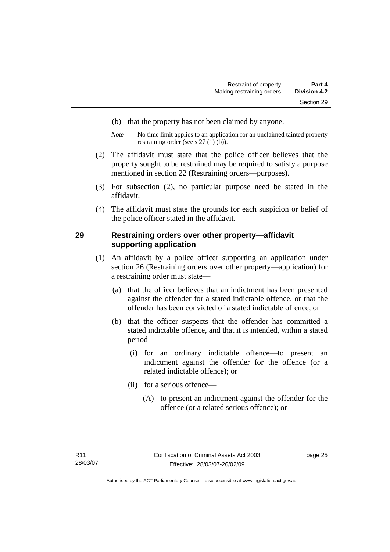- (b) that the property has not been claimed by anyone.
- *Note* No time limit applies to an application for an unclaimed tainted property restraining order (see s 27 (1) (b)).
- (2) The affidavit must state that the police officer believes that the property sought to be restrained may be required to satisfy a purpose mentioned in section 22 (Restraining orders—purposes).
- (3) For subsection (2), no particular purpose need be stated in the affidavit.
- (4) The affidavit must state the grounds for each suspicion or belief of the police officer stated in the affidavit.

#### **29 Restraining orders over other property—affidavit supporting application**

- (1) An affidavit by a police officer supporting an application under section 26 (Restraining orders over other property—application) for a restraining order must state—
	- (a) that the officer believes that an indictment has been presented against the offender for a stated indictable offence, or that the offender has been convicted of a stated indictable offence; or
	- (b) that the officer suspects that the offender has committed a stated indictable offence, and that it is intended, within a stated period—
		- (i) for an ordinary indictable offence—to present an indictment against the offender for the offence (or a related indictable offence); or
		- (ii) for a serious offence—
			- (A) to present an indictment against the offender for the offence (or a related serious offence); or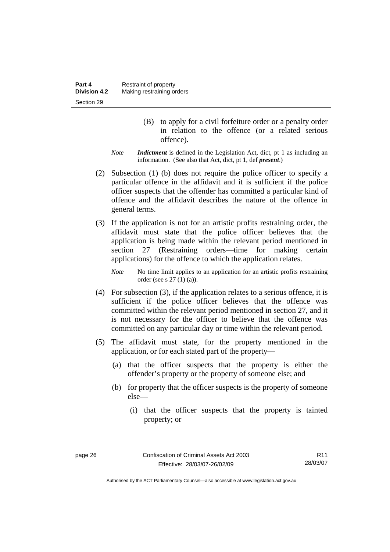- (B) to apply for a civil forfeiture order or a penalty order in relation to the offence (or a related serious offence).
- *Note Indictment* is defined in the Legislation Act, dict, pt 1 as including an information. (See also that Act, dict, pt 1, def *present*.)
- (2) Subsection (1) (b) does not require the police officer to specify a particular offence in the affidavit and it is sufficient if the police officer suspects that the offender has committed a particular kind of offence and the affidavit describes the nature of the offence in general terms.
- (3) If the application is not for an artistic profits restraining order, the affidavit must state that the police officer believes that the application is being made within the relevant period mentioned in section 27 (Restraining orders—time for making certain applications) for the offence to which the application relates.

*Note* No time limit applies to an application for an artistic profits restraining order (see s 27 (1) (a)).

- (4) For subsection (3), if the application relates to a serious offence, it is sufficient if the police officer believes that the offence was committed within the relevant period mentioned in section 27, and it is not necessary for the officer to believe that the offence was committed on any particular day or time within the relevant period.
- (5) The affidavit must state, for the property mentioned in the application, or for each stated part of the property—
	- (a) that the officer suspects that the property is either the offender's property or the property of someone else; and
	- (b) for property that the officer suspects is the property of someone else—
		- (i) that the officer suspects that the property is tainted property; or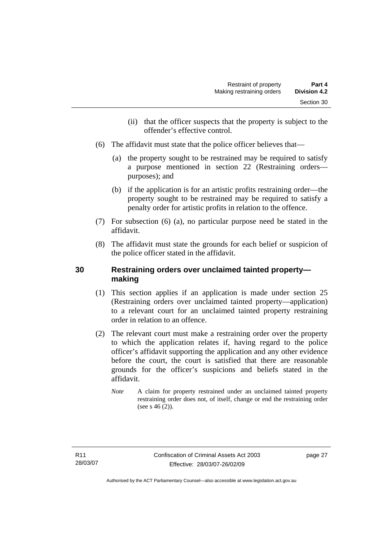- (ii) that the officer suspects that the property is subject to the offender's effective control.
- (6) The affidavit must state that the police officer believes that—
	- (a) the property sought to be restrained may be required to satisfy a purpose mentioned in section 22 (Restraining orders purposes); and
	- (b) if the application is for an artistic profits restraining order—the property sought to be restrained may be required to satisfy a penalty order for artistic profits in relation to the offence.
- (7) For subsection (6) (a), no particular purpose need be stated in the affidavit.
- (8) The affidavit must state the grounds for each belief or suspicion of the police officer stated in the affidavit.

# **30 Restraining orders over unclaimed tainted property making**

- (1) This section applies if an application is made under section 25 (Restraining orders over unclaimed tainted property—application) to a relevant court for an unclaimed tainted property restraining order in relation to an offence.
- (2) The relevant court must make a restraining order over the property to which the application relates if, having regard to the police officer's affidavit supporting the application and any other evidence before the court, the court is satisfied that there are reasonable grounds for the officer's suspicions and beliefs stated in the affidavit.
	- *Note* A claim for property restrained under an unclaimed tainted property restraining order does not, of itself, change or end the restraining order (see s 46 (2)).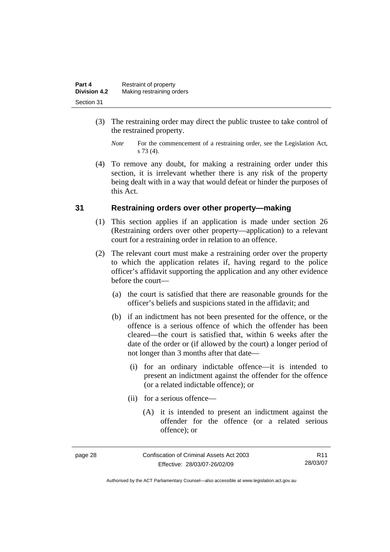| Part 4              | Restraint of property     |
|---------------------|---------------------------|
| <b>Division 4.2</b> | Making restraining orders |
| Section 31          |                           |

- (3) The restraining order may direct the public trustee to take control of the restrained property.
	- *Note* For the commencement of a restraining order, see the Legislation Act, s 73 (4).
- (4) To remove any doubt, for making a restraining order under this section, it is irrelevant whether there is any risk of the property being dealt with in a way that would defeat or hinder the purposes of this Act.

#### **31 Restraining orders over other property—making**

- (1) This section applies if an application is made under section 26 (Restraining orders over other property—application) to a relevant court for a restraining order in relation to an offence.
- (2) The relevant court must make a restraining order over the property to which the application relates if, having regard to the police officer's affidavit supporting the application and any other evidence before the court—
	- (a) the court is satisfied that there are reasonable grounds for the officer's beliefs and suspicions stated in the affidavit; and
	- (b) if an indictment has not been presented for the offence, or the offence is a serious offence of which the offender has been cleared—the court is satisfied that, within 6 weeks after the date of the order or (if allowed by the court) a longer period of not longer than 3 months after that date—
		- (i) for an ordinary indictable offence—it is intended to present an indictment against the offender for the offence (or a related indictable offence); or
		- (ii) for a serious offence—
			- (A) it is intended to present an indictment against the offender for the offence (or a related serious offence); or

| page 28 | Confiscation of Criminal Assets Act 2003 | R <sub>11</sub> |
|---------|------------------------------------------|-----------------|
|         | Effective: 28/03/07-26/02/09             | 28/03/07        |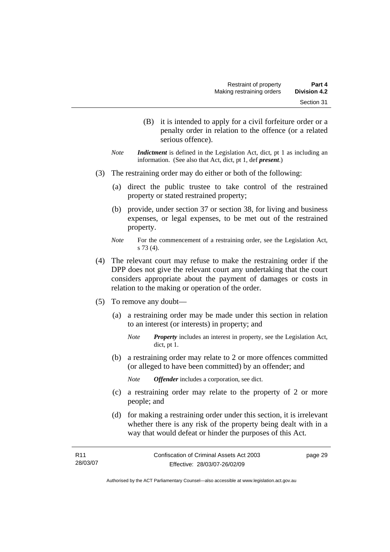- (B) it is intended to apply for a civil forfeiture order or a penalty order in relation to the offence (or a related serious offence).
- *Note Indictment* is defined in the Legislation Act, dict, pt 1 as including an information. (See also that Act, dict, pt 1, def *present*.)
- (3) The restraining order may do either or both of the following:
	- (a) direct the public trustee to take control of the restrained property or stated restrained property;
	- (b) provide, under section 37 or section 38, for living and business expenses, or legal expenses, to be met out of the restrained property.
	- *Note* For the commencement of a restraining order, see the Legislation Act, s 73 (4).
- (4) The relevant court may refuse to make the restraining order if the DPP does not give the relevant court any undertaking that the court considers appropriate about the payment of damages or costs in relation to the making or operation of the order.
- (5) To remove any doubt—
	- (a) a restraining order may be made under this section in relation to an interest (or interests) in property; and
		- *Note Property* includes an interest in property, see the Legislation Act, dict, pt 1.
	- (b) a restraining order may relate to 2 or more offences committed (or alleged to have been committed) by an offender; and
		- *Note Offender* includes a corporation, see dict.
	- (c) a restraining order may relate to the property of 2 or more people; and
	- (d) for making a restraining order under this section, it is irrelevant whether there is any risk of the property being dealt with in a way that would defeat or hinder the purposes of this Act.

| R11      | Confiscation of Criminal Assets Act 2003 | page 29 |
|----------|------------------------------------------|---------|
| 28/03/07 | Effective: 28/03/07-26/02/09             |         |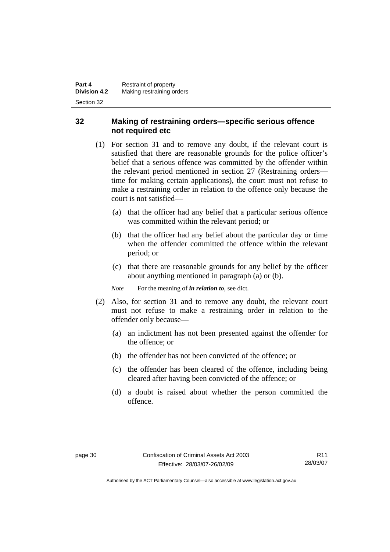## **32 Making of restraining orders—specific serious offence not required etc**

- (1) For section 31 and to remove any doubt, if the relevant court is satisfied that there are reasonable grounds for the police officer's belief that a serious offence was committed by the offender within the relevant period mentioned in section 27 (Restraining orders time for making certain applications), the court must not refuse to make a restraining order in relation to the offence only because the court is not satisfied—
	- (a) that the officer had any belief that a particular serious offence was committed within the relevant period; or
	- (b) that the officer had any belief about the particular day or time when the offender committed the offence within the relevant period; or
	- (c) that there are reasonable grounds for any belief by the officer about anything mentioned in paragraph (a) or (b).

*Note* For the meaning of *in relation to*, see dict.

- (2) Also, for section 31 and to remove any doubt, the relevant court must not refuse to make a restraining order in relation to the offender only because—
	- (a) an indictment has not been presented against the offender for the offence; or
	- (b) the offender has not been convicted of the offence; or
	- (c) the offender has been cleared of the offence, including being cleared after having been convicted of the offence; or
	- (d) a doubt is raised about whether the person committed the offence.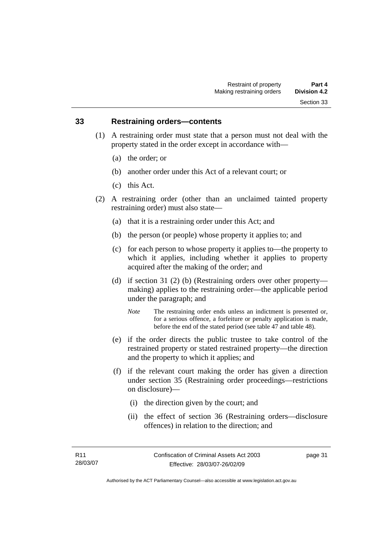#### **33 Restraining orders—contents**

- (1) A restraining order must state that a person must not deal with the property stated in the order except in accordance with—
	- (a) the order; or
	- (b) another order under this Act of a relevant court; or
	- (c) this Act.
- (2) A restraining order (other than an unclaimed tainted property restraining order) must also state—
	- (a) that it is a restraining order under this Act; and
	- (b) the person (or people) whose property it applies to; and
	- (c) for each person to whose property it applies to—the property to which it applies, including whether it applies to property acquired after the making of the order; and
	- (d) if section 31 (2) (b) (Restraining orders over other property making) applies to the restraining order—the applicable period under the paragraph; and
		- *Note* The restraining order ends unless an indictment is presented or, for a serious offence, a forfeiture or penalty application is made, before the end of the stated period (see table 47 and table 48).
	- (e) if the order directs the public trustee to take control of the restrained property or stated restrained property—the direction and the property to which it applies; and
	- (f) if the relevant court making the order has given a direction under section 35 (Restraining order proceedings—restrictions on disclosure)—
		- (i) the direction given by the court; and
		- (ii) the effect of section 36 (Restraining orders—disclosure offences) in relation to the direction; and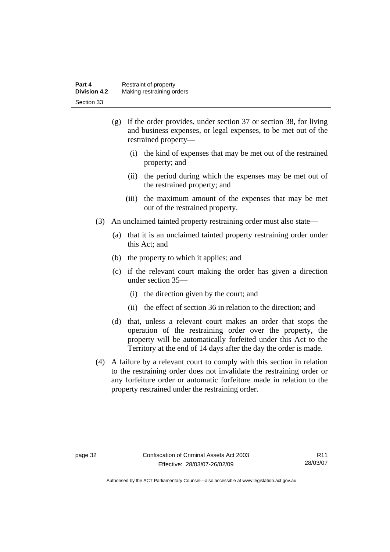| Part 4              | Restraint of property     |
|---------------------|---------------------------|
| <b>Division 4.2</b> | Making restraining orders |
| Section 33          |                           |

- (g) if the order provides, under section 37 or section 38, for living and business expenses, or legal expenses, to be met out of the restrained property—
	- (i) the kind of expenses that may be met out of the restrained property; and
	- (ii) the period during which the expenses may be met out of the restrained property; and
	- (iii) the maximum amount of the expenses that may be met out of the restrained property.
- (3) An unclaimed tainted property restraining order must also state—
	- (a) that it is an unclaimed tainted property restraining order under this Act; and
	- (b) the property to which it applies; and
	- (c) if the relevant court making the order has given a direction under section 35—
		- (i) the direction given by the court; and
		- (ii) the effect of section 36 in relation to the direction; and
	- (d) that, unless a relevant court makes an order that stops the operation of the restraining order over the property, the property will be automatically forfeited under this Act to the Territory at the end of 14 days after the day the order is made.
- (4) A failure by a relevant court to comply with this section in relation to the restraining order does not invalidate the restraining order or any forfeiture order or automatic forfeiture made in relation to the property restrained under the restraining order.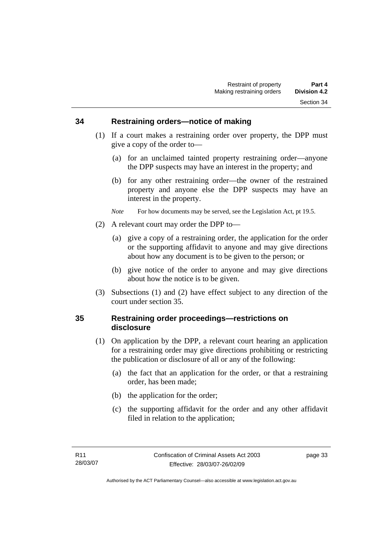#### **34 Restraining orders—notice of making**

- (1) If a court makes a restraining order over property, the DPP must give a copy of the order to—
	- (a) for an unclaimed tainted property restraining order—anyone the DPP suspects may have an interest in the property; and
	- (b) for any other restraining order—the owner of the restrained property and anyone else the DPP suspects may have an interest in the property.

*Note* For how documents may be served, see the Legislation Act, pt 19.5.

- (2) A relevant court may order the DPP to—
	- (a) give a copy of a restraining order, the application for the order or the supporting affidavit to anyone and may give directions about how any document is to be given to the person; or
	- (b) give notice of the order to anyone and may give directions about how the notice is to be given.
- (3) Subsections (1) and (2) have effect subject to any direction of the court under section 35.

# **35 Restraining order proceedings—restrictions on disclosure**

- (1) On application by the DPP, a relevant court hearing an application for a restraining order may give directions prohibiting or restricting the publication or disclosure of all or any of the following:
	- (a) the fact that an application for the order, or that a restraining order, has been made;
	- (b) the application for the order;
	- (c) the supporting affidavit for the order and any other affidavit filed in relation to the application;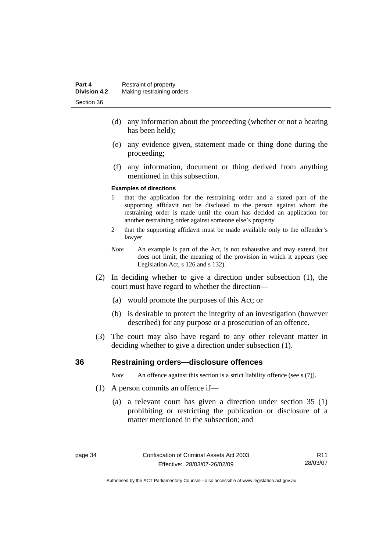- (d) any information about the proceeding (whether or not a hearing has been held);
- (e) any evidence given, statement made or thing done during the proceeding;
- (f) any information, document or thing derived from anything mentioned in this subsection.

#### **Examples of directions**

- 1 that the application for the restraining order and a stated part of the supporting affidavit not be disclosed to the person against whom the restraining order is made until the court has decided an application for another restraining order against someone else's property
- 2 that the supporting affidavit must be made available only to the offender's lawyer
- *Note* An example is part of the Act, is not exhaustive and may extend, but does not limit, the meaning of the provision in which it appears (see Legislation Act, s 126 and s 132).
- (2) In deciding whether to give a direction under subsection (1), the court must have regard to whether the direction—
	- (a) would promote the purposes of this Act; or
	- (b) is desirable to protect the integrity of an investigation (however described) for any purpose or a prosecution of an offence.
- (3) The court may also have regard to any other relevant matter in deciding whether to give a direction under subsection (1).

#### **36 Restraining orders—disclosure offences**

*Note* An offence against this section is a strict liability offence (see s (7)).

- (1) A person commits an offence if—
	- (a) a relevant court has given a direction under section 35 (1) prohibiting or restricting the publication or disclosure of a matter mentioned in the subsection; and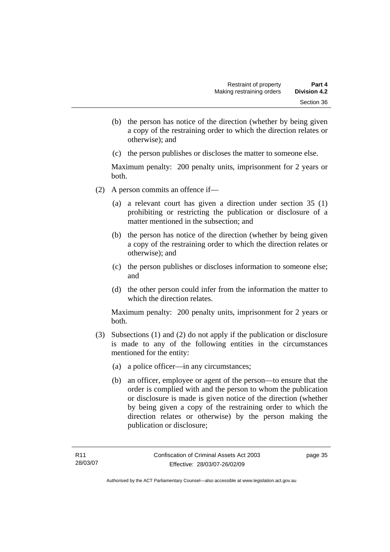- (b) the person has notice of the direction (whether by being given a copy of the restraining order to which the direction relates or otherwise); and
- (c) the person publishes or discloses the matter to someone else.

Maximum penalty: 200 penalty units, imprisonment for 2 years or both.

- (2) A person commits an offence if—
	- (a) a relevant court has given a direction under section 35 (1) prohibiting or restricting the publication or disclosure of a matter mentioned in the subsection; and
	- (b) the person has notice of the direction (whether by being given a copy of the restraining order to which the direction relates or otherwise); and
	- (c) the person publishes or discloses information to someone else; and
	- (d) the other person could infer from the information the matter to which the direction relates.

Maximum penalty: 200 penalty units, imprisonment for 2 years or both.

- (3) Subsections (1) and (2) do not apply if the publication or disclosure is made to any of the following entities in the circumstances mentioned for the entity:
	- (a) a police officer—in any circumstances;
	- (b) an officer, employee or agent of the person—to ensure that the order is complied with and the person to whom the publication or disclosure is made is given notice of the direction (whether by being given a copy of the restraining order to which the direction relates or otherwise) by the person making the publication or disclosure;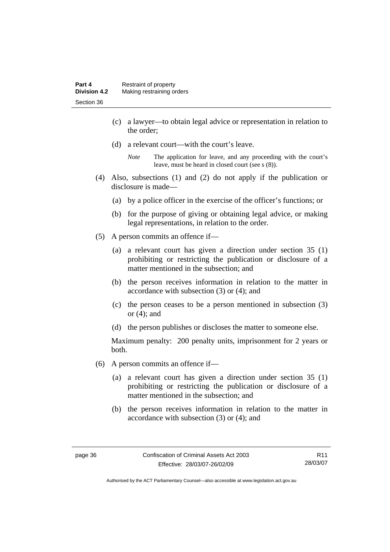- (c) a lawyer—to obtain legal advice or representation in relation to the order;
- (d) a relevant court—with the court's leave.

- (4) Also, subsections (1) and (2) do not apply if the publication or disclosure is made—
	- (a) by a police officer in the exercise of the officer's functions; or
	- (b) for the purpose of giving or obtaining legal advice, or making legal representations, in relation to the order.
- (5) A person commits an offence if—
	- (a) a relevant court has given a direction under section 35 (1) prohibiting or restricting the publication or disclosure of a matter mentioned in the subsection; and
	- (b) the person receives information in relation to the matter in accordance with subsection (3) or (4); and
	- (c) the person ceases to be a person mentioned in subsection (3) or (4); and
	- (d) the person publishes or discloses the matter to someone else.

Maximum penalty: 200 penalty units, imprisonment for 2 years or both.

- (6) A person commits an offence if—
	- (a) a relevant court has given a direction under section 35 (1) prohibiting or restricting the publication or disclosure of a matter mentioned in the subsection; and
	- (b) the person receives information in relation to the matter in accordance with subsection (3) or (4); and

*Note* The application for leave, and any proceeding with the court's leave, must be heard in closed court (see s (8)).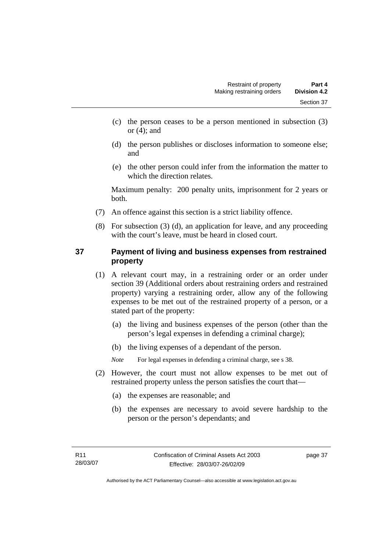- (c) the person ceases to be a person mentioned in subsection (3) or  $(4)$ ; and
- (d) the person publishes or discloses information to someone else; and
- (e) the other person could infer from the information the matter to which the direction relates.

Maximum penalty: 200 penalty units, imprisonment for 2 years or both.

- (7) An offence against this section is a strict liability offence.
- (8) For subsection (3) (d), an application for leave, and any proceeding with the court's leave, must be heard in closed court.

# **37 Payment of living and business expenses from restrained property**

- (1) A relevant court may, in a restraining order or an order under section 39 (Additional orders about restraining orders and restrained property) varying a restraining order, allow any of the following expenses to be met out of the restrained property of a person, or a stated part of the property:
	- (a) the living and business expenses of the person (other than the person's legal expenses in defending a criminal charge);
	- (b) the living expenses of a dependant of the person.

*Note* For legal expenses in defending a criminal charge, see s 38.

- (2) However, the court must not allow expenses to be met out of restrained property unless the person satisfies the court that—
	- (a) the expenses are reasonable; and
	- (b) the expenses are necessary to avoid severe hardship to the person or the person's dependants; and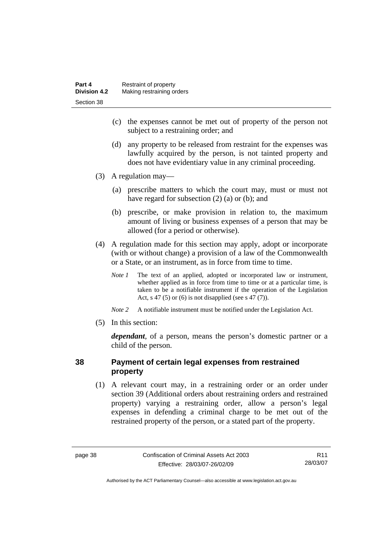- (c) the expenses cannot be met out of property of the person not subject to a restraining order; and
- (d) any property to be released from restraint for the expenses was lawfully acquired by the person, is not tainted property and does not have evidentiary value in any criminal proceeding.
- (3) A regulation may—
	- (a) prescribe matters to which the court may, must or must not have regard for subsection (2) (a) or (b); and
	- (b) prescribe, or make provision in relation to, the maximum amount of living or business expenses of a person that may be allowed (for a period or otherwise).
- (4) A regulation made for this section may apply, adopt or incorporate (with or without change) a provision of a law of the Commonwealth or a State, or an instrument, as in force from time to time.
	- *Note 1* The text of an applied, adopted or incorporated law or instrument, whether applied as in force from time to time or at a particular time, is taken to be a notifiable instrument if the operation of the Legislation Act, s 47 (5) or (6) is not disapplied (see s 47 (7)).
	- *Note 2* A notifiable instrument must be notified under the Legislation Act.
- (5) In this section:

*dependant*, of a person, means the person's domestic partner or a child of the person.

# **38 Payment of certain legal expenses from restrained property**

 (1) A relevant court may, in a restraining order or an order under section 39 (Additional orders about restraining orders and restrained property) varying a restraining order, allow a person's legal expenses in defending a criminal charge to be met out of the restrained property of the person, or a stated part of the property.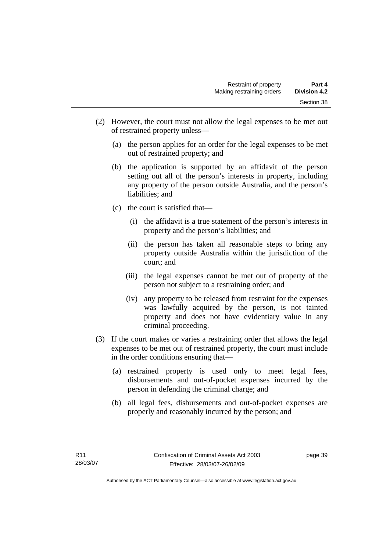- (2) However, the court must not allow the legal expenses to be met out of restrained property unless—
	- (a) the person applies for an order for the legal expenses to be met out of restrained property; and
	- (b) the application is supported by an affidavit of the person setting out all of the person's interests in property, including any property of the person outside Australia, and the person's liabilities; and
	- (c) the court is satisfied that—
		- (i) the affidavit is a true statement of the person's interests in property and the person's liabilities; and
		- (ii) the person has taken all reasonable steps to bring any property outside Australia within the jurisdiction of the court; and
		- (iii) the legal expenses cannot be met out of property of the person not subject to a restraining order; and
		- (iv) any property to be released from restraint for the expenses was lawfully acquired by the person, is not tainted property and does not have evidentiary value in any criminal proceeding.
- (3) If the court makes or varies a restraining order that allows the legal expenses to be met out of restrained property, the court must include in the order conditions ensuring that—
	- (a) restrained property is used only to meet legal fees, disbursements and out-of-pocket expenses incurred by the person in defending the criminal charge; and
	- (b) all legal fees, disbursements and out-of-pocket expenses are properly and reasonably incurred by the person; and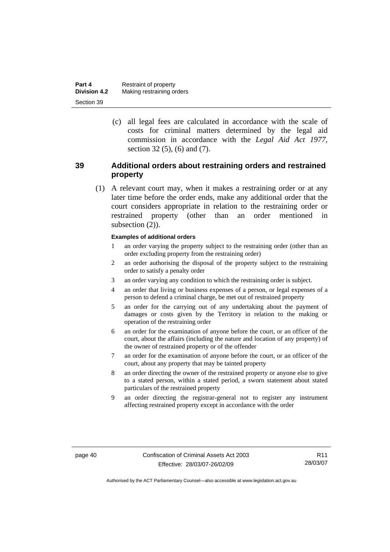| Part 4              | Restraint of property     |
|---------------------|---------------------------|
| <b>Division 4.2</b> | Making restraining orders |
| Section 39          |                           |

 (c) all legal fees are calculated in accordance with the scale of costs for criminal matters determined by the legal aid commission in accordance with the *Legal Aid Act 1977*, section 32 (5), (6) and (7).

### **39 Additional orders about restraining orders and restrained property**

 (1) A relevant court may, when it makes a restraining order or at any later time before the order ends, make any additional order that the court considers appropriate in relation to the restraining order or restrained property (other than an order mentioned in subsection  $(2)$ ).

#### **Examples of additional orders**

- 1 an order varying the property subject to the restraining order (other than an order excluding property from the restraining order)
- 2 an order authorising the disposal of the property subject to the restraining order to satisfy a penalty order
- 3 an order varying any condition to which the restraining order is subject.
- 4 an order that living or business expenses of a person, or legal expenses of a person to defend a criminal charge, be met out of restrained property
- 5 an order for the carrying out of any undertaking about the payment of damages or costs given by the Territory in relation to the making or operation of the restraining order
- 6 an order for the examination of anyone before the court, or an officer of the court, about the affairs (including the nature and location of any property) of the owner of restrained property or of the offender
- 7 an order for the examination of anyone before the court, or an officer of the court, about any property that may be tainted property
- 8 an order directing the owner of the restrained property or anyone else to give to a stated person, within a stated period, a sworn statement about stated particulars of the restrained property
- 9 an order directing the registrar-general not to register any instrument affecting restrained property except in accordance with the order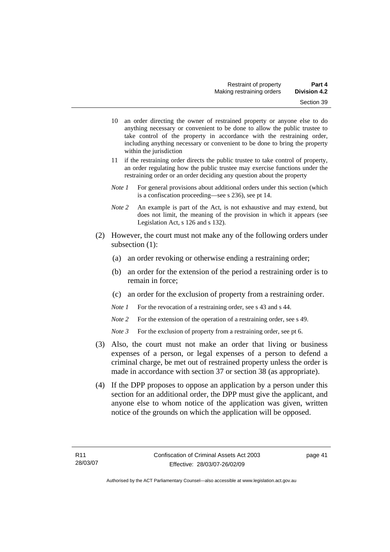- 10 an order directing the owner of restrained property or anyone else to do anything necessary or convenient to be done to allow the public trustee to take control of the property in accordance with the restraining order, including anything necessary or convenient to be done to bring the property within the jurisdiction
- 11 if the restraining order directs the public trustee to take control of property, an order regulating how the public trustee may exercise functions under the restraining order or an order deciding any question about the property
- *Note 1* For general provisions about additional orders under this section (which is a confiscation proceeding—see s 236), see pt 14.
- *Note 2* An example is part of the Act, is not exhaustive and may extend, but does not limit, the meaning of the provision in which it appears (see Legislation Act, s 126 and s 132).
- (2) However, the court must not make any of the following orders under subsection (1):
	- (a) an order revoking or otherwise ending a restraining order;
	- (b) an order for the extension of the period a restraining order is to remain in force;
	- (c) an order for the exclusion of property from a restraining order.
	- *Note 1* For the revocation of a restraining order, see s 43 and s 44.
	- *Note* 2 For the extension of the operation of a restraining order, see s 49.
	- *Note 3* For the exclusion of property from a restraining order, see pt 6.
- (3) Also, the court must not make an order that living or business expenses of a person, or legal expenses of a person to defend a criminal charge, be met out of restrained property unless the order is made in accordance with section 37 or section 38 (as appropriate).
- (4) If the DPP proposes to oppose an application by a person under this section for an additional order, the DPP must give the applicant, and anyone else to whom notice of the application was given, written notice of the grounds on which the application will be opposed.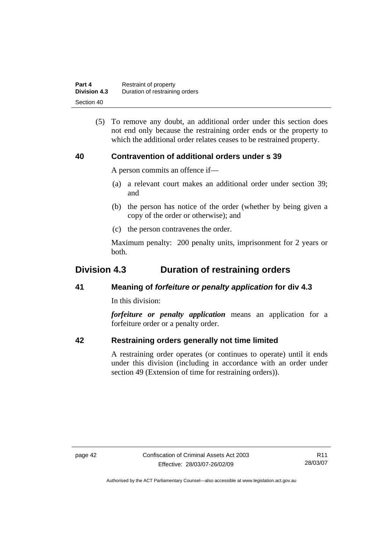| Part 4              | Restraint of property          |
|---------------------|--------------------------------|
| <b>Division 4.3</b> | Duration of restraining orders |
| Section 40          |                                |

 (5) To remove any doubt, an additional order under this section does not end only because the restraining order ends or the property to which the additional order relates ceases to be restrained property.

#### **40 Contravention of additional orders under s 39**

A person commits an offence if—

- (a) a relevant court makes an additional order under section 39; and
- (b) the person has notice of the order (whether by being given a copy of the order or otherwise); and
- (c) the person contravenes the order.

Maximum penalty: 200 penalty units, imprisonment for 2 years or both.

# **Division 4.3 Duration of restraining orders**

#### **41 Meaning of** *forfeiture or penalty application* **for div 4.3**

In this division:

*forfeiture or penalty application* means an application for a forfeiture order or a penalty order.

#### **42 Restraining orders generally not time limited**

A restraining order operates (or continues to operate) until it ends under this division (including in accordance with an order under section 49 (Extension of time for restraining orders)).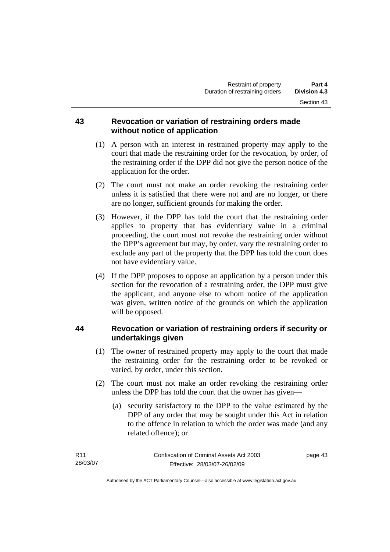#### **43 Revocation or variation of restraining orders made without notice of application**

- (1) A person with an interest in restrained property may apply to the court that made the restraining order for the revocation, by order, of the restraining order if the DPP did not give the person notice of the application for the order.
- (2) The court must not make an order revoking the restraining order unless it is satisfied that there were not and are no longer, or there are no longer, sufficient grounds for making the order.
- (3) However, if the DPP has told the court that the restraining order applies to property that has evidentiary value in a criminal proceeding, the court must not revoke the restraining order without the DPP's agreement but may, by order, vary the restraining order to exclude any part of the property that the DPP has told the court does not have evidentiary value.
- (4) If the DPP proposes to oppose an application by a person under this section for the revocation of a restraining order, the DPP must give the applicant, and anyone else to whom notice of the application was given, written notice of the grounds on which the application will be opposed.

# **44 Revocation or variation of restraining orders if security or undertakings given**

- (1) The owner of restrained property may apply to the court that made the restraining order for the restraining order to be revoked or varied, by order, under this section.
- (2) The court must not make an order revoking the restraining order unless the DPP has told the court that the owner has given—
	- (a) security satisfactory to the DPP to the value estimated by the DPP of any order that may be sought under this Act in relation to the offence in relation to which the order was made (and any related offence); or

| R <sub>11</sub> | Confiscation of Criminal Assets Act 2003 | page 43 |
|-----------------|------------------------------------------|---------|
| 28/03/07        | Effective: 28/03/07-26/02/09             |         |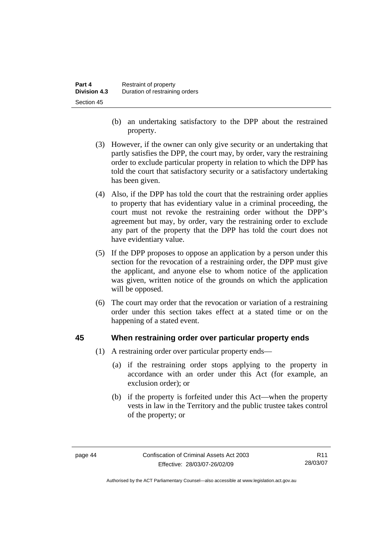- (b) an undertaking satisfactory to the DPP about the restrained property.
- (3) However, if the owner can only give security or an undertaking that partly satisfies the DPP, the court may, by order, vary the restraining order to exclude particular property in relation to which the DPP has told the court that satisfactory security or a satisfactory undertaking has been given.
- (4) Also, if the DPP has told the court that the restraining order applies to property that has evidentiary value in a criminal proceeding, the court must not revoke the restraining order without the DPP's agreement but may, by order, vary the restraining order to exclude any part of the property that the DPP has told the court does not have evidentiary value.
- (5) If the DPP proposes to oppose an application by a person under this section for the revocation of a restraining order, the DPP must give the applicant, and anyone else to whom notice of the application was given, written notice of the grounds on which the application will be opposed.
- (6) The court may order that the revocation or variation of a restraining order under this section takes effect at a stated time or on the happening of a stated event.

#### **45 When restraining order over particular property ends**

- (1) A restraining order over particular property ends—
	- (a) if the restraining order stops applying to the property in accordance with an order under this Act (for example, an exclusion order); or
	- (b) if the property is forfeited under this Act—when the property vests in law in the Territory and the public trustee takes control of the property; or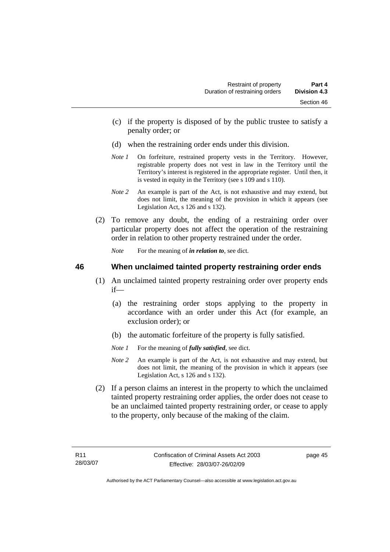- (c) if the property is disposed of by the public trustee to satisfy a penalty order; or
- (d) when the restraining order ends under this division.
- *Note 1* On forfeiture, restrained property vests in the Territory. However, registrable property does not vest in law in the Territory until the Territory's interest is registered in the appropriate register. Until then, it is vested in equity in the Territory (see s 109 and s 110).
- *Note 2* An example is part of the Act, is not exhaustive and may extend, but does not limit, the meaning of the provision in which it appears (see Legislation Act, s 126 and s 132).
- (2) To remove any doubt, the ending of a restraining order over particular property does not affect the operation of the restraining order in relation to other property restrained under the order.
	- *Note* For the meaning of *in relation to*, see dict.

#### **46 When unclaimed tainted property restraining order ends**

- (1) An unclaimed tainted property restraining order over property ends if—
	- (a) the restraining order stops applying to the property in accordance with an order under this Act (for example, an exclusion order); or
	- (b) the automatic forfeiture of the property is fully satisfied.
	- *Note 1* For the meaning of *fully satisfied*, see dict.
	- *Note 2* An example is part of the Act, is not exhaustive and may extend, but does not limit, the meaning of the provision in which it appears (see Legislation Act, s 126 and s 132).
- (2) If a person claims an interest in the property to which the unclaimed tainted property restraining order applies, the order does not cease to be an unclaimed tainted property restraining order, or cease to apply to the property, only because of the making of the claim.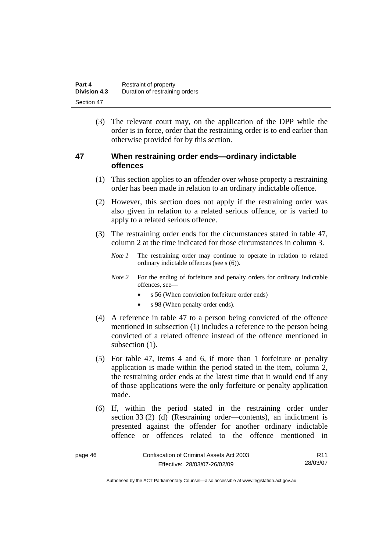| Part 4              | Restraint of property          |  |
|---------------------|--------------------------------|--|
| <b>Division 4.3</b> | Duration of restraining orders |  |
| Section 47          |                                |  |

 (3) The relevant court may, on the application of the DPP while the order is in force, order that the restraining order is to end earlier than otherwise provided for by this section.

#### **47 When restraining order ends—ordinary indictable offences**

- (1) This section applies to an offender over whose property a restraining order has been made in relation to an ordinary indictable offence.
- (2) However, this section does not apply if the restraining order was also given in relation to a related serious offence, or is varied to apply to a related serious offence.
- (3) The restraining order ends for the circumstances stated in table 47, column 2 at the time indicated for those circumstances in column 3.
	- *Note 1* The restraining order may continue to operate in relation to related ordinary indictable offences (see s (6)).
	- *Note* 2 For the ending of forfeiture and penalty orders for ordinary indictable offences, see—
		- s 56 (When conviction forfeiture order ends)
		- s 98 (When penalty order ends).
- (4) A reference in table 47 to a person being convicted of the offence mentioned in subsection (1) includes a reference to the person being convicted of a related offence instead of the offence mentioned in subsection  $(1)$ .
- (5) For table 47, items 4 and 6, if more than 1 forfeiture or penalty application is made within the period stated in the item, column 2, the restraining order ends at the latest time that it would end if any of those applications were the only forfeiture or penalty application made.
- (6) If, within the period stated in the restraining order under section 33 (2) (d) (Restraining order—contents), an indictment is presented against the offender for another ordinary indictable offence or offences related to the offence mentioned in

| page 46 | Confiscation of Criminal Assets Act 2003 | R <sub>11</sub> |
|---------|------------------------------------------|-----------------|
|         | Effective: 28/03/07-26/02/09             | 28/03/07        |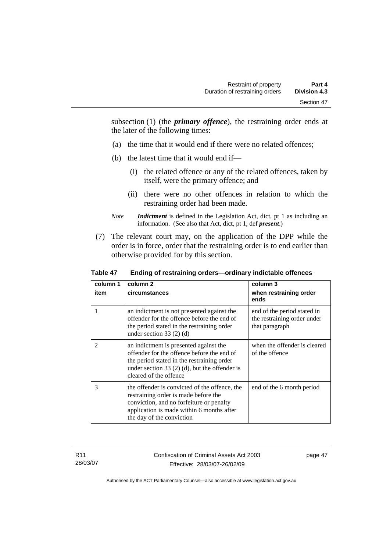subsection (1) (the *primary offence*), the restraining order ends at the later of the following times:

- (a) the time that it would end if there were no related offences;
- (b) the latest time that it would end if—
	- (i) the related offence or any of the related offences, taken by itself, were the primary offence; and
	- (ii) there were no other offences in relation to which the restraining order had been made.
- *Note Indictment* is defined in the Legislation Act, dict, pt 1 as including an information. (See also that Act, dict, pt 1, def *present*.)
- (7) The relevant court may, on the application of the DPP while the order is in force, order that the restraining order is to end earlier than otherwise provided for by this section.

| column 1       | column <sub>2</sub>                                                                                                                                                                                             | column 3                                                                     |
|----------------|-----------------------------------------------------------------------------------------------------------------------------------------------------------------------------------------------------------------|------------------------------------------------------------------------------|
| item           | circumstances                                                                                                                                                                                                   | when restraining order<br>ends                                               |
|                | an indictment is not presented against the<br>offender for the offence before the end of<br>the period stated in the restraining order<br>under section $33(2)(d)$                                              | end of the period stated in<br>the restraining order under<br>that paragraph |
| $\mathfrak{D}$ | an indictment is presented against the<br>offender for the offence before the end of<br>the period stated in the restraining order<br>under section 33 $(2)$ (d), but the offender is<br>cleared of the offence | when the offender is cleared<br>of the offence                               |
| 3              | the offender is convicted of the offence, the<br>restraining order is made before the<br>conviction, and no forfeiture or penalty<br>application is made within 6 months after<br>the day of the conviction     | end of the 6 month period                                                    |

#### **Table 47 Ending of restraining orders—ordinary indictable offences**

R11 28/03/07 Confiscation of Criminal Assets Act 2003 Effective: 28/03/07-26/02/09

page 47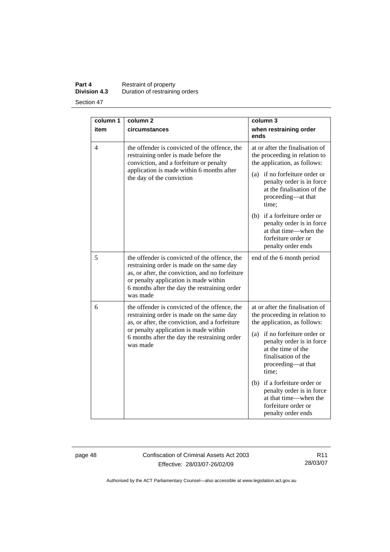**Part 4 Restraint of property Division 4.3** Duration of restraining orders

Section 47

| column 1 | column <sub>2</sub>                                                                                                                                                                                                                                |                                                                                                                                                                                                                                                                                          |
|----------|----------------------------------------------------------------------------------------------------------------------------------------------------------------------------------------------------------------------------------------------------|------------------------------------------------------------------------------------------------------------------------------------------------------------------------------------------------------------------------------------------------------------------------------------------|
| item     | circumstances                                                                                                                                                                                                                                      | column 3<br>when restraining order<br>ends                                                                                                                                                                                                                                               |
| 4        | the offender is convicted of the offence, the<br>restraining order is made before the<br>conviction, and a forfeiture or penalty<br>application is made within 6 months after<br>the day of the conviction                                         | at or after the finalisation of<br>the proceeding in relation to<br>the application, as follows:<br>(a) if no forfeiture order or<br>penalty order is in force<br>at the finalisation of the<br>proceeding-at that<br>time;<br>(b) if a forfeiture order or<br>penalty order is in force |
|          |                                                                                                                                                                                                                                                    | at that time—when the<br>forfeiture order or<br>penalty order ends                                                                                                                                                                                                                       |
| 5        | the offender is convicted of the offence, the<br>restraining order is made on the same day<br>as, or after, the conviction, and no forfeiture<br>or penalty application is made within<br>6 months after the day the restraining order<br>was made | end of the 6 month period                                                                                                                                                                                                                                                                |
| 6        | the offender is convicted of the offence, the<br>restraining order is made on the same day<br>as, or after, the conviction, and a forfeiture<br>or penalty application is made within                                                              | at or after the finalisation of<br>the proceeding in relation to<br>the application, as follows:                                                                                                                                                                                         |
|          | 6 months after the day the restraining order<br>was made                                                                                                                                                                                           | (a) if no forfeiture order or<br>penalty order is in force<br>at the time of the<br>finalisation of the<br>proceeding-at that<br>time;                                                                                                                                                   |
|          |                                                                                                                                                                                                                                                    | (b) if a forfeiture order or<br>penalty order is in force<br>at that time—when the<br>forfeiture order or<br>penalty order ends                                                                                                                                                          |

page 48 Confiscation of Criminal Assets Act 2003 Effective: 28/03/07-26/02/09

R11 28/03/07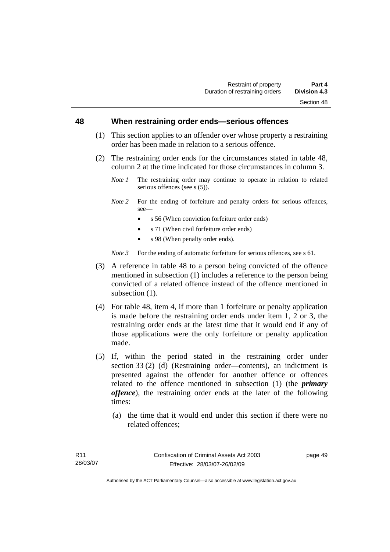#### **48 When restraining order ends—serious offences**

- (1) This section applies to an offender over whose property a restraining order has been made in relation to a serious offence.
- (2) The restraining order ends for the circumstances stated in table 48, column 2 at the time indicated for those circumstances in column 3.
	- *Note 1* The restraining order may continue to operate in relation to related serious offences (see s (5)).
	- *Note 2* For the ending of forfeiture and penalty orders for serious offences, see—
		- s 56 (When conviction forfeiture order ends)
		- s 71 (When civil forfeiture order ends)
		- s 98 (When penalty order ends).

*Note 3* For the ending of automatic forfeiture for serious offences, see s 61.

- (3) A reference in table 48 to a person being convicted of the offence mentioned in subsection (1) includes a reference to the person being convicted of a related offence instead of the offence mentioned in subsection  $(1)$ .
- (4) For table 48, item 4, if more than 1 forfeiture or penalty application is made before the restraining order ends under item 1, 2 or 3, the restraining order ends at the latest time that it would end if any of those applications were the only forfeiture or penalty application made.
- (5) If, within the period stated in the restraining order under section 33 (2) (d) (Restraining order—contents), an indictment is presented against the offender for another offence or offences related to the offence mentioned in subsection (1) (the *primary offence*), the restraining order ends at the later of the following times:
	- (a) the time that it would end under this section if there were no related offences;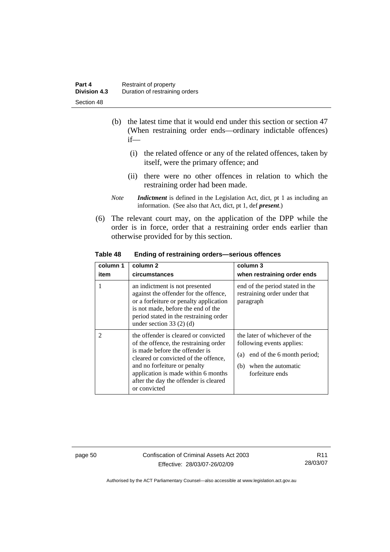- (b) the latest time that it would end under this section or section 47 (When restraining order ends—ordinary indictable offences) if—
	- (i) the related offence or any of the related offences, taken by itself, were the primary offence; and
	- (ii) there were no other offences in relation to which the restraining order had been made.
- *Note Indictment* is defined in the Legislation Act, dict, pt 1 as including an information. (See also that Act, dict, pt 1, def *present*.)
- (6) The relevant court may, on the application of the DPP while the order is in force, order that a restraining order ends earlier than otherwise provided for by this section.

**Table 48 Ending of restraining orders—serious offences** 

| column 1<br>item | column 2<br>circumstances                                                                                                                                                                                                                                                               | column 3<br>when restraining order ends                                                                                                   |
|------------------|-----------------------------------------------------------------------------------------------------------------------------------------------------------------------------------------------------------------------------------------------------------------------------------------|-------------------------------------------------------------------------------------------------------------------------------------------|
| 1                | an indictment is not presented<br>against the offender for the offence,<br>or a forfeiture or penalty application<br>is not made, before the end of the<br>period stated in the restraining order<br>under section $33(2)$ (d)                                                          | end of the period stated in the<br>restraining order under that<br>paragraph                                                              |
| $\mathfrak{D}$   | the offender is cleared or convicted<br>of the offence, the restraining order<br>is made before the offender is<br>cleared or convicted of the offence,<br>and no forfeiture or penalty<br>application is made within 6 months<br>after the day the offender is cleared<br>or convicted | the later of whichever of the<br>following events applies:<br>(a) end of the 6 month period;<br>(b) when the automatic<br>forfeiture ends |

page 50 Confiscation of Criminal Assets Act 2003 Effective: 28/03/07-26/02/09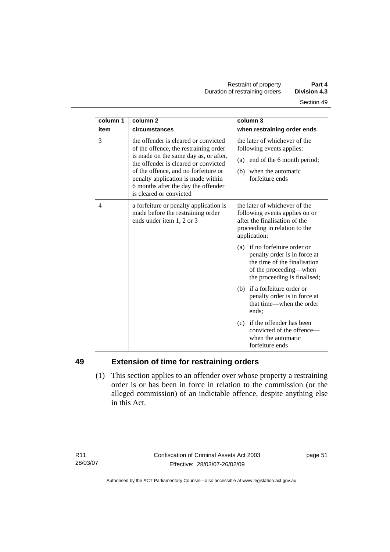| column 1       | column <sub>2</sub>                                                                                                                                                                                                                                                                                            | column 3                                                                                                                                                |
|----------------|----------------------------------------------------------------------------------------------------------------------------------------------------------------------------------------------------------------------------------------------------------------------------------------------------------------|---------------------------------------------------------------------------------------------------------------------------------------------------------|
| item           | circumstances                                                                                                                                                                                                                                                                                                  | when restraining order ends                                                                                                                             |
| 3              | the offender is cleared or convicted<br>of the offence, the restraining order<br>is made on the same day as, or after,<br>the offender is cleared or convicted<br>of the offence, and no forfeiture or<br>penalty application is made within<br>6 months after the day the offender<br>is cleared or convicted | the later of whichever of the<br>following events applies:<br>(a) end of the 6 month period;<br>(b) when the automatic<br>forfeiture ends               |
| $\overline{4}$ | a forfeiture or penalty application is<br>made before the restraining order<br>ends under item 1, 2 or 3                                                                                                                                                                                                       | the later of whichever of the<br>following events applies on or<br>after the finalisation of the<br>proceeding in relation to the<br>application:       |
|                |                                                                                                                                                                                                                                                                                                                | (a) if no forfeiture order or<br>penalty order is in force at<br>the time of the finalisation<br>of the proceeding—when<br>the proceeding is finalised; |
|                |                                                                                                                                                                                                                                                                                                                | (b) if a forfeiture order or<br>penalty order is in force at<br>that time—when the order<br>ends:                                                       |
|                |                                                                                                                                                                                                                                                                                                                | (c) if the offender has been<br>convicted of the offence—<br>when the automatic<br>forfeiture ends                                                      |

# **49 Extension of time for restraining orders**

 (1) This section applies to an offender over whose property a restraining order is or has been in force in relation to the commission (or the alleged commission) of an indictable offence, despite anything else in this Act.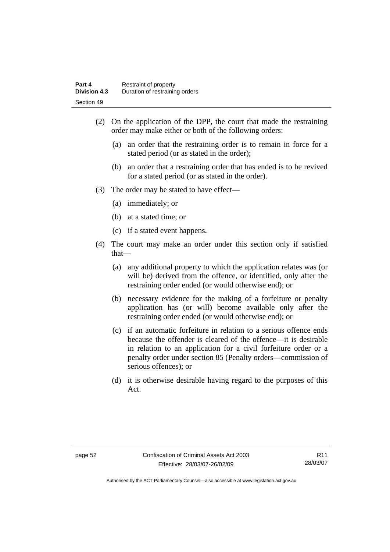- (2) On the application of the DPP, the court that made the restraining order may make either or both of the following orders:
	- (a) an order that the restraining order is to remain in force for a stated period (or as stated in the order);
	- (b) an order that a restraining order that has ended is to be revived for a stated period (or as stated in the order).
- (3) The order may be stated to have effect—
	- (a) immediately; or
	- (b) at a stated time; or
	- (c) if a stated event happens.
- (4) The court may make an order under this section only if satisfied that—
	- (a) any additional property to which the application relates was (or will be) derived from the offence, or identified, only after the restraining order ended (or would otherwise end); or
	- (b) necessary evidence for the making of a forfeiture or penalty application has (or will) become available only after the restraining order ended (or would otherwise end); or
	- (c) if an automatic forfeiture in relation to a serious offence ends because the offender is cleared of the offence—it is desirable in relation to an application for a civil forfeiture order or a penalty order under section 85 (Penalty orders—commission of serious offences); or
	- (d) it is otherwise desirable having regard to the purposes of this Act.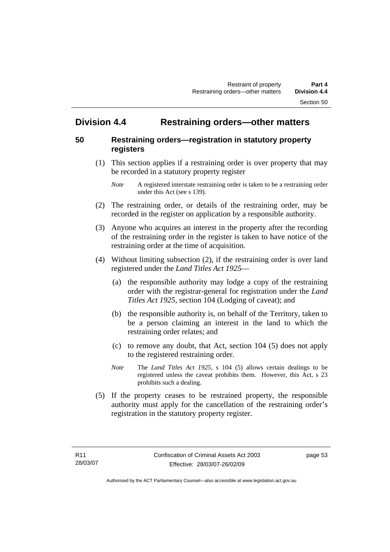# **Division 4.4 Restraining orders—other matters**

#### **50 Restraining orders—registration in statutory property registers**

 (1) This section applies if a restraining order is over property that may be recorded in a statutory property register

- (2) The restraining order, or details of the restraining order, may be recorded in the register on application by a responsible authority.
- (3) Anyone who acquires an interest in the property after the recording of the restraining order in the register is taken to have notice of the restraining order at the time of acquisition.
- (4) Without limiting subsection (2), if the restraining order is over land registered under the *Land Titles Act 1925*—
	- (a) the responsible authority may lodge a copy of the restraining order with the registrar-general for registration under the *Land Titles Act 1925*, section 104 (Lodging of caveat); and
	- (b) the responsible authority is, on behalf of the Territory, taken to be a person claiming an interest in the land to which the restraining order relates; and
	- (c) to remove any doubt, that Act, section 104 (5) does not apply to the registered restraining order.
	- *Note* The *Land Titles Act 1925*, s 104 (5) allows certain dealings to be registered unless the caveat prohibits them. However, this Act, s 23 prohibits such a dealing.
- (5) If the property ceases to be restrained property, the responsible authority must apply for the cancellation of the restraining order's registration in the statutory property register.

*Note* A registered interstate restraining order is taken to be a restraining order under this Act (see s 139).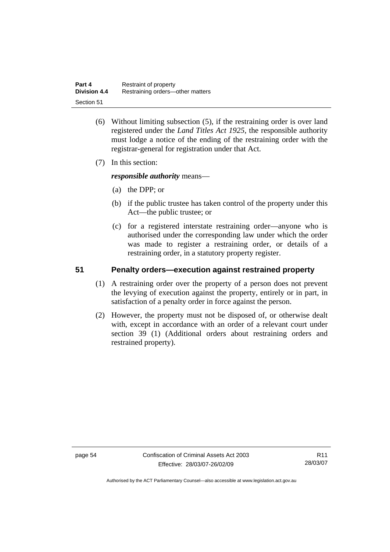| Part 4              | Restraint of property            |
|---------------------|----------------------------------|
| <b>Division 4.4</b> | Restraining orders-other matters |
| Section 51          |                                  |

- (6) Without limiting subsection (5), if the restraining order is over land registered under the *Land Titles Act 1925*, the responsible authority must lodge a notice of the ending of the restraining order with the registrar-general for registration under that Act.
- (7) In this section:

*responsible authority* means—

- (a) the DPP; or
- (b) if the public trustee has taken control of the property under this Act—the public trustee; or
- (c) for a registered interstate restraining order—anyone who is authorised under the corresponding law under which the order was made to register a restraining order, or details of a restraining order, in a statutory property register.

### **51 Penalty orders—execution against restrained property**

- (1) A restraining order over the property of a person does not prevent the levying of execution against the property, entirely or in part, in satisfaction of a penalty order in force against the person.
- (2) However, the property must not be disposed of, or otherwise dealt with, except in accordance with an order of a relevant court under section 39 (1) (Additional orders about restraining orders and restrained property).

page 54 Confiscation of Criminal Assets Act 2003 Effective: 28/03/07-26/02/09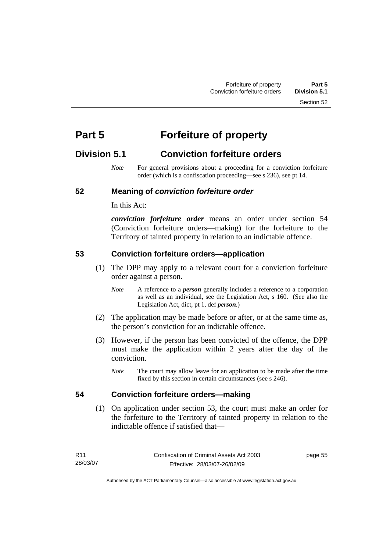# **Part 5 Forfeiture of property**

# **Division 5.1 Conviction forfeiture orders**

*Note* For general provisions about a proceeding for a conviction forfeiture order (which is a confiscation proceeding—see s 236), see pt 14.

# **52 Meaning of** *conviction forfeiture order*

In this Act:

*conviction forfeiture order* means an order under section 54 (Conviction forfeiture orders—making) for the forfeiture to the Territory of tainted property in relation to an indictable offence.

### **53 Conviction forfeiture orders—application**

- (1) The DPP may apply to a relevant court for a conviction forfeiture order against a person.
	- *Note* A reference to a *person* generally includes a reference to a corporation as well as an individual, see the Legislation Act, s 160. (See also the Legislation Act, dict, pt 1, def *person*.)
- (2) The application may be made before or after, or at the same time as, the person's conviction for an indictable offence.
- (3) However, if the person has been convicted of the offence, the DPP must make the application within 2 years after the day of the conviction.
	- *Note* The court may allow leave for an application to be made after the time fixed by this section in certain circumstances (see s 246).

# **54 Conviction forfeiture orders—making**

 (1) On application under section 53, the court must make an order for the forfeiture to the Territory of tainted property in relation to the indictable offence if satisfied that—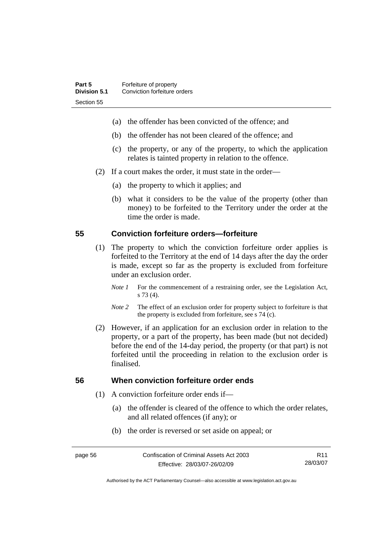- (a) the offender has been convicted of the offence; and
- (b) the offender has not been cleared of the offence; and
- (c) the property, or any of the property, to which the application relates is tainted property in relation to the offence.
- (2) If a court makes the order, it must state in the order—
	- (a) the property to which it applies; and
	- (b) what it considers to be the value of the property (other than money) to be forfeited to the Territory under the order at the time the order is made.

#### **55 Conviction forfeiture orders—forfeiture**

- (1) The property to which the conviction forfeiture order applies is forfeited to the Territory at the end of 14 days after the day the order is made, except so far as the property is excluded from forfeiture under an exclusion order.
	- *Note 1* For the commencement of a restraining order, see the Legislation Act, s 73 (4).
	- *Note 2* The effect of an exclusion order for property subject to forfeiture is that the property is excluded from forfeiture, see s 74 (c).
- (2) However, if an application for an exclusion order in relation to the property, or a part of the property, has been made (but not decided) before the end of the 14-day period, the property (or that part) is not forfeited until the proceeding in relation to the exclusion order is finalised.

#### **56 When conviction forfeiture order ends**

- (1) A conviction forfeiture order ends if—
	- (a) the offender is cleared of the offence to which the order relates, and all related offences (if any); or
	- (b) the order is reversed or set aside on appeal; or

R11 28/03/07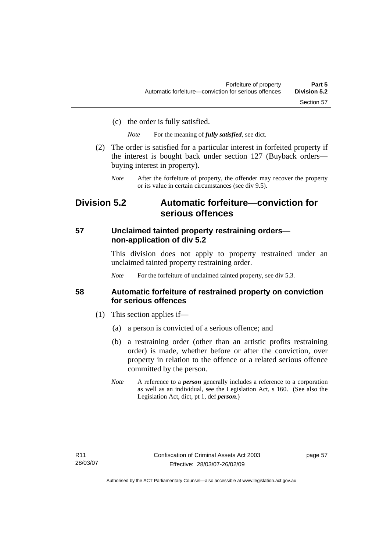(c) the order is fully satisfied.

*Note* For the meaning of *fully satisfied*, see dict.

- (2) The order is satisfied for a particular interest in forfeited property if the interest is bought back under section 127 (Buyback orders buying interest in property).
	- *Note* After the forfeiture of property, the offender may recover the property or its value in certain circumstances (see div 9.5).

# **Division 5.2 Automatic forfeiture—conviction for serious offences**

### **57 Unclaimed tainted property restraining orders non-application of div 5.2**

This division does not apply to property restrained under an unclaimed tainted property restraining order.

*Note* For the forfeiture of unclaimed tainted property, see div 5.3.

### **58 Automatic forfeiture of restrained property on conviction for serious offences**

- (1) This section applies if—
	- (a) a person is convicted of a serious offence; and
	- (b) a restraining order (other than an artistic profits restraining order) is made, whether before or after the conviction, over property in relation to the offence or a related serious offence committed by the person.
	- *Note* A reference to a *person* generally includes a reference to a corporation as well as an individual, see the Legislation Act, s 160. (See also the Legislation Act, dict, pt 1, def *person*.)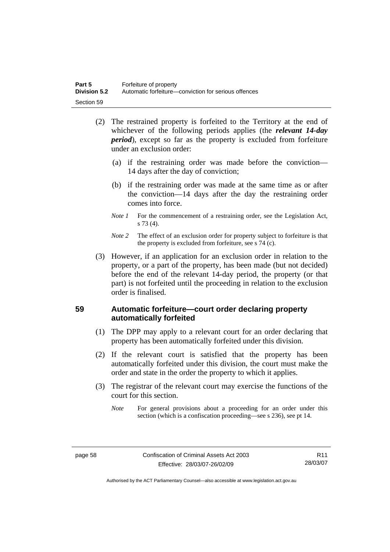| Part 5              | Forfeiture of property                               |
|---------------------|------------------------------------------------------|
| <b>Division 5.2</b> | Automatic forfeiture—conviction for serious offences |
| Section 59          |                                                      |

- (2) The restrained property is forfeited to the Territory at the end of whichever of the following periods applies (the *relevant 14-day period*), except so far as the property is excluded from forfeiture under an exclusion order:
	- (a) if the restraining order was made before the conviction— 14 days after the day of conviction;
	- (b) if the restraining order was made at the same time as or after the conviction—14 days after the day the restraining order comes into force.
	- *Note 1* For the commencement of a restraining order, see the Legislation Act, s 73 (4).
	- *Note* 2 The effect of an exclusion order for property subject to forfeiture is that the property is excluded from forfeiture, see s 74 (c).
- (3) However, if an application for an exclusion order in relation to the property, or a part of the property, has been made (but not decided) before the end of the relevant 14-day period, the property (or that part) is not forfeited until the proceeding in relation to the exclusion order is finalised.

# **59 Automatic forfeiture—court order declaring property automatically forfeited**

- (1) The DPP may apply to a relevant court for an order declaring that property has been automatically forfeited under this division.
- (2) If the relevant court is satisfied that the property has been automatically forfeited under this division, the court must make the order and state in the order the property to which it applies.
- (3) The registrar of the relevant court may exercise the functions of the court for this section.
	- *Note* For general provisions about a proceeding for an order under this section (which is a confiscation proceeding—see s 236), see pt 14.

R11 28/03/07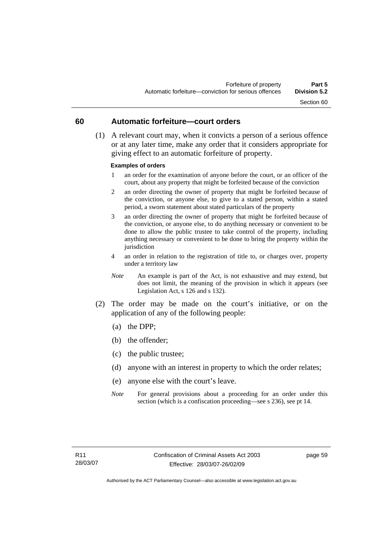#### **60 Automatic forfeiture—court orders**

 (1) A relevant court may, when it convicts a person of a serious offence or at any later time, make any order that it considers appropriate for giving effect to an automatic forfeiture of property.

#### **Examples of orders**

- 1 an order for the examination of anyone before the court, or an officer of the court, about any property that might be forfeited because of the conviction
- 2 an order directing the owner of property that might be forfeited because of the conviction, or anyone else, to give to a stated person, within a stated period, a sworn statement about stated particulars of the property
- 3 an order directing the owner of property that might be forfeited because of the conviction, or anyone else, to do anything necessary or convenient to be done to allow the public trustee to take control of the property, including anything necessary or convenient to be done to bring the property within the iurisdiction
- 4 an order in relation to the registration of title to, or charges over, property under a territory law
- *Note* An example is part of the Act, is not exhaustive and may extend, but does not limit, the meaning of the provision in which it appears (see Legislation Act, s 126 and s 132).
- (2) The order may be made on the court's initiative, or on the application of any of the following people:
	- (a) the DPP;
	- (b) the offender;
	- (c) the public trustee;
	- (d) anyone with an interest in property to which the order relates;
	- (e) anyone else with the court's leave.
	- *Note* For general provisions about a proceeding for an order under this section (which is a confiscation proceeding—see s 236), see pt 14.

page 59

Authorised by the ACT Parliamentary Counsel—also accessible at www.legislation.act.gov.au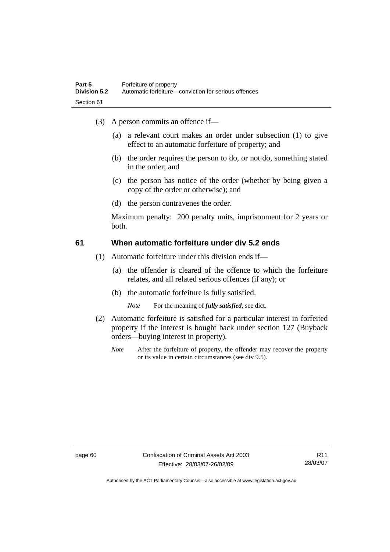- (3) A person commits an offence if—
	- (a) a relevant court makes an order under subsection (1) to give effect to an automatic forfeiture of property; and
	- (b) the order requires the person to do, or not do, something stated in the order; and
	- (c) the person has notice of the order (whether by being given a copy of the order or otherwise); and
	- (d) the person contravenes the order.

Maximum penalty: 200 penalty units, imprisonment for 2 years or both.

#### **61 When automatic forfeiture under div 5.2 ends**

- (1) Automatic forfeiture under this division ends if—
	- (a) the offender is cleared of the offence to which the forfeiture relates, and all related serious offences (if any); or
	- (b) the automatic forfeiture is fully satisfied.

*Note* For the meaning of *fully satisfied*, see dict.

- (2) Automatic forfeiture is satisfied for a particular interest in forfeited property if the interest is bought back under section 127 (Buyback orders—buying interest in property).
	- *Note* After the forfeiture of property, the offender may recover the property or its value in certain circumstances (see div 9.5).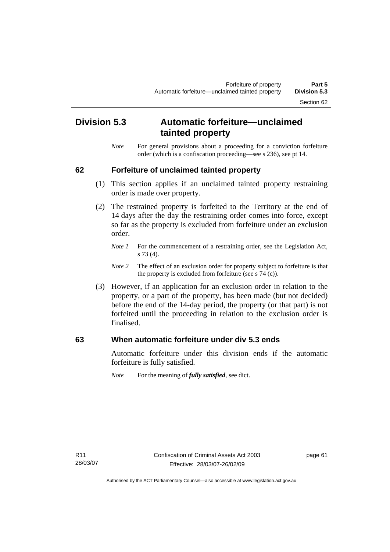# Section 62

## **Division 5.3 Automatic forfeiture—unclaimed tainted property**

*Note* For general provisions about a proceeding for a conviction forfeiture order (which is a confiscation proceeding—see s 236), see pt 14.

#### **62 Forfeiture of unclaimed tainted property**

- (1) This section applies if an unclaimed tainted property restraining order is made over property.
- (2) The restrained property is forfeited to the Territory at the end of 14 days after the day the restraining order comes into force, except so far as the property is excluded from forfeiture under an exclusion order.
	- *Note 1* For the commencement of a restraining order, see the Legislation Act, s 73 (4).
	- *Note 2* The effect of an exclusion order for property subject to forfeiture is that the property is excluded from forfeiture (see s 74 (c)).
- (3) However, if an application for an exclusion order in relation to the property, or a part of the property, has been made (but not decided) before the end of the 14-day period, the property (or that part) is not forfeited until the proceeding in relation to the exclusion order is finalised.

#### **63 When automatic forfeiture under div 5.3 ends**

Automatic forfeiture under this division ends if the automatic forfeiture is fully satisfied.

*Note* For the meaning of *fully satisfied*, see dict.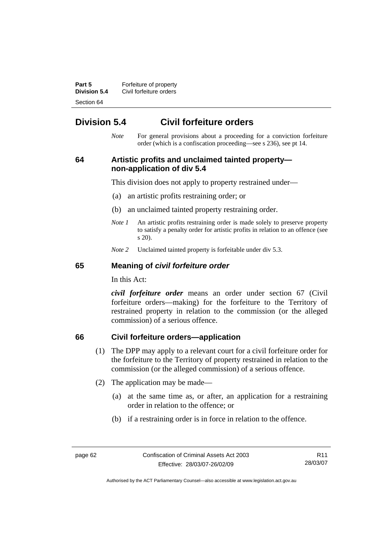**Part 5 Forfeiture of property Division 5.4** Civil forfeiture orders Section 64

## **Division 5.4 Civil forfeiture orders**

*Note* For general provisions about a proceeding for a conviction forfeiture order (which is a confiscation proceeding—see s 236), see pt 14.

#### **64 Artistic profits and unclaimed tainted property non-application of div 5.4**

This division does not apply to property restrained under—

- (a) an artistic profits restraining order; or
- (b) an unclaimed tainted property restraining order.
- *Note 1* An artistic profits restraining order is made solely to preserve property to satisfy a penalty order for artistic profits in relation to an offence (see s 20).
- *Note 2* Unclaimed tainted property is forfeitable under div 5.3.

#### **65 Meaning of** *civil forfeiture order*

In this Act:

*civil forfeiture order* means an order under section 67 (Civil forfeiture orders—making) for the forfeiture to the Territory of restrained property in relation to the commission (or the alleged commission) of a serious offence.

#### **66 Civil forfeiture orders—application**

- (1) The DPP may apply to a relevant court for a civil forfeiture order for the forfeiture to the Territory of property restrained in relation to the commission (or the alleged commission) of a serious offence.
- (2) The application may be made—
	- (a) at the same time as, or after, an application for a restraining order in relation to the offence; or
	- (b) if a restraining order is in force in relation to the offence.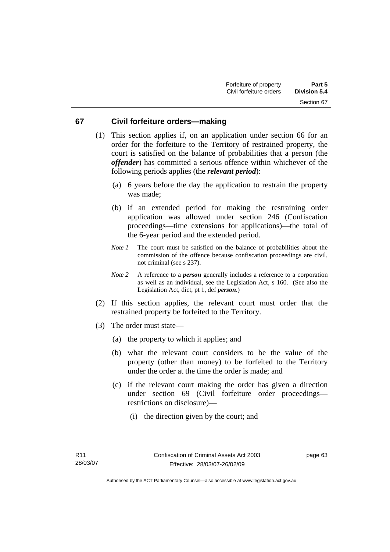#### **67 Civil forfeiture orders—making**

- (1) This section applies if, on an application under section 66 for an order for the forfeiture to the Territory of restrained property, the court is satisfied on the balance of probabilities that a person (the *offender*) has committed a serious offence within whichever of the following periods applies (the *relevant period*):
	- (a) 6 years before the day the application to restrain the property was made;
	- (b) if an extended period for making the restraining order application was allowed under section 246 (Confiscation proceedings—time extensions for applications)—the total of the 6-year period and the extended period.
	- *Note 1* The court must be satisfied on the balance of probabilities about the commission of the offence because confiscation proceedings are civil, not criminal (see s 237).
	- *Note 2* A reference to a *person* generally includes a reference to a corporation as well as an individual, see the Legislation Act, s 160. (See also the Legislation Act, dict, pt 1, def *person*.)
- (2) If this section applies, the relevant court must order that the restrained property be forfeited to the Territory.
- (3) The order must state—
	- (a) the property to which it applies; and
	- (b) what the relevant court considers to be the value of the property (other than money) to be forfeited to the Territory under the order at the time the order is made; and
	- (c) if the relevant court making the order has given a direction under section 69 (Civil forfeiture order proceedings restrictions on disclosure)—
		- (i) the direction given by the court; and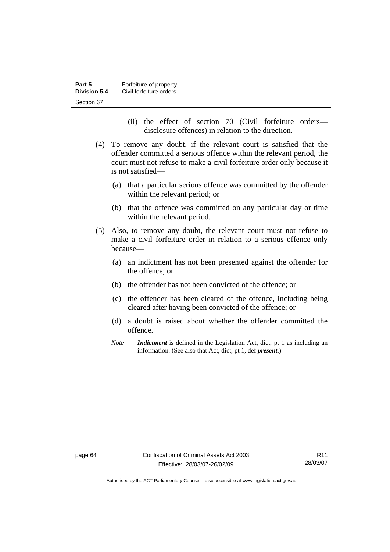| Part 5       | Forfeiture of property  |
|--------------|-------------------------|
| Division 5.4 | Civil forfeiture orders |
| Section 67   |                         |

- (ii) the effect of section 70 (Civil forfeiture orders disclosure offences) in relation to the direction.
- (4) To remove any doubt, if the relevant court is satisfied that the offender committed a serious offence within the relevant period, the court must not refuse to make a civil forfeiture order only because it is not satisfied—
	- (a) that a particular serious offence was committed by the offender within the relevant period; or
	- (b) that the offence was committed on any particular day or time within the relevant period.
- (5) Also, to remove any doubt, the relevant court must not refuse to make a civil forfeiture order in relation to a serious offence only because—
	- (a) an indictment has not been presented against the offender for the offence; or
	- (b) the offender has not been convicted of the offence; or
	- (c) the offender has been cleared of the offence, including being cleared after having been convicted of the offence; or
	- (d) a doubt is raised about whether the offender committed the offence.
	- *Note Indictment* is defined in the Legislation Act, dict, pt 1 as including an information. (See also that Act, dict, pt 1, def *present*.)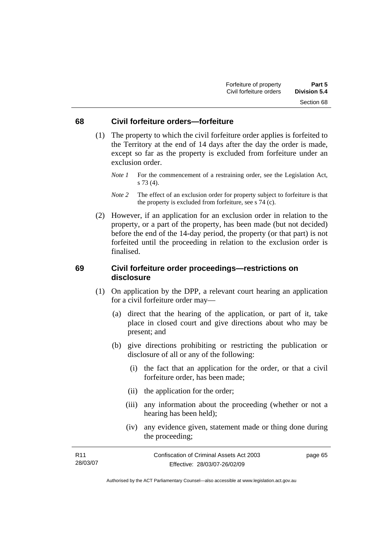#### **68 Civil forfeiture orders—forfeiture**

- (1) The property to which the civil forfeiture order applies is forfeited to the Territory at the end of 14 days after the day the order is made, except so far as the property is excluded from forfeiture under an exclusion order.
	- *Note 1* For the commencement of a restraining order, see the Legislation Act, s 73 (4).
	- *Note 2* The effect of an exclusion order for property subject to forfeiture is that the property is excluded from forfeiture, see s 74 (c).
- (2) However, if an application for an exclusion order in relation to the property, or a part of the property, has been made (but not decided) before the end of the 14-day period, the property (or that part) is not forfeited until the proceeding in relation to the exclusion order is finalised.

#### **69 Civil forfeiture order proceedings—restrictions on disclosure**

- (1) On application by the DPP, a relevant court hearing an application for a civil forfeiture order may—
	- (a) direct that the hearing of the application, or part of it, take place in closed court and give directions about who may be present; and
	- (b) give directions prohibiting or restricting the publication or disclosure of all or any of the following:
		- (i) the fact that an application for the order, or that a civil forfeiture order, has been made;
		- (ii) the application for the order;
		- (iii) any information about the proceeding (whether or not a hearing has been held);
		- (iv) any evidence given, statement made or thing done during the proceeding;

| R11      | Confiscation of Criminal Assets Act 2003 | page 65 |
|----------|------------------------------------------|---------|
| 28/03/07 | Effective: 28/03/07-26/02/09             |         |

Authorised by the ACT Parliamentary Counsel—also accessible at www.legislation.act.gov.au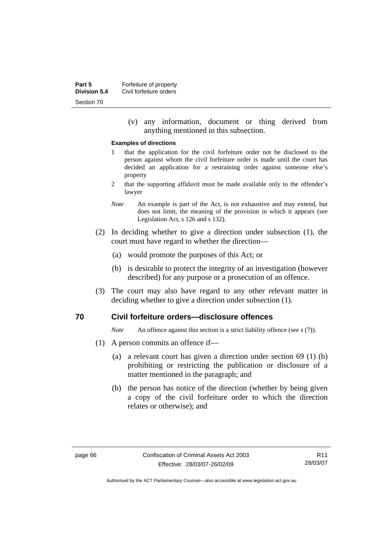(v) any information, document or thing derived from anything mentioned in this subsection.

#### **Examples of directions**

- 1 that the application for the civil forfeiture order not be disclosed to the person against whom the civil forfeiture order is made until the court has decided an application for a restraining order against someone else's property
- 2 that the supporting affidavit must be made available only to the offender's lawyer
- *Note* An example is part of the Act, is not exhaustive and may extend, but does not limit, the meaning of the provision in which it appears (see Legislation Act, s 126 and s 132).
- (2) In deciding whether to give a direction under subsection (1), the court must have regard to whether the direction—
	- (a) would promote the purposes of this Act; or
	- (b) is desirable to protect the integrity of an investigation (however described) for any purpose or a prosecution of an offence.
- (3) The court may also have regard to any other relevant matter in deciding whether to give a direction under subsection (1).

#### **70 Civil forfeiture orders—disclosure offences**

*Note* An offence against this section is a strict liability offence (see s (7)).

- (1) A person commits an offence if—
	- (a) a relevant court has given a direction under section 69 (1) (b) prohibiting or restricting the publication or disclosure of a matter mentioned in the paragraph; and
	- (b) the person has notice of the direction (whether by being given a copy of the civil forfeiture order to which the direction relates or otherwise); and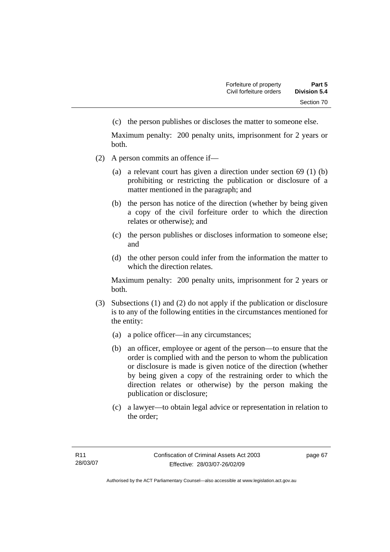(c) the person publishes or discloses the matter to someone else.

Maximum penalty: 200 penalty units, imprisonment for 2 years or both.

- (2) A person commits an offence if—
	- (a) a relevant court has given a direction under section 69 (1) (b) prohibiting or restricting the publication or disclosure of a matter mentioned in the paragraph; and
	- (b) the person has notice of the direction (whether by being given a copy of the civil forfeiture order to which the direction relates or otherwise); and
	- (c) the person publishes or discloses information to someone else; and
	- (d) the other person could infer from the information the matter to which the direction relates.

Maximum penalty: 200 penalty units, imprisonment for 2 years or both.

- (3) Subsections (1) and (2) do not apply if the publication or disclosure is to any of the following entities in the circumstances mentioned for the entity:
	- (a) a police officer—in any circumstances;
	- (b) an officer, employee or agent of the person—to ensure that the order is complied with and the person to whom the publication or disclosure is made is given notice of the direction (whether by being given a copy of the restraining order to which the direction relates or otherwise) by the person making the publication or disclosure;
	- (c) a lawyer—to obtain legal advice or representation in relation to the order;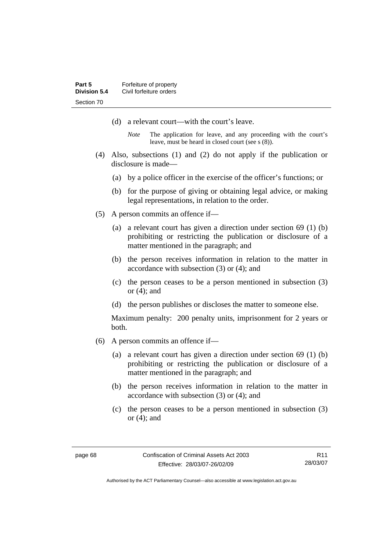- (d) a relevant court—with the court's leave.
	- *Note* The application for leave, and any proceeding with the court's leave, must be heard in closed court (see s (8)).
- (4) Also, subsections (1) and (2) do not apply if the publication or disclosure is made—
	- (a) by a police officer in the exercise of the officer's functions; or
	- (b) for the purpose of giving or obtaining legal advice, or making legal representations, in relation to the order.
- (5) A person commits an offence if—
	- (a) a relevant court has given a direction under section 69 (1) (b) prohibiting or restricting the publication or disclosure of a matter mentioned in the paragraph; and
	- (b) the person receives information in relation to the matter in accordance with subsection (3) or (4); and
	- (c) the person ceases to be a person mentioned in subsection (3) or (4); and
	- (d) the person publishes or discloses the matter to someone else.

Maximum penalty: 200 penalty units, imprisonment for 2 years or both.

- (6) A person commits an offence if—
	- (a) a relevant court has given a direction under section 69 (1) (b) prohibiting or restricting the publication or disclosure of a matter mentioned in the paragraph; and
	- (b) the person receives information in relation to the matter in accordance with subsection (3) or (4); and
	- (c) the person ceases to be a person mentioned in subsection (3) or (4); and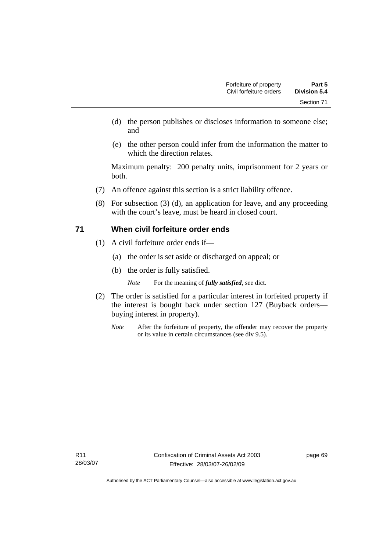- (d) the person publishes or discloses information to someone else; and
- (e) the other person could infer from the information the matter to which the direction relates.

Maximum penalty: 200 penalty units, imprisonment for 2 years or both.

- (7) An offence against this section is a strict liability offence.
- (8) For subsection (3) (d), an application for leave, and any proceeding with the court's leave, must be heard in closed court.

#### **71 When civil forfeiture order ends**

- (1) A civil forfeiture order ends if—
	- (a) the order is set aside or discharged on appeal; or
	- (b) the order is fully satisfied.
		- *Note* For the meaning of *fully satisfied*, see dict.
- (2) The order is satisfied for a particular interest in forfeited property if the interest is bought back under section 127 (Buyback orders buying interest in property).
	- *Note* After the forfeiture of property, the offender may recover the property or its value in certain circumstances (see div 9.5).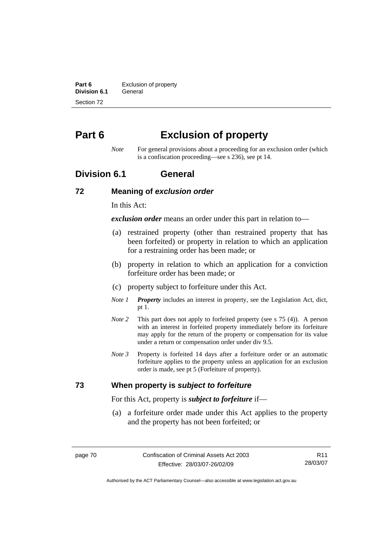**Part 6 Exclusion of property Division 6.1** General Section 72

## **Part 6 Exclusion of property**

*Note* For general provisions about a proceeding for an exclusion order (which is a confiscation proceeding—see s 236), see pt 14.

### **Division 6.1 General**

#### **72 Meaning of** *exclusion order*

In this Act:

*exclusion order* means an order under this part in relation to—

- (a) restrained property (other than restrained property that has been forfeited) or property in relation to which an application for a restraining order has been made; or
- (b) property in relation to which an application for a conviction forfeiture order has been made; or
- (c) property subject to forfeiture under this Act.
- *Note 1 Property* includes an interest in property, see the Legislation Act, dict, pt 1.
- *Note 2* This part does not apply to forfeited property (see s 75 (4)). A person with an interest in forfeited property immediately before its forfeiture may apply for the return of the property or compensation for its value under a return or compensation order under div 9.5.
- *Note 3* Property is forfeited 14 days after a forfeiture order or an automatic forfeiture applies to the property unless an application for an exclusion order is made, see pt 5 (Forfeiture of property).

#### **73 When property is** *subject to forfeiture*

For this Act, property is *subject to forfeiture* if—

 (a) a forfeiture order made under this Act applies to the property and the property has not been forfeited; or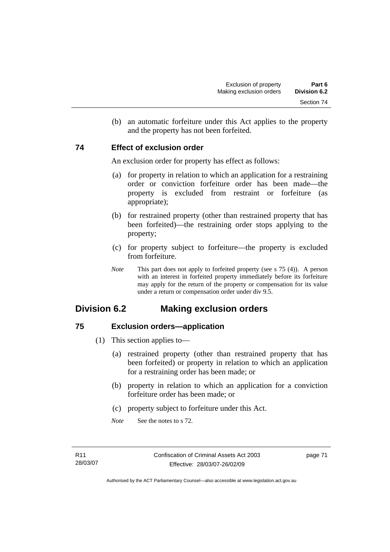(b) an automatic forfeiture under this Act applies to the property and the property has not been forfeited.

#### **74 Effect of exclusion order**

An exclusion order for property has effect as follows:

- (a) for property in relation to which an application for a restraining order or conviction forfeiture order has been made—the property is excluded from restraint or forfeiture (as appropriate);
- (b) for restrained property (other than restrained property that has been forfeited)—the restraining order stops applying to the property;
- (c) for property subject to forfeiture—the property is excluded from forfeiture.
- *Note* This part does not apply to forfeited property (see s 75 (4)). A person with an interest in forfeited property immediately before its forfeiture may apply for the return of the property or compensation for its value under a return or compensation order under div 9.5.

## **Division 6.2 Making exclusion orders**

### **75 Exclusion orders—application**

- (1) This section applies to—
	- (a) restrained property (other than restrained property that has been forfeited) or property in relation to which an application for a restraining order has been made; or
	- (b) property in relation to which an application for a conviction forfeiture order has been made; or
	- (c) property subject to forfeiture under this Act.
	- *Note* See the notes to s 72.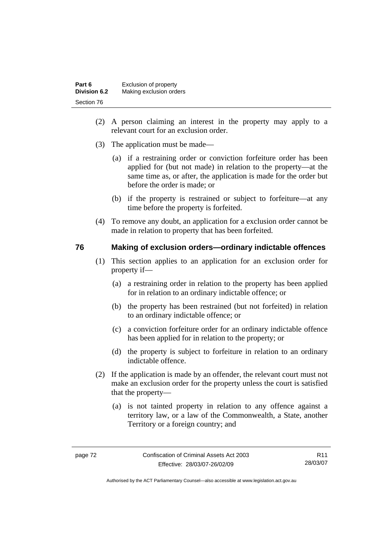| Part 6              | Exclusion of property   |
|---------------------|-------------------------|
| <b>Division 6.2</b> | Making exclusion orders |
| Section 76          |                         |

- (2) A person claiming an interest in the property may apply to a relevant court for an exclusion order.
- (3) The application must be made—
	- (a) if a restraining order or conviction forfeiture order has been applied for (but not made) in relation to the property—at the same time as, or after, the application is made for the order but before the order is made; or
	- (b) if the property is restrained or subject to forfeiture—at any time before the property is forfeited.
- (4) To remove any doubt, an application for a exclusion order cannot be made in relation to property that has been forfeited.

#### **76 Making of exclusion orders—ordinary indictable offences**

- (1) This section applies to an application for an exclusion order for property if—
	- (a) a restraining order in relation to the property has been applied for in relation to an ordinary indictable offence; or
	- (b) the property has been restrained (but not forfeited) in relation to an ordinary indictable offence; or
	- (c) a conviction forfeiture order for an ordinary indictable offence has been applied for in relation to the property; or
	- (d) the property is subject to forfeiture in relation to an ordinary indictable offence.
- (2) If the application is made by an offender, the relevant court must not make an exclusion order for the property unless the court is satisfied that the property—
	- (a) is not tainted property in relation to any offence against a territory law, or a law of the Commonwealth, a State, another Territory or a foreign country; and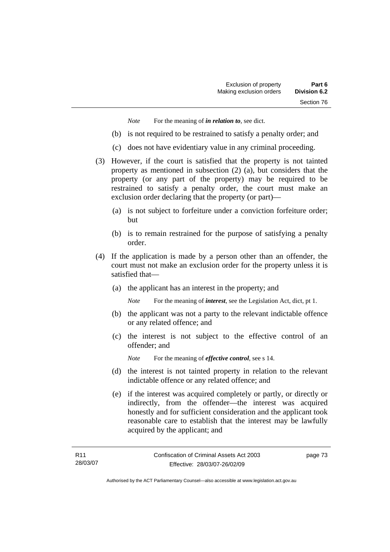*Note* For the meaning of *in relation to*, see dict.

- (b) is not required to be restrained to satisfy a penalty order; and
- (c) does not have evidentiary value in any criminal proceeding.
- (3) However, if the court is satisfied that the property is not tainted property as mentioned in subsection (2) (a), but considers that the property (or any part of the property) may be required to be restrained to satisfy a penalty order, the court must make an exclusion order declaring that the property (or part)—
	- (a) is not subject to forfeiture under a conviction forfeiture order; but
	- (b) is to remain restrained for the purpose of satisfying a penalty order.
- (4) If the application is made by a person other than an offender, the court must not make an exclusion order for the property unless it is satisfied that—
	- (a) the applicant has an interest in the property; and

*Note* For the meaning of *interest*, see the Legislation Act, dict, pt 1.

- (b) the applicant was not a party to the relevant indictable offence or any related offence; and
- (c) the interest is not subject to the effective control of an offender; and
	- *Note* For the meaning of *effective control*, see s 14.
- (d) the interest is not tainted property in relation to the relevant indictable offence or any related offence; and
- (e) if the interest was acquired completely or partly, or directly or indirectly, from the offender—the interest was acquired honestly and for sufficient consideration and the applicant took reasonable care to establish that the interest may be lawfully acquired by the applicant; and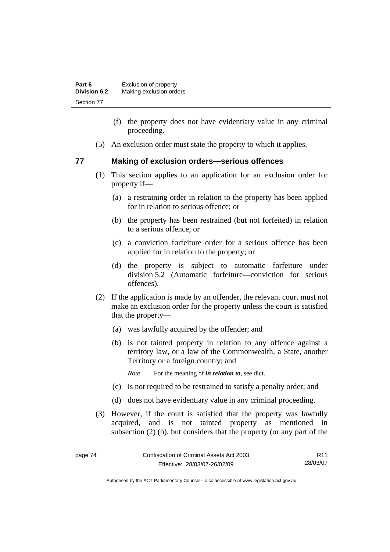| Part 6              | Exclusion of property   |
|---------------------|-------------------------|
| <b>Division 6.2</b> | Making exclusion orders |
| Section 77          |                         |

- (f) the property does not have evidentiary value in any criminal proceeding.
- (5) An exclusion order must state the property to which it applies.

#### **77 Making of exclusion orders—serious offences**

- (1) This section applies to an application for an exclusion order for property if—
	- (a) a restraining order in relation to the property has been applied for in relation to serious offence; or
	- (b) the property has been restrained (but not forfeited) in relation to a serious offence; or
	- (c) a conviction forfeiture order for a serious offence has been applied for in relation to the property; or
	- (d) the property is subject to automatic forfeiture under division 5.2 (Automatic forfeiture—conviction for serious offences).
- (2) If the application is made by an offender, the relevant court must not make an exclusion order for the property unless the court is satisfied that the property—
	- (a) was lawfully acquired by the offender; and
	- (b) is not tainted property in relation to any offence against a territory law, or a law of the Commonwealth, a State, another Territory or a foreign country; and

*Note* For the meaning of *in relation to*, see dict.

- (c) is not required to be restrained to satisfy a penalty order; and
- (d) does not have evidentiary value in any criminal proceeding.
- (3) However, if the court is satisfied that the property was lawfully acquired, and is not tainted property as mentioned in subsection (2) (b), but considers that the property (or any part of the

R11 28/03/07

Authorised by the ACT Parliamentary Counsel—also accessible at www.legislation.act.gov.au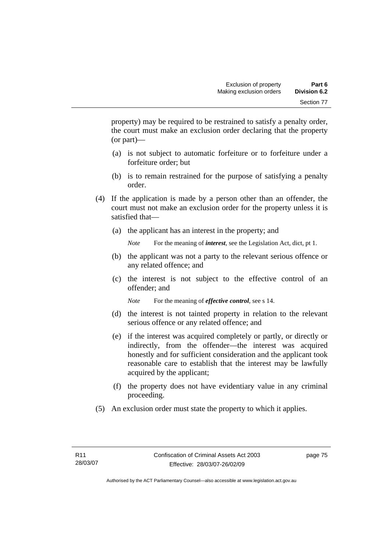property) may be required to be restrained to satisfy a penalty order, the court must make an exclusion order declaring that the property (or part)—

- (a) is not subject to automatic forfeiture or to forfeiture under a forfeiture order; but
- (b) is to remain restrained for the purpose of satisfying a penalty order.
- (4) If the application is made by a person other than an offender, the court must not make an exclusion order for the property unless it is satisfied that—
	- (a) the applicant has an interest in the property; and

*Note* For the meaning of *interest*, see the Legislation Act, dict, pt 1.

- (b) the applicant was not a party to the relevant serious offence or any related offence; and
- (c) the interest is not subject to the effective control of an offender; and

*Note* For the meaning of *effective control*, see s 14.

- (d) the interest is not tainted property in relation to the relevant serious offence or any related offence; and
- (e) if the interest was acquired completely or partly, or directly or indirectly, from the offender—the interest was acquired honestly and for sufficient consideration and the applicant took reasonable care to establish that the interest may be lawfully acquired by the applicant;
- (f) the property does not have evidentiary value in any criminal proceeding.
- (5) An exclusion order must state the property to which it applies.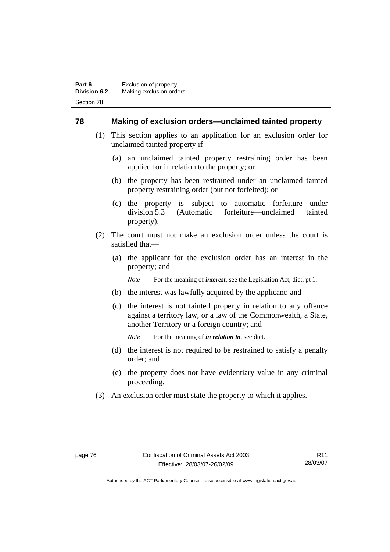#### **78 Making of exclusion orders—unclaimed tainted property**

- (1) This section applies to an application for an exclusion order for unclaimed tainted property if—
	- (a) an unclaimed tainted property restraining order has been applied for in relation to the property; or
	- (b) the property has been restrained under an unclaimed tainted property restraining order (but not forfeited); or
	- (c) the property is subject to automatic forfeiture under division 5.3 (Automatic forfeiture—unclaimed tainted property).
- (2) The court must not make an exclusion order unless the court is satisfied that—
	- (a) the applicant for the exclusion order has an interest in the property; and

*Note* For the meaning of *interest*, see the Legislation Act, dict, pt 1.

- (b) the interest was lawfully acquired by the applicant; and
- (c) the interest is not tainted property in relation to any offence against a territory law, or a law of the Commonwealth, a State, another Territory or a foreign country; and

*Note* For the meaning of *in relation to*, see dict.

- (d) the interest is not required to be restrained to satisfy a penalty order; and
- (e) the property does not have evidentiary value in any criminal proceeding.
- (3) An exclusion order must state the property to which it applies.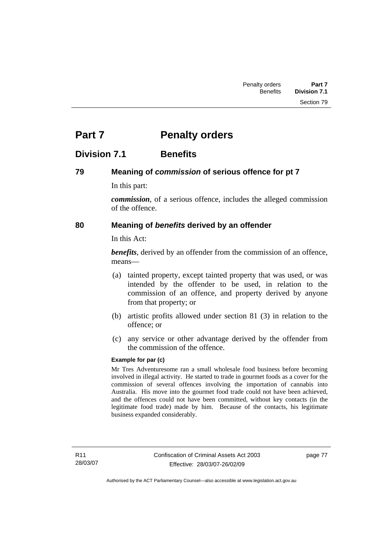## **Part 7** Penalty orders

## **Division 7.1 Benefits**

### **79 Meaning of** *commission* **of serious offence for pt 7**

In this part:

*commission*, of a serious offence, includes the alleged commission of the offence.

#### **80 Meaning of** *benefits* **derived by an offender**

In this Act:

*benefits*, derived by an offender from the commission of an offence, means—

- (a) tainted property, except tainted property that was used, or was intended by the offender to be used, in relation to the commission of an offence, and property derived by anyone from that property; or
- (b) artistic profits allowed under section 81 (3) in relation to the offence; or
- (c) any service or other advantage derived by the offender from the commission of the offence.

#### **Example for par (c)**

Mr Tres Adventuresome ran a small wholesale food business before becoming involved in illegal activity. He started to trade in gourmet foods as a cover for the commission of several offences involving the importation of cannabis into Australia. His move into the gourmet food trade could not have been achieved, and the offences could not have been committed, without key contacts (in the legitimate food trade) made by him. Because of the contacts, his legitimate business expanded considerably.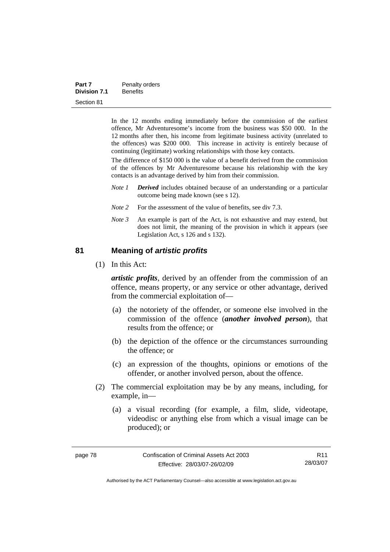In the 12 months ending immediately before the commission of the earliest offence, Mr Adventuresome's income from the business was \$50 000. In the 12 months after then, his income from legitimate business activity (unrelated to the offences) was \$200 000. This increase in activity is entirely because of continuing (legitimate) working relationships with those key contacts.

The difference of \$150 000 is the value of a benefit derived from the commission of the offences by Mr Adventuresome because his relationship with the key contacts is an advantage derived by him from their commission.

- *Note 1 Derived* includes obtained because of an understanding or a particular outcome being made known (see s 12).
- *Note* 2 For the assessment of the value of benefits, see div 7.3.
- *Note 3* An example is part of the Act, is not exhaustive and may extend, but does not limit, the meaning of the provision in which it appears (see Legislation Act, s 126 and s 132).

#### **81 Meaning of** *artistic profits*

(1) In this Act:

*artistic profits*, derived by an offender from the commission of an offence, means property, or any service or other advantage, derived from the commercial exploitation of—

- (a) the notoriety of the offender, or someone else involved in the commission of the offence (*another involved person*), that results from the offence; or
- (b) the depiction of the offence or the circumstances surrounding the offence; or
- (c) an expression of the thoughts, opinions or emotions of the offender, or another involved person, about the offence.
- (2) The commercial exploitation may be by any means, including, for example, in—
	- (a) a visual recording (for example, a film, slide, videotape, videodisc or anything else from which a visual image can be produced); or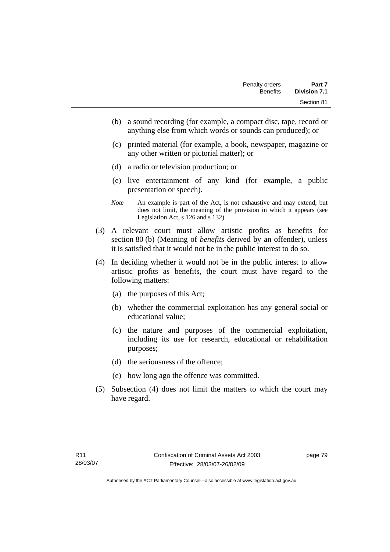- (b) a sound recording (for example, a compact disc, tape, record or anything else from which words or sounds can produced); or
- (c) printed material (for example, a book, newspaper, magazine or any other written or pictorial matter); or
- (d) a radio or television production; or
- (e) live entertainment of any kind (for example, a public presentation or speech).
- *Note* An example is part of the Act, is not exhaustive and may extend, but does not limit, the meaning of the provision in which it appears (see Legislation Act, s 126 and s 132).
- (3) A relevant court must allow artistic profits as benefits for section 80 (b) (Meaning of *benefits* derived by an offender), unless it is satisfied that it would not be in the public interest to do so.
- (4) In deciding whether it would not be in the public interest to allow artistic profits as benefits, the court must have regard to the following matters:
	- (a) the purposes of this Act;
	- (b) whether the commercial exploitation has any general social or educational value;
	- (c) the nature and purposes of the commercial exploitation, including its use for research, educational or rehabilitation purposes;
	- (d) the seriousness of the offence;
	- (e) how long ago the offence was committed.
- (5) Subsection (4) does not limit the matters to which the court may have regard.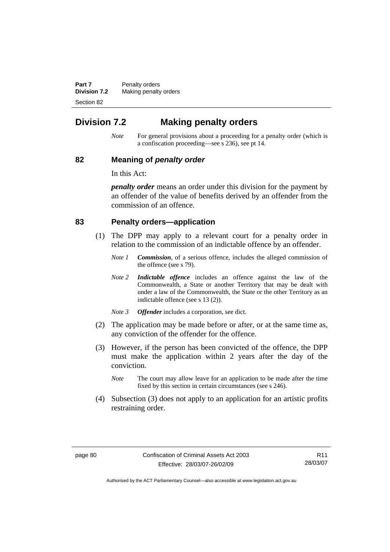**Part 7** Penalty orders **Division 7.2** Making penalty orders Section 82

## **Division 7.2 Making penalty orders**

*Note* For general provisions about a proceeding for a penalty order (which is a confiscation proceeding—see s 236), see pt 14.

#### **82 Meaning of** *penalty order*

In this Act:

*penalty order* means an order under this division for the payment by an offender of the value of benefits derived by an offender from the commission of an offence.

#### **83 Penalty orders—application**

- (1) The DPP may apply to a relevant court for a penalty order in relation to the commission of an indictable offence by an offender.
	- *Note 1 Commission*, of a serious offence, includes the alleged commission of the offence (see s 79).
	- *Note 2 Indictable offence* includes an offence against the law of the Commonwealth, a State or another Territory that may be dealt with under a law of the Commonwealth, the State or the other Territory as an indictable offence (see s 13 (2)).
	- *Note 3 Offender* includes a corporation, see dict.
- (2) The application may be made before or after, or at the same time as, any conviction of the offender for the offence.
- (3) However, if the person has been convicted of the offence, the DPP must make the application within 2 years after the day of the conviction.
	- *Note* The court may allow leave for an application to be made after the time fixed by this section in certain circumstances (see s 246).
- (4) Subsection (3) does not apply to an application for an artistic profits restraining order.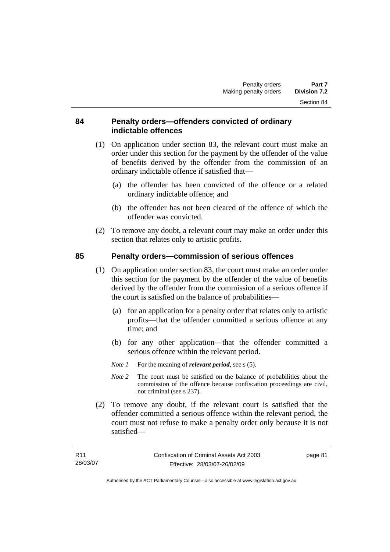#### **84 Penalty orders—offenders convicted of ordinary indictable offences**

- (1) On application under section 83, the relevant court must make an order under this section for the payment by the offender of the value of benefits derived by the offender from the commission of an ordinary indictable offence if satisfied that—
	- (a) the offender has been convicted of the offence or a related ordinary indictable offence; and
	- (b) the offender has not been cleared of the offence of which the offender was convicted.
- (2) To remove any doubt, a relevant court may make an order under this section that relates only to artistic profits.

### **85 Penalty orders—commission of serious offences**

- (1) On application under section 83, the court must make an order under this section for the payment by the offender of the value of benefits derived by the offender from the commission of a serious offence if the court is satisfied on the balance of probabilities—
	- (a) for an application for a penalty order that relates only to artistic profits—that the offender committed a serious offence at any time; and
	- (b) for any other application—that the offender committed a serious offence within the relevant period.
	- *Note 1* For the meaning of *relevant period*, see s (5).
	- *Note 2* The court must be satisfied on the balance of probabilities about the commission of the offence because confiscation proceedings are civil, not criminal (see s 237).
- (2) To remove any doubt, if the relevant court is satisfied that the offender committed a serious offence within the relevant period, the court must not refuse to make a penalty order only because it is not satisfied—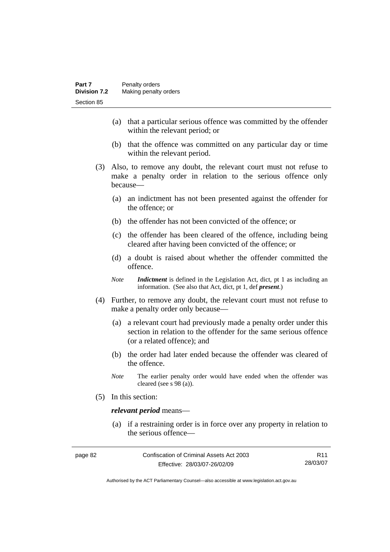- (a) that a particular serious offence was committed by the offender within the relevant period; or
- (b) that the offence was committed on any particular day or time within the relevant period.
- (3) Also, to remove any doubt, the relevant court must not refuse to make a penalty order in relation to the serious offence only because—
	- (a) an indictment has not been presented against the offender for the offence; or
	- (b) the offender has not been convicted of the offence; or
	- (c) the offender has been cleared of the offence, including being cleared after having been convicted of the offence; or
	- (d) a doubt is raised about whether the offender committed the offence.
	- *Note Indictment* is defined in the Legislation Act, dict, pt 1 as including an information. (See also that Act, dict, pt 1, def *present*.)
- (4) Further, to remove any doubt, the relevant court must not refuse to make a penalty order only because—
	- (a) a relevant court had previously made a penalty order under this section in relation to the offender for the same serious offence (or a related offence); and
	- (b) the order had later ended because the offender was cleared of the offence.
	- *Note* The earlier penalty order would have ended when the offender was cleared (see s 98 (a)).
- (5) In this section:

#### *relevant period* means—

 (a) if a restraining order is in force over any property in relation to the serious offence—

| page 82 | Confiscation of Criminal Assets Act 2003 | R <sub>11</sub> |
|---------|------------------------------------------|-----------------|
|         | Effective: 28/03/07-26/02/09             | 28/03/07        |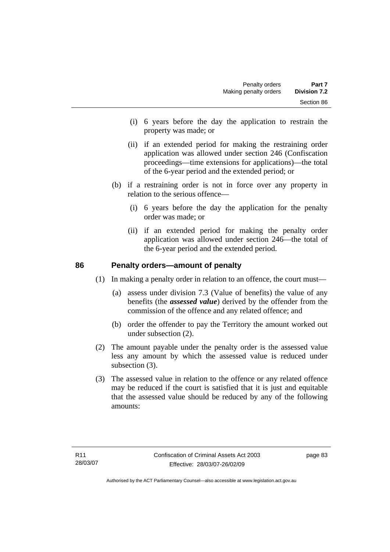- (i) 6 years before the day the application to restrain the property was made; or
- (ii) if an extended period for making the restraining order application was allowed under section 246 (Confiscation proceedings—time extensions for applications)—the total of the 6-year period and the extended period; or
- (b) if a restraining order is not in force over any property in relation to the serious offence—
	- (i) 6 years before the day the application for the penalty order was made; or
	- (ii) if an extended period for making the penalty order application was allowed under section 246—the total of the 6-year period and the extended period.

#### **86 Penalty orders—amount of penalty**

(1) In making a penalty order in relation to an offence, the court must—

- (a) assess under division 7.3 (Value of benefits) the value of any benefits (the *assessed value*) derived by the offender from the commission of the offence and any related offence; and
- (b) order the offender to pay the Territory the amount worked out under subsection (2).
- (2) The amount payable under the penalty order is the assessed value less any amount by which the assessed value is reduced under subsection (3).
- (3) The assessed value in relation to the offence or any related offence may be reduced if the court is satisfied that it is just and equitable that the assessed value should be reduced by any of the following amounts: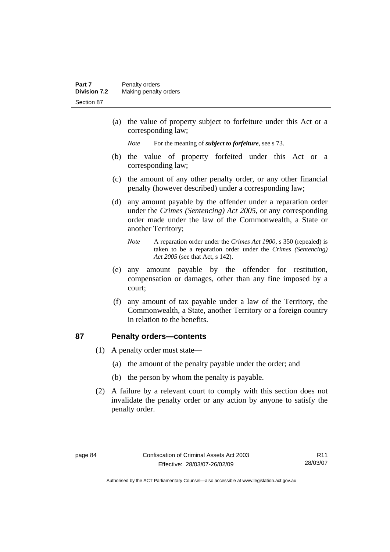(a) the value of property subject to forfeiture under this Act or a corresponding law;

*Note* For the meaning of *subject to forfeiture*, see s 73.

- (b) the value of property forfeited under this Act or a corresponding law;
- (c) the amount of any other penalty order, or any other financial penalty (however described) under a corresponding law;
- (d) any amount payable by the offender under a reparation order under the *Crimes (Sentencing) Act 2005*, or any corresponding order made under the law of the Commonwealth, a State or another Territory;
	- *Note* A reparation order under the *Crimes Act 1900*, s 350 (repealed) is taken to be a reparation order under the *Crimes (Sentencing) Act 2005* (see that Act, s 142).
- (e) any amount payable by the offender for restitution, compensation or damages, other than any fine imposed by a court;
- (f) any amount of tax payable under a law of the Territory, the Commonwealth, a State, another Territory or a foreign country in relation to the benefits.

### **87 Penalty orders—contents**

- (1) A penalty order must state—
	- (a) the amount of the penalty payable under the order; and
	- (b) the person by whom the penalty is payable.
- (2) A failure by a relevant court to comply with this section does not invalidate the penalty order or any action by anyone to satisfy the penalty order.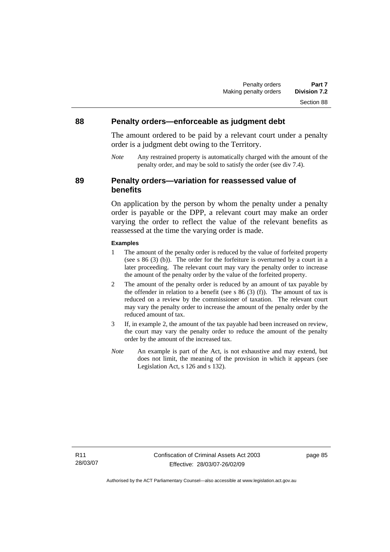#### **88 Penalty orders—enforceable as judgment debt**

The amount ordered to be paid by a relevant court under a penalty order is a judgment debt owing to the Territory.

*Note* Any restrained property is automatically charged with the amount of the penalty order, and may be sold to satisfy the order (see div 7.4).

**89 Penalty orders—variation for reassessed value of benefits** 

> On application by the person by whom the penalty under a penalty order is payable or the DPP, a relevant court may make an order varying the order to reflect the value of the relevant benefits as reassessed at the time the varying order is made.

#### **Examples**

- 1 The amount of the penalty order is reduced by the value of forfeited property (see s 86 (3) (b)). The order for the forfeiture is overturned by a court in a later proceeding. The relevant court may vary the penalty order to increase the amount of the penalty order by the value of the forfeited property.
- 2 The amount of the penalty order is reduced by an amount of tax payable by the offender in relation to a benefit (see s  $86(3)$  (f)). The amount of tax is reduced on a review by the commissioner of taxation. The relevant court may vary the penalty order to increase the amount of the penalty order by the reduced amount of tax.
- 3 If, in example 2, the amount of the tax payable had been increased on review, the court may vary the penalty order to reduce the amount of the penalty order by the amount of the increased tax.
- *Note* An example is part of the Act, is not exhaustive and may extend, but does not limit, the meaning of the provision in which it appears (see Legislation Act, s 126 and s 132).

R11 28/03/07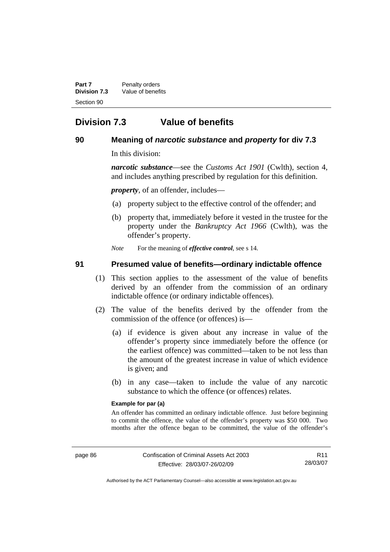**Part 7** Penalty orders **Division 7.3** Value of benefits Section 90

## **Division 7.3 Value of benefits**

### **90 Meaning of** *narcotic substance* **and** *property* **for div 7.3**

In this division:

*narcotic substance*—see the *Customs Act 1901* (Cwlth), section 4, and includes anything prescribed by regulation for this definition.

*property*, of an offender, includes—

- (a) property subject to the effective control of the offender; and
- (b) property that, immediately before it vested in the trustee for the property under the *Bankruptcy Act 1966* (Cwlth), was the offender's property.

*Note* For the meaning of *effective control*, see s 14.

#### **91 Presumed value of benefits—ordinary indictable offence**

- (1) This section applies to the assessment of the value of benefits derived by an offender from the commission of an ordinary indictable offence (or ordinary indictable offences).
- (2) The value of the benefits derived by the offender from the commission of the offence (or offences) is—
	- (a) if evidence is given about any increase in value of the offender's property since immediately before the offence (or the earliest offence) was committed—taken to be not less than the amount of the greatest increase in value of which evidence is given; and
	- (b) in any case—taken to include the value of any narcotic substance to which the offence (or offences) relates.

#### **Example for par (a)**

An offender has committed an ordinary indictable offence. Just before beginning to commit the offence, the value of the offender's property was \$50 000. Two months after the offence began to be committed, the value of the offender's

Authorised by the ACT Parliamentary Counsel—also accessible at www.legislation.act.gov.au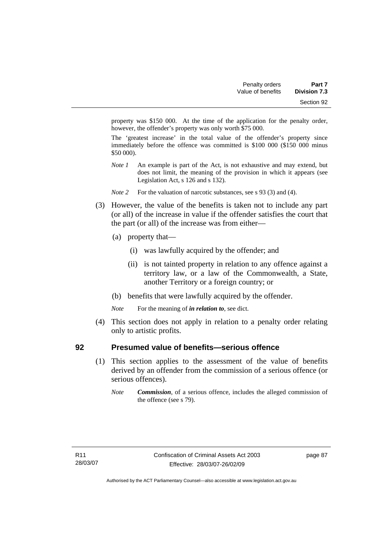property was \$150 000. At the time of the application for the penalty order, however, the offender's property was only worth \$75 000.

The 'greatest increase' in the total value of the offender's property since immediately before the offence was committed is \$100 000 (\$150 000 minus \$50 000).

- *Note 1* An example is part of the Act, is not exhaustive and may extend, but does not limit, the meaning of the provision in which it appears (see Legislation Act, s 126 and s 132).
- *Note* 2 For the valuation of narcotic substances, see s 93 (3) and (4).
- (3) However, the value of the benefits is taken not to include any part (or all) of the increase in value if the offender satisfies the court that the part (or all) of the increase was from either—
	- (a) property that—
		- (i) was lawfully acquired by the offender; and
		- (ii) is not tainted property in relation to any offence against a territory law, or a law of the Commonwealth, a State, another Territory or a foreign country; or
	- (b) benefits that were lawfully acquired by the offender.
	- *Note* For the meaning of *in relation to*, see dict.
- (4) This section does not apply in relation to a penalty order relating only to artistic profits.

#### **92 Presumed value of benefits—serious offence**

- (1) This section applies to the assessment of the value of benefits derived by an offender from the commission of a serious offence (or serious offences).
	- *Note Commission*, of a serious offence, includes the alleged commission of the offence (see s 79).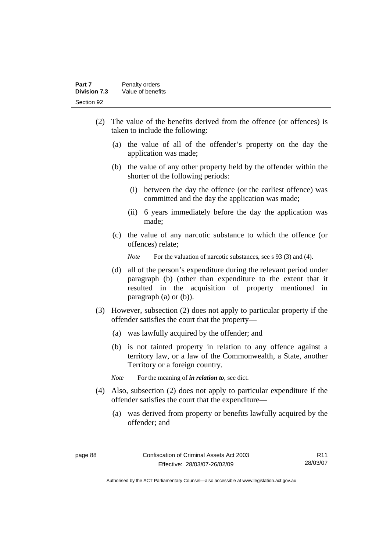- (2) The value of the benefits derived from the offence (or offences) is taken to include the following:
	- (a) the value of all of the offender's property on the day the application was made;
	- (b) the value of any other property held by the offender within the shorter of the following periods:
		- (i) between the day the offence (or the earliest offence) was committed and the day the application was made;
		- (ii) 6 years immediately before the day the application was made;
	- (c) the value of any narcotic substance to which the offence (or offences) relate;

*Note* For the valuation of narcotic substances, see s 93 (3) and (4).

- (d) all of the person's expenditure during the relevant period under paragraph (b) (other than expenditure to the extent that it resulted in the acquisition of property mentioned in paragraph (a) or (b)).
- (3) However, subsection (2) does not apply to particular property if the offender satisfies the court that the property—
	- (a) was lawfully acquired by the offender; and
	- (b) is not tainted property in relation to any offence against a territory law, or a law of the Commonwealth, a State, another Territory or a foreign country.
	- *Note* For the meaning of *in relation to*, see dict.
- (4) Also, subsection (2) does not apply to particular expenditure if the offender satisfies the court that the expenditure—
	- (a) was derived from property or benefits lawfully acquired by the offender; and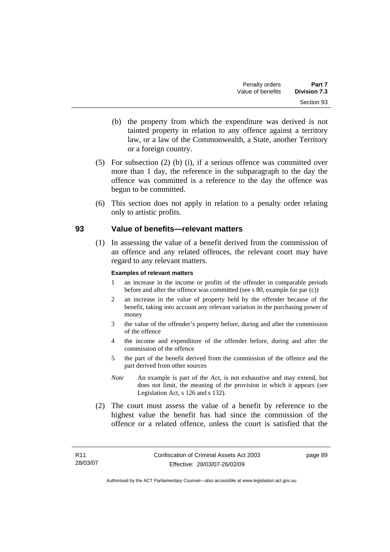- (b) the property from which the expenditure was derived is not tainted property in relation to any offence against a territory law, or a law of the Commonwealth, a State, another Territory or a foreign country.
- (5) For subsection (2) (b) (i), if a serious offence was committed over more than 1 day, the reference in the subparagraph to the day the offence was committed is a reference to the day the offence was begun to be committed.
- (6) This section does not apply in relation to a penalty order relating only to artistic profits.

#### **93 Value of benefits—relevant matters**

 (1) In assessing the value of a benefit derived from the commission of an offence and any related offences, the relevant court may have regard to any relevant matters.

#### **Examples of relevant matters**

- 1 an increase in the income or profits of the offender in comparable periods before and after the offence was committed (see s 80, example for par (c))
- 2 an increase in the value of property held by the offender because of the benefit, taking into account any relevant variation in the purchasing power of money
- 3 the value of the offender's property before, during and after the commission of the offence
- 4 the income and expenditure of the offender before, during and after the commission of the offence
- 5 the part of the benefit derived from the commission of the offence and the part derived from other sources
- *Note* An example is part of the Act, is not exhaustive and may extend, but does not limit, the meaning of the provision in which it appears (see Legislation Act, s 126 and s 132).
- (2) The court must assess the value of a benefit by reference to the highest value the benefit has had since the commission of the offence or a related offence, unless the court is satisfied that the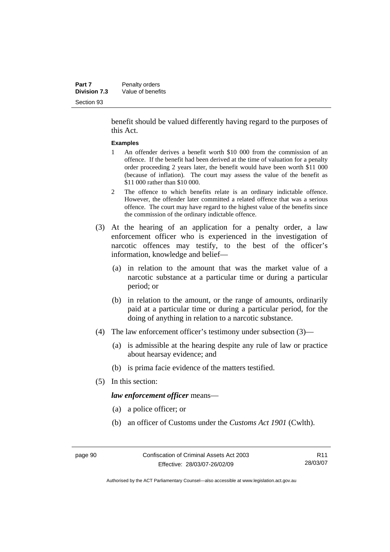benefit should be valued differently having regard to the purposes of this Act.

#### **Examples**

- 1 An offender derives a benefit worth \$10 000 from the commission of an offence. If the benefit had been derived at the time of valuation for a penalty order proceeding 2 years later, the benefit would have been worth \$11 000 (because of inflation). The court may assess the value of the benefit as \$11 000 rather than \$10 000.
- 2 The offence to which benefits relate is an ordinary indictable offence. However, the offender later committed a related offence that was a serious offence. The court may have regard to the highest value of the benefits since the commission of the ordinary indictable offence.
- (3) At the hearing of an application for a penalty order, a law enforcement officer who is experienced in the investigation of narcotic offences may testify, to the best of the officer's information, knowledge and belief—
	- (a) in relation to the amount that was the market value of a narcotic substance at a particular time or during a particular period; or
	- (b) in relation to the amount, or the range of amounts, ordinarily paid at a particular time or during a particular period, for the doing of anything in relation to a narcotic substance.
- (4) The law enforcement officer's testimony under subsection (3)—
	- (a) is admissible at the hearing despite any rule of law or practice about hearsay evidence; and
	- (b) is prima facie evidence of the matters testified.
- (5) In this section:

*law enforcement officer* means—

- (a) a police officer; or
- (b) an officer of Customs under the *Customs Act 1901* (Cwlth).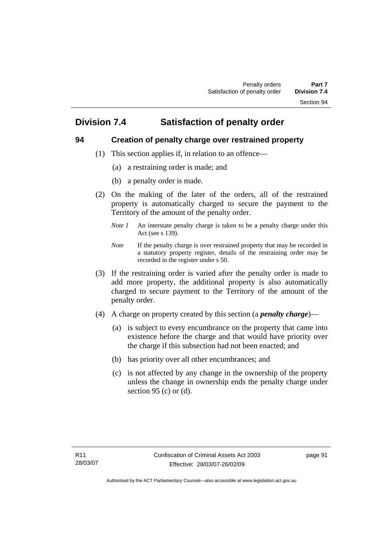## **Division 7.4 Satisfaction of penalty order**

### **94 Creation of penalty charge over restrained property**

- (1) This section applies if, in relation to an offence—
	- (a) a restraining order is made; and
	- (b) a penalty order is made.
- (2) On the making of the later of the orders, all of the restrained property is automatically charged to secure the payment to the Territory of the amount of the penalty order.
	- *Note 1* An interstate penalty charge is taken to be a penalty charge under this Act (see s 139).
	- *Note* If the penalty charge is over restrained property that may be recorded in a statutory property register, details of the restraining order may be recorded in the register under s 50.
- (3) If the restraining order is varied after the penalty order is made to add more property, the additional property is also automatically charged to secure payment to the Territory of the amount of the penalty order.
- (4) A charge on property created by this section (a *penalty charge*)—
	- (a) is subject to every encumbrance on the property that came into existence before the charge and that would have priority over the charge if this subsection had not been enacted; and
	- (b) has priority over all other encumbrances; and
	- (c) is not affected by any change in the ownership of the property unless the change in ownership ends the penalty charge under section 95 (c) or  $(d)$ .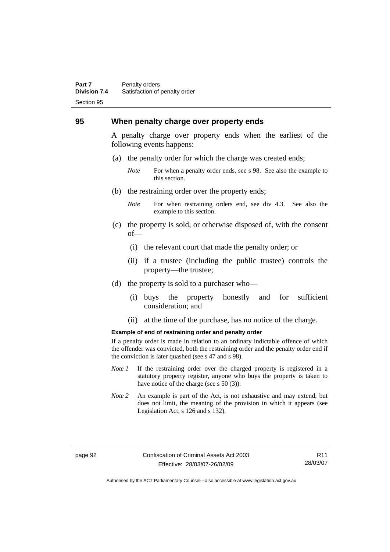#### **Part 7** Penalty orders **Division 7.4** Satisfaction of penalty order Section 95

#### **95 When penalty charge over property ends**

A penalty charge over property ends when the earliest of the following events happens:

- (a) the penalty order for which the charge was created ends;
	- *Note* For when a penalty order ends, see s 98. See also the example to this section.
- (b) the restraining order over the property ends;
	- *Note* For when restraining orders end, see div 4.3. See also the example to this section.
- (c) the property is sold, or otherwise disposed of, with the consent of—
	- (i) the relevant court that made the penalty order; or
	- (ii) if a trustee (including the public trustee) controls the property—the trustee;
- (d) the property is sold to a purchaser who—
	- (i) buys the property honestly and for sufficient consideration; and
	- (ii) at the time of the purchase, has no notice of the charge.

#### **Example of end of restraining order and penalty order**

If a penalty order is made in relation to an ordinary indictable offence of which the offender was convicted, both the restraining order and the penalty order end if the conviction is later quashed (see s 47 and s 98).

- *Note 1* If the restraining order over the charged property is registered in a statutory property register, anyone who buys the property is taken to have notice of the charge (see s 50 (3)).
- *Note* 2 An example is part of the Act, is not exhaustive and may extend, but does not limit, the meaning of the provision in which it appears (see Legislation Act, s 126 and s 132).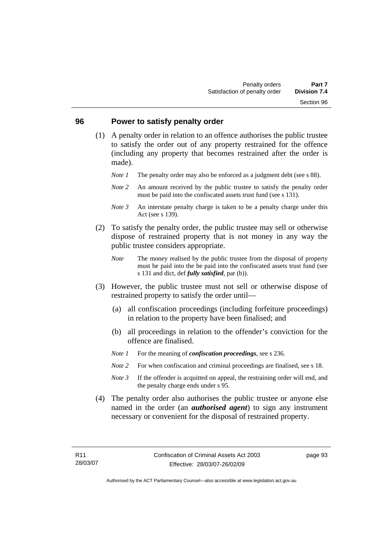#### **96 Power to satisfy penalty order**

- (1) A penalty order in relation to an offence authorises the public trustee to satisfy the order out of any property restrained for the offence (including any property that becomes restrained after the order is made).
	- *Note 1* The penalty order may also be enforced as a judgment debt (see s 88).
	- *Note* 2 An amount received by the public trustee to satisfy the penalty order must be paid into the confiscated assets trust fund (see s 131).
	- *Note 3* An interstate penalty charge is taken to be a penalty charge under this Act (see s 139).
- (2) To satisfy the penalty order, the public trustee may sell or otherwise dispose of restrained property that is not money in any way the public trustee considers appropriate.
	- *Note* The money realised by the public trustee from the disposal of property must be paid into the be paid into the confiscated assets trust fund (see s 131 and dict, def *fully satisfied*, par (b)).
- (3) However, the public trustee must not sell or otherwise dispose of restrained property to satisfy the order until—
	- (a) all confiscation proceedings (including forfeiture proceedings) in relation to the property have been finalised; and
	- (b) all proceedings in relation to the offender's conviction for the offence are finalised.
	- *Note 1* For the meaning of *confiscation proceedings*, see s 236.
	- *Note* 2 For when confiscation and criminal proceedings are finalised, see s 18.
	- *Note 3* If the offender is acquitted on appeal, the restraining order will end, and the penalty charge ends under s 95.
- (4) The penalty order also authorises the public trustee or anyone else named in the order (an *authorised agent*) to sign any instrument necessary or convenient for the disposal of restrained property.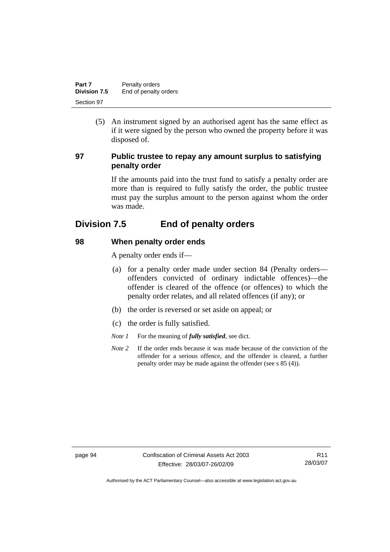| Part 7       | Penalty orders        |
|--------------|-----------------------|
| Division 7.5 | End of penalty orders |
| Section 97   |                       |

 (5) An instrument signed by an authorised agent has the same effect as if it were signed by the person who owned the property before it was disposed of.

#### **97 Public trustee to repay any amount surplus to satisfying penalty order**

If the amounts paid into the trust fund to satisfy a penalty order are more than is required to fully satisfy the order, the public trustee must pay the surplus amount to the person against whom the order was made.

## **Division 7.5 End of penalty orders**

#### **98 When penalty order ends**

A penalty order ends if—

- (a) for a penalty order made under section 84 (Penalty orders offenders convicted of ordinary indictable offences)—the offender is cleared of the offence (or offences) to which the penalty order relates, and all related offences (if any); or
- (b) the order is reversed or set aside on appeal; or
- (c) the order is fully satisfied.
- *Note 1* For the meaning of *fully satisfied*, see dict.
- *Note* 2 If the order ends because it was made because of the conviction of the offender for a serious offence, and the offender is cleared, a further penalty order may be made against the offender (see s 85 (4)).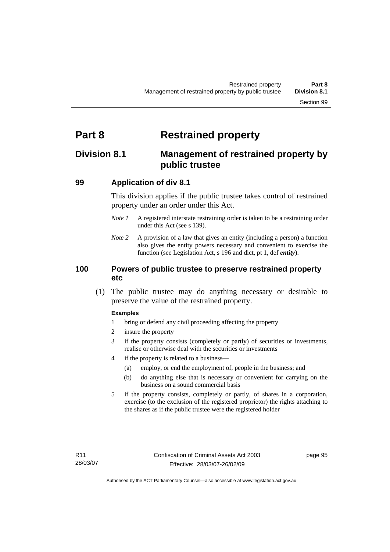# **Part 8 Restrained property**

# **Division 8.1 Management of restrained property by public trustee**

### **99 Application of div 8.1**

This division applies if the public trustee takes control of restrained property under an order under this Act.

- *Note 1* A registered interstate restraining order is taken to be a restraining order under this Act (see s 139).
- *Note 2* A provision of a law that gives an entity (including a person) a function also gives the entity powers necessary and convenient to exercise the function (see Legislation Act, s 196 and dict, pt 1, def *entity*).

### **100 Powers of public trustee to preserve restrained property etc**

 (1) The public trustee may do anything necessary or desirable to preserve the value of the restrained property.

### **Examples**

- 1 bring or defend any civil proceeding affecting the property
- 2 insure the property
- 3 if the property consists (completely or partly) of securities or investments, realise or otherwise deal with the securities or investments
- 4 if the property is related to a business—
	- (a) employ, or end the employment of, people in the business; and
	- (b) do anything else that is necessary or convenient for carrying on the business on a sound commercial basis
- 5 if the property consists, completely or partly, of shares in a corporation, exercise (to the exclusion of the registered proprietor) the rights attaching to the shares as if the public trustee were the registered holder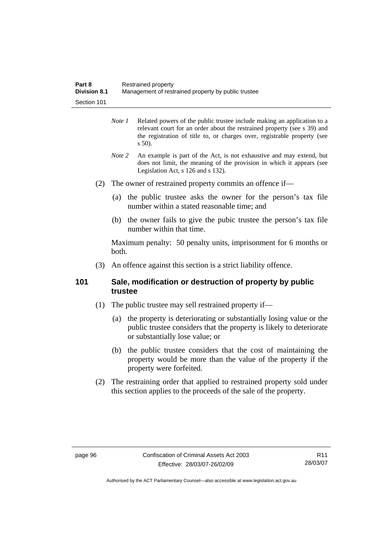| Part 8              | Restrained property                                 |
|---------------------|-----------------------------------------------------|
| <b>Division 8.1</b> | Management of restrained property by public trustee |
| Section 101         |                                                     |

- *Note 1* Related powers of the public trustee include making an application to a relevant court for an order about the restrained property (see s 39) and the registration of title to, or charges over, registrable property (see s 50).
- *Note 2* An example is part of the Act, is not exhaustive and may extend, but does not limit, the meaning of the provision in which it appears (see Legislation Act, s 126 and s 132).
- (2) The owner of restrained property commits an offence if—
	- (a) the public trustee asks the owner for the person's tax file number within a stated reasonable time; and
	- (b) the owner fails to give the pubic trustee the person's tax file number within that time.

Maximum penalty: 50 penalty units, imprisonment for 6 months or both.

(3) An offence against this section is a strict liability offence.

### **101 Sale, modification or destruction of property by public trustee**

- (1) The public trustee may sell restrained property if—
	- (a) the property is deteriorating or substantially losing value or the public trustee considers that the property is likely to deteriorate or substantially lose value; or
	- (b) the public trustee considers that the cost of maintaining the property would be more than the value of the property if the property were forfeited.
- (2) The restraining order that applied to restrained property sold under this section applies to the proceeds of the sale of the property.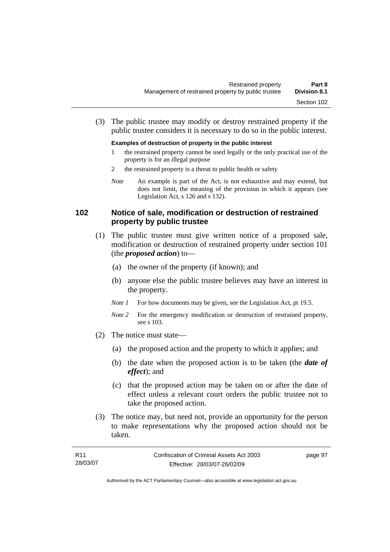(3) The public trustee may modify or destroy restrained property if the public trustee considers it is necessary to do so in the public interest.

#### **Examples of destruction of property in the public interest**

- 1 the restrained property cannot be used legally or the only practical use of the property is for an illegal purpose
- 2 the restrained property is a threat to public health or safety
- *Note* An example is part of the Act, is not exhaustive and may extend, but does not limit, the meaning of the provision in which it appears (see Legislation Act, s 126 and s 132).

### **102 Notice of sale, modification or destruction of restrained property by public trustee**

- (1) The public trustee must give written notice of a proposed sale, modification or destruction of restrained property under section 101 (the *proposed action*) to—
	- (a) the owner of the property (if known); and
	- (b) anyone else the public trustee believes may have an interest in the property.
	- *Note 1* For how documents may be given, see the Legislation Act, pt 19.5.
	- *Note* 2 For the emergency modification or destruction of restrained property, see s 103.
- (2) The notice must state—
	- (a) the proposed action and the property to which it applies; and
	- (b) the date when the proposed action is to be taken (the *date of effect*); and
	- (c) that the proposed action may be taken on or after the date of effect unless a relevant court orders the public trustee not to take the proposed action.
- (3) The notice may, but need not, provide an opportunity for the person to make representations why the proposed action should not be taken.

| R11      | Confiscation of Criminal Assets Act 2003 | page 97 |
|----------|------------------------------------------|---------|
| 28/03/07 | Effective: 28/03/07-26/02/09             |         |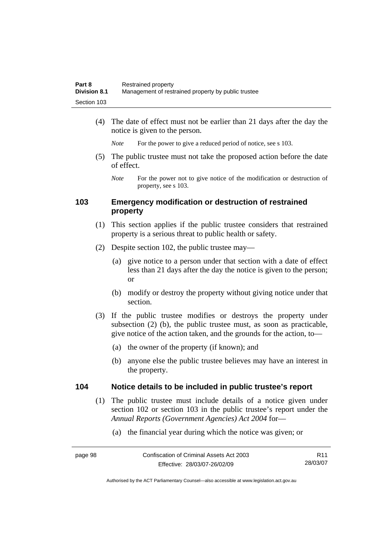| Part 8              | Restrained property                                 |
|---------------------|-----------------------------------------------------|
| <b>Division 8.1</b> | Management of restrained property by public trustee |
| Section 103         |                                                     |

 (4) The date of effect must not be earlier than 21 days after the day the notice is given to the person.

*Note* For the power to give a reduced period of notice, see s 103.

- (5) The public trustee must not take the proposed action before the date of effect.
	- *Note* For the power not to give notice of the modification or destruction of property, see s 103.

### **103 Emergency modification or destruction of restrained property**

- (1) This section applies if the public trustee considers that restrained property is a serious threat to public health or safety.
- (2) Despite section 102, the public trustee may—
	- (a) give notice to a person under that section with a date of effect less than 21 days after the day the notice is given to the person; or
	- (b) modify or destroy the property without giving notice under that section.
- (3) If the public trustee modifies or destroys the property under subsection (2) (b), the public trustee must, as soon as practicable, give notice of the action taken, and the grounds for the action, to—
	- (a) the owner of the property (if known); and
	- (b) anyone else the public trustee believes may have an interest in the property.

### **104 Notice details to be included in public trustee's report**

- (1) The public trustee must include details of a notice given under section 102 or section 103 in the public trustee's report under the *Annual Reports (Government Agencies) Act 2004* for—
	- (a) the financial year during which the notice was given; or

| page 98 | Confiscation of Criminal Assets Act 2003 | R <sub>11</sub> |
|---------|------------------------------------------|-----------------|
|         | Effective: 28/03/07-26/02/09             | 28/03/07        |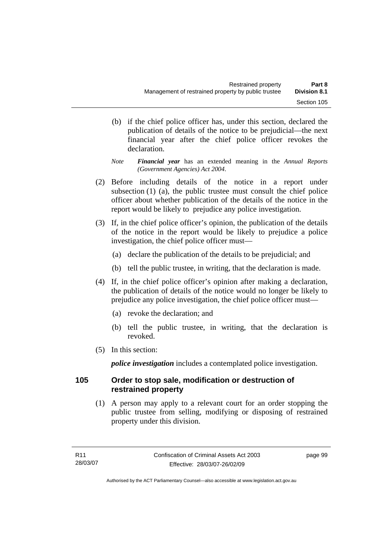(b) if the chief police officer has, under this section, declared the publication of details of the notice to be prejudicial—the next financial year after the chief police officer revokes the declaration.

*Note Financial year* has an extended meaning in the *Annual Reports (Government Agencies) Act 2004*.

- (2) Before including details of the notice in a report under subsection (1) (a), the public trustee must consult the chief police officer about whether publication of the details of the notice in the report would be likely to prejudice any police investigation.
- (3) If, in the chief police officer's opinion, the publication of the details of the notice in the report would be likely to prejudice a police investigation, the chief police officer must—
	- (a) declare the publication of the details to be prejudicial; and
	- (b) tell the public trustee, in writing, that the declaration is made.
- (4) If, in the chief police officer's opinion after making a declaration, the publication of details of the notice would no longer be likely to prejudice any police investigation, the chief police officer must—
	- (a) revoke the declaration; and
	- (b) tell the public trustee, in writing, that the declaration is revoked.
- (5) In this section:

*police investigation* includes a contemplated police investigation.

## **105 Order to stop sale, modification or destruction of restrained property**

 (1) A person may apply to a relevant court for an order stopping the public trustee from selling, modifying or disposing of restrained property under this division.

page 99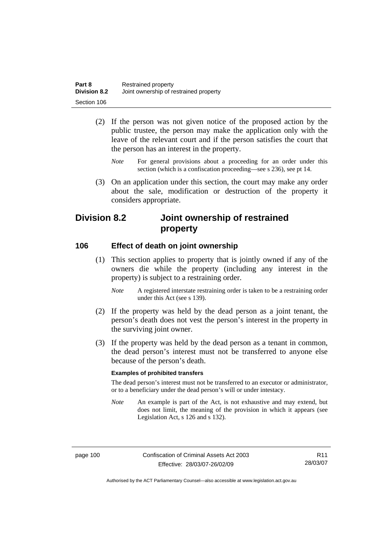| Part 8              | Restrained property                    |
|---------------------|----------------------------------------|
| <b>Division 8.2</b> | Joint ownership of restrained property |
| Section 106         |                                        |

- (2) If the person was not given notice of the proposed action by the public trustee, the person may make the application only with the leave of the relevant court and if the person satisfies the court that the person has an interest in the property.
	- *Note* For general provisions about a proceeding for an order under this section (which is a confiscation proceeding—see s 236), see pt 14.
- (3) On an application under this section, the court may make any order about the sale, modification or destruction of the property it considers appropriate.

## **Division 8.2 Joint ownership of restrained property**

### **106 Effect of death on joint ownership**

- (1) This section applies to property that is jointly owned if any of the owners die while the property (including any interest in the property) is subject to a restraining order.
	- *Note* A registered interstate restraining order is taken to be a restraining order under this Act (see s 139).
- (2) If the property was held by the dead person as a joint tenant, the person's death does not vest the person's interest in the property in the surviving joint owner.
- (3) If the property was held by the dead person as a tenant in common, the dead person's interest must not be transferred to anyone else because of the person's death.

### **Examples of prohibited transfers**

The dead person's interest must not be transferred to an executor or administrator, or to a beneficiary under the dead person's will or under intestacy.

*Note* An example is part of the Act, is not exhaustive and may extend, but does not limit, the meaning of the provision in which it appears (see Legislation Act, s 126 and s 132).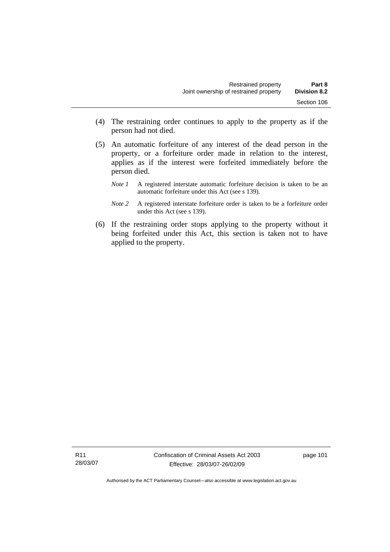- (4) The restraining order continues to apply to the property as if the person had not died.
- (5) An automatic forfeiture of any interest of the dead person in the property, or a forfeiture order made in relation to the interest, applies as if the interest were forfeited immediately before the person died.
	- *Note 1* A registered interstate automatic forfeiture decision is taken to be an automatic forfeiture under this Act (see s 139).
	- *Note 2* A registered interstate forfeiture order is taken to be a forfeiture order under this Act (see s 139).
- (6) If the restraining order stops applying to the property without it being forfeited under this Act, this section is taken not to have applied to the property.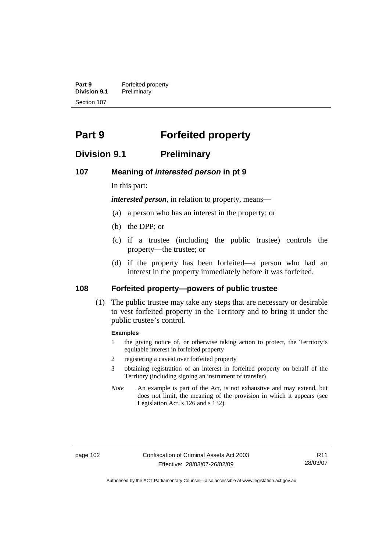**Part 9 Forfeited property**<br>**Division 9.1 Preliminary Division 9.1** Preliminary Section 107

# **Part 9 Forfeited property**

## **Division 9.1 Preliminary**

### **107 Meaning of** *interested person* **in pt 9**

In this part:

*interested person*, in relation to property, means—

- (a) a person who has an interest in the property; or
- (b) the DPP; or
- (c) if a trustee (including the public trustee) controls the property—the trustee; or
- (d) if the property has been forfeited—a person who had an interest in the property immediately before it was forfeited.

### **108 Forfeited property—powers of public trustee**

 (1) The public trustee may take any steps that are necessary or desirable to vest forfeited property in the Territory and to bring it under the public trustee's control.

### **Examples**

- 1 the giving notice of, or otherwise taking action to protect, the Territory's equitable interest in forfeited property
- 2 registering a caveat over forfeited property
- 3 obtaining registration of an interest in forfeited property on behalf of the Territory (including signing an instrument of transfer)
- *Note* An example is part of the Act, is not exhaustive and may extend, but does not limit, the meaning of the provision in which it appears (see Legislation Act, s 126 and s 132).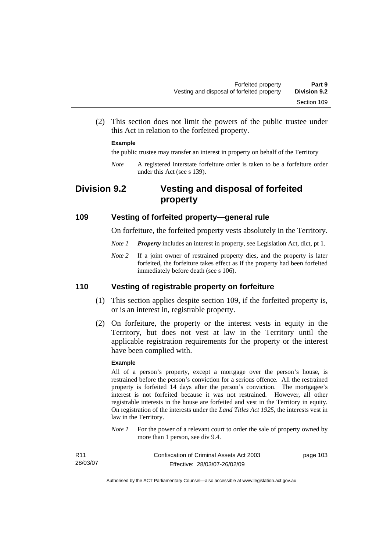(2) This section does not limit the powers of the public trustee under this Act in relation to the forfeited property.

### **Example**

the public trustee may transfer an interest in property on behalf of the Territory

*Note* A registered interstate forfeiture order is taken to be a forfeiture order under this Act (see s 139).

## **Division 9.2 Vesting and disposal of forfeited property**

### **109 Vesting of forfeited property—general rule**

On forfeiture, the forfeited property vests absolutely in the Territory.

- *Note 1 Property* includes an interest in property, see Legislation Act, dict, pt 1.
- *Note* 2 If a joint owner of restrained property dies, and the property is later forfeited, the forfeiture takes effect as if the property had been forfeited immediately before death (see s 106).

### **110 Vesting of registrable property on forfeiture**

- (1) This section applies despite section 109, if the forfeited property is, or is an interest in, registrable property.
- (2) On forfeiture, the property or the interest vests in equity in the Territory, but does not vest at law in the Territory until the applicable registration requirements for the property or the interest have been complied with.

#### **Example**

All of a person's property, except a mortgage over the person's house, is restrained before the person's conviction for a serious offence. All the restrained property is forfeited 14 days after the person's conviction. The mortgagee's interest is not forfeited because it was not restrained. However, all other registrable interests in the house are forfeited and vest in the Territory in equity. On registration of the interests under the *Land Titles Act 1925*, the interests vest in law in the Territory.

*Note 1* For the power of a relevant court to order the sale of property owned by more than 1 person, see div 9.4.

| R <sub>11</sub> | Confiscation of Criminal Assets Act 2003 | page 103 |
|-----------------|------------------------------------------|----------|
| 28/03/07        | Effective: 28/03/07-26/02/09             |          |
|                 |                                          |          |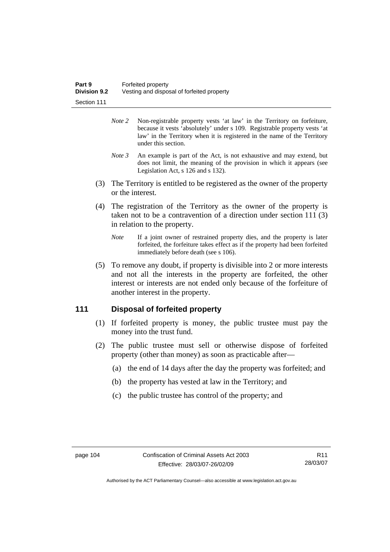- *Note 2* Non-registrable property vests 'at law' in the Territory on forfeiture, because it vests 'absolutely' under s 109. Registrable property vests 'at law' in the Territory when it is registered in the name of the Territory under this section.
- *Note 3* An example is part of the Act, is not exhaustive and may extend, but does not limit, the meaning of the provision in which it appears (see Legislation Act, s 126 and s 132).
- (3) The Territory is entitled to be registered as the owner of the property or the interest.
- (4) The registration of the Territory as the owner of the property is taken not to be a contravention of a direction under section 111 (3) in relation to the property.
	- *Note* If a joint owner of restrained property dies, and the property is later forfeited, the forfeiture takes effect as if the property had been forfeited immediately before death (see s 106).
- (5) To remove any doubt, if property is divisible into 2 or more interests and not all the interests in the property are forfeited, the other interest or interests are not ended only because of the forfeiture of another interest in the property.

## **111 Disposal of forfeited property**

- (1) If forfeited property is money, the public trustee must pay the money into the trust fund.
- (2) The public trustee must sell or otherwise dispose of forfeited property (other than money) as soon as practicable after—
	- (a) the end of 14 days after the day the property was forfeited; and
	- (b) the property has vested at law in the Territory; and
	- (c) the public trustee has control of the property; and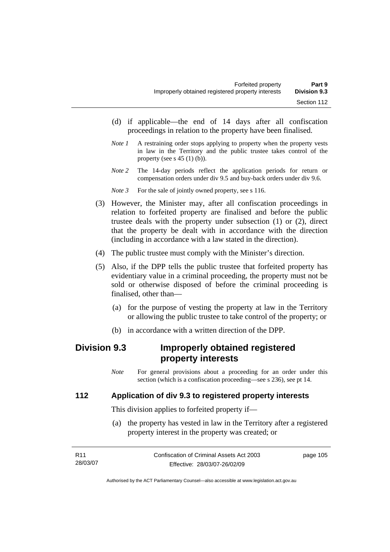- (d) if applicable—the end of 14 days after all confiscation proceedings in relation to the property have been finalised.
- *Note 1* A restraining order stops applying to property when the property vests in law in the Territory and the public trustee takes control of the property (see s  $45(1)(b)$ ).
- *Note 2* The 14-day periods reflect the application periods for return or compensation orders under div 9.5 and buy-back orders under div 9.6.
- *Note 3* For the sale of jointly owned property, see s 116.
- (3) However, the Minister may, after all confiscation proceedings in relation to forfeited property are finalised and before the public trustee deals with the property under subsection (1) or (2), direct that the property be dealt with in accordance with the direction (including in accordance with a law stated in the direction).
- (4) The public trustee must comply with the Minister's direction.
- (5) Also, if the DPP tells the public trustee that forfeited property has evidentiary value in a criminal proceeding, the property must not be sold or otherwise disposed of before the criminal proceeding is finalised, other than—
	- (a) for the purpose of vesting the property at law in the Territory or allowing the public trustee to take control of the property; or
	- (b) in accordance with a written direction of the DPP.

# **Division 9.3 Improperly obtained registered property interests**

*Note* For general provisions about a proceeding for an order under this section (which is a confiscation proceeding—see s 236), see pt 14.

## **112 Application of div 9.3 to registered property interests**

This division applies to forfeited property if—

 (a) the property has vested in law in the Territory after a registered property interest in the property was created; or

| R11      | Confiscation of Criminal Assets Act 2003 | page 105 |
|----------|------------------------------------------|----------|
| 28/03/07 | Effective: 28/03/07-26/02/09             |          |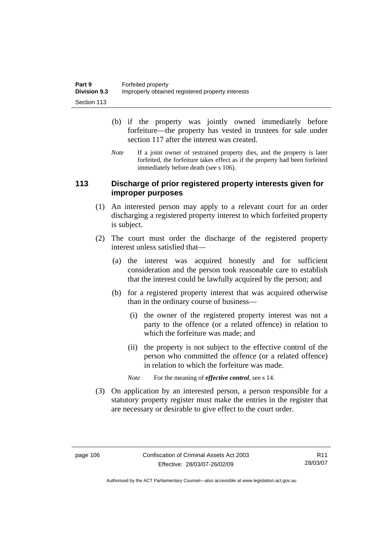- (b) if the property was jointly owned immediately before forfeiture—the property has vested in trustees for sale under section 117 after the interest was created.
- *Note* If a joint owner of restrained property dies, and the property is later forfeited, the forfeiture takes effect as if the property had been forfeited immediately before death (see s 106).

### **113 Discharge of prior registered property interests given for improper purposes**

- (1) An interested person may apply to a relevant court for an order discharging a registered property interest to which forfeited property is subject.
- (2) The court must order the discharge of the registered property interest unless satisfied that—
	- (a) the interest was acquired honestly and for sufficient consideration and the person took reasonable care to establish that the interest could be lawfully acquired by the person; and
	- (b) for a registered property interest that was acquired otherwise than in the ordinary course of business—
		- (i) the owner of the registered property interest was not a party to the offence (or a related offence) in relation to which the forfeiture was made; and
		- (ii) the property is not subject to the effective control of the person who committed the offence (or a related offence) in relation to which the forfeiture was made.
		- *Note* For the meaning of *effective control*, see s 14.
- (3) On application by an interested person, a person responsible for a statutory property register must make the entries in the register that are necessary or desirable to give effect to the court order.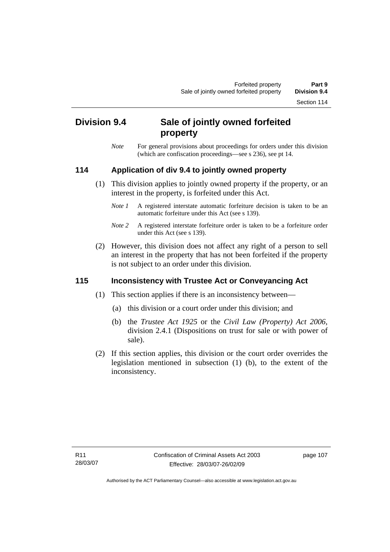Section 114

# **Division 9.4 Sale of jointly owned forfeited property**

*Note* For general provisions about proceedings for orders under this division (which are confiscation proceedings—see s 236), see pt 14.

## **114 Application of div 9.4 to jointly owned property**

- (1) This division applies to jointly owned property if the property, or an interest in the property, is forfeited under this Act.
	- *Note 1* A registered interstate automatic forfeiture decision is taken to be an automatic forfeiture under this Act (see s 139).
	- *Note 2* A registered interstate forfeiture order is taken to be a forfeiture order under this Act (see s 139).
- (2) However, this division does not affect any right of a person to sell an interest in the property that has not been forfeited if the property is not subject to an order under this division.

## **115 Inconsistency with Trustee Act or Conveyancing Act**

- (1) This section applies if there is an inconsistency between—
	- (a) this division or a court order under this division; and
	- (b) the *Trustee Act 1925* or the *Civil Law (Property) Act 2006*, division 2.4.1 (Dispositions on trust for sale or with power of sale).
- (2) If this section applies, this division or the court order overrides the legislation mentioned in subsection (1) (b), to the extent of the inconsistency.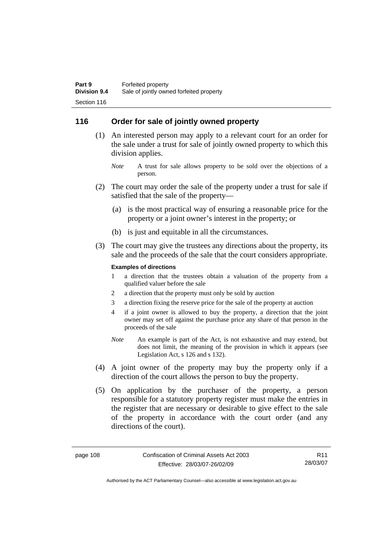## **116 Order for sale of jointly owned property**

- (1) An interested person may apply to a relevant court for an order for the sale under a trust for sale of jointly owned property to which this division applies.
	- *Note* A trust for sale allows property to be sold over the objections of a person.
- (2) The court may order the sale of the property under a trust for sale if satisfied that the sale of the property—
	- (a) is the most practical way of ensuring a reasonable price for the property or a joint owner's interest in the property; or
	- (b) is just and equitable in all the circumstances.
- (3) The court may give the trustees any directions about the property, its sale and the proceeds of the sale that the court considers appropriate.

### **Examples of directions**

- 1 a direction that the trustees obtain a valuation of the property from a qualified valuer before the sale
- 2 a direction that the property must only be sold by auction
- 3 a direction fixing the reserve price for the sale of the property at auction
- 4 if a joint owner is allowed to buy the property, a direction that the joint owner may set off against the purchase price any share of that person in the proceeds of the sale
- *Note* An example is part of the Act, is not exhaustive and may extend, but does not limit, the meaning of the provision in which it appears (see Legislation Act, s 126 and s 132).
- (4) A joint owner of the property may buy the property only if a direction of the court allows the person to buy the property.
- (5) On application by the purchaser of the property, a person responsible for a statutory property register must make the entries in the register that are necessary or desirable to give effect to the sale of the property in accordance with the court order (and any directions of the court).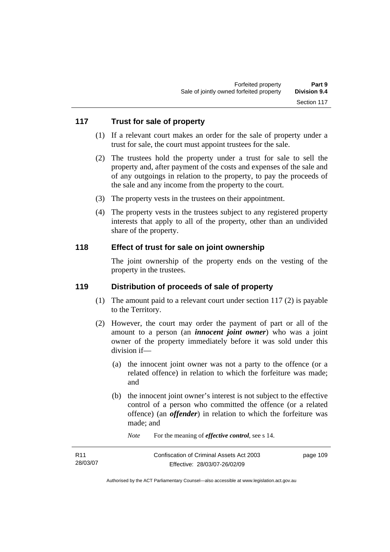## **117 Trust for sale of property**

- (1) If a relevant court makes an order for the sale of property under a trust for sale, the court must appoint trustees for the sale.
- (2) The trustees hold the property under a trust for sale to sell the property and, after payment of the costs and expenses of the sale and of any outgoings in relation to the property, to pay the proceeds of the sale and any income from the property to the court.
- (3) The property vests in the trustees on their appointment.
- (4) The property vests in the trustees subject to any registered property interests that apply to all of the property, other than an undivided share of the property.

### **118 Effect of trust for sale on joint ownership**

The joint ownership of the property ends on the vesting of the property in the trustees.

## **119 Distribution of proceeds of sale of property**

- (1) The amount paid to a relevant court under section 117 (2) is payable to the Territory.
- (2) However, the court may order the payment of part or all of the amount to a person (an *innocent joint owner*) who was a joint owner of the property immediately before it was sold under this division if—
	- (a) the innocent joint owner was not a party to the offence (or a related offence) in relation to which the forfeiture was made; and
	- (b) the innocent joint owner's interest is not subject to the effective control of a person who committed the offence (or a related offence) (an *offender*) in relation to which the forfeiture was made; and
		- *Note* For the meaning of *effective control*, see s 14.

| R <sub>11</sub> | Confiscation of Criminal Assets Act 2003 | page 109 |
|-----------------|------------------------------------------|----------|
| 28/03/07        | Effective: 28/03/07-26/02/09             |          |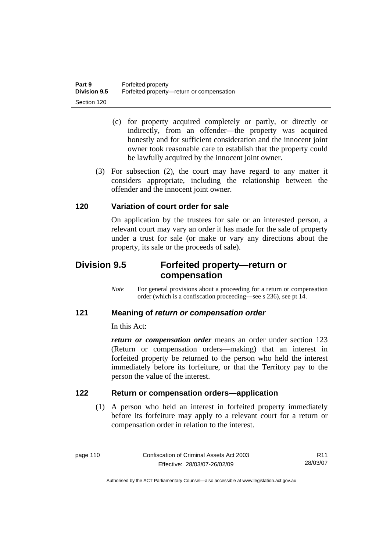- (c) for property acquired completely or partly, or directly or indirectly, from an offender—the property was acquired honestly and for sufficient consideration and the innocent joint owner took reasonable care to establish that the property could be lawfully acquired by the innocent joint owner.
- (3) For subsection (2), the court may have regard to any matter it considers appropriate, including the relationship between the offender and the innocent joint owner.

### **120 Variation of court order for sale**

On application by the trustees for sale or an interested person, a relevant court may vary an order it has made for the sale of property under a trust for sale (or make or vary any directions about the property, its sale or the proceeds of sale).

# **Division 9.5 Forfeited property—return or compensation**

*Note* For general provisions about a proceeding for a return or compensation order (which is a confiscation proceeding—see s 236), see pt 14.

## **121 Meaning of** *return or compensation order*

In this Act:

*return or compensation order* means an order under section 123 (Return or compensation orders—making) that an interest in forfeited property be returned to the person who held the interest immediately before its forfeiture, or that the Territory pay to the person the value of the interest.

## **122 Return or compensation orders—application**

 (1) A person who held an interest in forfeited property immediately before its forfeiture may apply to a relevant court for a return or compensation order in relation to the interest.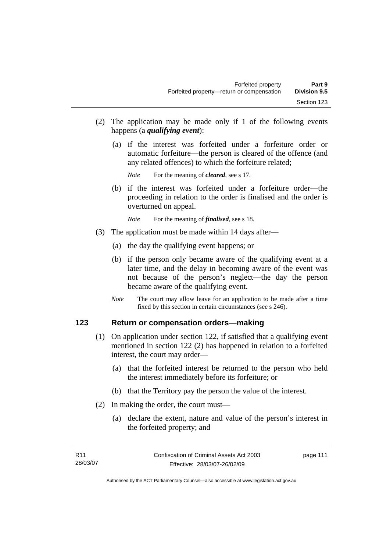- (2) The application may be made only if 1 of the following events happens (a *qualifying event*):
	- (a) if the interest was forfeited under a forfeiture order or automatic forfeiture—the person is cleared of the offence (and any related offences) to which the forfeiture related;

*Note* For the meaning of *cleared*, see s 17.

- (b) if the interest was forfeited under a forfeiture order—the proceeding in relation to the order is finalised and the order is overturned on appeal.
	- *Note* For the meaning of *finalised*, see s 18.
- (3) The application must be made within 14 days after—
	- (a) the day the qualifying event happens; or
	- (b) if the person only became aware of the qualifying event at a later time, and the delay in becoming aware of the event was not because of the person's neglect—the day the person became aware of the qualifying event.
	- *Note* The court may allow leave for an application to be made after a time fixed by this section in certain circumstances (see s 246).

### **123 Return or compensation orders—making**

- (1) On application under section 122, if satisfied that a qualifying event mentioned in section 122 (2) has happened in relation to a forfeited interest, the court may order—
	- (a) that the forfeited interest be returned to the person who held the interest immediately before its forfeiture; or
	- (b) that the Territory pay the person the value of the interest.
- (2) In making the order, the court must—
	- (a) declare the extent, nature and value of the person's interest in the forfeited property; and

page 111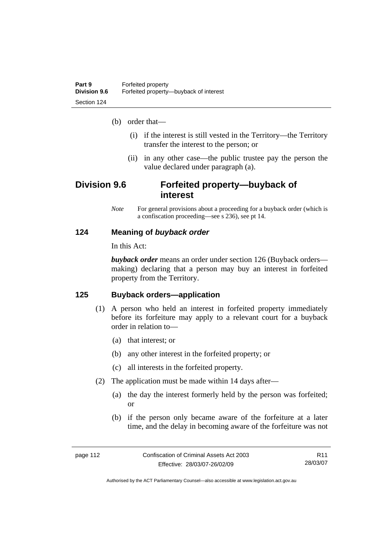(b) order that—

- (i) if the interest is still vested in the Territory—the Territory transfer the interest to the person; or
- (ii) in any other case—the public trustee pay the person the value declared under paragraph (a).

## **Division 9.6 Forfeited property—buyback of interest**

*Note* For general provisions about a proceeding for a buyback order (which is a confiscation proceeding—see s 236), see pt 14.

### **124 Meaning of** *buyback order*

In this Act:

*buyback order* means an order under section 126 (Buyback orders making) declaring that a person may buy an interest in forfeited property from the Territory.

### **125 Buyback orders—application**

- (1) A person who held an interest in forfeited property immediately before its forfeiture may apply to a relevant court for a buyback order in relation to—
	- (a) that interest; or
	- (b) any other interest in the forfeited property; or
	- (c) all interests in the forfeited property.
- (2) The application must be made within 14 days after—
	- (a) the day the interest formerly held by the person was forfeited; or
	- (b) if the person only became aware of the forfeiture at a later time, and the delay in becoming aware of the forfeiture was not

R11 28/03/07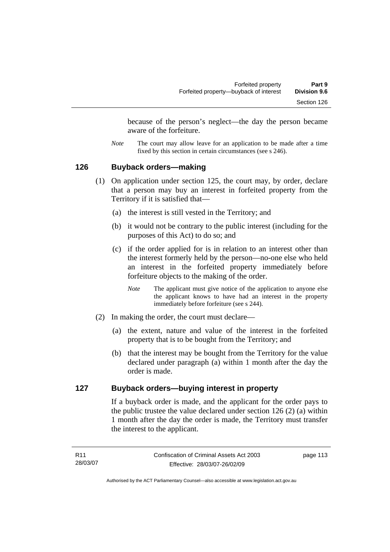because of the person's neglect—the day the person became aware of the forfeiture.

*Note* The court may allow leave for an application to be made after a time fixed by this section in certain circumstances (see s 246).

### **126 Buyback orders—making**

- (1) On application under section 125, the court may, by order, declare that a person may buy an interest in forfeited property from the Territory if it is satisfied that—
	- (a) the interest is still vested in the Territory; and
	- (b) it would not be contrary to the public interest (including for the purposes of this Act) to do so; and
	- (c) if the order applied for is in relation to an interest other than the interest formerly held by the person—no-one else who held an interest in the forfeited property immediately before forfeiture objects to the making of the order.
		- *Note* The applicant must give notice of the application to anyone else the applicant knows to have had an interest in the property immediately before forfeiture (see s 244).
- (2) In making the order, the court must declare—
	- (a) the extent, nature and value of the interest in the forfeited property that is to be bought from the Territory; and
	- (b) that the interest may be bought from the Territory for the value declared under paragraph (a) within 1 month after the day the order is made.

## **127 Buyback orders—buying interest in property**

If a buyback order is made, and the applicant for the order pays to the public trustee the value declared under section 126 (2) (a) within 1 month after the day the order is made, the Territory must transfer the interest to the applicant.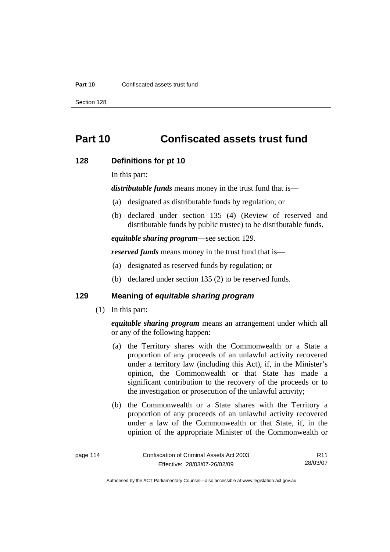#### **Part 10** Confiscated assets trust fund

Section 128

# **Part 10 Confiscated assets trust fund**

### **128 Definitions for pt 10**

In this part:

*distributable funds* means money in the trust fund that is—

- (a) designated as distributable funds by regulation; or
- (b) declared under section 135 (4) (Review of reserved and distributable funds by public trustee) to be distributable funds.

*equitable sharing program*—see section 129.

*reserved funds* means money in the trust fund that is—

- (a) designated as reserved funds by regulation; or
- (b) declared under section 135 (2) to be reserved funds.

### **129 Meaning of** *equitable sharing program*

(1) In this part:

*equitable sharing program* means an arrangement under which all or any of the following happen:

- (a) the Territory shares with the Commonwealth or a State a proportion of any proceeds of an unlawful activity recovered under a territory law (including this Act), if, in the Minister's opinion, the Commonwealth or that State has made a significant contribution to the recovery of the proceeds or to the investigation or prosecution of the unlawful activity;
- (b) the Commonwealth or a State shares with the Territory a proportion of any proceeds of an unlawful activity recovered under a law of the Commonwealth or that State, if, in the opinion of the appropriate Minister of the Commonwealth or

| page 114 | Confiscation of Criminal Assets Act 2003 | R <sub>11</sub> |
|----------|------------------------------------------|-----------------|
|          | Effective: 28/03/07-26/02/09             | 28/03/07        |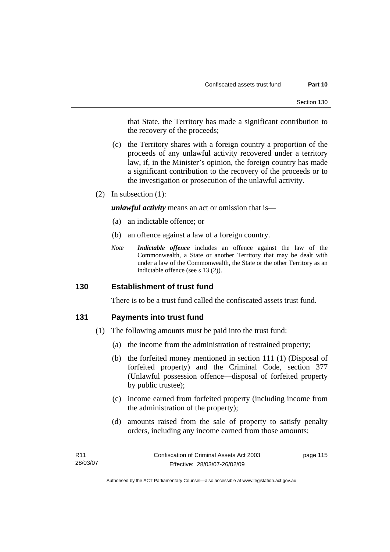that State, the Territory has made a significant contribution to the recovery of the proceeds;

- (c) the Territory shares with a foreign country a proportion of the proceeds of any unlawful activity recovered under a territory law, if, in the Minister's opinion, the foreign country has made a significant contribution to the recovery of the proceeds or to the investigation or prosecution of the unlawful activity.
- (2) In subsection (1):

*unlawful activity* means an act or omission that is—

- (a) an indictable offence; or
- (b) an offence against a law of a foreign country.
- *Note Indictable offence* includes an offence against the law of the Commonwealth, a State or another Territory that may be dealt with under a law of the Commonwealth, the State or the other Territory as an indictable offence (see s 13 (2)).

### **130 Establishment of trust fund**

There is to be a trust fund called the confiscated assets trust fund.

### **131 Payments into trust fund**

- (1) The following amounts must be paid into the trust fund:
	- (a) the income from the administration of restrained property;
	- (b) the forfeited money mentioned in section 111 (1) (Disposal of forfeited property) and the Criminal Code, section 377 (Unlawful possession offence—disposal of forfeited property by public trustee);
	- (c) income earned from forfeited property (including income from the administration of the property);
	- (d) amounts raised from the sale of property to satisfy penalty orders, including any income earned from those amounts;

| R11      | Confiscation of Criminal Assets Act 2003 | page 115 |
|----------|------------------------------------------|----------|
| 28/03/07 | Effective: 28/03/07-26/02/09             |          |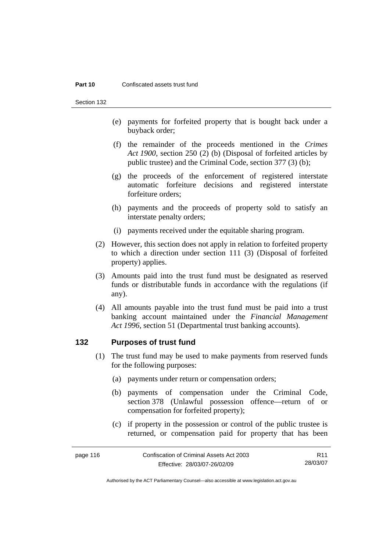#### **Part 10** Confiscated assets trust fund

Section 132

- (e) payments for forfeited property that is bought back under a buyback order;
- (f) the remainder of the proceeds mentioned in the *Crimes Act 1900*, section 250 (2) (b) (Disposal of forfeited articles by public trustee) and the Criminal Code, section 377 (3) (b);
- (g) the proceeds of the enforcement of registered interstate automatic forfeiture decisions and registered interstate forfeiture orders;
- (h) payments and the proceeds of property sold to satisfy an interstate penalty orders;
- (i) payments received under the equitable sharing program.
- (2) However, this section does not apply in relation to forfeited property to which a direction under section 111 (3) (Disposal of forfeited property) applies.
- (3) Amounts paid into the trust fund must be designated as reserved funds or distributable funds in accordance with the regulations (if any).
- (4) All amounts payable into the trust fund must be paid into a trust banking account maintained under the *Financial Management Act 1996*, section 51 (Departmental trust banking accounts).

### **132 Purposes of trust fund**

- (1) The trust fund may be used to make payments from reserved funds for the following purposes:
	- (a) payments under return or compensation orders;
	- (b) payments of compensation under the Criminal Code, section 378 (Unlawful possession offence—return of or compensation for forfeited property);
	- (c) if property in the possession or control of the public trustee is returned, or compensation paid for property that has been

| page 116 | Confiscation of Criminal Assets Act 2003 | R11      |
|----------|------------------------------------------|----------|
|          | Effective: 28/03/07-26/02/09             | 28/03/07 |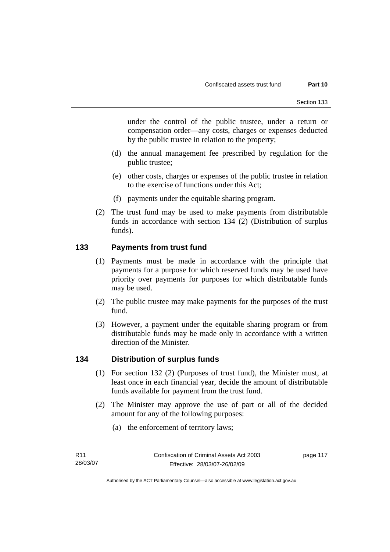under the control of the public trustee, under a return or compensation order—any costs, charges or expenses deducted by the public trustee in relation to the property;

- (d) the annual management fee prescribed by regulation for the public trustee;
- (e) other costs, charges or expenses of the public trustee in relation to the exercise of functions under this Act;
- (f) payments under the equitable sharing program.
- (2) The trust fund may be used to make payments from distributable funds in accordance with section 134 (2) (Distribution of surplus funds).

### **133 Payments from trust fund**

- (1) Payments must be made in accordance with the principle that payments for a purpose for which reserved funds may be used have priority over payments for purposes for which distributable funds may be used.
- (2) The public trustee may make payments for the purposes of the trust fund.
- (3) However, a payment under the equitable sharing program or from distributable funds may be made only in accordance with a written direction of the Minister.

### **134 Distribution of surplus funds**

- (1) For section 132 (2) (Purposes of trust fund), the Minister must, at least once in each financial year, decide the amount of distributable funds available for payment from the trust fund.
- (2) The Minister may approve the use of part or all of the decided amount for any of the following purposes:
	- (a) the enforcement of territory laws;

page 117

Authorised by the ACT Parliamentary Counsel—also accessible at www.legislation.act.gov.au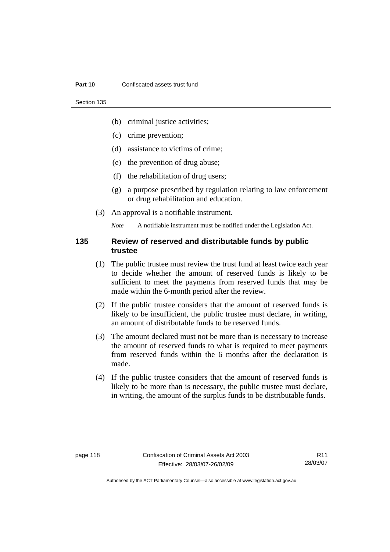#### **Part 10** Confiscated assets trust fund

Section 135

- (b) criminal justice activities;
- (c) crime prevention;
- (d) assistance to victims of crime;
- (e) the prevention of drug abuse;
- (f) the rehabilitation of drug users;
- (g) a purpose prescribed by regulation relating to law enforcement or drug rehabilitation and education.
- (3) An approval is a notifiable instrument.

*Note* A notifiable instrument must be notified under the Legislation Act.

### **135 Review of reserved and distributable funds by public trustee**

- (1) The public trustee must review the trust fund at least twice each year to decide whether the amount of reserved funds is likely to be sufficient to meet the payments from reserved funds that may be made within the 6-month period after the review.
- (2) If the public trustee considers that the amount of reserved funds is likely to be insufficient, the public trustee must declare, in writing, an amount of distributable funds to be reserved funds.
- (3) The amount declared must not be more than is necessary to increase the amount of reserved funds to what is required to meet payments from reserved funds within the 6 months after the declaration is made.
- (4) If the public trustee considers that the amount of reserved funds is likely to be more than is necessary, the public trustee must declare, in writing, the amount of the surplus funds to be distributable funds.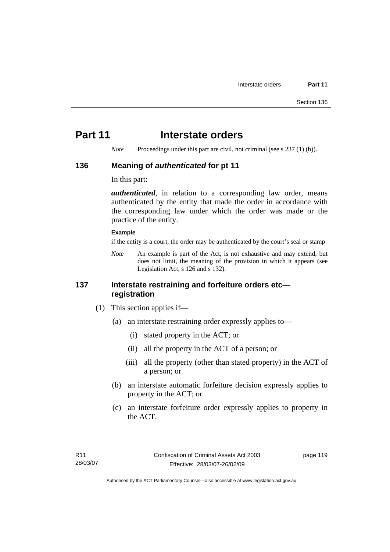# **Part 11** Interstate orders

*Note* Proceedings under this part are civil, not criminal (see s 237 (1) (b)).

### **136 Meaning of** *authenticated* **for pt 11**

In this part:

*authenticated*, in relation to a corresponding law order, means authenticated by the entity that made the order in accordance with the corresponding law under which the order was made or the practice of the entity.

### **Example**

if the entity is a court, the order may be authenticated by the court's seal or stamp

*Note* An example is part of the Act, is not exhaustive and may extend, but does not limit, the meaning of the provision in which it appears (see Legislation Act, s 126 and s 132).

### **137 Interstate restraining and forfeiture orders etc registration**

- (1) This section applies if—
	- (a) an interstate restraining order expressly applies to—
		- (i) stated property in the ACT; or
		- (ii) all the property in the ACT of a person; or
		- (iii) all the property (other than stated property) in the ACT of a person; or
	- (b) an interstate automatic forfeiture decision expressly applies to property in the ACT; or
	- (c) an interstate forfeiture order expressly applies to property in the ACT.

page 119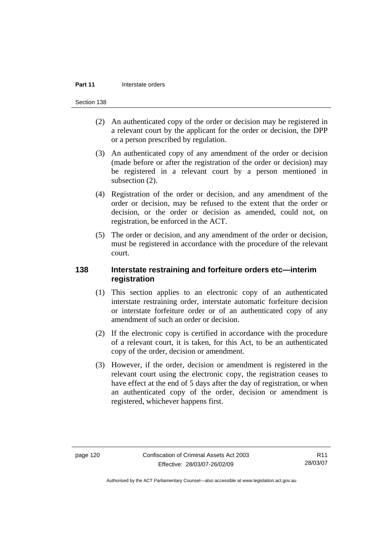#### **Part 11 Interstate orders**

Section 138

- (2) An authenticated copy of the order or decision may be registered in a relevant court by the applicant for the order or decision, the DPP or a person prescribed by regulation.
- (3) An authenticated copy of any amendment of the order or decision (made before or after the registration of the order or decision) may be registered in a relevant court by a person mentioned in subsection (2).
- (4) Registration of the order or decision, and any amendment of the order or decision, may be refused to the extent that the order or decision, or the order or decision as amended, could not, on registration, be enforced in the ACT.
- (5) The order or decision, and any amendment of the order or decision, must be registered in accordance with the procedure of the relevant court.

### **138 Interstate restraining and forfeiture orders etc—interim registration**

- (1) This section applies to an electronic copy of an authenticated interstate restraining order, interstate automatic forfeiture decision or interstate forfeiture order or of an authenticated copy of any amendment of such an order or decision.
- (2) If the electronic copy is certified in accordance with the procedure of a relevant court, it is taken, for this Act, to be an authenticated copy of the order, decision or amendment.
- (3) However, if the order, decision or amendment is registered in the relevant court using the electronic copy, the registration ceases to have effect at the end of 5 days after the day of registration, or when an authenticated copy of the order, decision or amendment is registered, whichever happens first.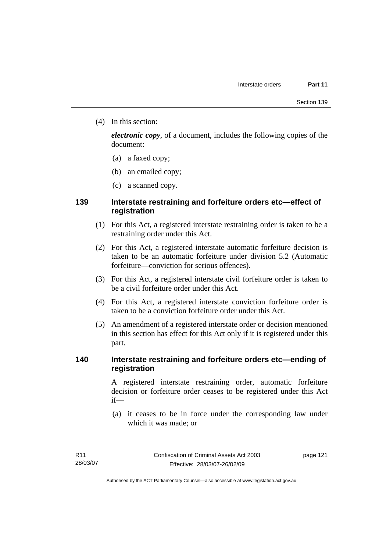(4) In this section:

*electronic copy*, of a document, includes the following copies of the document:

- (a) a faxed copy;
- (b) an emailed copy;
- (c) a scanned copy.

### **139 Interstate restraining and forfeiture orders etc—effect of registration**

- (1) For this Act, a registered interstate restraining order is taken to be a restraining order under this Act.
- (2) For this Act, a registered interstate automatic forfeiture decision is taken to be an automatic forfeiture under division 5.2 (Automatic forfeiture—conviction for serious offences).
- (3) For this Act, a registered interstate civil forfeiture order is taken to be a civil forfeiture order under this Act.
- (4) For this Act, a registered interstate conviction forfeiture order is taken to be a conviction forfeiture order under this Act.
- (5) An amendment of a registered interstate order or decision mentioned in this section has effect for this Act only if it is registered under this part.

### **140 Interstate restraining and forfeiture orders etc—ending of registration**

A registered interstate restraining order, automatic forfeiture decision or forfeiture order ceases to be registered under this Act if—

 (a) it ceases to be in force under the corresponding law under which it was made; or

page 121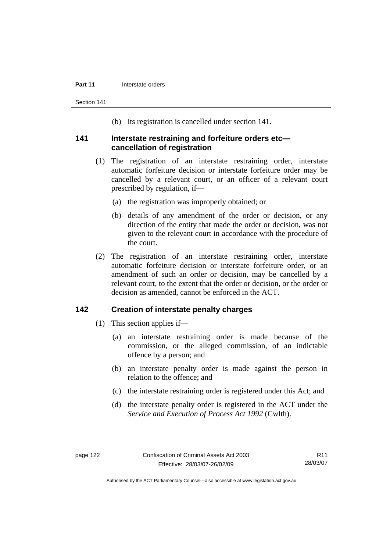#### **Part 11 Interstate orders**

Section 141

(b) its registration is cancelled under section 141.

### **141 Interstate restraining and forfeiture orders etc cancellation of registration**

- (1) The registration of an interstate restraining order, interstate automatic forfeiture decision or interstate forfeiture order may be cancelled by a relevant court, or an officer of a relevant court prescribed by regulation, if—
	- (a) the registration was improperly obtained; or
	- (b) details of any amendment of the order or decision, or any direction of the entity that made the order or decision, was not given to the relevant court in accordance with the procedure of the court.
- (2) The registration of an interstate restraining order, interstate automatic forfeiture decision or interstate forfeiture order, or an amendment of such an order or decision, may be cancelled by a relevant court, to the extent that the order or decision, or the order or decision as amended, cannot be enforced in the ACT.

### **142 Creation of interstate penalty charges**

- (1) This section applies if—
	- (a) an interstate restraining order is made because of the commission, or the alleged commission, of an indictable offence by a person; and
	- (b) an interstate penalty order is made against the person in relation to the offence; and
	- (c) the interstate restraining order is registered under this Act; and
	- (d) the interstate penalty order is registered in the ACT under the *Service and Execution of Process Act 1992* (Cwlth).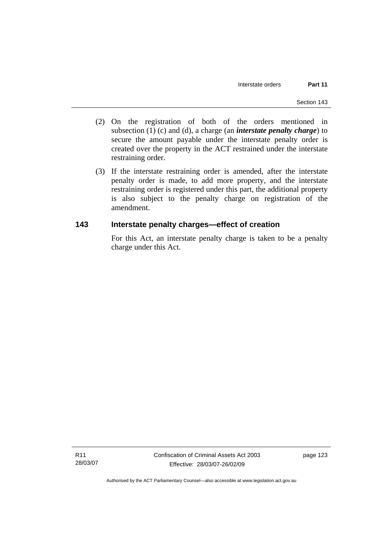- (2) On the registration of both of the orders mentioned in subsection (1) (c) and (d), a charge (an *interstate penalty charge*) to secure the amount payable under the interstate penalty order is created over the property in the ACT restrained under the interstate restraining order.
- (3) If the interstate restraining order is amended, after the interstate penalty order is made, to add more property, and the interstate restraining order is registered under this part, the additional property is also subject to the penalty charge on registration of the amendment.

### **143 Interstate penalty charges—effect of creation**

For this Act, an interstate penalty charge is taken to be a penalty charge under this Act.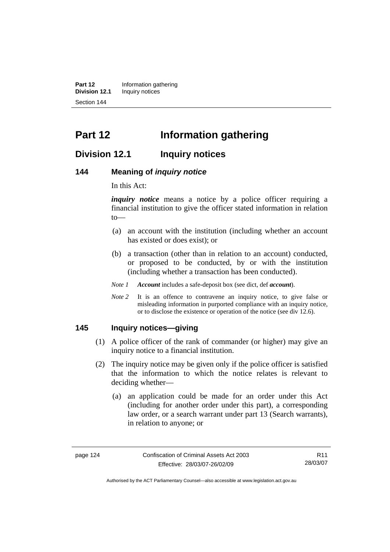**Part 12** Information gathering<br>**Division 12.1** Inquiry notices **Inquiry notices** Section 144

# **Part 12 Information gathering**

## **Division 12.1 Inquiry notices**

### **144 Meaning of** *inquiry notice*

In this Act:

*inquiry notice* means a notice by a police officer requiring a financial institution to give the officer stated information in relation to—

- (a) an account with the institution (including whether an account has existed or does exist); or
- (b) a transaction (other than in relation to an account) conducted, or proposed to be conducted, by or with the institution (including whether a transaction has been conducted).

*Note 1 Account* includes a safe-deposit box (see dict, def *account*).

*Note 2* It is an offence to contravene an inquiry notice, to give false or misleading information in purported compliance with an inquiry notice, or to disclose the existence or operation of the notice (see div 12.6).

### **145 Inquiry notices—giving**

- (1) A police officer of the rank of commander (or higher) may give an inquiry notice to a financial institution.
- (2) The inquiry notice may be given only if the police officer is satisfied that the information to which the notice relates is relevant to deciding whether—
	- (a) an application could be made for an order under this Act (including for another order under this part), a corresponding law order, or a search warrant under part 13 (Search warrants), in relation to anyone; or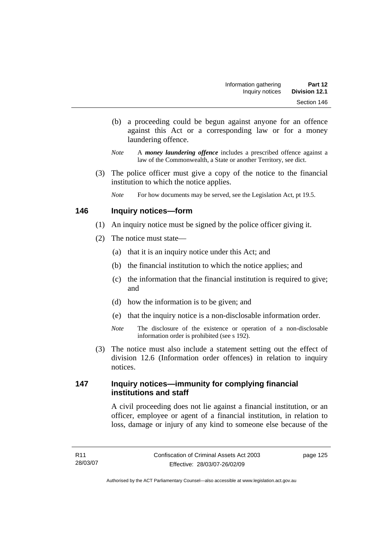- (b) a proceeding could be begun against anyone for an offence against this Act or a corresponding law or for a money laundering offence.
- *Note* A *money laundering offence* includes a prescribed offence against a law of the Commonwealth, a State or another Territory, see dict.
- (3) The police officer must give a copy of the notice to the financial institution to which the notice applies.

*Note* For how documents may be served, see the Legislation Act, pt 19.5.

### **146 Inquiry notices—form**

- (1) An inquiry notice must be signed by the police officer giving it.
- (2) The notice must state—
	- (a) that it is an inquiry notice under this Act; and
	- (b) the financial institution to which the notice applies; and
	- (c) the information that the financial institution is required to give; and
	- (d) how the information is to be given; and
	- (e) that the inquiry notice is a non-disclosable information order.
	- *Note* The disclosure of the existence or operation of a non-disclosable information order is prohibited (see s 192).
- (3) The notice must also include a statement setting out the effect of division 12.6 (Information order offences) in relation to inquiry notices.

### **147 Inquiry notices—immunity for complying financial institutions and staff**

A civil proceeding does not lie against a financial institution, or an officer, employee or agent of a financial institution, in relation to loss, damage or injury of any kind to someone else because of the

page 125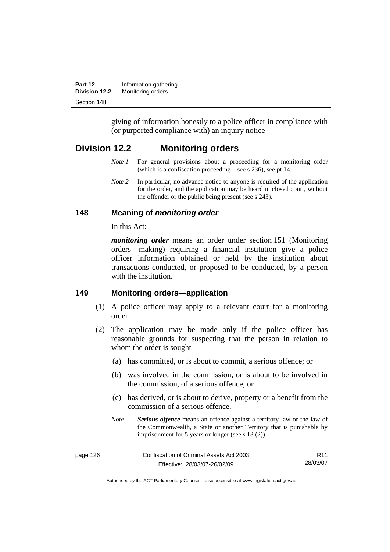| Part 12              | Information gathering |
|----------------------|-----------------------|
| <b>Division 12.2</b> | Monitoring orders     |
| Section 148          |                       |

giving of information honestly to a police officer in compliance with (or purported compliance with) an inquiry notice

# **Division 12.2 Monitoring orders**

- *Note 1* For general provisions about a proceeding for a monitoring order (which is a confiscation proceeding—see s 236), see pt 14.
- *Note 2* In particular, no advance notice to anyone is required of the application for the order, and the application may be heard in closed court, without the offender or the public being present (see s 243).

### **148 Meaning of** *monitoring order*

In this Act:

*monitoring order* means an order under section 151 (Monitoring orders—making) requiring a financial institution give a police officer information obtained or held by the institution about transactions conducted, or proposed to be conducted, by a person with the institution.

### **149 Monitoring orders—application**

- (1) A police officer may apply to a relevant court for a monitoring order.
- (2) The application may be made only if the police officer has reasonable grounds for suspecting that the person in relation to whom the order is sought—
	- (a) has committed, or is about to commit, a serious offence; or
	- (b) was involved in the commission, or is about to be involved in the commission, of a serious offence; or
	- (c) has derived, or is about to derive, property or a benefit from the commission of a serious offence.
	- *Note Serious offence* means an offence against a territory law or the law of the Commonwealth, a State or another Territory that is punishable by imprisonment for 5 years or longer (see s 13 (2)).

| page 126 | Confiscation of Criminal Assets Act 2003 | R11      |
|----------|------------------------------------------|----------|
|          | Effective: 28/03/07-26/02/09             | 28/03/07 |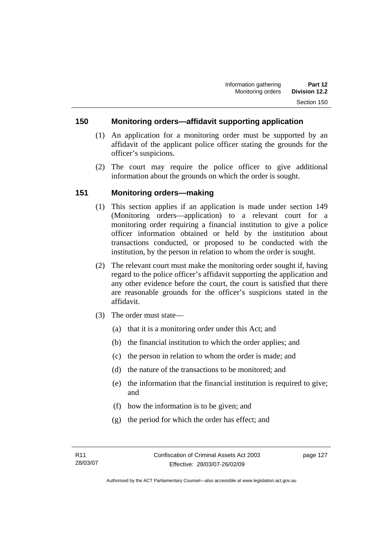### **150 Monitoring orders—affidavit supporting application**

- (1) An application for a monitoring order must be supported by an affidavit of the applicant police officer stating the grounds for the officer's suspicions.
- (2) The court may require the police officer to give additional information about the grounds on which the order is sought.

### **151 Monitoring orders—making**

- (1) This section applies if an application is made under section 149 (Monitoring orders—application) to a relevant court for a monitoring order requiring a financial institution to give a police officer information obtained or held by the institution about transactions conducted, or proposed to be conducted with the institution, by the person in relation to whom the order is sought.
- (2) The relevant court must make the monitoring order sought if, having regard to the police officer's affidavit supporting the application and any other evidence before the court, the court is satisfied that there are reasonable grounds for the officer's suspicions stated in the affidavit.
- (3) The order must state—
	- (a) that it is a monitoring order under this Act; and
	- (b) the financial institution to which the order applies; and
	- (c) the person in relation to whom the order is made; and
	- (d) the nature of the transactions to be monitored; and
	- (e) the information that the financial institution is required to give; and
	- (f) how the information is to be given; and
	- (g) the period for which the order has effect; and

page 127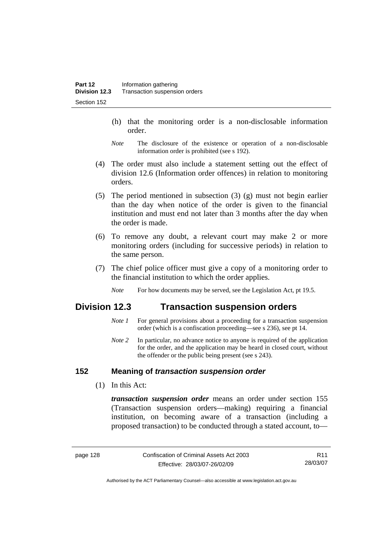- (h) that the monitoring order is a non-disclosable information order.
- *Note* The disclosure of the existence or operation of a non-disclosable information order is prohibited (see s 192).
- (4) The order must also include a statement setting out the effect of division 12.6 (Information order offences) in relation to monitoring orders.
- (5) The period mentioned in subsection (3) (g) must not begin earlier than the day when notice of the order is given to the financial institution and must end not later than 3 months after the day when the order is made.
- (6) To remove any doubt, a relevant court may make 2 or more monitoring orders (including for successive periods) in relation to the same person.
- (7) The chief police officer must give a copy of a monitoring order to the financial institution to which the order applies.
	- *Note* For how documents may be served, see the Legislation Act, pt 19.5.

## **Division 12.3 Transaction suspension orders**

- *Note 1* For general provisions about a proceeding for a transaction suspension order (which is a confiscation proceeding—see s 236), see pt 14.
- *Note 2* In particular, no advance notice to anyone is required of the application for the order, and the application may be heard in closed court, without the offender or the public being present (see s 243).

### **152 Meaning of** *transaction suspension order*

(1) In this Act:

*transaction suspension order* means an order under section 155 (Transaction suspension orders—making) requiring a financial institution, on becoming aware of a transaction (including a proposed transaction) to be conducted through a stated account, to—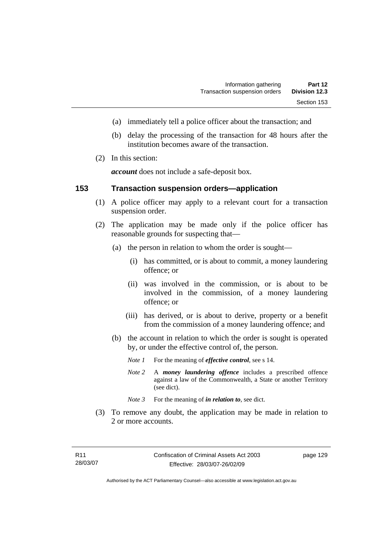- (a) immediately tell a police officer about the transaction; and
- (b) delay the processing of the transaction for 48 hours after the institution becomes aware of the transaction.
- (2) In this section:

*account* does not include a safe-deposit box.

### **153 Transaction suspension orders—application**

- (1) A police officer may apply to a relevant court for a transaction suspension order.
- (2) The application may be made only if the police officer has reasonable grounds for suspecting that—
	- (a) the person in relation to whom the order is sought—
		- (i) has committed, or is about to commit, a money laundering offence; or
		- (ii) was involved in the commission, or is about to be involved in the commission, of a money laundering offence; or
		- (iii) has derived, or is about to derive, property or a benefit from the commission of a money laundering offence; and
	- (b) the account in relation to which the order is sought is operated by, or under the effective control of, the person.
		- *Note 1* For the meaning of *effective control*, see s 14.
		- *Note 2* A *money laundering offence* includes a prescribed offence against a law of the Commonwealth, a State or another Territory (see dict).
		- *Note* 3 For the meaning of *in relation to*, see dict.
- (3) To remove any doubt, the application may be made in relation to 2 or more accounts.

page 129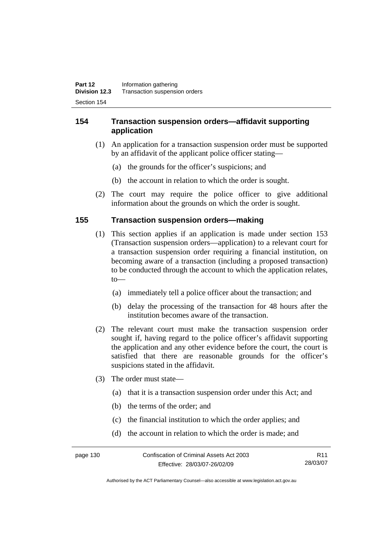## **154 Transaction suspension orders—affidavit supporting application**

- (1) An application for a transaction suspension order must be supported by an affidavit of the applicant police officer stating—
	- (a) the grounds for the officer's suspicions; and
	- (b) the account in relation to which the order is sought.
- (2) The court may require the police officer to give additional information about the grounds on which the order is sought.

### **155 Transaction suspension orders—making**

- (1) This section applies if an application is made under section 153 (Transaction suspension orders—application) to a relevant court for a transaction suspension order requiring a financial institution, on becoming aware of a transaction (including a proposed transaction) to be conducted through the account to which the application relates, to—
	- (a) immediately tell a police officer about the transaction; and
	- (b) delay the processing of the transaction for 48 hours after the institution becomes aware of the transaction.
- (2) The relevant court must make the transaction suspension order sought if, having regard to the police officer's affidavit supporting the application and any other evidence before the court, the court is satisfied that there are reasonable grounds for the officer's suspicions stated in the affidavit.
- (3) The order must state—
	- (a) that it is a transaction suspension order under this Act; and
	- (b) the terms of the order; and
	- (c) the financial institution to which the order applies; and
	- (d) the account in relation to which the order is made; and

page 130 Confiscation of Criminal Assets Act 2003 Effective: 28/03/07-26/02/09 R11 28/03/07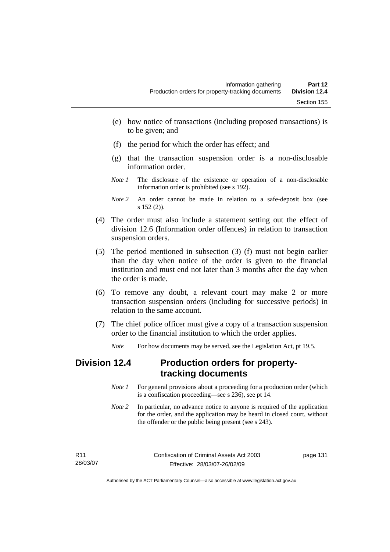- (e) how notice of transactions (including proposed transactions) is to be given; and
- (f) the period for which the order has effect; and
- (g) that the transaction suspension order is a non-disclosable information order.
- *Note 1* The disclosure of the existence or operation of a non-disclosable information order is prohibited (see s 192).
- *Note 2* An order cannot be made in relation to a safe-deposit box (see s 152 (2)).
- (4) The order must also include a statement setting out the effect of division 12.6 (Information order offences) in relation to transaction suspension orders.
- (5) The period mentioned in subsection (3) (f) must not begin earlier than the day when notice of the order is given to the financial institution and must end not later than 3 months after the day when the order is made.
- (6) To remove any doubt, a relevant court may make 2 or more transaction suspension orders (including for successive periods) in relation to the same account.
- (7) The chief police officer must give a copy of a transaction suspension order to the financial institution to which the order applies.
	- *Note* For how documents may be served, see the Legislation Act, pt 19.5.

# **Division 12.4 Production orders for propertytracking documents**

- *Note 1* For general provisions about a proceeding for a production order (which is a confiscation proceeding—see s 236), see pt 14.
- *Note 2* In particular, no advance notice to anyone is required of the application for the order, and the application may be heard in closed court, without the offender or the public being present (see s 243).

| R11      | Confiscation of Criminal Assets Act 2003 | page 131 |
|----------|------------------------------------------|----------|
| 28/03/07 | Effective: 28/03/07-26/02/09             |          |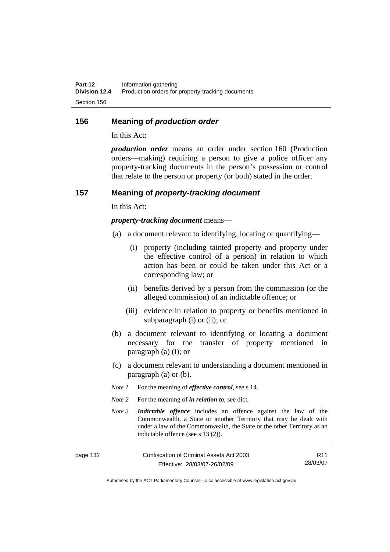#### **156 Meaning of** *production order*

In this Act:

*production order* means an order under section 160 (Production orders—making) requiring a person to give a police officer any property-tracking documents in the person's possession or control that relate to the person or property (or both) stated in the order.

#### **157 Meaning of** *property-tracking document*

In this Act:

*property-tracking document* means—

- (a) a document relevant to identifying, locating or quantifying—
	- (i) property (including tainted property and property under the effective control of a person) in relation to which action has been or could be taken under this Act or a corresponding law; or
	- (ii) benefits derived by a person from the commission (or the alleged commission) of an indictable offence; or
	- (iii) evidence in relation to property or benefits mentioned in subparagraph (i) or (ii); or
- (b) a document relevant to identifying or locating a document necessary for the transfer of property mentioned in paragraph (a) (i); or
- (c) a document relevant to understanding a document mentioned in paragraph (a) or (b).
- *Note 1* For the meaning of *effective control*, see s 14.
- *Note* 2 For the meaning of *in relation to*, see dict.
- *Note 3 Indictable offence* includes an offence against the law of the Commonwealth, a State or another Territory that may be dealt with under a law of the Commonwealth, the State or the other Territory as an indictable offence (see s 13 (2)).

| page 132 | Confiscation of Criminal Assets Act 2003 | R11      |
|----------|------------------------------------------|----------|
|          | Effective: 28/03/07-26/02/09             | 28/03/07 |

Authorised by the ACT Parliamentary Counsel—also accessible at www.legislation.act.gov.au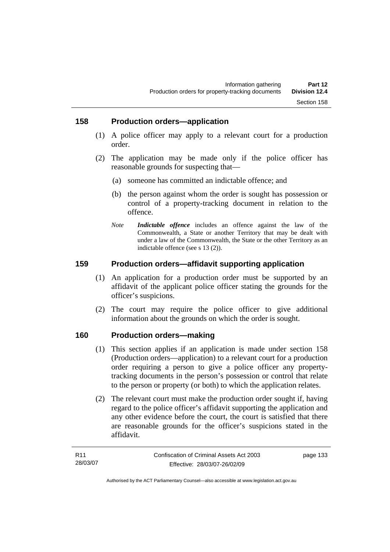#### **158 Production orders—application**

- (1) A police officer may apply to a relevant court for a production order.
- (2) The application may be made only if the police officer has reasonable grounds for suspecting that—
	- (a) someone has committed an indictable offence; and
	- (b) the person against whom the order is sought has possession or control of a property-tracking document in relation to the offence.
	- *Note Indictable offence* includes an offence against the law of the Commonwealth, a State or another Territory that may be dealt with under a law of the Commonwealth, the State or the other Territory as an indictable offence (see s 13 (2)).

#### **159 Production orders—affidavit supporting application**

- (1) An application for a production order must be supported by an affidavit of the applicant police officer stating the grounds for the officer's suspicions.
- (2) The court may require the police officer to give additional information about the grounds on which the order is sought.

#### **160 Production orders—making**

- (1) This section applies if an application is made under section 158 (Production orders—application) to a relevant court for a production order requiring a person to give a police officer any propertytracking documents in the person's possession or control that relate to the person or property (or both) to which the application relates.
- (2) The relevant court must make the production order sought if, having regard to the police officer's affidavit supporting the application and any other evidence before the court, the court is satisfied that there are reasonable grounds for the officer's suspicions stated in the affidavit.

page 133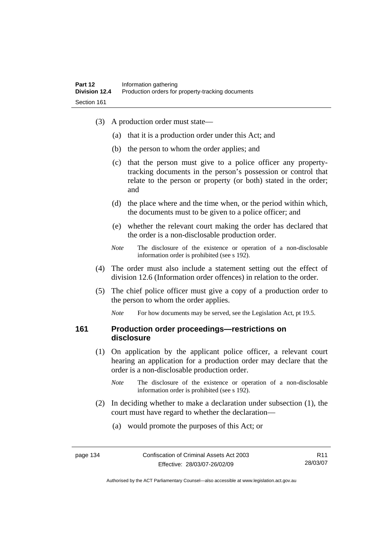- (3) A production order must state—
	- (a) that it is a production order under this Act; and
	- (b) the person to whom the order applies; and
	- (c) that the person must give to a police officer any propertytracking documents in the person's possession or control that relate to the person or property (or both) stated in the order; and
	- (d) the place where and the time when, or the period within which, the documents must to be given to a police officer; and
	- (e) whether the relevant court making the order has declared that the order is a non-disclosable production order.
	- *Note* The disclosure of the existence or operation of a non-disclosable information order is prohibited (see s 192).
- (4) The order must also include a statement setting out the effect of division 12.6 (Information order offences) in relation to the order.
- (5) The chief police officer must give a copy of a production order to the person to whom the order applies.

*Note* For how documents may be served, see the Legislation Act, pt 19.5.

#### **161 Production order proceedings—restrictions on disclosure**

- (1) On application by the applicant police officer, a relevant court hearing an application for a production order may declare that the order is a non-disclosable production order.
	- *Note* The disclosure of the existence or operation of a non-disclosable information order is prohibited (see s 192).
- (2) In deciding whether to make a declaration under subsection (1), the court must have regard to whether the declaration—
	- (a) would promote the purposes of this Act; or

Authorised by the ACT Parliamentary Counsel—also accessible at www.legislation.act.gov.au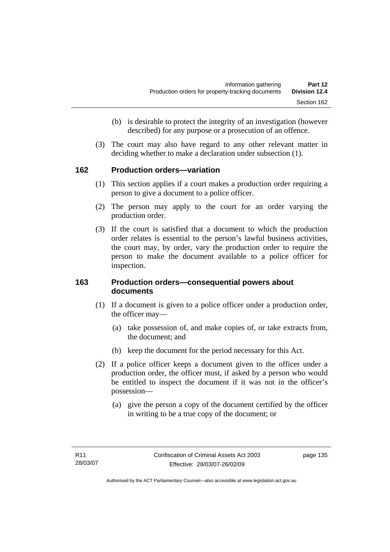- (b) is desirable to protect the integrity of an investigation (however described) for any purpose or a prosecution of an offence.
- (3) The court may also have regard to any other relevant matter in deciding whether to make a declaration under subsection (1).

#### **162 Production orders—variation**

- (1) This section applies if a court makes a production order requiring a person to give a document to a police officer.
- (2) The person may apply to the court for an order varying the production order.
- (3) If the court is satisfied that a document to which the production order relates is essential to the person's lawful business activities, the court may, by order, vary the production order to require the person to make the document available to a police officer for inspection.

#### **163 Production orders—consequential powers about documents**

- (1) If a document is given to a police officer under a production order, the officer may—
	- (a) take possession of, and make copies of, or take extracts from, the document; and
	- (b) keep the document for the period necessary for this Act.
- (2) If a police officer keeps a document given to the officer under a production order, the officer must, if asked by a person who would be entitled to inspect the document if it was not in the officer's possession—
	- (a) give the person a copy of the document certified by the officer in writing to be a true copy of the document; or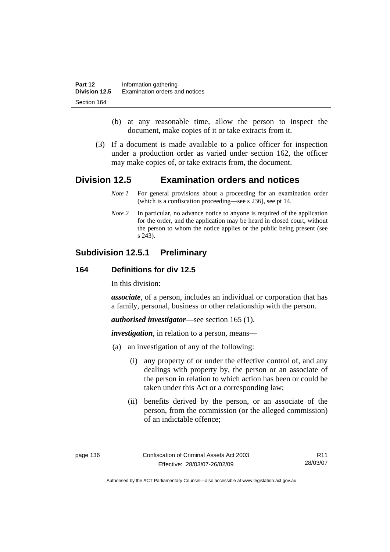- (b) at any reasonable time, allow the person to inspect the document, make copies of it or take extracts from it.
- (3) If a document is made available to a police officer for inspection under a production order as varied under section 162, the officer may make copies of, or take extracts from, the document.

# **Division 12.5 Examination orders and notices**

- *Note 1* For general provisions about a proceeding for an examination order (which is a confiscation proceeding—see s 236), see pt 14.
- *Note 2* In particular, no advance notice to anyone is required of the application for the order, and the application may be heard in closed court, without the person to whom the notice applies or the public being present (see s 243).

# **Subdivision 12.5.1 Preliminary**

#### **164 Definitions for div 12.5**

In this division:

*associate*, of a person, includes an individual or corporation that has a family, personal, business or other relationship with the person.

*authorised investigator*—see section 165 (1).

*investigation*, in relation to a person, means—

- (a) an investigation of any of the following:
	- (i) any property of or under the effective control of, and any dealings with property by, the person or an associate of the person in relation to which action has been or could be taken under this Act or a corresponding law;
	- (ii) benefits derived by the person, or an associate of the person, from the commission (or the alleged commission) of an indictable offence;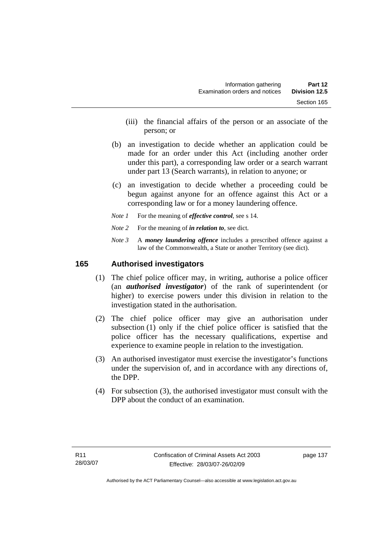- (iii) the financial affairs of the person or an associate of the person; or
- (b) an investigation to decide whether an application could be made for an order under this Act (including another order under this part), a corresponding law order or a search warrant under part 13 (Search warrants), in relation to anyone; or
- (c) an investigation to decide whether a proceeding could be begun against anyone for an offence against this Act or a corresponding law or for a money laundering offence.
- *Note 1* For the meaning of *effective control*, see s 14.
- *Note* 2 For the meaning of *in relation to*, see dict.
- *Note 3* A *money laundering offence* includes a prescribed offence against a law of the Commonwealth, a State or another Territory (see dict).

#### **165 Authorised investigators**

- (1) The chief police officer may, in writing, authorise a police officer (an *authorised investigator*) of the rank of superintendent (or higher) to exercise powers under this division in relation to the investigation stated in the authorisation.
- (2) The chief police officer may give an authorisation under subsection (1) only if the chief police officer is satisfied that the police officer has the necessary qualifications, expertise and experience to examine people in relation to the investigation.
- (3) An authorised investigator must exercise the investigator's functions under the supervision of, and in accordance with any directions of, the DPP.
- (4) For subsection (3), the authorised investigator must consult with the DPP about the conduct of an examination.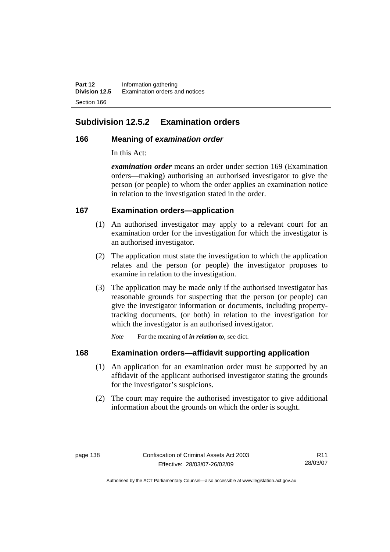**Part 12** Information gathering<br>**Division 12.5** Examination orders a **Examination orders and notices** Section 166

# **Subdivision 12.5.2 Examination orders**

#### **166 Meaning of** *examination order*

In this Act:

*examination order* means an order under section 169 (Examination orders—making) authorising an authorised investigator to give the person (or people) to whom the order applies an examination notice in relation to the investigation stated in the order.

#### **167 Examination orders—application**

- (1) An authorised investigator may apply to a relevant court for an examination order for the investigation for which the investigator is an authorised investigator.
- (2) The application must state the investigation to which the application relates and the person (or people) the investigator proposes to examine in relation to the investigation.
- (3) The application may be made only if the authorised investigator has reasonable grounds for suspecting that the person (or people) can give the investigator information or documents, including propertytracking documents, (or both) in relation to the investigation for which the investigator is an authorised investigator.

*Note* For the meaning of *in relation to*, see dict.

## **168 Examination orders—affidavit supporting application**

- (1) An application for an examination order must be supported by an affidavit of the applicant authorised investigator stating the grounds for the investigator's suspicions.
- (2) The court may require the authorised investigator to give additional information about the grounds on which the order is sought.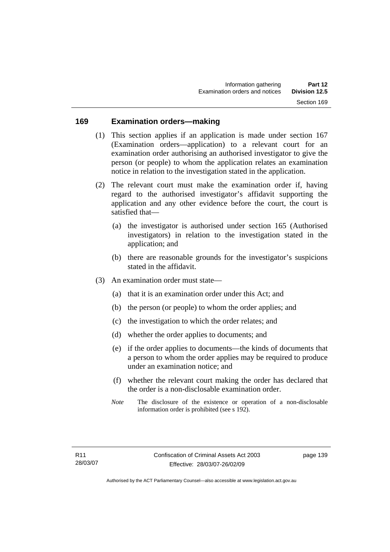#### **169 Examination orders—making**

- (1) This section applies if an application is made under section 167 (Examination orders—application) to a relevant court for an examination order authorising an authorised investigator to give the person (or people) to whom the application relates an examination notice in relation to the investigation stated in the application.
- (2) The relevant court must make the examination order if, having regard to the authorised investigator's affidavit supporting the application and any other evidence before the court, the court is satisfied that—
	- (a) the investigator is authorised under section 165 (Authorised investigators) in relation to the investigation stated in the application; and
	- (b) there are reasonable grounds for the investigator's suspicions stated in the affidavit.
- (3) An examination order must state—
	- (a) that it is an examination order under this Act; and
	- (b) the person (or people) to whom the order applies; and
	- (c) the investigation to which the order relates; and
	- (d) whether the order applies to documents; and
	- (e) if the order applies to documents—the kinds of documents that a person to whom the order applies may be required to produce under an examination notice; and
	- (f) whether the relevant court making the order has declared that the order is a non-disclosable examination order.
	- *Note* The disclosure of the existence or operation of a non-disclosable information order is prohibited (see s 192).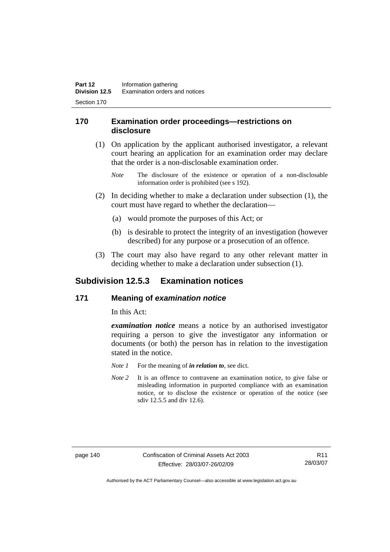#### **170 Examination order proceedings—restrictions on disclosure**

- (1) On application by the applicant authorised investigator, a relevant court hearing an application for an examination order may declare that the order is a non-disclosable examination order.
	- *Note* The disclosure of the existence or operation of a non-disclosable information order is prohibited (see s 192).
- (2) In deciding whether to make a declaration under subsection (1), the court must have regard to whether the declaration—
	- (a) would promote the purposes of this Act; or
	- (b) is desirable to protect the integrity of an investigation (however described) for any purpose or a prosecution of an offence.
- (3) The court may also have regard to any other relevant matter in deciding whether to make a declaration under subsection (1).

# **Subdivision 12.5.3 Examination notices**

#### **171 Meaning of** *examination notice*

In this Act:

*examination notice* means a notice by an authorised investigator requiring a person to give the investigator any information or documents (or both) the person has in relation to the investigation stated in the notice.

- *Note 1* For the meaning of *in relation to*, see dict.
- *Note* 2 It is an offence to contravene an examination notice, to give false or misleading information in purported compliance with an examination notice, or to disclose the existence or operation of the notice (see sdiv 12.5.5 and div 12.6).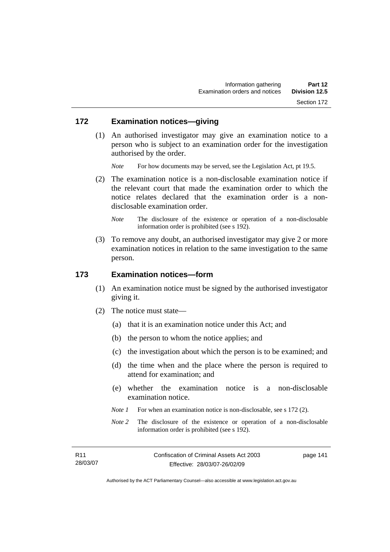#### **172 Examination notices—giving**

 (1) An authorised investigator may give an examination notice to a person who is subject to an examination order for the investigation authorised by the order.

*Note* For how documents may be served, see the Legislation Act, pt 19.5.

- (2) The examination notice is a non-disclosable examination notice if the relevant court that made the examination order to which the notice relates declared that the examination order is a nondisclosable examination order.
	- *Note* The disclosure of the existence or operation of a non-disclosable information order is prohibited (see s 192).
- (3) To remove any doubt, an authorised investigator may give 2 or more examination notices in relation to the same investigation to the same person.

#### **173 Examination notices—form**

- (1) An examination notice must be signed by the authorised investigator giving it.
- (2) The notice must state—
	- (a) that it is an examination notice under this Act; and
	- (b) the person to whom the notice applies; and
	- (c) the investigation about which the person is to be examined; and
	- (d) the time when and the place where the person is required to attend for examination; and
	- (e) whether the examination notice is a non-disclosable examination notice.
	- *Note 1* For when an examination notice is non-disclosable, see s 172 (2).
	- *Note* 2 The disclosure of the existence or operation of a non-disclosable information order is prohibited (see s 192).

| R11      |
|----------|
| 28/03/07 |

page 141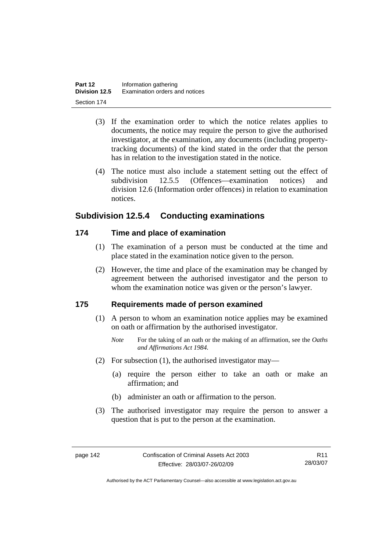- (3) If the examination order to which the notice relates applies to documents, the notice may require the person to give the authorised investigator, at the examination, any documents (including propertytracking documents) of the kind stated in the order that the person has in relation to the investigation stated in the notice.
- (4) The notice must also include a statement setting out the effect of subdivision 12.5.5 (Offences—examination notices) and division 12.6 (Information order offences) in relation to examination notices.

# **Subdivision 12.5.4 Conducting examinations**

## **174 Time and place of examination**

- (1) The examination of a person must be conducted at the time and place stated in the examination notice given to the person.
- (2) However, the time and place of the examination may be changed by agreement between the authorised investigator and the person to whom the examination notice was given or the person's lawyer.

# **175 Requirements made of person examined**

- (1) A person to whom an examination notice applies may be examined on oath or affirmation by the authorised investigator.
	- *Note* For the taking of an oath or the making of an affirmation, see the *Oaths and Affirmations Act 1984.*
- (2) For subsection (1), the authorised investigator may—
	- (a) require the person either to take an oath or make an affirmation; and
	- (b) administer an oath or affirmation to the person.
- (3) The authorised investigator may require the person to answer a question that is put to the person at the examination.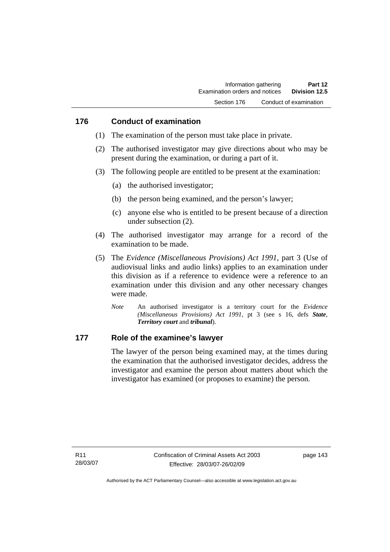#### **176 Conduct of examination**

- (1) The examination of the person must take place in private.
- (2) The authorised investigator may give directions about who may be present during the examination, or during a part of it.
- (3) The following people are entitled to be present at the examination:
	- (a) the authorised investigator;
	- (b) the person being examined, and the person's lawyer;
	- (c) anyone else who is entitled to be present because of a direction under subsection (2).
- (4) The authorised investigator may arrange for a record of the examination to be made.
- (5) The *Evidence (Miscellaneous Provisions) Act 1991*, part 3 (Use of audiovisual links and audio links) applies to an examination under this division as if a reference to evidence were a reference to an examination under this division and any other necessary changes were made.
	- *Note* An authorised investigator is a territory court for the *Evidence (Miscellaneous Provisions) Act 1991*, pt 3 (see s 16, defs *State*, *Territory court* and *tribunal*).

#### **177 Role of the examinee's lawyer**

The lawyer of the person being examined may, at the times during the examination that the authorised investigator decides, address the investigator and examine the person about matters about which the investigator has examined (or proposes to examine) the person.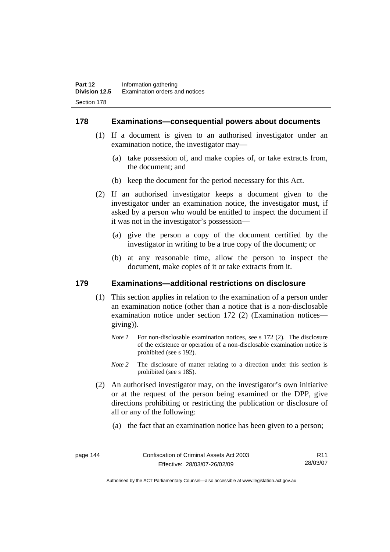#### **178 Examinations—consequential powers about documents**

- (1) If a document is given to an authorised investigator under an examination notice, the investigator may—
	- (a) take possession of, and make copies of, or take extracts from, the document; and
	- (b) keep the document for the period necessary for this Act.
- (2) If an authorised investigator keeps a document given to the investigator under an examination notice, the investigator must, if asked by a person who would be entitled to inspect the document if it was not in the investigator's possession—
	- (a) give the person a copy of the document certified by the investigator in writing to be a true copy of the document; or
	- (b) at any reasonable time, allow the person to inspect the document, make copies of it or take extracts from it.

#### **179 Examinations—additional restrictions on disclosure**

- (1) This section applies in relation to the examination of a person under an examination notice (other than a notice that is a non-disclosable examination notice under section 172 (2) (Examination notices giving)).
	- *Note 1* For non-disclosable examination notices, see s 172 (2). The disclosure of the existence or operation of a non-disclosable examination notice is prohibited (see s 192).
	- *Note* 2 The disclosure of matter relating to a direction under this section is prohibited (see s 185).
- (2) An authorised investigator may, on the investigator's own initiative or at the request of the person being examined or the DPP, give directions prohibiting or restricting the publication or disclosure of all or any of the following:
	- (a) the fact that an examination notice has been given to a person;

R11 28/03/07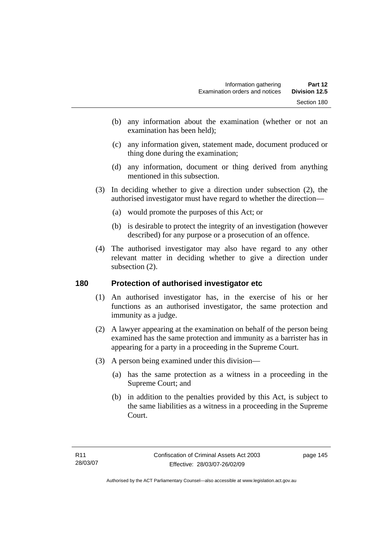- (b) any information about the examination (whether or not an examination has been held);
- (c) any information given, statement made, document produced or thing done during the examination;
- (d) any information, document or thing derived from anything mentioned in this subsection.
- (3) In deciding whether to give a direction under subsection (2), the authorised investigator must have regard to whether the direction—
	- (a) would promote the purposes of this Act; or
	- (b) is desirable to protect the integrity of an investigation (however described) for any purpose or a prosecution of an offence.
- (4) The authorised investigator may also have regard to any other relevant matter in deciding whether to give a direction under subsection  $(2)$ .

## **180 Protection of authorised investigator etc**

- (1) An authorised investigator has, in the exercise of his or her functions as an authorised investigator, the same protection and immunity as a judge.
- (2) A lawyer appearing at the examination on behalf of the person being examined has the same protection and immunity as a barrister has in appearing for a party in a proceeding in the Supreme Court.
- (3) A person being examined under this division—
	- (a) has the same protection as a witness in a proceeding in the Supreme Court; and
	- (b) in addition to the penalties provided by this Act, is subject to the same liabilities as a witness in a proceeding in the Supreme Court.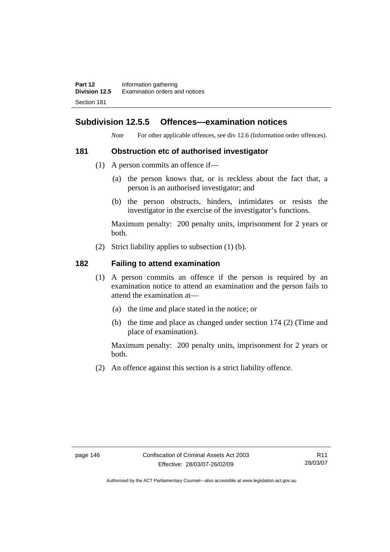**Part 12** Information gathering<br>**Division 12.5** Examination orders a **Division 12.5** Examination orders and notices Section 181

# **Subdivision 12.5.5 Offences—examination notices**

*Note* For other applicable offences, see div 12.6 (Information order offences).

#### **181 Obstruction etc of authorised investigator**

- (1) A person commits an offence if—
	- (a) the person knows that, or is reckless about the fact that, a person is an authorised investigator; and
	- (b) the person obstructs, hinders, intimidates or resists the investigator in the exercise of the investigator's functions.

Maximum penalty: 200 penalty units, imprisonment for 2 years or both.

(2) Strict liability applies to subsection (1) (b).

#### **182 Failing to attend examination**

- (1) A person commits an offence if the person is required by an examination notice to attend an examination and the person fails to attend the examination at—
	- (a) the time and place stated in the notice; or
	- (b) the time and place as changed under section 174 (2) (Time and place of examination).

Maximum penalty: 200 penalty units, imprisonment for 2 years or both.

(2) An offence against this section is a strict liability offence.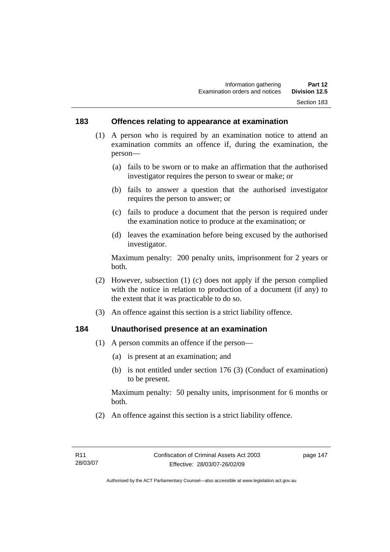#### **183 Offences relating to appearance at examination**

- (1) A person who is required by an examination notice to attend an examination commits an offence if, during the examination, the person—
	- (a) fails to be sworn or to make an affirmation that the authorised investigator requires the person to swear or make; or
	- (b) fails to answer a question that the authorised investigator requires the person to answer; or
	- (c) fails to produce a document that the person is required under the examination notice to produce at the examination; or
	- (d) leaves the examination before being excused by the authorised investigator.

Maximum penalty: 200 penalty units, imprisonment for 2 years or both.

- (2) However, subsection (1) (c) does not apply if the person complied with the notice in relation to production of a document (if any) to the extent that it was practicable to do so.
- (3) An offence against this section is a strict liability offence.

#### **184 Unauthorised presence at an examination**

- (1) A person commits an offence if the person—
	- (a) is present at an examination; and
	- (b) is not entitled under section 176 (3) (Conduct of examination) to be present.

Maximum penalty: 50 penalty units, imprisonment for 6 months or both.

(2) An offence against this section is a strict liability offence.

page 147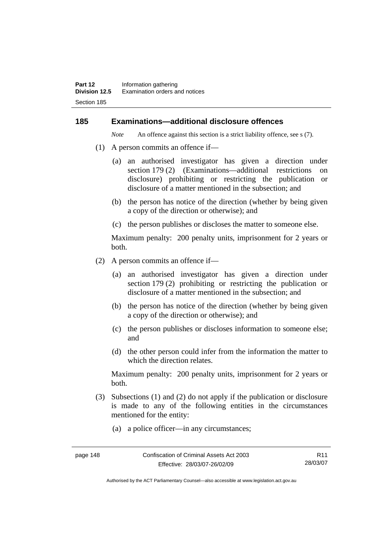#### **185 Examinations—additional disclosure offences**

*Note* An offence against this section is a strict liability offence, see s (7).

- (1) A person commits an offence if—
	- (a) an authorised investigator has given a direction under section 179 (2) (Examinations—additional restrictions on disclosure) prohibiting or restricting the publication or disclosure of a matter mentioned in the subsection; and
	- (b) the person has notice of the direction (whether by being given a copy of the direction or otherwise); and
	- (c) the person publishes or discloses the matter to someone else.

Maximum penalty: 200 penalty units, imprisonment for 2 years or both.

- (2) A person commits an offence if—
	- (a) an authorised investigator has given a direction under section 179 (2) prohibiting or restricting the publication or disclosure of a matter mentioned in the subsection; and
	- (b) the person has notice of the direction (whether by being given a copy of the direction or otherwise); and
	- (c) the person publishes or discloses information to someone else; and
	- (d) the other person could infer from the information the matter to which the direction relates.

Maximum penalty: 200 penalty units, imprisonment for 2 years or both.

- (3) Subsections (1) and (2) do not apply if the publication or disclosure is made to any of the following entities in the circumstances mentioned for the entity:
	- (a) a police officer—in any circumstances;

page 148 Confiscation of Criminal Assets Act 2003 Effective: 28/03/07-26/02/09 R11 28/03/07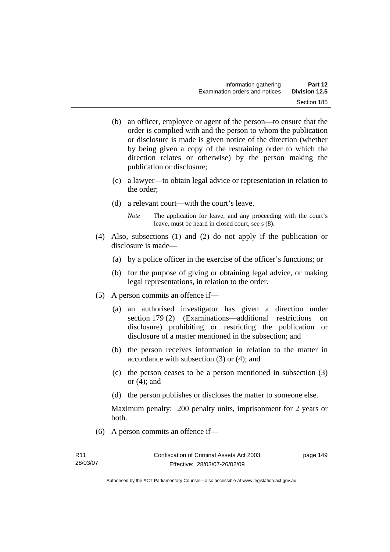- (b) an officer, employee or agent of the person—to ensure that the order is complied with and the person to whom the publication or disclosure is made is given notice of the direction (whether by being given a copy of the restraining order to which the direction relates or otherwise) by the person making the publication or disclosure;
- (c) a lawyer—to obtain legal advice or representation in relation to the order;
- (d) a relevant court—with the court's leave.
	- *Note* The application for leave, and any proceeding with the court's leave, must be heard in closed court, see s (8).
- (4) Also, subsections (1) and (2) do not apply if the publication or disclosure is made—
	- (a) by a police officer in the exercise of the officer's functions; or
	- (b) for the purpose of giving or obtaining legal advice, or making legal representations, in relation to the order.
- (5) A person commits an offence if—
	- (a) an authorised investigator has given a direction under section 179 (2) (Examinations—additional restrictions on disclosure) prohibiting or restricting the publication or disclosure of a matter mentioned in the subsection; and
	- (b) the person receives information in relation to the matter in accordance with subsection (3) or (4); and
	- (c) the person ceases to be a person mentioned in subsection (3) or (4); and
	- (d) the person publishes or discloses the matter to someone else.

Maximum penalty: 200 penalty units, imprisonment for 2 years or both.

(6) A person commits an offence if—

page 149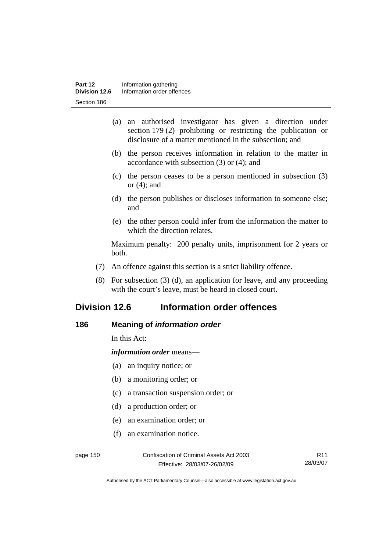- (a) an authorised investigator has given a direction under section 179 (2) prohibiting or restricting the publication or disclosure of a matter mentioned in the subsection; and
- (b) the person receives information in relation to the matter in accordance with subsection (3) or (4); and
- (c) the person ceases to be a person mentioned in subsection (3) or  $(4)$ ; and
- (d) the person publishes or discloses information to someone else; and
- (e) the other person could infer from the information the matter to which the direction relates.

Maximum penalty: 200 penalty units, imprisonment for 2 years or both.

- (7) An offence against this section is a strict liability offence.
- (8) For subsection (3) (d), an application for leave, and any proceeding with the court's leave, must be heard in closed court.

# **Division 12.6 Information order offences**

#### **186 Meaning of** *information order*

In this Act:

*information order* means—

- (a) an inquiry notice; or
- (b) a monitoring order; or
- (c) a transaction suspension order; or
- (d) a production order; or
- (e) an examination order; or
- (f) an examination notice.

page 150 Confiscation of Criminal Assets Act 2003 Effective: 28/03/07-26/02/09

R11 28/03/07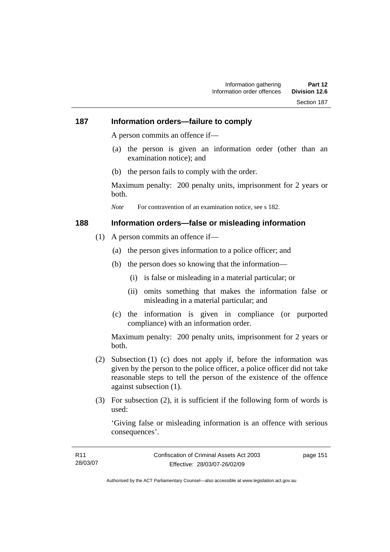#### **187 Information orders—failure to comply**

A person commits an offence if—

- (a) the person is given an information order (other than an examination notice); and
- (b) the person fails to comply with the order.

Maximum penalty: 200 penalty units, imprisonment for 2 years or both.

*Note* For contravention of an examination notice, see s 182.

#### **188 Information orders—false or misleading information**

- (1) A person commits an offence if—
	- (a) the person gives information to a police officer; and
	- (b) the person does so knowing that the information—
		- (i) is false or misleading in a material particular; or
		- (ii) omits something that makes the information false or misleading in a material particular; and
	- (c) the information is given in compliance (or purported compliance) with an information order.

Maximum penalty: 200 penalty units, imprisonment for 2 years or both.

- (2) Subsection (1) (c) does not apply if, before the information was given by the person to the police officer, a police officer did not take reasonable steps to tell the person of the existence of the offence against subsection (1).
- (3) For subsection (2), it is sufficient if the following form of words is used:

'Giving false or misleading information is an offence with serious consequences'.

| R11      | Confiscation of Criminal Assets Act 2003 | page 151 |
|----------|------------------------------------------|----------|
| 28/03/07 | Effective: 28/03/07-26/02/09             |          |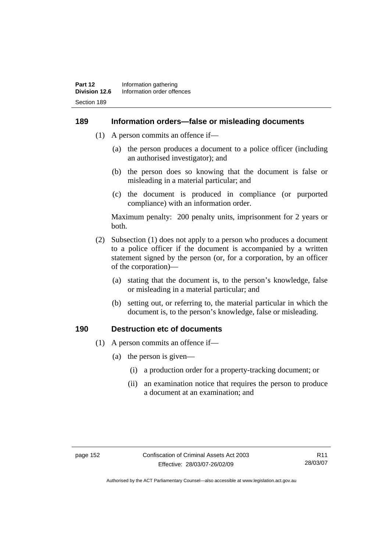#### **189 Information orders—false or misleading documents**

- (1) A person commits an offence if—
	- (a) the person produces a document to a police officer (including an authorised investigator); and
	- (b) the person does so knowing that the document is false or misleading in a material particular; and
	- (c) the document is produced in compliance (or purported compliance) with an information order.

Maximum penalty: 200 penalty units, imprisonment for 2 years or both.

- (2) Subsection (1) does not apply to a person who produces a document to a police officer if the document is accompanied by a written statement signed by the person (or, for a corporation, by an officer of the corporation)—
	- (a) stating that the document is, to the person's knowledge, false or misleading in a material particular; and
	- (b) setting out, or referring to, the material particular in which the document is, to the person's knowledge, false or misleading.

#### **190 Destruction etc of documents**

- (1) A person commits an offence if—
	- (a) the person is given—
		- (i) a production order for a property-tracking document; or
		- (ii) an examination notice that requires the person to produce a document at an examination; and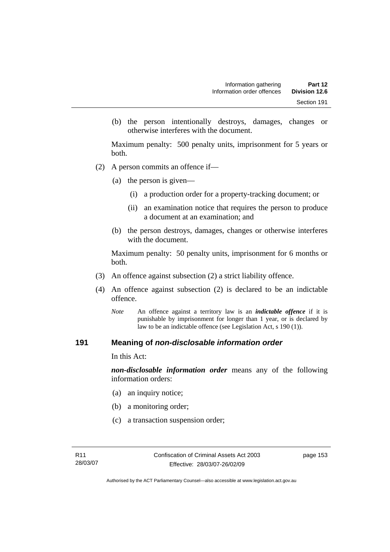(b) the person intentionally destroys, damages, changes or otherwise interferes with the document.

Maximum penalty: 500 penalty units, imprisonment for 5 years or both.

- (2) A person commits an offence if—
	- (a) the person is given—
		- (i) a production order for a property-tracking document; or
		- (ii) an examination notice that requires the person to produce a document at an examination; and
	- (b) the person destroys, damages, changes or otherwise interferes with the document.

Maximum penalty: 50 penalty units, imprisonment for 6 months or both.

- (3) An offence against subsection (2) a strict liability offence.
- (4) An offence against subsection (2) is declared to be an indictable offence.
	- *Note* An offence against a territory law is an *indictable offence* if it is punishable by imprisonment for longer than 1 year, or is declared by law to be an indictable offence (see Legislation Act, s 190 (1)).

#### **191 Meaning of** *non-disclosable information order*

In this Act:

*non-disclosable information order* means any of the following information orders:

- (a) an inquiry notice;
- (b) a monitoring order;
- (c) a transaction suspension order;

page 153

Authorised by the ACT Parliamentary Counsel—also accessible at www.legislation.act.gov.au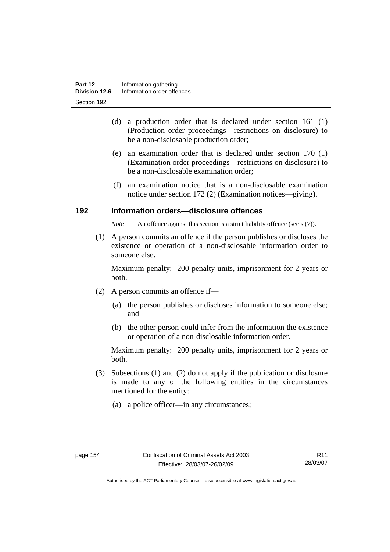- (d) a production order that is declared under section 161 (1) (Production order proceedings—restrictions on disclosure) to be a non-disclosable production order;
- (e) an examination order that is declared under section 170 (1) (Examination order proceedings—restrictions on disclosure) to be a non-disclosable examination order;
- (f) an examination notice that is a non-disclosable examination notice under section 172 (2) (Examination notices—giving).

#### **192 Information orders—disclosure offences**

*Note* An offence against this section is a strict liability offence (see s (7)).

 (1) A person commits an offence if the person publishes or discloses the existence or operation of a non-disclosable information order to someone else.

Maximum penalty: 200 penalty units, imprisonment for 2 years or both.

- (2) A person commits an offence if—
	- (a) the person publishes or discloses information to someone else; and
	- (b) the other person could infer from the information the existence or operation of a non-disclosable information order.

Maximum penalty: 200 penalty units, imprisonment for 2 years or both.

- (3) Subsections (1) and (2) do not apply if the publication or disclosure is made to any of the following entities in the circumstances mentioned for the entity:
	- (a) a police officer—in any circumstances;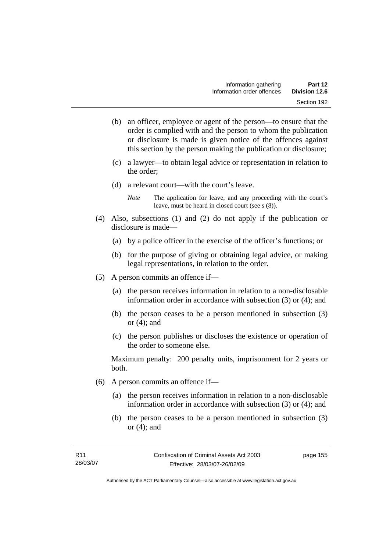- (b) an officer, employee or agent of the person—to ensure that the order is complied with and the person to whom the publication or disclosure is made is given notice of the offences against this section by the person making the publication or disclosure;
- (c) a lawyer—to obtain legal advice or representation in relation to the order;
- (d) a relevant court—with the court's leave.

*Note* The application for leave, and any proceeding with the court's leave, must be heard in closed court (see s (8)).

- (4) Also, subsections (1) and (2) do not apply if the publication or disclosure is made—
	- (a) by a police officer in the exercise of the officer's functions; or
	- (b) for the purpose of giving or obtaining legal advice, or making legal representations, in relation to the order.
- (5) A person commits an offence if—
	- (a) the person receives information in relation to a non-disclosable information order in accordance with subsection (3) or (4); and
	- (b) the person ceases to be a person mentioned in subsection (3) or (4); and
	- (c) the person publishes or discloses the existence or operation of the order to someone else.

Maximum penalty: 200 penalty units, imprisonment for 2 years or both.

- (6) A person commits an offence if—
	- (a) the person receives information in relation to a non-disclosable information order in accordance with subsection (3) or (4); and
	- (b) the person ceases to be a person mentioned in subsection (3) or (4); and

page 155

Authorised by the ACT Parliamentary Counsel—also accessible at www.legislation.act.gov.au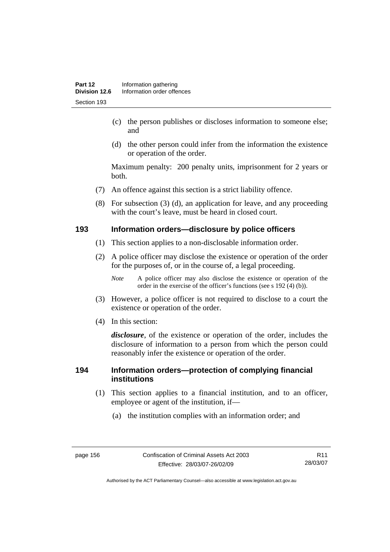- (c) the person publishes or discloses information to someone else; and
- (d) the other person could infer from the information the existence or operation of the order.

Maximum penalty: 200 penalty units, imprisonment for 2 years or both.

- (7) An offence against this section is a strict liability offence.
- (8) For subsection (3) (d), an application for leave, and any proceeding with the court's leave, must be heard in closed court.

#### **193 Information orders—disclosure by police officers**

- (1) This section applies to a non-disclosable information order.
- (2) A police officer may disclose the existence or operation of the order for the purposes of, or in the course of, a legal proceeding.

*Note* A police officer may also disclose the existence or operation of the order in the exercise of the officer's functions (see s 192 (4) (b)).

- (3) However, a police officer is not required to disclose to a court the existence or operation of the order.
- (4) In this section:

*disclosure*, of the existence or operation of the order, includes the disclosure of information to a person from which the person could reasonably infer the existence or operation of the order.

#### **194 Information orders—protection of complying financial institutions**

- (1) This section applies to a financial institution, and to an officer, employee or agent of the institution, if—
	- (a) the institution complies with an information order; and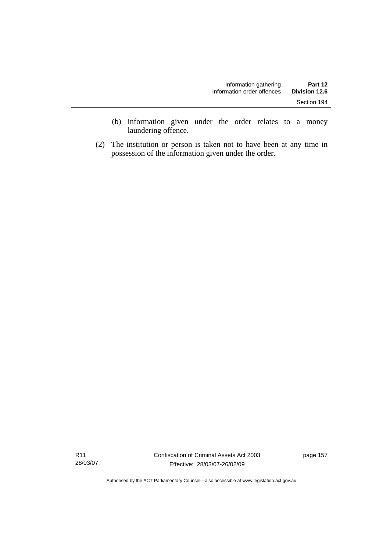- (b) information given under the order relates to a money laundering offence.
- (2) The institution or person is taken not to have been at any time in possession of the information given under the order.

R11 28/03/07 Confiscation of Criminal Assets Act 2003 Effective: 28/03/07-26/02/09

page 157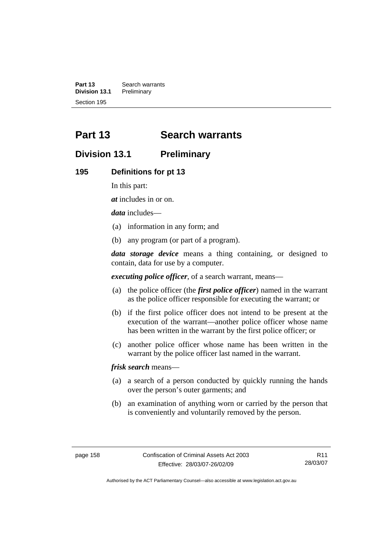**Part 13 Search warrants**<br>**Division 13.1 Preliminary Division 13.1** Preliminary Section 195

# **Part 13 Search warrants**

## **Division 13.1 Preliminary**

#### **195 Definitions for pt 13**

In this part:

*at* includes in or on.

*data* includes—

- (a) information in any form; and
- (b) any program (or part of a program).

*data storage device* means a thing containing, or designed to contain, data for use by a computer.

*executing police officer*, of a search warrant, means—

- (a) the police officer (the *first police officer*) named in the warrant as the police officer responsible for executing the warrant; or
- (b) if the first police officer does not intend to be present at the execution of the warrant—another police officer whose name has been written in the warrant by the first police officer; or
- (c) another police officer whose name has been written in the warrant by the police officer last named in the warrant.

*frisk search* means—

- (a) a search of a person conducted by quickly running the hands over the person's outer garments; and
- (b) an examination of anything worn or carried by the person that is conveniently and voluntarily removed by the person.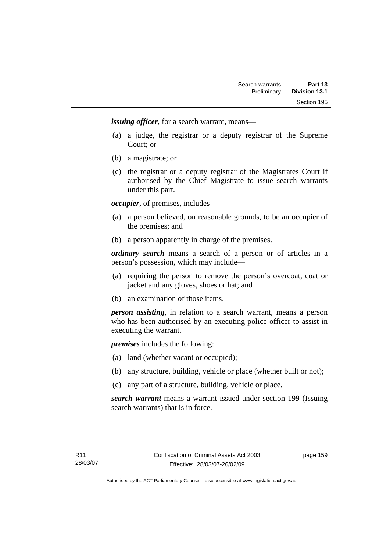*issuing officer*, for a search warrant, means—

- (a) a judge, the registrar or a deputy registrar of the Supreme Court; or
- (b) a magistrate; or
- (c) the registrar or a deputy registrar of the Magistrates Court if authorised by the Chief Magistrate to issue search warrants under this part.

*occupier*, of premises, includes—

- (a) a person believed, on reasonable grounds, to be an occupier of the premises; and
- (b) a person apparently in charge of the premises.

*ordinary search* means a search of a person or of articles in a person's possession, which may include—

- (a) requiring the person to remove the person's overcoat, coat or jacket and any gloves, shoes or hat; and
- (b) an examination of those items.

*person assisting*, in relation to a search warrant, means a person who has been authorised by an executing police officer to assist in executing the warrant.

*premises* includes the following:

- (a) land (whether vacant or occupied);
- (b) any structure, building, vehicle or place (whether built or not);
- (c) any part of a structure, building, vehicle or place.

*search warrant* means a warrant issued under section 199 (Issuing search warrants) that is in force.

page 159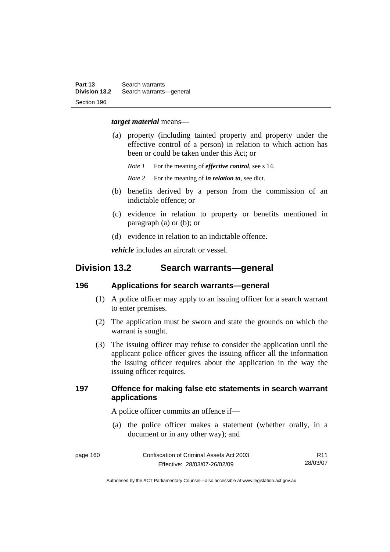#### *target material* means—

- (a) property (including tainted property and property under the effective control of a person) in relation to which action has been or could be taken under this Act; or
	- *Note 1* For the meaning of *effective control*, see s 14.
	- *Note* 2 For the meaning of *in relation to*, see dict.
- (b) benefits derived by a person from the commission of an indictable offence; or
- (c) evidence in relation to property or benefits mentioned in paragraph (a) or (b); or
- (d) evidence in relation to an indictable offence.

*vehicle* includes an aircraft or vessel.

## **Division 13.2 Search warrants—general**

#### **196 Applications for search warrants—general**

- (1) A police officer may apply to an issuing officer for a search warrant to enter premises.
- (2) The application must be sworn and state the grounds on which the warrant is sought.
- (3) The issuing officer may refuse to consider the application until the applicant police officer gives the issuing officer all the information the issuing officer requires about the application in the way the issuing officer requires.

#### **197 Offence for making false etc statements in search warrant applications**

A police officer commits an offence if—

 (a) the police officer makes a statement (whether orally, in a document or in any other way); and

| page 160 | Confiscation of Criminal Assets Act 2003 | R11      |
|----------|------------------------------------------|----------|
|          | Effective: 28/03/07-26/02/09             | 28/03/07 |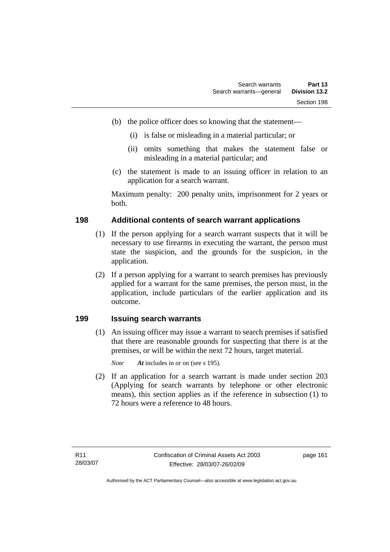- (b) the police officer does so knowing that the statement—
	- (i) is false or misleading in a material particular; or
	- (ii) omits something that makes the statement false or misleading in a material particular; and
- (c) the statement is made to an issuing officer in relation to an application for a search warrant.

Maximum penalty: 200 penalty units, imprisonment for 2 years or both.

#### **198 Additional contents of search warrant applications**

- (1) If the person applying for a search warrant suspects that it will be necessary to use firearms in executing the warrant, the person must state the suspicion, and the grounds for the suspicion, in the application.
- (2) If a person applying for a warrant to search premises has previously applied for a warrant for the same premises, the person must, in the application, include particulars of the earlier application and its outcome.

#### **199 Issuing search warrants**

 (1) An issuing officer may issue a warrant to search premises if satisfied that there are reasonable grounds for suspecting that there is at the premises, or will be within the next 72 hours, target material.

*Note At* includes in or on (see s 195).

 (2) If an application for a search warrant is made under section 203 (Applying for search warrants by telephone or other electronic means), this section applies as if the reference in subsection (1) to 72 hours were a reference to 48 hours.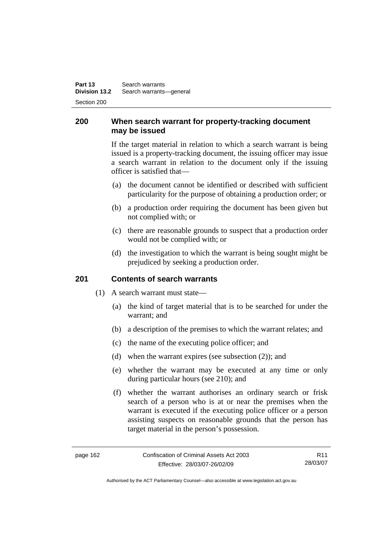## **200 When search warrant for property-tracking document may be issued**

If the target material in relation to which a search warrant is being issued is a property-tracking document, the issuing officer may issue a search warrant in relation to the document only if the issuing officer is satisfied that—

- (a) the document cannot be identified or described with sufficient particularity for the purpose of obtaining a production order; or
- (b) a production order requiring the document has been given but not complied with; or
- (c) there are reasonable grounds to suspect that a production order would not be complied with; or
- (d) the investigation to which the warrant is being sought might be prejudiced by seeking a production order.

#### **201 Contents of search warrants**

- (1) A search warrant must state—
	- (a) the kind of target material that is to be searched for under the warrant; and
	- (b) a description of the premises to which the warrant relates; and
	- (c) the name of the executing police officer; and
	- (d) when the warrant expires (see subsection (2)); and
	- (e) whether the warrant may be executed at any time or only during particular hours (see 210); and
	- (f) whether the warrant authorises an ordinary search or frisk search of a person who is at or near the premises when the warrant is executed if the executing police officer or a person assisting suspects on reasonable grounds that the person has target material in the person's possession.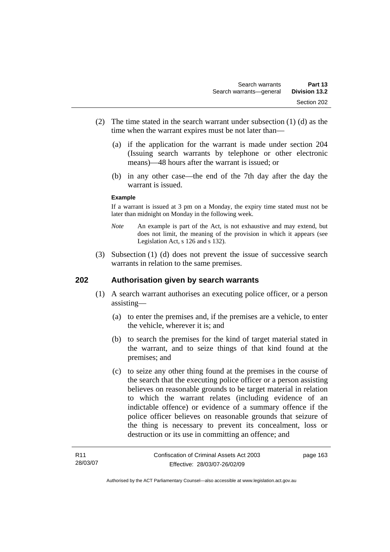- (2) The time stated in the search warrant under subsection (1) (d) as the time when the warrant expires must be not later than—
	- (a) if the application for the warrant is made under section 204 (Issuing search warrants by telephone or other electronic means)—48 hours after the warrant is issued; or
	- (b) in any other case—the end of the 7th day after the day the warrant is issued.

#### **Example**

If a warrant is issued at 3 pm on a Monday, the expiry time stated must not be later than midnight on Monday in the following week.

- *Note* An example is part of the Act, is not exhaustive and may extend, but does not limit, the meaning of the provision in which it appears (see Legislation Act, s 126 and s 132).
- (3) Subsection (1) (d) does not prevent the issue of successive search warrants in relation to the same premises.

#### **202 Authorisation given by search warrants**

- (1) A search warrant authorises an executing police officer, or a person assisting—
	- (a) to enter the premises and, if the premises are a vehicle, to enter the vehicle, wherever it is; and
	- (b) to search the premises for the kind of target material stated in the warrant, and to seize things of that kind found at the premises; and
	- (c) to seize any other thing found at the premises in the course of the search that the executing police officer or a person assisting believes on reasonable grounds to be target material in relation to which the warrant relates (including evidence of an indictable offence) or evidence of a summary offence if the police officer believes on reasonable grounds that seizure of the thing is necessary to prevent its concealment, loss or destruction or its use in committing an offence; and

| R11      | Confiscation of Criminal Assets Act 2003 | page 163 |
|----------|------------------------------------------|----------|
| 28/03/07 | Effective: 28/03/07-26/02/09             |          |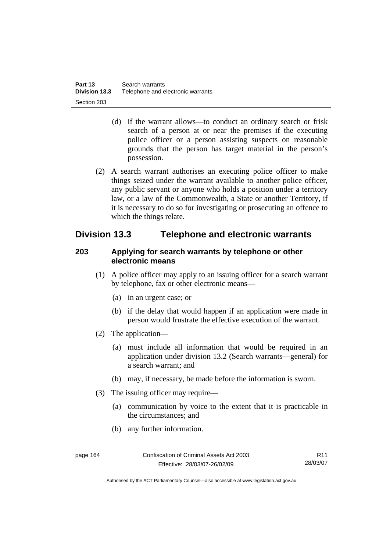- (d) if the warrant allows—to conduct an ordinary search or frisk search of a person at or near the premises if the executing police officer or a person assisting suspects on reasonable grounds that the person has target material in the person's possession.
- (2) A search warrant authorises an executing police officer to make things seized under the warrant available to another police officer, any public servant or anyone who holds a position under a territory law, or a law of the Commonwealth, a State or another Territory, if it is necessary to do so for investigating or prosecuting an offence to which the things relate.

# **Division 13.3 Telephone and electronic warrants**

#### **203 Applying for search warrants by telephone or other electronic means**

- (1) A police officer may apply to an issuing officer for a search warrant by telephone, fax or other electronic means—
	- (a) in an urgent case; or
	- (b) if the delay that would happen if an application were made in person would frustrate the effective execution of the warrant.
- (2) The application—
	- (a) must include all information that would be required in an application under division 13.2 (Search warrants—general) for a search warrant; and
	- (b) may, if necessary, be made before the information is sworn.
- (3) The issuing officer may require—
	- (a) communication by voice to the extent that it is practicable in the circumstances; and
	- (b) any further information.

page 164 Confiscation of Criminal Assets Act 2003 Effective: 28/03/07-26/02/09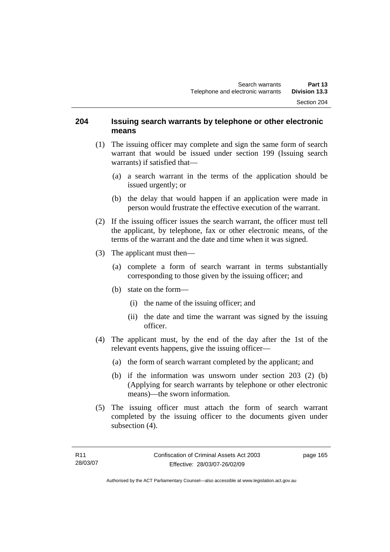#### **204 Issuing search warrants by telephone or other electronic means**

- (1) The issuing officer may complete and sign the same form of search warrant that would be issued under section 199 (Issuing search warrants) if satisfied that—
	- (a) a search warrant in the terms of the application should be issued urgently; or
	- (b) the delay that would happen if an application were made in person would frustrate the effective execution of the warrant.
- (2) If the issuing officer issues the search warrant, the officer must tell the applicant, by telephone, fax or other electronic means, of the terms of the warrant and the date and time when it was signed.
- (3) The applicant must then—
	- (a) complete a form of search warrant in terms substantially corresponding to those given by the issuing officer; and
	- (b) state on the form—
		- (i) the name of the issuing officer; and
		- (ii) the date and time the warrant was signed by the issuing officer.
- (4) The applicant must, by the end of the day after the 1st of the relevant events happens, give the issuing officer—
	- (a) the form of search warrant completed by the applicant; and
	- (b) if the information was unsworn under section 203 (2) (b) (Applying for search warrants by telephone or other electronic means)—the sworn information.
- (5) The issuing officer must attach the form of search warrant completed by the issuing officer to the documents given under subsection (4).

page 165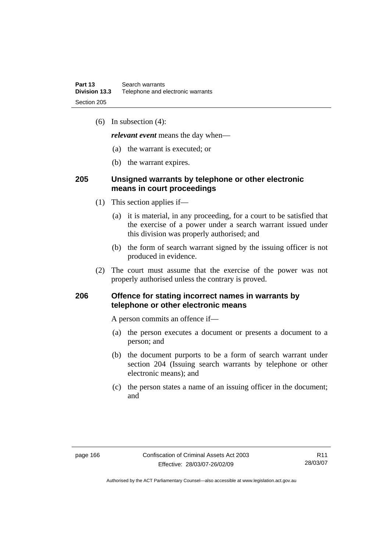(6) In subsection (4):

*relevant event* means the day when—

- (a) the warrant is executed; or
- (b) the warrant expires.

#### **205 Unsigned warrants by telephone or other electronic means in court proceedings**

- (1) This section applies if—
	- (a) it is material, in any proceeding, for a court to be satisfied that the exercise of a power under a search warrant issued under this division was properly authorised; and
	- (b) the form of search warrant signed by the issuing officer is not produced in evidence.
- (2) The court must assume that the exercise of the power was not properly authorised unless the contrary is proved.

#### **206 Offence for stating incorrect names in warrants by telephone or other electronic means**

A person commits an offence if—

- (a) the person executes a document or presents a document to a person; and
- (b) the document purports to be a form of search warrant under section 204 (Issuing search warrants by telephone or other electronic means); and
- (c) the person states a name of an issuing officer in the document; and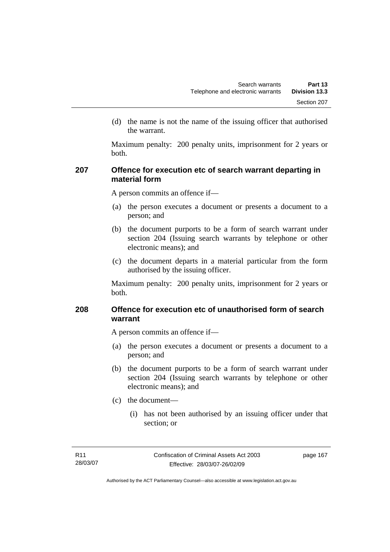(d) the name is not the name of the issuing officer that authorised the warrant.

Maximum penalty: 200 penalty units, imprisonment for 2 years or both.

### **207 Offence for execution etc of search warrant departing in material form**

A person commits an offence if—

- (a) the person executes a document or presents a document to a person; and
- (b) the document purports to be a form of search warrant under section 204 (Issuing search warrants by telephone or other electronic means); and
- (c) the document departs in a material particular from the form authorised by the issuing officer.

Maximum penalty: 200 penalty units, imprisonment for 2 years or both.

### **208 Offence for execution etc of unauthorised form of search warrant**

A person commits an offence if—

- (a) the person executes a document or presents a document to a person; and
- (b) the document purports to be a form of search warrant under section 204 (Issuing search warrants by telephone or other electronic means); and
- (c) the document—
	- (i) has not been authorised by an issuing officer under that section; or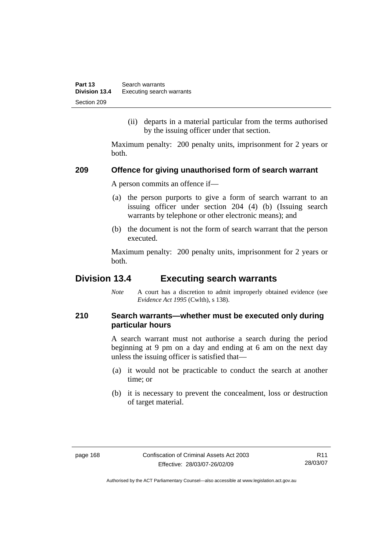(ii) departs in a material particular from the terms authorised by the issuing officer under that section.

Maximum penalty: 200 penalty units, imprisonment for 2 years or both.

### **209 Offence for giving unauthorised form of search warrant**

A person commits an offence if—

- (a) the person purports to give a form of search warrant to an issuing officer under section 204 (4) (b) (Issuing search warrants by telephone or other electronic means); and
- (b) the document is not the form of search warrant that the person executed.

Maximum penalty: 200 penalty units, imprisonment for 2 years or both.

# **Division 13.4 Executing search warrants**

*Note* A court has a discretion to admit improperly obtained evidence (see *Evidence Act 1995* (Cwlth), s 138).

# **210 Search warrants—whether must be executed only during particular hours**

A search warrant must not authorise a search during the period beginning at 9 pm on a day and ending at 6 am on the next day unless the issuing officer is satisfied that—

- (a) it would not be practicable to conduct the search at another time; or
- (b) it is necessary to prevent the concealment, loss or destruction of target material.

R11 28/03/07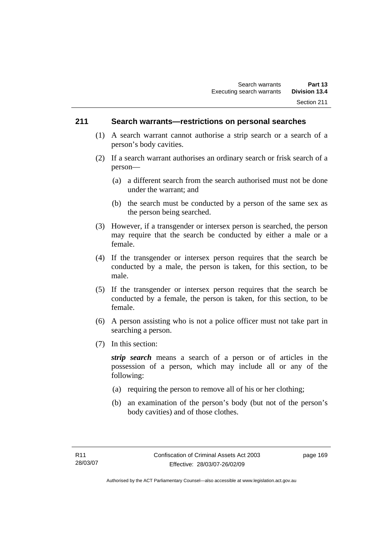#### **211 Search warrants—restrictions on personal searches**

- (1) A search warrant cannot authorise a strip search or a search of a person's body cavities.
- (2) If a search warrant authorises an ordinary search or frisk search of a person—
	- (a) a different search from the search authorised must not be done under the warrant; and
	- (b) the search must be conducted by a person of the same sex as the person being searched.
- (3) However, if a transgender or intersex person is searched, the person may require that the search be conducted by either a male or a female.
- (4) If the transgender or intersex person requires that the search be conducted by a male, the person is taken, for this section, to be male.
- (5) If the transgender or intersex person requires that the search be conducted by a female, the person is taken, for this section, to be female.
- (6) A person assisting who is not a police officer must not take part in searching a person.
- (7) In this section:

*strip search* means a search of a person or of articles in the possession of a person, which may include all or any of the following:

- (a) requiring the person to remove all of his or her clothing;
- (b) an examination of the person's body (but not of the person's body cavities) and of those clothes.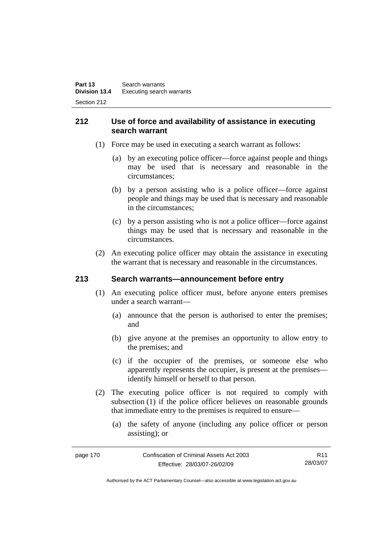## **212 Use of force and availability of assistance in executing search warrant**

- (1) Force may be used in executing a search warrant as follows:
	- (a) by an executing police officer—force against people and things may be used that is necessary and reasonable in the circumstances;
	- (b) by a person assisting who is a police officer—force against people and things may be used that is necessary and reasonable in the circumstances;
	- (c) by a person assisting who is not a police officer—force against things may be used that is necessary and reasonable in the circumstances.
- (2) An executing police officer may obtain the assistance in executing the warrant that is necessary and reasonable in the circumstances.

# **213 Search warrants—announcement before entry**

- (1) An executing police officer must, before anyone enters premises under a search warrant—
	- (a) announce that the person is authorised to enter the premises; and
	- (b) give anyone at the premises an opportunity to allow entry to the premises; and
	- (c) if the occupier of the premises, or someone else who apparently represents the occupier, is present at the premises identify himself or herself to that person.
- (2) The executing police officer is not required to comply with subsection (1) if the police officer believes on reasonable grounds that immediate entry to the premises is required to ensure—
	- (a) the safety of anyone (including any police officer or person assisting); or

| page 170 | Confiscation of Criminal Assets Act 2003 | R <sub>11</sub> |
|----------|------------------------------------------|-----------------|
|          | Effective: 28/03/07-26/02/09             | 28/03/07        |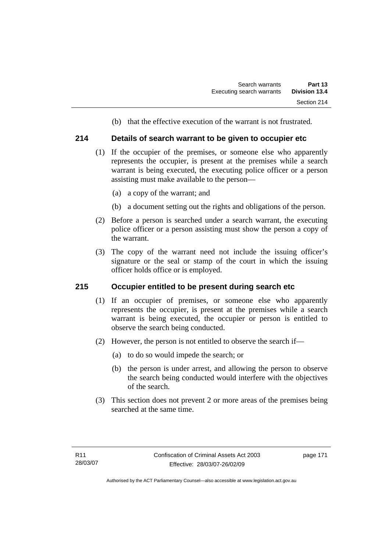(b) that the effective execution of the warrant is not frustrated.

#### **214 Details of search warrant to be given to occupier etc**

- (1) If the occupier of the premises, or someone else who apparently represents the occupier, is present at the premises while a search warrant is being executed, the executing police officer or a person assisting must make available to the person—
	- (a) a copy of the warrant; and
	- (b) a document setting out the rights and obligations of the person.
- (2) Before a person is searched under a search warrant, the executing police officer or a person assisting must show the person a copy of the warrant.
- (3) The copy of the warrant need not include the issuing officer's signature or the seal or stamp of the court in which the issuing officer holds office or is employed.

#### **215 Occupier entitled to be present during search etc**

- (1) If an occupier of premises, or someone else who apparently represents the occupier, is present at the premises while a search warrant is being executed, the occupier or person is entitled to observe the search being conducted.
- (2) However, the person is not entitled to observe the search if—
	- (a) to do so would impede the search; or
	- (b) the person is under arrest, and allowing the person to observe the search being conducted would interfere with the objectives of the search.
- (3) This section does not prevent 2 or more areas of the premises being searched at the same time.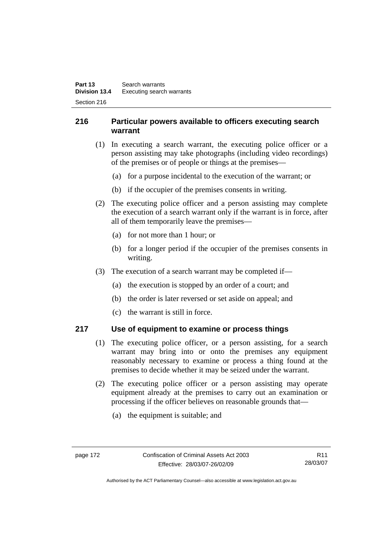# **216 Particular powers available to officers executing search warrant**

- (1) In executing a search warrant, the executing police officer or a person assisting may take photographs (including video recordings) of the premises or of people or things at the premises—
	- (a) for a purpose incidental to the execution of the warrant; or
	- (b) if the occupier of the premises consents in writing.
- (2) The executing police officer and a person assisting may complete the execution of a search warrant only if the warrant is in force, after all of them temporarily leave the premises—
	- (a) for not more than 1 hour; or
	- (b) for a longer period if the occupier of the premises consents in writing.
- (3) The execution of a search warrant may be completed if—
	- (a) the execution is stopped by an order of a court; and
	- (b) the order is later reversed or set aside on appeal; and
	- (c) the warrant is still in force.

#### **217 Use of equipment to examine or process things**

- (1) The executing police officer, or a person assisting, for a search warrant may bring into or onto the premises any equipment reasonably necessary to examine or process a thing found at the premises to decide whether it may be seized under the warrant.
- (2) The executing police officer or a person assisting may operate equipment already at the premises to carry out an examination or processing if the officer believes on reasonable grounds that—
	- (a) the equipment is suitable; and

R11 28/03/07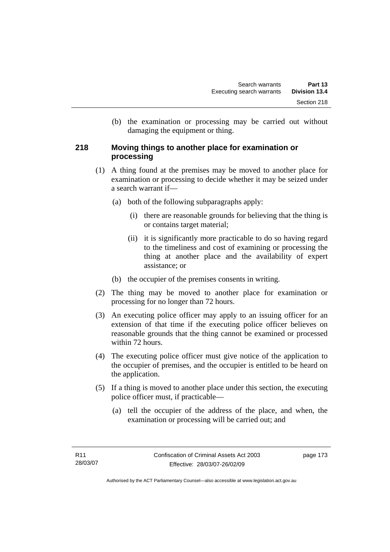(b) the examination or processing may be carried out without damaging the equipment or thing.

### **218 Moving things to another place for examination or processing**

- (1) A thing found at the premises may be moved to another place for examination or processing to decide whether it may be seized under a search warrant if—
	- (a) both of the following subparagraphs apply:
		- (i) there are reasonable grounds for believing that the thing is or contains target material;
		- (ii) it is significantly more practicable to do so having regard to the timeliness and cost of examining or processing the thing at another place and the availability of expert assistance; or
	- (b) the occupier of the premises consents in writing.
- (2) The thing may be moved to another place for examination or processing for no longer than 72 hours.
- (3) An executing police officer may apply to an issuing officer for an extension of that time if the executing police officer believes on reasonable grounds that the thing cannot be examined or processed within 72 hours.
- (4) The executing police officer must give notice of the application to the occupier of premises, and the occupier is entitled to be heard on the application.
- (5) If a thing is moved to another place under this section, the executing police officer must, if practicable—
	- (a) tell the occupier of the address of the place, and when, the examination or processing will be carried out; and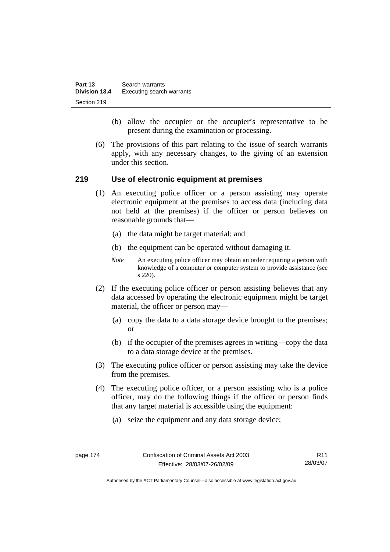| Part 13              | Search warrants           |
|----------------------|---------------------------|
| <b>Division 13.4</b> | Executing search warrants |
| Section 219          |                           |

- (b) allow the occupier or the occupier's representative to be present during the examination or processing.
- (6) The provisions of this part relating to the issue of search warrants apply, with any necessary changes, to the giving of an extension under this section.

#### **219 Use of electronic equipment at premises**

- (1) An executing police officer or a person assisting may operate electronic equipment at the premises to access data (including data not held at the premises) if the officer or person believes on reasonable grounds that—
	- (a) the data might be target material; and
	- (b) the equipment can be operated without damaging it.
	- *Note* An executing police officer may obtain an order requiring a person with knowledge of a computer or computer system to provide assistance (see s 220).
- (2) If the executing police officer or person assisting believes that any data accessed by operating the electronic equipment might be target material, the officer or person may—
	- (a) copy the data to a data storage device brought to the premises; or
	- (b) if the occupier of the premises agrees in writing—copy the data to a data storage device at the premises.
- (3) The executing police officer or person assisting may take the device from the premises.
- (4) The executing police officer, or a person assisting who is a police officer, may do the following things if the officer or person finds that any target material is accessible using the equipment:
	- (a) seize the equipment and any data storage device;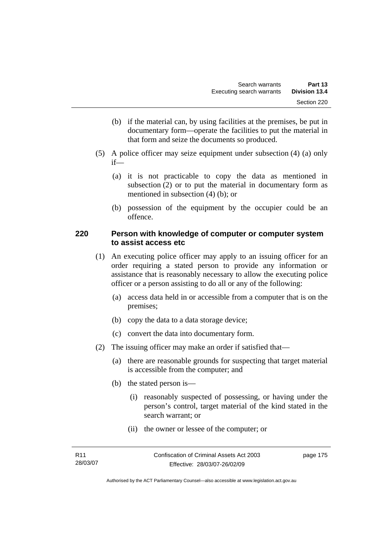- (b) if the material can, by using facilities at the premises, be put in documentary form—operate the facilities to put the material in that form and seize the documents so produced.
- (5) A police officer may seize equipment under subsection (4) (a) only if—
	- (a) it is not practicable to copy the data as mentioned in subsection (2) or to put the material in documentary form as mentioned in subsection (4) (b); or
	- (b) possession of the equipment by the occupier could be an offence.

### **220 Person with knowledge of computer or computer system to assist access etc**

- (1) An executing police officer may apply to an issuing officer for an order requiring a stated person to provide any information or assistance that is reasonably necessary to allow the executing police officer or a person assisting to do all or any of the following:
	- (a) access data held in or accessible from a computer that is on the premises;
	- (b) copy the data to a data storage device;
	- (c) convert the data into documentary form.
- (2) The issuing officer may make an order if satisfied that—
	- (a) there are reasonable grounds for suspecting that target material is accessible from the computer; and
	- (b) the stated person is—
		- (i) reasonably suspected of possessing, or having under the person's control, target material of the kind stated in the search warrant; or
		- (ii) the owner or lessee of the computer; or

| R11      | Confiscation of Criminal Assets Act 2003 | page 175 |
|----------|------------------------------------------|----------|
| 28/03/07 | Effective: 28/03/07-26/02/09             |          |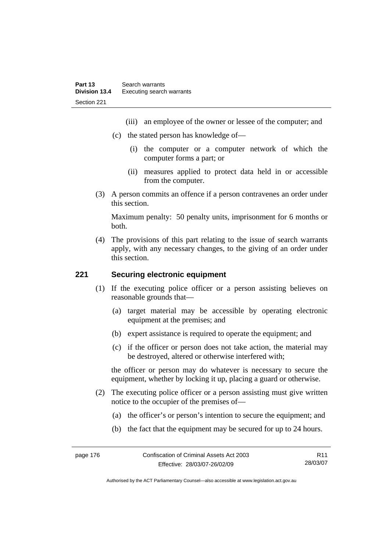- (iii) an employee of the owner or lessee of the computer; and
- (c) the stated person has knowledge of—
	- (i) the computer or a computer network of which the computer forms a part; or
	- (ii) measures applied to protect data held in or accessible from the computer.
- (3) A person commits an offence if a person contravenes an order under this section.

Maximum penalty: 50 penalty units, imprisonment for 6 months or both.

 (4) The provisions of this part relating to the issue of search warrants apply, with any necessary changes, to the giving of an order under this section.

#### **221 Securing electronic equipment**

- (1) If the executing police officer or a person assisting believes on reasonable grounds that—
	- (a) target material may be accessible by operating electronic equipment at the premises; and
	- (b) expert assistance is required to operate the equipment; and
	- (c) if the officer or person does not take action, the material may be destroyed, altered or otherwise interfered with;

the officer or person may do whatever is necessary to secure the equipment, whether by locking it up, placing a guard or otherwise.

- (2) The executing police officer or a person assisting must give written notice to the occupier of the premises of—
	- (a) the officer's or person's intention to secure the equipment; and
	- (b) the fact that the equipment may be secured for up to 24 hours.

page 176 Confiscation of Criminal Assets Act 2003 Effective: 28/03/07-26/02/09 R11 28/03/07

Authorised by the ACT Parliamentary Counsel—also accessible at www.legislation.act.gov.au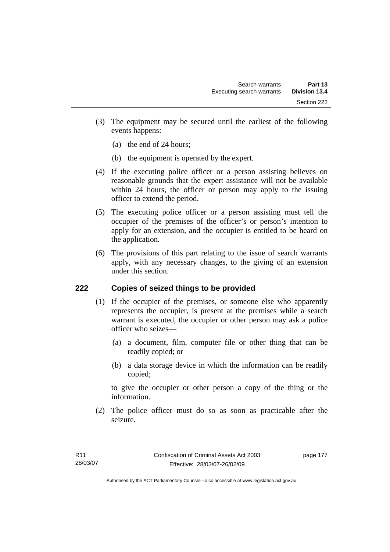- (3) The equipment may be secured until the earliest of the following events happens:
	- (a) the end of 24 hours;
	- (b) the equipment is operated by the expert.
- (4) If the executing police officer or a person assisting believes on reasonable grounds that the expert assistance will not be available within 24 hours, the officer or person may apply to the issuing officer to extend the period.
- (5) The executing police officer or a person assisting must tell the occupier of the premises of the officer's or person's intention to apply for an extension, and the occupier is entitled to be heard on the application.
- (6) The provisions of this part relating to the issue of search warrants apply, with any necessary changes, to the giving of an extension under this section.

#### **222 Copies of seized things to be provided**

- (1) If the occupier of the premises, or someone else who apparently represents the occupier, is present at the premises while a search warrant is executed, the occupier or other person may ask a police officer who seizes—
	- (a) a document, film, computer file or other thing that can be readily copied; or
	- (b) a data storage device in which the information can be readily copied;

to give the occupier or other person a copy of the thing or the information.

 (2) The police officer must do so as soon as practicable after the seizure.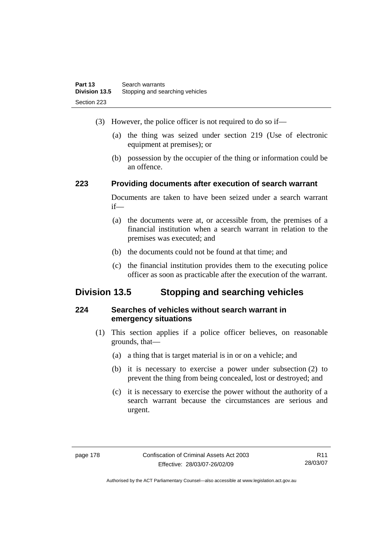- (3) However, the police officer is not required to do so if—
	- (a) the thing was seized under section 219 (Use of electronic equipment at premises); or
	- (b) possession by the occupier of the thing or information could be an offence.

# **223 Providing documents after execution of search warrant**

Documents are taken to have been seized under a search warrant if—

- (a) the documents were at, or accessible from, the premises of a financial institution when a search warrant in relation to the premises was executed; and
- (b) the documents could not be found at that time; and
- (c) the financial institution provides them to the executing police officer as soon as practicable after the execution of the warrant.

# **Division 13.5 Stopping and searching vehicles**

### **224 Searches of vehicles without search warrant in emergency situations**

- (1) This section applies if a police officer believes, on reasonable grounds, that—
	- (a) a thing that is target material is in or on a vehicle; and
	- (b) it is necessary to exercise a power under subsection (2) to prevent the thing from being concealed, lost or destroyed; and
	- (c) it is necessary to exercise the power without the authority of a search warrant because the circumstances are serious and urgent.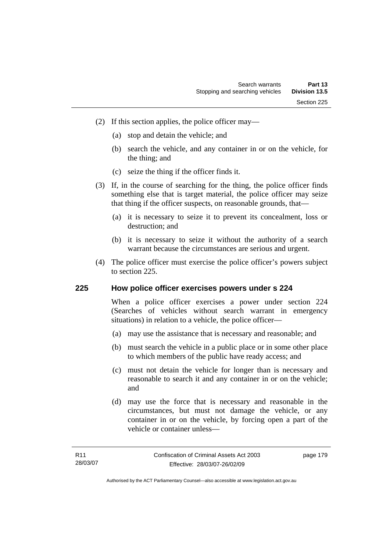- (2) If this section applies, the police officer may—
	- (a) stop and detain the vehicle; and
	- (b) search the vehicle, and any container in or on the vehicle, for the thing; and
	- (c) seize the thing if the officer finds it.
- (3) If, in the course of searching for the thing, the police officer finds something else that is target material, the police officer may seize that thing if the officer suspects, on reasonable grounds, that—
	- (a) it is necessary to seize it to prevent its concealment, loss or destruction; and
	- (b) it is necessary to seize it without the authority of a search warrant because the circumstances are serious and urgent.
- (4) The police officer must exercise the police officer's powers subject to section 225.

#### **225 How police officer exercises powers under s 224**

When a police officer exercises a power under section 224 (Searches of vehicles without search warrant in emergency situations) in relation to a vehicle, the police officer—

- (a) may use the assistance that is necessary and reasonable; and
- (b) must search the vehicle in a public place or in some other place to which members of the public have ready access; and
- (c) must not detain the vehicle for longer than is necessary and reasonable to search it and any container in or on the vehicle; and
- (d) may use the force that is necessary and reasonable in the circumstances, but must not damage the vehicle, or any container in or on the vehicle, by forcing open a part of the vehicle or container unless—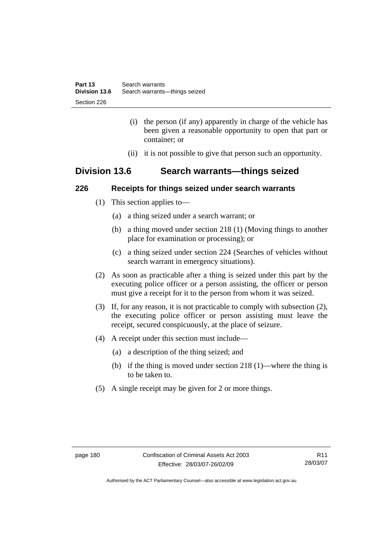- (i) the person (if any) apparently in charge of the vehicle has been given a reasonable opportunity to open that part or container; or
- (ii) it is not possible to give that person such an opportunity.

# **Division 13.6 Search warrants—things seized**

### **226 Receipts for things seized under search warrants**

- (1) This section applies to—
	- (a) a thing seized under a search warrant; or
	- (b) a thing moved under section 218 (1) (Moving things to another place for examination or processing); or
	- (c) a thing seized under section 224 (Searches of vehicles without search warrant in emergency situations).
- (2) As soon as practicable after a thing is seized under this part by the executing police officer or a person assisting, the officer or person must give a receipt for it to the person from whom it was seized.
- (3) If, for any reason, it is not practicable to comply with subsection (2), the executing police officer or person assisting must leave the receipt, secured conspicuously, at the place of seizure.
- (4) A receipt under this section must include—
	- (a) a description of the thing seized; and
	- (b) if the thing is moved under section 218 (1)—where the thing is to be taken to.
- (5) A single receipt may be given for 2 or more things.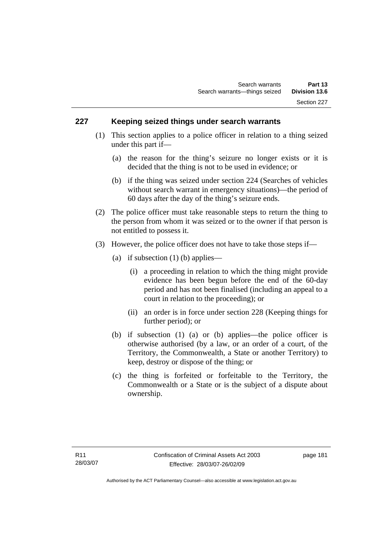# **227 Keeping seized things under search warrants**

- (1) This section applies to a police officer in relation to a thing seized under this part if—
	- (a) the reason for the thing's seizure no longer exists or it is decided that the thing is not to be used in evidence; or
	- (b) if the thing was seized under section 224 (Searches of vehicles without search warrant in emergency situations)—the period of 60 days after the day of the thing's seizure ends.
- (2) The police officer must take reasonable steps to return the thing to the person from whom it was seized or to the owner if that person is not entitled to possess it.
- (3) However, the police officer does not have to take those steps if—
	- (a) if subsection  $(1)$  (b) applies—
		- (i) a proceeding in relation to which the thing might provide evidence has been begun before the end of the 60-day period and has not been finalised (including an appeal to a court in relation to the proceeding); or
		- (ii) an order is in force under section 228 (Keeping things for further period); or
	- (b) if subsection (1) (a) or (b) applies—the police officer is otherwise authorised (by a law, or an order of a court, of the Territory, the Commonwealth, a State or another Territory) to keep, destroy or dispose of the thing; or
	- (c) the thing is forfeited or forfeitable to the Territory, the Commonwealth or a State or is the subject of a dispute about ownership.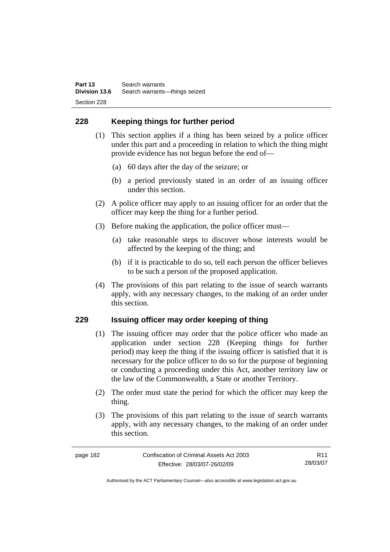# **228 Keeping things for further period**

- (1) This section applies if a thing has been seized by a police officer under this part and a proceeding in relation to which the thing might provide evidence has not begun before the end of—
	- (a) 60 days after the day of the seizure; or
	- (b) a period previously stated in an order of an issuing officer under this section.
- (2) A police officer may apply to an issuing officer for an order that the officer may keep the thing for a further period.
- (3) Before making the application, the police officer must—
	- (a) take reasonable steps to discover whose interests would be affected by the keeping of the thing; and
	- (b) if it is practicable to do so, tell each person the officer believes to be such a person of the proposed application.
- (4) The provisions of this part relating to the issue of search warrants apply, with any necessary changes, to the making of an order under this section.

# **229 Issuing officer may order keeping of thing**

- (1) The issuing officer may order that the police officer who made an application under section 228 (Keeping things for further period) may keep the thing if the issuing officer is satisfied that it is necessary for the police officer to do so for the purpose of beginning or conducting a proceeding under this Act, another territory law or the law of the Commonwealth, a State or another Territory.
- (2) The order must state the period for which the officer may keep the thing.
- (3) The provisions of this part relating to the issue of search warrants apply, with any necessary changes, to the making of an order under this section.

R11 28/03/07

Authorised by the ACT Parliamentary Counsel—also accessible at www.legislation.act.gov.au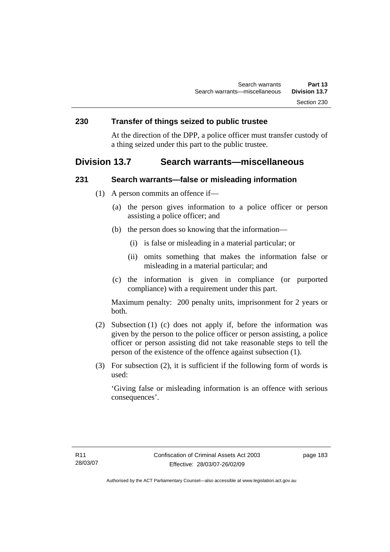### **230 Transfer of things seized to public trustee**

At the direction of the DPP, a police officer must transfer custody of a thing seized under this part to the public trustee.

# **Division 13.7 Search warrants—miscellaneous**

#### **231 Search warrants—false or misleading information**

- (1) A person commits an offence if—
	- (a) the person gives information to a police officer or person assisting a police officer; and
	- (b) the person does so knowing that the information—
		- (i) is false or misleading in a material particular; or
		- (ii) omits something that makes the information false or misleading in a material particular; and
	- (c) the information is given in compliance (or purported compliance) with a requirement under this part.

Maximum penalty: 200 penalty units, imprisonment for 2 years or both.

- (2) Subsection (1) (c) does not apply if, before the information was given by the person to the police officer or person assisting, a police officer or person assisting did not take reasonable steps to tell the person of the existence of the offence against subsection (1).
- (3) For subsection (2), it is sufficient if the following form of words is used:

'Giving false or misleading information is an offence with serious consequences'.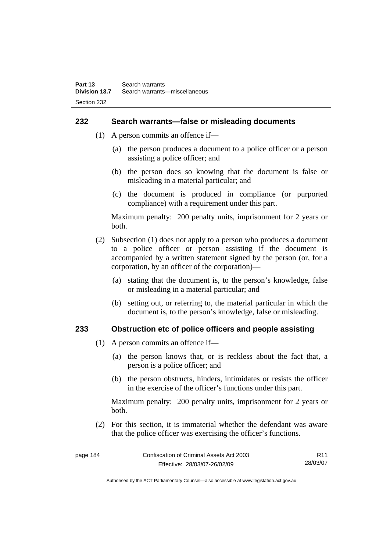#### **232 Search warrants—false or misleading documents**

- (1) A person commits an offence if—
	- (a) the person produces a document to a police officer or a person assisting a police officer; and
	- (b) the person does so knowing that the document is false or misleading in a material particular; and
	- (c) the document is produced in compliance (or purported compliance) with a requirement under this part.

Maximum penalty: 200 penalty units, imprisonment for 2 years or both.

- (2) Subsection (1) does not apply to a person who produces a document to a police officer or person assisting if the document is accompanied by a written statement signed by the person (or, for a corporation, by an officer of the corporation)—
	- (a) stating that the document is, to the person's knowledge, false or misleading in a material particular; and
	- (b) setting out, or referring to, the material particular in which the document is, to the person's knowledge, false or misleading.

#### **233 Obstruction etc of police officers and people assisting**

- (1) A person commits an offence if—
	- (a) the person knows that, or is reckless about the fact that, a person is a police officer; and
	- (b) the person obstructs, hinders, intimidates or resists the officer in the exercise of the officer's functions under this part.

Maximum penalty: 200 penalty units, imprisonment for 2 years or both.

 (2) For this section, it is immaterial whether the defendant was aware that the police officer was exercising the officer's functions.

| page 184 | Confiscation of Criminal Assets Act 2003 | R <sub>11</sub> |
|----------|------------------------------------------|-----------------|
|          | Effective: 28/03/07-26/02/09             | 28/03/07        |

Authorised by the ACT Parliamentary Counsel—also accessible at www.legislation.act.gov.au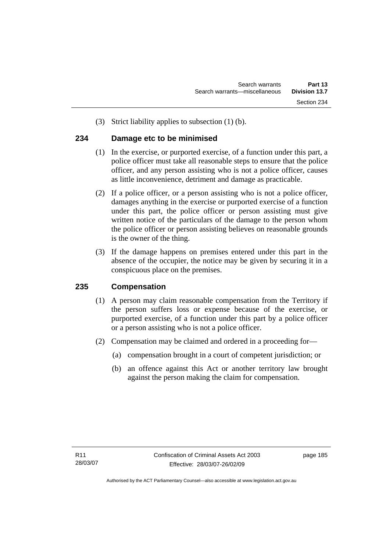(3) Strict liability applies to subsection (1) (b).

### **234 Damage etc to be minimised**

- (1) In the exercise, or purported exercise, of a function under this part, a police officer must take all reasonable steps to ensure that the police officer, and any person assisting who is not a police officer, causes as little inconvenience, detriment and damage as practicable.
- (2) If a police officer, or a person assisting who is not a police officer, damages anything in the exercise or purported exercise of a function under this part, the police officer or person assisting must give written notice of the particulars of the damage to the person whom the police officer or person assisting believes on reasonable grounds is the owner of the thing.
- (3) If the damage happens on premises entered under this part in the absence of the occupier, the notice may be given by securing it in a conspicuous place on the premises.

# **235 Compensation**

- (1) A person may claim reasonable compensation from the Territory if the person suffers loss or expense because of the exercise, or purported exercise, of a function under this part by a police officer or a person assisting who is not a police officer.
- (2) Compensation may be claimed and ordered in a proceeding for—
	- (a) compensation brought in a court of competent jurisdiction; or
	- (b) an offence against this Act or another territory law brought against the person making the claim for compensation.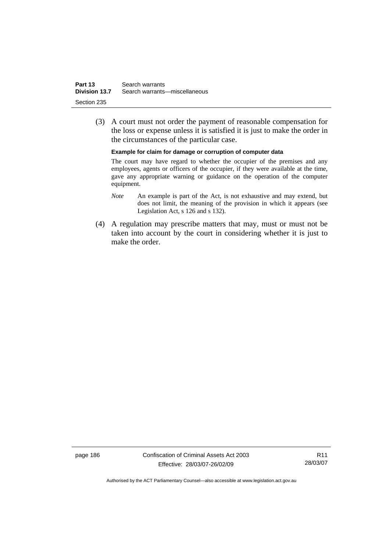| Part 13       | Search warrants               |
|---------------|-------------------------------|
| Division 13.7 | Search warrants—miscellaneous |
| Section 235   |                               |

 (3) A court must not order the payment of reasonable compensation for the loss or expense unless it is satisfied it is just to make the order in the circumstances of the particular case.

**Example for claim for damage or corruption of computer data** 

The court may have regard to whether the occupier of the premises and any employees, agents or officers of the occupier, if they were available at the time, gave any appropriate warning or guidance on the operation of the computer equipment.

- *Note* An example is part of the Act, is not exhaustive and may extend, but does not limit, the meaning of the provision in which it appears (see Legislation Act, s 126 and s 132).
- (4) A regulation may prescribe matters that may, must or must not be taken into account by the court in considering whether it is just to make the order.

page 186 Confiscation of Criminal Assets Act 2003 Effective: 28/03/07-26/02/09

R11 28/03/07

Authorised by the ACT Parliamentary Counsel—also accessible at www.legislation.act.gov.au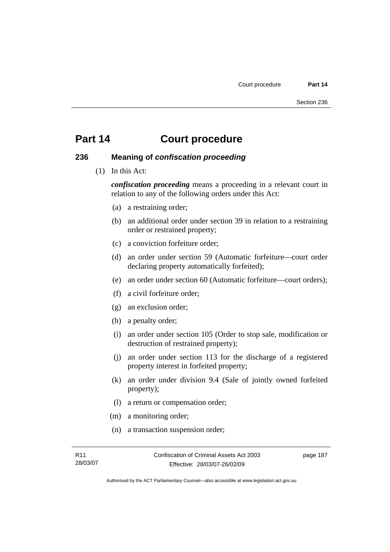#### **236 Meaning of** *confiscation proceeding*

(1) In this Act:

*confiscation proceeding* means a proceeding in a relevant court in relation to any of the following orders under this Act:

- (a) a restraining order;
- (b) an additional order under section 39 in relation to a restraining order or restrained property;
- (c) a conviction forfeiture order;
- (d) an order under section 59 (Automatic forfeiture—court order declaring property automatically forfeited);
- (e) an order under section 60 (Automatic forfeiture—court orders);
- (f) a civil forfeiture order;
- (g) an exclusion order;
- (h) a penalty order;
- (i) an order under section 105 (Order to stop sale, modification or destruction of restrained property);
- (j) an order under section 113 for the discharge of a registered property interest in forfeited property;
- (k) an order under division 9.4 (Sale of jointly owned forfeited property);
- (l) a return or compensation order;
- (m) a monitoring order;
- (n) a transaction suspension order;

Authorised by the ACT Parliamentary Counsel—also accessible at www.legislation.act.gov.au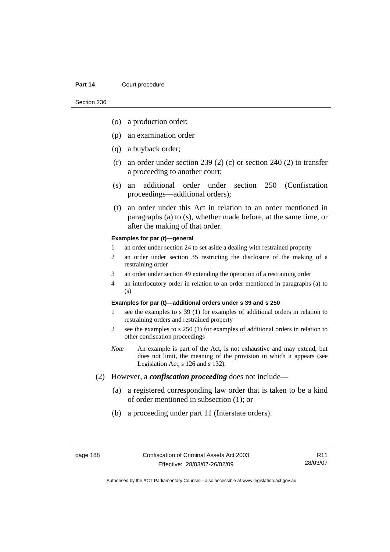Section 236

- (o) a production order;
- (p) an examination order
- (q) a buyback order;
- (r) an order under section 239 (2) (c) or section 240 (2) to transfer a proceeding to another court;
- (s) an additional order under section 250 (Confiscation proceedings—additional orders);
- (t) an order under this Act in relation to an order mentioned in paragraphs (a) to (s), whether made before, at the same time, or after the making of that order.

#### **Examples for par (t)—general**

- 1 an order under section 24 to set aside a dealing with restrained property
- 2 an order under section 35 restricting the disclosure of the making of a restraining order
- 3 an order under section 49 extending the operation of a restraining order
- 4 an interlocutory order in relation to an order mentioned in paragraphs (a) to (s)

#### **Examples for par (t)—additional orders under s 39 and s 250**

- 1 see the examples to s 39 (1) for examples of additional orders in relation to restraining orders and restrained property
- 2 see the examples to s 250 (1) for examples of additional orders in relation to other confiscation proceedings
- *Note* An example is part of the Act, is not exhaustive and may extend, but does not limit, the meaning of the provision in which it appears (see Legislation Act, s 126 and s 132).
- (2) However, a *confiscation proceeding* does not include—
	- (a) a registered corresponding law order that is taken to be a kind of order mentioned in subsection (1); or
	- (b) a proceeding under part 11 (Interstate orders).

R11 28/03/07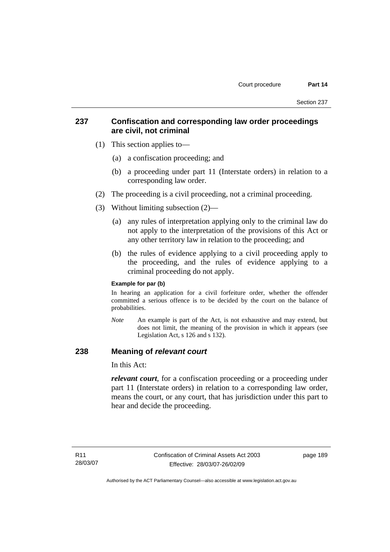### **237 Confiscation and corresponding law order proceedings are civil, not criminal**

- (1) This section applies to—
	- (a) a confiscation proceeding; and
	- (b) a proceeding under part 11 (Interstate orders) in relation to a corresponding law order.
- (2) The proceeding is a civil proceeding, not a criminal proceeding.
- (3) Without limiting subsection (2)—
	- (a) any rules of interpretation applying only to the criminal law do not apply to the interpretation of the provisions of this Act or any other territory law in relation to the proceeding; and
	- (b) the rules of evidence applying to a civil proceeding apply to the proceeding, and the rules of evidence applying to a criminal proceeding do not apply.

#### **Example for par (b)**

In hearing an application for a civil forfeiture order, whether the offender committed a serious offence is to be decided by the court on the balance of probabilities.

*Note* An example is part of the Act, is not exhaustive and may extend, but does not limit, the meaning of the provision in which it appears (see Legislation Act, s 126 and s 132).

### **238 Meaning of** *relevant court*

In this Act:

*relevant court*, for a confiscation proceeding or a proceeding under part 11 (Interstate orders) in relation to a corresponding law order, means the court, or any court, that has jurisdiction under this part to hear and decide the proceeding.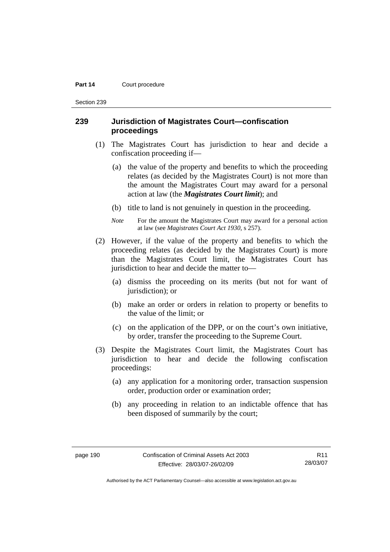Section 239

#### **239 Jurisdiction of Magistrates Court—confiscation proceedings**

- (1) The Magistrates Court has jurisdiction to hear and decide a confiscation proceeding if—
	- (a) the value of the property and benefits to which the proceeding relates (as decided by the Magistrates Court) is not more than the amount the Magistrates Court may award for a personal action at law (the *Magistrates Court limit*); and
	- (b) title to land is not genuinely in question in the proceeding.
	- *Note* For the amount the Magistrates Court may award for a personal action at law (see *Magistrates Court Act 1930*, s 257).
- (2) However, if the value of the property and benefits to which the proceeding relates (as decided by the Magistrates Court) is more than the Magistrates Court limit, the Magistrates Court has jurisdiction to hear and decide the matter to—
	- (a) dismiss the proceeding on its merits (but not for want of jurisdiction); or
	- (b) make an order or orders in relation to property or benefits to the value of the limit; or
	- (c) on the application of the DPP, or on the court's own initiative, by order, transfer the proceeding to the Supreme Court.
- (3) Despite the Magistrates Court limit, the Magistrates Court has jurisdiction to hear and decide the following confiscation proceedings:
	- (a) any application for a monitoring order, transaction suspension order, production order or examination order;
	- (b) any proceeding in relation to an indictable offence that has been disposed of summarily by the court;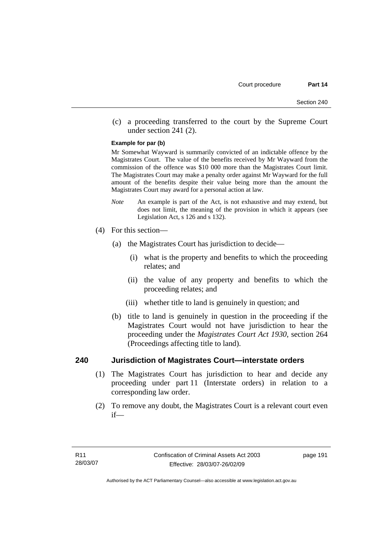(c) a proceeding transferred to the court by the Supreme Court under section 241 (2).

#### **Example for par (b)**

Mr Somewhat Wayward is summarily convicted of an indictable offence by the Magistrates Court. The value of the benefits received by Mr Wayward from the commission of the offence was \$10 000 more than the Magistrates Court limit. The Magistrates Court may make a penalty order against Mr Wayward for the full amount of the benefits despite their value being more than the amount the Magistrates Court may award for a personal action at law.

- *Note* An example is part of the Act, is not exhaustive and may extend, but does not limit, the meaning of the provision in which it appears (see Legislation Act, s 126 and s 132).
- (4) For this section—
	- (a) the Magistrates Court has jurisdiction to decide—
		- (i) what is the property and benefits to which the proceeding relates; and
		- (ii) the value of any property and benefits to which the proceeding relates; and
		- (iii) whether title to land is genuinely in question; and
	- (b) title to land is genuinely in question in the proceeding if the Magistrates Court would not have jurisdiction to hear the proceeding under the *Magistrates Court Act 1930*, section 264 (Proceedings affecting title to land).

#### **240 Jurisdiction of Magistrates Court—interstate orders**

- (1) The Magistrates Court has jurisdiction to hear and decide any proceeding under part 11 (Interstate orders) in relation to a corresponding law order.
- (2) To remove any doubt, the Magistrates Court is a relevant court even if—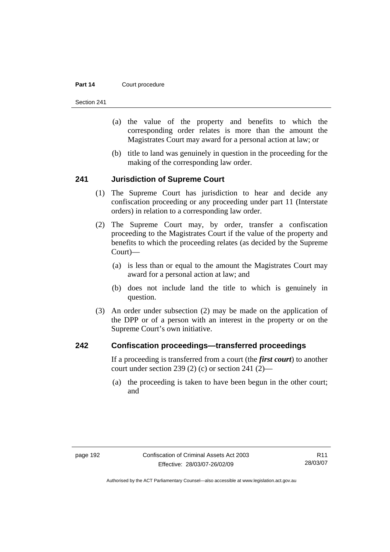Section 241

- (a) the value of the property and benefits to which the corresponding order relates is more than the amount the Magistrates Court may award for a personal action at law; or
- (b) title to land was genuinely in question in the proceeding for the making of the corresponding law order.

#### **241 Jurisdiction of Supreme Court**

- (1) The Supreme Court has jurisdiction to hear and decide any confiscation proceeding or any proceeding under part 11 (Interstate orders) in relation to a corresponding law order.
- (2) The Supreme Court may, by order, transfer a confiscation proceeding to the Magistrates Court if the value of the property and benefits to which the proceeding relates (as decided by the Supreme Court)—
	- (a) is less than or equal to the amount the Magistrates Court may award for a personal action at law; and
	- (b) does not include land the title to which is genuinely in question.
- (3) An order under subsection (2) may be made on the application of the DPP or of a person with an interest in the property or on the Supreme Court's own initiative.

#### **242 Confiscation proceedings—transferred proceedings**

If a proceeding is transferred from a court (the *first court*) to another court under section 239 (2) (c) or section 241 (2)—

 (a) the proceeding is taken to have been begun in the other court; and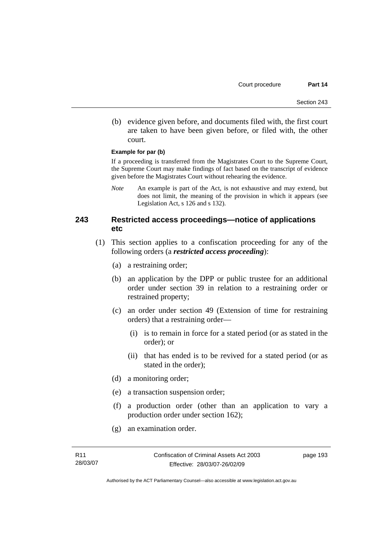(b) evidence given before, and documents filed with, the first court are taken to have been given before, or filed with, the other court.

#### **Example for par (b)**

If a proceeding is transferred from the Magistrates Court to the Supreme Court, the Supreme Court may make findings of fact based on the transcript of evidence given before the Magistrates Court without rehearing the evidence.

*Note* An example is part of the Act, is not exhaustive and may extend, but does not limit, the meaning of the provision in which it appears (see Legislation Act, s 126 and s 132).

# **243 Restricted access proceedings—notice of applications etc**

- (1) This section applies to a confiscation proceeding for any of the following orders (a *restricted access proceeding*):
	- (a) a restraining order;
	- (b) an application by the DPP or public trustee for an additional order under section 39 in relation to a restraining order or restrained property;
	- (c) an order under section 49 (Extension of time for restraining orders) that a restraining order—
		- (i) is to remain in force for a stated period (or as stated in the order); or
		- (ii) that has ended is to be revived for a stated period (or as stated in the order);
	- (d) a monitoring order;
	- (e) a transaction suspension order;
	- (f) a production order (other than an application to vary a production order under section 162);
	- (g) an examination order.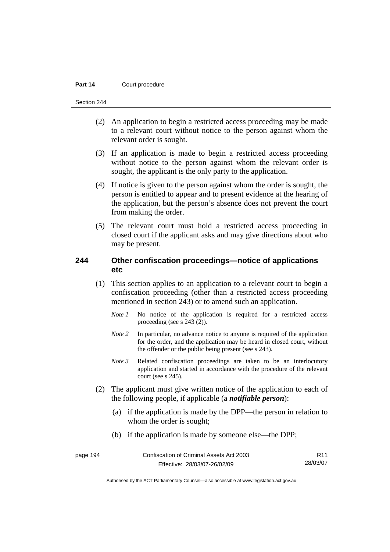Section 244

- (2) An application to begin a restricted access proceeding may be made to a relevant court without notice to the person against whom the relevant order is sought.
- (3) If an application is made to begin a restricted access proceeding without notice to the person against whom the relevant order is sought, the applicant is the only party to the application.
- (4) If notice is given to the person against whom the order is sought, the person is entitled to appear and to present evidence at the hearing of the application, but the person's absence does not prevent the court from making the order.
- (5) The relevant court must hold a restricted access proceeding in closed court if the applicant asks and may give directions about who may be present.

#### **244 Other confiscation proceedings—notice of applications etc**

- (1) This section applies to an application to a relevant court to begin a confiscation proceeding (other than a restricted access proceeding mentioned in section 243) or to amend such an application.
	- *Note 1* No notice of the application is required for a restricted access proceeding (see s 243 (2)).
	- *Note 2* In particular, no advance notice to anyone is required of the application for the order, and the application may be heard in closed court, without the offender or the public being present (see s 243).
	- *Note 3* Related confiscation proceedings are taken to be an interlocutory application and started in accordance with the procedure of the relevant court (see s 245).
- (2) The applicant must give written notice of the application to each of the following people, if applicable (a *notifiable person*):
	- (a) if the application is made by the DPP—the person in relation to whom the order is sought;
	- (b) if the application is made by someone else—the DPP;

| page 194 | Confiscation of Criminal Assets Act 2003 | R <sub>11</sub> |
|----------|------------------------------------------|-----------------|
|          | Effective: 28/03/07-26/02/09             | 28/03/07        |

Authorised by the ACT Parliamentary Counsel—also accessible at www.legislation.act.gov.au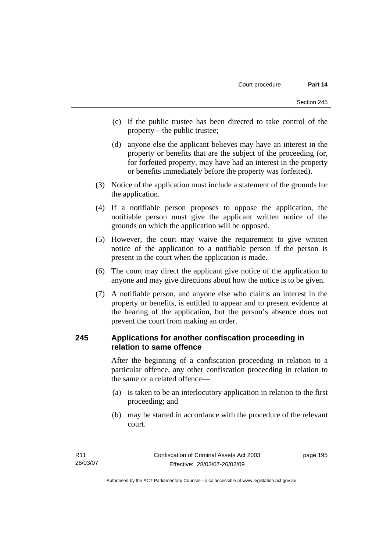- (c) if the public trustee has been directed to take control of the property—the public trustee;
- (d) anyone else the applicant believes may have an interest in the property or benefits that are the subject of the proceeding (or, for forfeited property, may have had an interest in the property or benefits immediately before the property was forfeited).
- (3) Notice of the application must include a statement of the grounds for the application.
- (4) If a notifiable person proposes to oppose the application, the notifiable person must give the applicant written notice of the grounds on which the application will be opposed.
- (5) However, the court may waive the requirement to give written notice of the application to a notifiable person if the person is present in the court when the application is made.
- (6) The court may direct the applicant give notice of the application to anyone and may give directions about how the notice is to be given.
- (7) A notifiable person, and anyone else who claims an interest in the property or benefits, is entitled to appear and to present evidence at the hearing of the application, but the person's absence does not prevent the court from making an order.

### **245 Applications for another confiscation proceeding in relation to same offence**

After the beginning of a confiscation proceeding in relation to a particular offence, any other confiscation proceeding in relation to the same or a related offence—

- (a) is taken to be an interlocutory application in relation to the first proceeding; and
- (b) may be started in accordance with the procedure of the relevant court.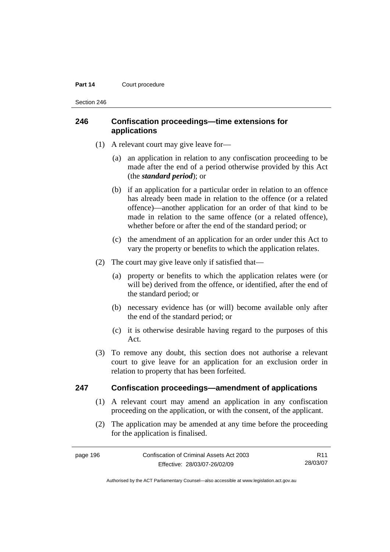Section 246

## **246 Confiscation proceedings—time extensions for applications**

- (1) A relevant court may give leave for—
	- (a) an application in relation to any confiscation proceeding to be made after the end of a period otherwise provided by this Act (the *standard period*); or
	- (b) if an application for a particular order in relation to an offence has already been made in relation to the offence (or a related offence)—another application for an order of that kind to be made in relation to the same offence (or a related offence), whether before or after the end of the standard period; or
	- (c) the amendment of an application for an order under this Act to vary the property or benefits to which the application relates.
- (2) The court may give leave only if satisfied that—
	- (a) property or benefits to which the application relates were (or will be) derived from the offence, or identified, after the end of the standard period; or
	- (b) necessary evidence has (or will) become available only after the end of the standard period; or
	- (c) it is otherwise desirable having regard to the purposes of this Act.
- (3) To remove any doubt, this section does not authorise a relevant court to give leave for an application for an exclusion order in relation to property that has been forfeited.

#### **247 Confiscation proceedings—amendment of applications**

- (1) A relevant court may amend an application in any confiscation proceeding on the application, or with the consent, of the applicant.
- (2) The application may be amended at any time before the proceeding for the application is finalised.

| page 196 | Confiscation of Criminal Assets Act 2003 | R11      |
|----------|------------------------------------------|----------|
|          | Effective: 28/03/07-26/02/09             | 28/03/07 |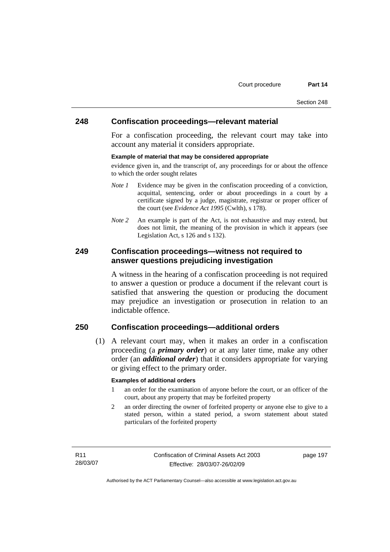#### **248 Confiscation proceedings—relevant material**

For a confiscation proceeding, the relevant court may take into account any material it considers appropriate.

#### **Example of material that may be considered appropriate**

evidence given in, and the transcript of, any proceedings for or about the offence to which the order sought relates

- *Note 1* Evidence may be given in the confiscation proceeding of a conviction, acquittal, sentencing, order or about proceedings in a court by a certificate signed by a judge, magistrate, registrar or proper officer of the court (see *Evidence Act 1995* (Cwlth), s 178).
- *Note* 2 An example is part of the Act, is not exhaustive and may extend, but does not limit, the meaning of the provision in which it appears (see Legislation Act, s 126 and s 132).

### **249 Confiscation proceedings—witness not required to answer questions prejudicing investigation**

A witness in the hearing of a confiscation proceeding is not required to answer a question or produce a document if the relevant court is satisfied that answering the question or producing the document may prejudice an investigation or prosecution in relation to an indictable offence.

# **250 Confiscation proceedings—additional orders**

 (1) A relevant court may, when it makes an order in a confiscation proceeding (a *primary order*) or at any later time, make any other order (an *additional order*) that it considers appropriate for varying or giving effect to the primary order.

#### **Examples of additional orders**

- 1 an order for the examination of anyone before the court, or an officer of the court, about any property that may be forfeited property
- 2 an order directing the owner of forfeited property or anyone else to give to a stated person, within a stated period, a sworn statement about stated particulars of the forfeited property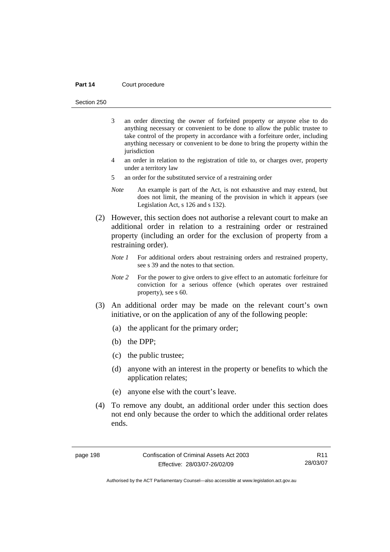Section 250

- 3 an order directing the owner of forfeited property or anyone else to do anything necessary or convenient to be done to allow the public trustee to take control of the property in accordance with a forfeiture order, including anything necessary or convenient to be done to bring the property within the jurisdiction
- 4 an order in relation to the registration of title to, or charges over, property under a territory law
- 5 an order for the substituted service of a restraining order
- *Note* An example is part of the Act, is not exhaustive and may extend, but does not limit, the meaning of the provision in which it appears (see Legislation Act, s 126 and s 132).
- (2) However, this section does not authorise a relevant court to make an additional order in relation to a restraining order or restrained property (including an order for the exclusion of property from a restraining order).
	- *Note 1* For additional orders about restraining orders and restrained property, see s 39 and the notes to that section.
	- *Note* 2 For the power to give orders to give effect to an automatic for feiture for conviction for a serious offence (which operates over restrained property), see s 60.
- (3) An additional order may be made on the relevant court's own initiative, or on the application of any of the following people:
	- (a) the applicant for the primary order;
	- (b) the DPP;
	- (c) the public trustee;
	- (d) anyone with an interest in the property or benefits to which the application relates;
	- (e) anyone else with the court's leave.
- (4) To remove any doubt, an additional order under this section does not end only because the order to which the additional order relates ends.

R11 28/03/07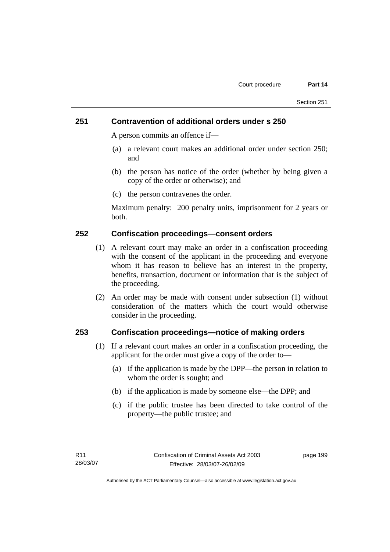### **251 Contravention of additional orders under s 250**

A person commits an offence if—

- (a) a relevant court makes an additional order under section 250; and
- (b) the person has notice of the order (whether by being given a copy of the order or otherwise); and
- (c) the person contravenes the order.

Maximum penalty: 200 penalty units, imprisonment for 2 years or both.

### **252 Confiscation proceedings—consent orders**

- (1) A relevant court may make an order in a confiscation proceeding with the consent of the applicant in the proceeding and everyone whom it has reason to believe has an interest in the property, benefits, transaction, document or information that is the subject of the proceeding.
- (2) An order may be made with consent under subsection (1) without consideration of the matters which the court would otherwise consider in the proceeding.

#### **253 Confiscation proceedings—notice of making orders**

- (1) If a relevant court makes an order in a confiscation proceeding, the applicant for the order must give a copy of the order to—
	- (a) if the application is made by the DPP—the person in relation to whom the order is sought; and
	- (b) if the application is made by someone else—the DPP; and
	- (c) if the public trustee has been directed to take control of the property—the public trustee; and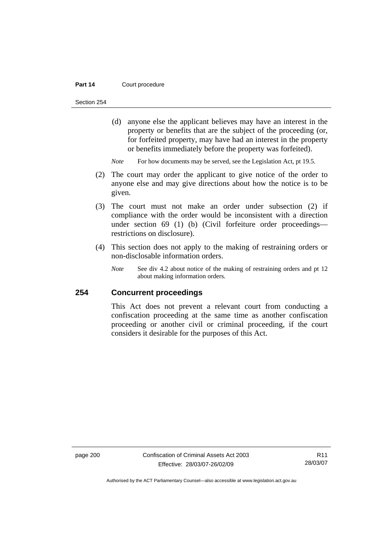Section 254

 (d) anyone else the applicant believes may have an interest in the property or benefits that are the subject of the proceeding (or, for forfeited property, may have had an interest in the property or benefits immediately before the property was forfeited).

*Note* For how documents may be served, see the Legislation Act, pt 19.5.

- (2) The court may order the applicant to give notice of the order to anyone else and may give directions about how the notice is to be given.
- (3) The court must not make an order under subsection (2) if compliance with the order would be inconsistent with a direction under section 69 (1) (b) (Civil forfeiture order proceedings restrictions on disclosure).
- (4) This section does not apply to the making of restraining orders or non-disclosable information orders.
	- *Note* See div 4.2 about notice of the making of restraining orders and pt 12 about making information orders.

#### **254 Concurrent proceedings**

This Act does not prevent a relevant court from conducting a confiscation proceeding at the same time as another confiscation proceeding or another civil or criminal proceeding, if the court considers it desirable for the purposes of this Act.

page 200 Confiscation of Criminal Assets Act 2003 Effective: 28/03/07-26/02/09

R11 28/03/07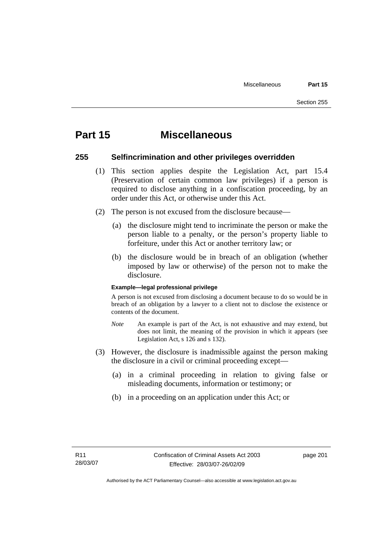# **Part 15 Miscellaneous**

#### **255 Selfincrimination and other privileges overridden**

- (1) This section applies despite the Legislation Act, part 15.4 (Preservation of certain common law privileges) if a person is required to disclose anything in a confiscation proceeding, by an order under this Act, or otherwise under this Act.
- (2) The person is not excused from the disclosure because—
	- (a) the disclosure might tend to incriminate the person or make the person liable to a penalty, or the person's property liable to forfeiture, under this Act or another territory law; or
	- (b) the disclosure would be in breach of an obligation (whether imposed by law or otherwise) of the person not to make the disclosure.

#### **Example—legal professional privilege**

A person is not excused from disclosing a document because to do so would be in breach of an obligation by a lawyer to a client not to disclose the existence or contents of the document.

- *Note* An example is part of the Act, is not exhaustive and may extend, but does not limit, the meaning of the provision in which it appears (see Legislation Act, s 126 and s 132).
- (3) However, the disclosure is inadmissible against the person making the disclosure in a civil or criminal proceeding except—
	- (a) in a criminal proceeding in relation to giving false or misleading documents, information or testimony; or
	- (b) in a proceeding on an application under this Act; or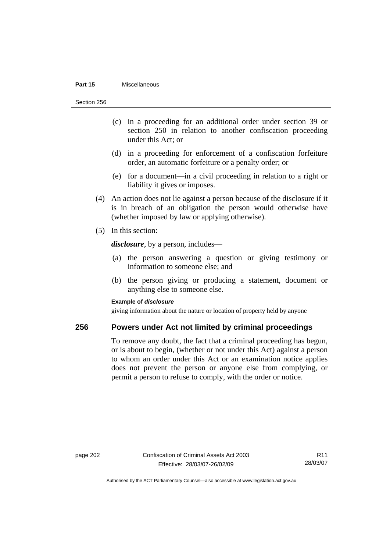#### **Part 15** Miscellaneous

Section 256

- (c) in a proceeding for an additional order under section 39 or section 250 in relation to another confiscation proceeding under this Act; or
- (d) in a proceeding for enforcement of a confiscation forfeiture order, an automatic forfeiture or a penalty order; or
- (e) for a document—in a civil proceeding in relation to a right or liability it gives or imposes.
- (4) An action does not lie against a person because of the disclosure if it is in breach of an obligation the person would otherwise have (whether imposed by law or applying otherwise).
- (5) In this section:

*disclosure*, by a person, includes—

- (a) the person answering a question or giving testimony or information to someone else; and
- (b) the person giving or producing a statement, document or anything else to someone else.

#### **Example of** *disclosure*

giving information about the nature or location of property held by anyone

# **256 Powers under Act not limited by criminal proceedings**

To remove any doubt, the fact that a criminal proceeding has begun, or is about to begin, (whether or not under this Act) against a person to whom an order under this Act or an examination notice applies does not prevent the person or anyone else from complying, or permit a person to refuse to comply, with the order or notice.

R11 28/03/07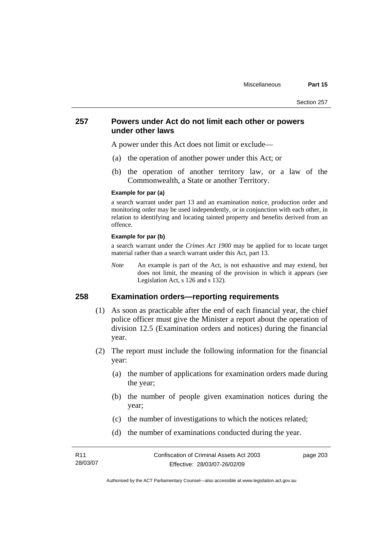# **257 Powers under Act do not limit each other or powers under other laws**

A power under this Act does not limit or exclude—

- (a) the operation of another power under this Act; or
- (b) the operation of another territory law, or a law of the Commonwealth, a State or another Territory.

#### **Example for par (a)**

a search warrant under part 13 and an examination notice, production order and monitoring order may be used independently, or in conjunction with each other, in relation to identifying and locating tainted property and benefits derived from an offence.

#### **Example for par (b)**

a search warrant under the *Crimes Act 1900* may be applied for to locate target material rather than a search warrant under this Act, part 13.

*Note* An example is part of the Act, is not exhaustive and may extend, but does not limit, the meaning of the provision in which it appears (see Legislation Act, s 126 and s 132).

### **258 Examination orders—reporting requirements**

- (1) As soon as practicable after the end of each financial year, the chief police officer must give the Minister a report about the operation of division 12.5 (Examination orders and notices) during the financial year.
- (2) The report must include the following information for the financial year:
	- (a) the number of applications for examination orders made during the year;
	- (b) the number of people given examination notices during the year;
	- (c) the number of investigations to which the notices related;
	- (d) the number of examinations conducted during the year.

| R <sub>11</sub> | Confiscation of Criminal Assets Act 2003 | page 203 |
|-----------------|------------------------------------------|----------|
| 28/03/07        | Effective: 28/03/07-26/02/09             |          |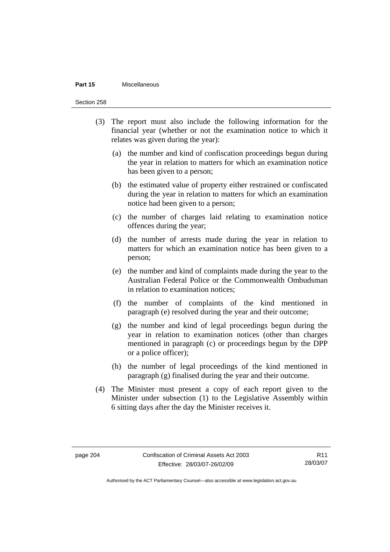#### **Part 15** Miscellaneous

Section 258

- (3) The report must also include the following information for the financial year (whether or not the examination notice to which it relates was given during the year):
	- (a) the number and kind of confiscation proceedings begun during the year in relation to matters for which an examination notice has been given to a person;
	- (b) the estimated value of property either restrained or confiscated during the year in relation to matters for which an examination notice had been given to a person;
	- (c) the number of charges laid relating to examination notice offences during the year;
	- (d) the number of arrests made during the year in relation to matters for which an examination notice has been given to a person;
	- (e) the number and kind of complaints made during the year to the Australian Federal Police or the Commonwealth Ombudsman in relation to examination notices;
	- (f) the number of complaints of the kind mentioned in paragraph (e) resolved during the year and their outcome;
	- (g) the number and kind of legal proceedings begun during the year in relation to examination notices (other than charges mentioned in paragraph (c) or proceedings begun by the DPP or a police officer);
	- (h) the number of legal proceedings of the kind mentioned in paragraph (g) finalised during the year and their outcome.
- (4) The Minister must present a copy of each report given to the Minister under subsection (1) to the Legislative Assembly within 6 sitting days after the day the Minister receives it.

R11 28/03/07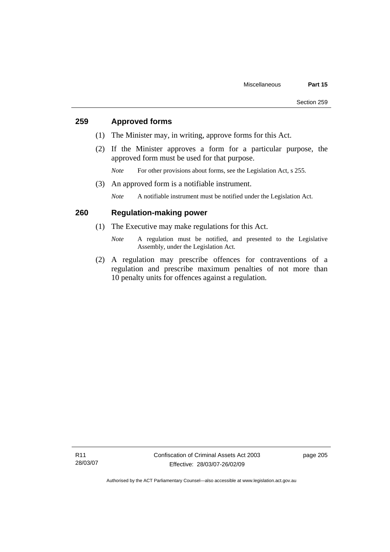# **259 Approved forms**

- (1) The Minister may, in writing, approve forms for this Act.
- (2) If the Minister approves a form for a particular purpose, the approved form must be used for that purpose.

*Note* For other provisions about forms, see the Legislation Act, s 255.

(3) An approved form is a notifiable instrument.

*Note* A notifiable instrument must be notified under the Legislation Act.

# **260 Regulation-making power**

- (1) The Executive may make regulations for this Act.
	- *Note* A regulation must be notified, and presented to the Legislative Assembly, under the Legislation Act.
- (2) A regulation may prescribe offences for contraventions of a regulation and prescribe maximum penalties of not more than 10 penalty units for offences against a regulation.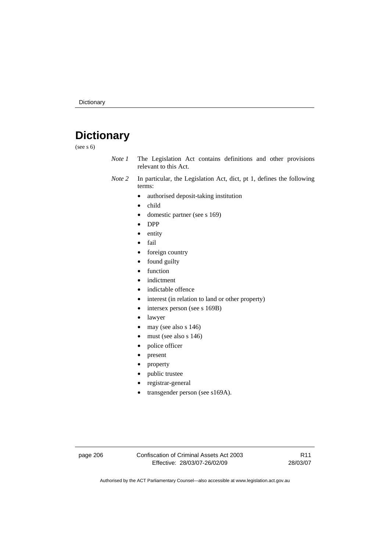# **Dictionary**

(see s 6)

- *Note 1* The Legislation Act contains definitions and other provisions relevant to this Act.
- *Note 2* In particular, the Legislation Act, dict, pt 1, defines the following terms:
	- authorised deposit-taking institution
	- child
	- domestic partner (see s 169)
	- DPP
	- entity
	- fail
	- foreign country
	- found guilty
	- function
	- indictment
	- indictable offence
	- interest (in relation to land or other property)
	- intersex person (see s 169B)
	- lawyer
	- may (see also s 146)
	- must (see also s 146)
	- police officer
	- present
	- property
	- public trustee
	- registrar-general
	- transgender person (see s169A).

page 206 Confiscation of Criminal Assets Act 2003 Effective: 28/03/07-26/02/09

R11 28/03/07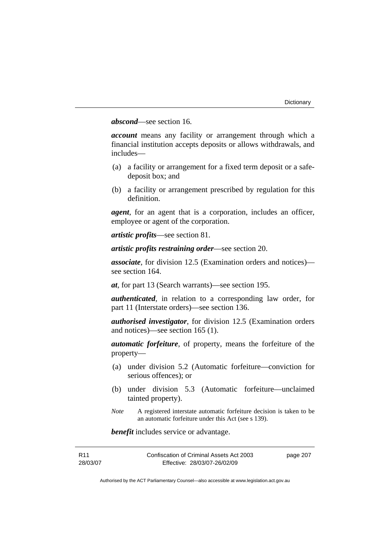## *abscond*—see section 16.

*account* means any facility or arrangement through which a financial institution accepts deposits or allows withdrawals, and includes—

- (a) a facility or arrangement for a fixed term deposit or a safedeposit box; and
- (b) a facility or arrangement prescribed by regulation for this definition.

*agent*, for an agent that is a corporation, includes an officer, employee or agent of the corporation.

*artistic profits*—see section 81.

*artistic profits restraining order*—see section 20.

*associate*, for division 12.5 (Examination orders and notices) see section 164.

*at*, for part 13 (Search warrants)—see section 195.

*authenticated*, in relation to a corresponding law order, for part 11 (Interstate orders)—see section 136.

*authorised investigator*, for division 12.5 (Examination orders and notices)—see section 165 (1).

*automatic forfeiture*, of property, means the forfeiture of the property—

- (a) under division 5.2 (Automatic forfeiture—conviction for serious offences); or
- (b) under division 5.3 (Automatic forfeiture—unclaimed tainted property).
- *Note* A registered interstate automatic forfeiture decision is taken to be an automatic forfeiture under this Act (see s 139).

*benefit* includes service or advantage.

| R11      | Confiscation of Criminal Assets Act 2003 | page 207 |
|----------|------------------------------------------|----------|
| 28/03/07 | Effective: 28/03/07-26/02/09             |          |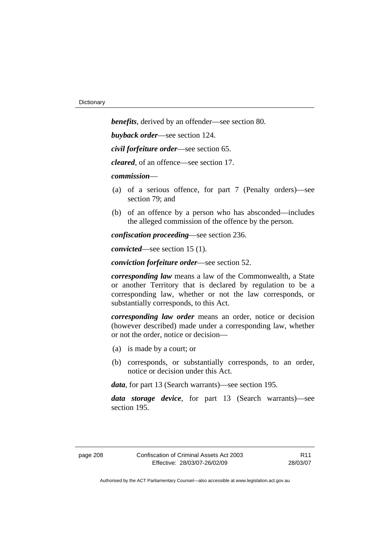*benefits*, derived by an offender—see section 80. *buyback order*—see section 124. *civil forfeiture order*—see section 65. *cleared*, of an offence—see section 17. *commission*— (a) of a serious offence, for part 7 (Penalty orders)—see section 79; and (b) of an offence by a person who has absconded—includes the alleged commission of the offence by the person. *confiscation proceeding*—see section 236.

*convicted*—see section 15 (1).

*conviction forfeiture order*—see section 52.

*corresponding law* means a law of the Commonwealth, a State or another Territory that is declared by regulation to be a corresponding law, whether or not the law corresponds, or substantially corresponds, to this Act.

*corresponding law order* means an order, notice or decision (however described) made under a corresponding law, whether or not the order, notice or decision—

- (a) is made by a court; or
- (b) corresponds, or substantially corresponds, to an order, notice or decision under this Act.

*data*, for part 13 (Search warrants)—see section 195.

*data storage device*, for part 13 (Search warrants)—see section 195.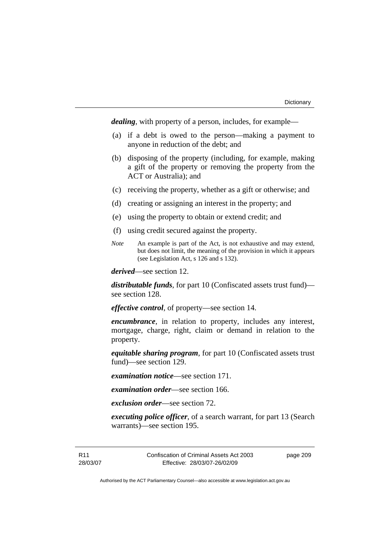*dealing*, with property of a person, includes, for example—

- (a) if a debt is owed to the person—making a payment to anyone in reduction of the debt; and
- (b) disposing of the property (including, for example, making a gift of the property or removing the property from the ACT or Australia); and
- (c) receiving the property, whether as a gift or otherwise; and
- (d) creating or assigning an interest in the property; and
- (e) using the property to obtain or extend credit; and
- (f) using credit secured against the property.
- *Note* An example is part of the Act, is not exhaustive and may extend, but does not limit, the meaning of the provision in which it appears (see Legislation Act, s 126 and s 132).

*derived*—see section 12.

*distributable funds*, for part 10 (Confiscated assets trust fund) see section 128.

*effective control*, of property—see section 14.

*encumbrance*, in relation to property, includes any interest, mortgage, charge, right, claim or demand in relation to the property.

*equitable sharing program*, for part 10 (Confiscated assets trust fund)—see section 129.

*examination notice*—see section 171.

*examination order*—see section 166.

*exclusion order*—see section 72.

*executing police officer*, of a search warrant, for part 13 (Search warrants)—see section 195.

R11 28/03/07 Confiscation of Criminal Assets Act 2003 Effective: 28/03/07-26/02/09

page 209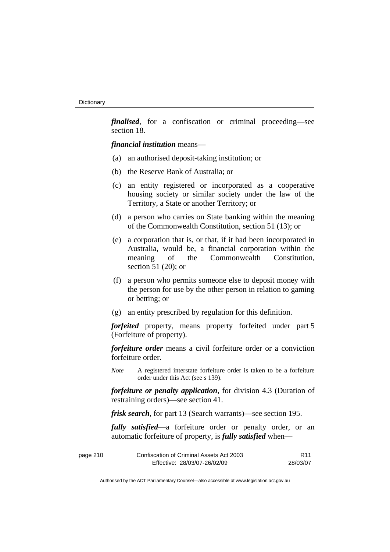*finalised*, for a confiscation or criminal proceeding—see section 18.

*financial institution* means—

- (a) an authorised deposit-taking institution; or
- (b) the Reserve Bank of Australia; or
- (c) an entity registered or incorporated as a cooperative housing society or similar society under the law of the Territory, a State or another Territory; or
- (d) a person who carries on State banking within the meaning of the Commonwealth Constitution, section 51 (13); or
- (e) a corporation that is, or that, if it had been incorporated in Australia, would be, a financial corporation within the meaning of the Commonwealth Constitution, section 51 (20); or
- (f) a person who permits someone else to deposit money with the person for use by the other person in relation to gaming or betting; or
- (g) an entity prescribed by regulation for this definition.

*forfeited* property, means property forfeited under part 5 (Forfeiture of property).

*forfeiture order* means a civil forfeiture order or a conviction forfeiture order.

*Note* A registered interstate forfeiture order is taken to be a forfeiture order under this Act (see s 139).

*forfeiture or penalty application*, for division 4.3 (Duration of restraining orders)—see section 41.

*frisk search*, for part 13 (Search warrants)—see section 195.

*fully satisfied*—a forfeiture order or penalty order, or an automatic forfeiture of property, is *fully satisfied* when—

| page 210 | Confiscation of Criminal Assets Act 2003 |          |
|----------|------------------------------------------|----------|
|          | Effective: 28/03/07-26/02/09             | 28/03/07 |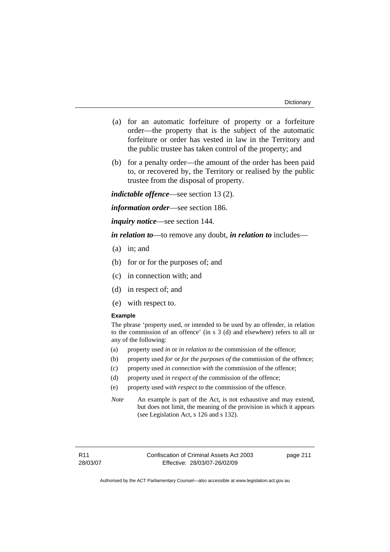- (a) for an automatic forfeiture of property or a forfeiture order—the property that is the subject of the automatic forfeiture or order has vested in law in the Territory and the public trustee has taken control of the property; and
- (b) for a penalty order—the amount of the order has been paid to, or recovered by, the Territory or realised by the public trustee from the disposal of property.

*indictable offence*—see section 13 (2).

*information order*—see section 186.

*inquiry notice*—see section 144.

*in relation to*—to remove any doubt, *in relation to* includes—

- (a) in; and
- (b) for or for the purposes of; and
- (c) in connection with; and
- (d) in respect of; and
- (e) with respect to.

#### **Example**

The phrase 'property used, or intended to be used by an offender, in relation to the commission of an offence' (in s 3 (d) and elsewhere) refers to all or any of the following:

- (a) property used *in* or *in relation to* the commission of the offence;
- (b) property used *for* or *for the purposes of* the commission of the offence;
- (c) property used *in connection with* the commission of the offence;
- (d) property used *in respect of* the commission of the offence;
- (e) property used *with respect to* the commission of the offence.
- *Note* An example is part of the Act, is not exhaustive and may extend, but does not limit, the meaning of the provision in which it appears (see Legislation Act, s 126 and s 132).

page 211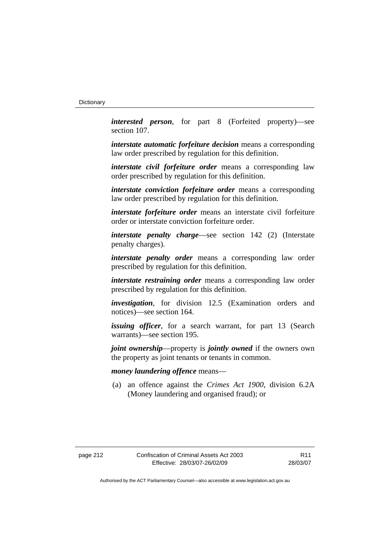*interested person*, for part 8 (Forfeited property)—see section 107.

*interstate automatic forfeiture decision* means a corresponding law order prescribed by regulation for this definition.

*interstate civil forfeiture order* means a corresponding law order prescribed by regulation for this definition.

*interstate conviction forfeiture order* means a corresponding law order prescribed by regulation for this definition.

*interstate forfeiture order* means an interstate civil forfeiture order or interstate conviction forfeiture order.

*interstate penalty charge*—see section 142 (2) (Interstate penalty charges).

*interstate penalty order* means a corresponding law order prescribed by regulation for this definition.

*interstate restraining order* means a corresponding law order prescribed by regulation for this definition.

*investigation*, for division 12.5 (Examination orders and notices)—see section 164.

*issuing officer*, for a search warrant, for part 13 (Search warrants)—see section 195.

*joint ownership*—property is *jointly owned* if the owners own the property as joint tenants or tenants in common.

## *money laundering offence* means—

 (a) an offence against the *Crimes Act 1900*, division 6.2A (Money laundering and organised fraud); or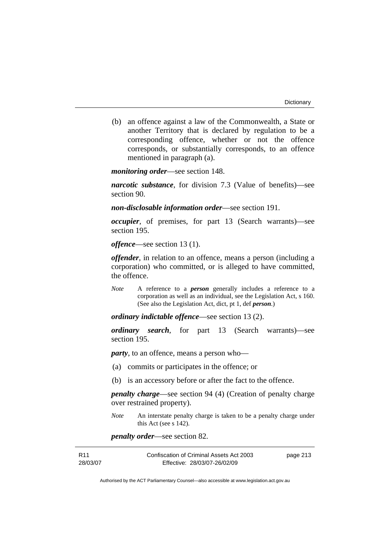(b) an offence against a law of the Commonwealth, a State or another Territory that is declared by regulation to be a corresponding offence, whether or not the offence corresponds, or substantially corresponds, to an offence mentioned in paragraph (a).

*monitoring order*—see section 148.

*narcotic substance*, for division 7.3 (Value of benefits)—see section 90.

*non-disclosable information order*—see section 191.

*occupier*, of premises, for part 13 (Search warrants)—see section 195.

*offence*—see section 13 (1).

*offender*, in relation to an offence, means a person (including a corporation) who committed, or is alleged to have committed, the offence.

*Note* A reference to a *person* generally includes a reference to a corporation as well as an individual, see the Legislation Act, s 160. (See also the Legislation Act, dict, pt 1, def *person*.)

*ordinary indictable offence*—see section 13 (2).

*ordinary search*, for part 13 (Search warrants)—see section 195.

*party*, to an offence, means a person who—

- (a) commits or participates in the offence; or
- (b) is an accessory before or after the fact to the offence.

*penalty charge*—see section 94 (4) (Creation of penalty charge over restrained property).

*Note* An interstate penalty charge is taken to be a penalty charge under this Act (see s 142).

*penalty order*—see section 82.

| R <sub>11</sub> | Confiscation of Criminal Assets Act 2003 | page 213 |
|-----------------|------------------------------------------|----------|
| 28/03/07        | Effective: 28/03/07-26/02/09             |          |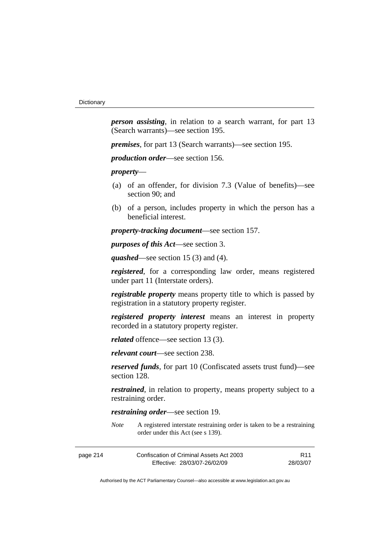*person assisting*, in relation to a search warrant, for part 13 (Search warrants)—see section 195.

*premises*, for part 13 (Search warrants)—see section 195.

*production order*—see section 156.

*property*—

- (a) of an offender, for division 7.3 (Value of benefits)—see section 90; and
- (b) of a person, includes property in which the person has a beneficial interest.

*property-tracking document*—see section 157.

*purposes of this Act*—see section 3.

*quashed*—see section 15 (3) and (4).

*registered*, for a corresponding law order, means registered under part 11 (Interstate orders).

*registrable property* means property title to which is passed by registration in a statutory property register.

*registered property interest* means an interest in property recorded in a statutory property register.

*related* offence—see section 13 (3).

*relevant court*—see section 238.

*reserved funds*, for part 10 (Confiscated assets trust fund)—see section 128.

*restrained*, in relation to property, means property subject to a restraining order.

*restraining order*—see section 19.

*Note* A registered interstate restraining order is taken to be a restraining order under this Act (see s 139).

| Confiscation of Criminal Assets Act 2003<br>page 214 |                              | R <sub>11</sub> |
|------------------------------------------------------|------------------------------|-----------------|
|                                                      | Effective: 28/03/07-26/02/09 | 28/03/07        |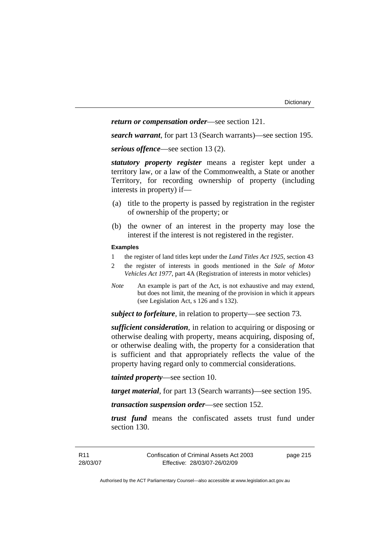#### *return or compensation order*—see section 121.

*search warrant*, for part 13 (Search warrants)—see section 195.

*serious offence*—see section 13 (2).

*statutory property register* means a register kept under a territory law, or a law of the Commonwealth, a State or another Territory, for recording ownership of property (including interests in property) if—

- (a) title to the property is passed by registration in the register of ownership of the property; or
- (b) the owner of an interest in the property may lose the interest if the interest is not registered in the register.

#### **Examples**

- 1 the register of land titles kept under the *Land Titles Act 1925*, section 43
- 2 the register of interests in goods mentioned in the *Sale of Motor Vehicles Act 1977*, part 4A (Registration of interests in motor vehicles)
- *Note* An example is part of the Act, is not exhaustive and may extend, but does not limit, the meaning of the provision in which it appears (see Legislation Act, s 126 and s 132).

*subject to forfeiture*, in relation to property—see section 73.

*sufficient consideration*, in relation to acquiring or disposing or otherwise dealing with property, means acquiring, disposing of, or otherwise dealing with, the property for a consideration that is sufficient and that appropriately reflects the value of the property having regard only to commercial considerations.

*tainted property*—see section 10.

*target material*, for part 13 (Search warrants)—see section 195.

*transaction suspension order*—see section 152.

*trust fund* means the confiscated assets trust fund under section 130.

page 215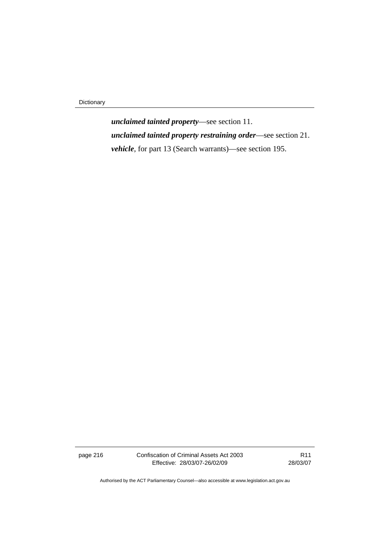Dictionary

*unclaimed tainted property*—see section 11. *unclaimed tainted property restraining order*—see section 21. *vehicle*, for part 13 (Search warrants)—see section 195.

page 216 Confiscation of Criminal Assets Act 2003 Effective: 28/03/07-26/02/09

R11 28/03/07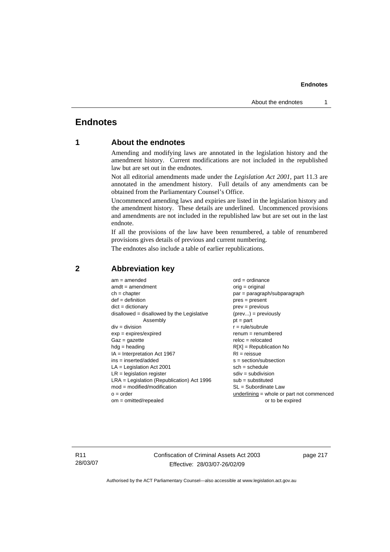# **Endnotes**

# **1 About the endnotes**

Amending and modifying laws are annotated in the legislation history and the amendment history. Current modifications are not included in the republished law but are set out in the endnotes.

Not all editorial amendments made under the *Legislation Act 2001*, part 11.3 are annotated in the amendment history. Full details of any amendments can be obtained from the Parliamentary Counsel's Office.

Uncommenced amending laws and expiries are listed in the legislation history and the amendment history. These details are underlined. Uncommenced provisions and amendments are not included in the republished law but are set out in the last endnote.

If all the provisions of the law have been renumbered, a table of renumbered provisions gives details of previous and current numbering.

The endnotes also include a table of earlier republications.

| $am = amended$                               | $ord = ordinance$                         |
|----------------------------------------------|-------------------------------------------|
| $amdt = amendment$                           | $orig = original$                         |
| $ch = chapter$                               | par = paragraph/subparagraph              |
| $def = definition$                           | $pres = present$                          |
| $dict = dictionary$                          | $prev = previous$                         |
| $disallowed = disallowed by the Legislative$ | $(\text{prev}) = \text{previously}$       |
| Assembly                                     | $pt = part$                               |
| $div = division$                             | $r = rule/subrule$                        |
| $exp = expires/expired$                      | $remum = renumbered$                      |
| $Gaz = qazette$                              | $reloc = relocated$                       |
| $hdg =$ heading                              | $R[X]$ = Republication No                 |
| $IA = Interpretation Act 1967$               | $RI = reissue$                            |
| $ins = inserted/added$                       | $s = section/subsection$                  |
| $LA =$ Legislation Act 2001                  | $sch = schedule$                          |
| $LR =$ legislation register                  | $sdiv = subdivision$                      |
| $LRA =$ Legislation (Republication) Act 1996 | $sub =$ substituted                       |
| $mod = modified/modification$                | $SL = Subordinate$ Law                    |
| $o = order$                                  | underlining = whole or part not commenced |
| $om = omitted/repealed$                      | or to be expired                          |
|                                              |                                           |

## **2 Abbreviation key**

R11 28/03/07 Confiscation of Criminal Assets Act 2003 Effective: 28/03/07-26/02/09

page 217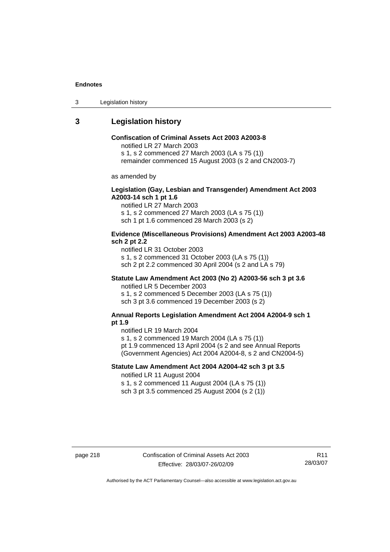3 Legislation history

# **3 Legislation history**

## **Confiscation of Criminal Assets Act 2003 A2003-8**

notified LR 27 March 2003

s 1, s 2 commenced 27 March 2003 (LA s 75 (1))

remainder commenced 15 August 2003 (s 2 and CN2003-7)

as amended by

#### **Legislation (Gay, Lesbian and Transgender) Amendment Act 2003 A2003-14 sch 1 pt 1.6**

notified LR 27 March 2003 s 1, s 2 commenced 27 March 2003 (LA s 75 (1)) sch 1 pt 1.6 commenced 28 March 2003 (s 2)

#### **Evidence (Miscellaneous Provisions) Amendment Act 2003 A2003-48 sch 2 pt 2.2**

notified LR 31 October 2003 s 1, s 2 commenced 31 October 2003 (LA s 75 (1)) sch 2 pt 2.2 commenced 30 April 2004 (s 2 and LA s 79)

# **Statute Law Amendment Act 2003 (No 2) A2003-56 sch 3 pt 3.6**

notified LR 5 December 2003 s 1, s 2 commenced 5 December 2003 (LA s 75 (1)) sch 3 pt 3.6 commenced 19 December 2003 (s 2)

#### **Annual Reports Legislation Amendment Act 2004 A2004-9 sch 1 pt 1.9**

notified LR 19 March 2004

s 1, s 2 commenced 19 March 2004 (LA s 75 (1))

pt 1.9 commenced 13 April 2004 (s 2 and see Annual Reports (Government Agencies) Act 2004 A2004-8, s 2 and CN2004-5)

### **Statute Law Amendment Act 2004 A2004-42 sch 3 pt 3.5**  notified LR 11 August 2004

s 1, s 2 commenced 11 August 2004 (LA s 75 (1)) sch 3 pt 3.5 commenced 25 August 2004 (s 2 (1))

page 218 Confiscation of Criminal Assets Act 2003 Effective: 28/03/07-26/02/09

R11 28/03/07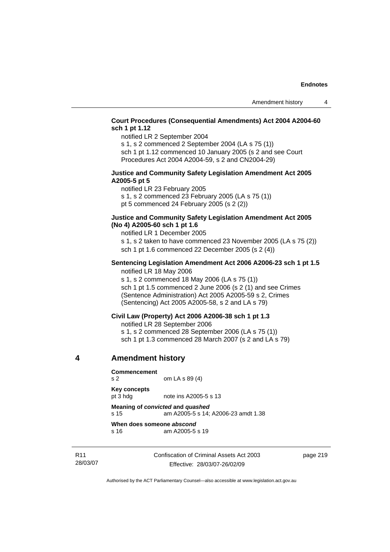# **Court Procedures (Consequential Amendments) Act 2004 A2004-60 sch 1 pt 1.12**

notified LR 2 September 2004

s 1, s 2 commenced 2 September 2004 (LA s 75 (1)) sch 1 pt 1.12 commenced 10 January 2005 (s 2 and see Court

Procedures Act 2004 A2004-59, s 2 and CN2004-29)

#### **Justice and Community Safety Legislation Amendment Act 2005 A2005-5 pt 5**

notified LR 23 February 2005 s 1, s 2 commenced 23 February 2005 (LA s 75 (1)) pt 5 commenced 24 February 2005 (s 2 (2))

#### **Justice and Community Safety Legislation Amendment Act 2005 (No 4) A2005-60 sch 1 pt 1.6**

notified LR 1 December 2005

s 1, s 2 taken to have commenced 23 November 2005 (LA s 75 (2)) sch 1 pt 1.6 commenced 22 December 2005 (s 2 (4))

#### **Sentencing Legislation Amendment Act 2006 A2006-23 sch 1 pt 1.5**  notified LR 18 May 2006

s 1, s 2 commenced 18 May 2006 (LA s 75 (1)) sch 1 pt 1.5 commenced 2 June 2006 (s 2 (1) and see Crimes (Sentence Administration) Act 2005 A2005-59 s 2, Crimes (Sentencing) Act 2005 A2005-58, s 2 and LA s 79)

#### **Civil Law (Property) Act 2006 A2006-38 sch 1 pt 1.3**

notified LR 28 September 2006

s 1, s 2 commenced 28 September 2006 (LA s 75 (1)) sch 1 pt 1.3 commenced 28 March 2007 (s 2 and LA s 79)

### **4 Amendment history**

**Commencement**  s 2 om LA s 89 (4) **Key concepts**  pt 3 hdg note ins A2005-5 s 13

**Meaning of** *convicted* **and** *quashed* s 15 am A2005-5 s 14; A2006-23 amdt 1.38

**When does someone** *abscond* s 16 am A2005-5 s 19

R11 28/03/07 Confiscation of Criminal Assets Act 2003 Effective: 28/03/07-26/02/09

page 219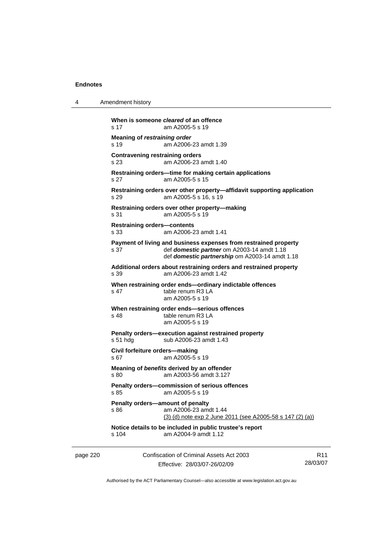4 Amendment history

|          | s 17                                                                                                     | When is someone <i>cleared</i> of an offence<br>am A2005-5 s 19                                                                                                  |                 |
|----------|----------------------------------------------------------------------------------------------------------|------------------------------------------------------------------------------------------------------------------------------------------------------------------|-----------------|
|          | <b>Meaning of restraining order</b><br>s 19                                                              | am A2006-23 amdt 1.39                                                                                                                                            |                 |
|          | <b>Contravening restraining orders</b><br>s 23                                                           | am A2006-23 amdt 1.40                                                                                                                                            |                 |
|          | s 27                                                                                                     | Restraining orders—time for making certain applications<br>am A2005-5 s 15                                                                                       |                 |
|          | s 29                                                                                                     | Restraining orders over other property-affidavit supporting application<br>am A2005-5 s 16, s 19                                                                 |                 |
|          | s 31                                                                                                     | Restraining orders over other property-making<br>am A2005-5 s 19                                                                                                 |                 |
|          | <b>Restraining orders-contents</b><br>s 33                                                               | am A2006-23 amdt 1.41                                                                                                                                            |                 |
|          | s 37                                                                                                     | Payment of living and business expenses from restrained property<br>def domestic partner om A2003-14 amdt 1.18<br>def domestic partnership om A2003-14 amdt 1.18 |                 |
|          | s 39                                                                                                     | Additional orders about restraining orders and restrained property<br>am A2006-23 amdt 1.42                                                                      |                 |
|          | When restraining order ends—ordinary indictable offences<br>s 47<br>table renum R3 LA<br>am A2005-5 s 19 |                                                                                                                                                                  |                 |
|          | When restraining order ends-serious offences<br>table renum R3 LA<br>s 48<br>am A2005-5 s 19             |                                                                                                                                                                  |                 |
|          | s 51 hdg                                                                                                 | Penalty orders-execution against restrained property<br>sub A2006-23 amdt 1.43                                                                                   |                 |
|          | Civil forfeiture orders-making<br>s 67                                                                   | am A2005-5 s 19                                                                                                                                                  |                 |
|          | s 80                                                                                                     | Meaning of benefits derived by an offender<br>am A2003-56 amdt 3.127                                                                                             |                 |
|          | s.85                                                                                                     | Penalty orders-commission of serious offences<br>am A2005-5 s 19                                                                                                 |                 |
|          | Penalty orders-amount of penalty<br>s 86                                                                 | am A2006-23 amdt 1.44<br>$(3)$ (d) note exp 2 June 2011 (see A2005-58 s 147 (2) (a))                                                                             |                 |
|          | s 104                                                                                                    | Notice details to be included in public trustee's report<br>am A2004-9 amdt 1.12                                                                                 |                 |
| page 220 |                                                                                                          | Confiscation of Criminal Assets Act 2003                                                                                                                         | R <sub>11</sub> |

Authorised by the ACT Parliamentary Counsel—also accessible at www.legislation.act.gov.au

Effective: 28/03/07-26/02/09

28/03/07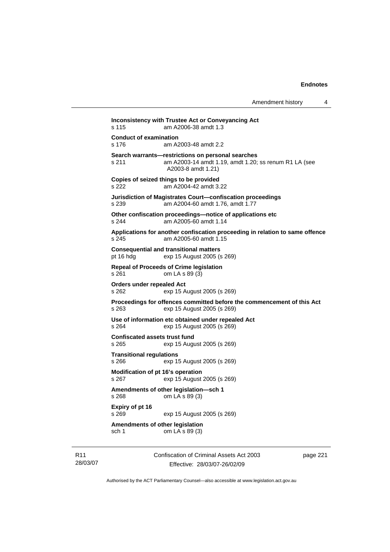Amendment history 4

**Inconsistency with Trustee Act or Conveyancing Act**  s 115 am A2006-38 amdt 1.3 **Conduct of examination**  s 176 am A2003-48 amdt 2.2 **Search warrants—restrictions on personal searches**  s 211 am A2003-14 amdt 1.19, amdt 1.20; ss renum R1 LA (see A2003-8 amdt 1.21) **Copies of seized things to be provided**  s 222 am A2004-42 amdt 3.22 **Jurisdiction of Magistrates Court—confiscation proceedings**  s 239 am A2004-60 amdt 1.76, amdt 1.77 **Other confiscation proceedings—notice of applications etc**  s 244 am A2005-60 amdt 1.14 **Applications for another confiscation proceeding in relation to same offence**  s 245 am A2005-60 amdt 1.15 **Consequential and transitional matters**  pt 16 hdg exp 15 August 2005 (s 269) **Repeal of Proceeds of Crime legislation**  s 261 om LA s 89 (3) **Orders under repealed Act**  s 262 exp 15 August 2005 (s 269) **Proceedings for offences committed before the commencement of this Act**  s 263 exp 15 August 2005 (s 269) **Use of information etc obtained under repealed Act**  exp 15 August 2005 (s 269) **Confiscated assets trust fund**  s 265 exp 15 August 2005 (s 269) **Transitional regulations**  s 266 exp 15 August 2005 (s 269) **Modification of pt 16's operation**  s 267 exp 15 August 2005 (s 269) **Amendments of other legislation—sch 1**  s 268 om LA s 89 (3) **Expiry of pt 16**  s 269 exp 15 August 2005 (s 269) **Amendments of other legislation**  sch 1 om LA s 89 (3)

R11 28/03/07 Confiscation of Criminal Assets Act 2003 Effective: 28/03/07-26/02/09

page 221